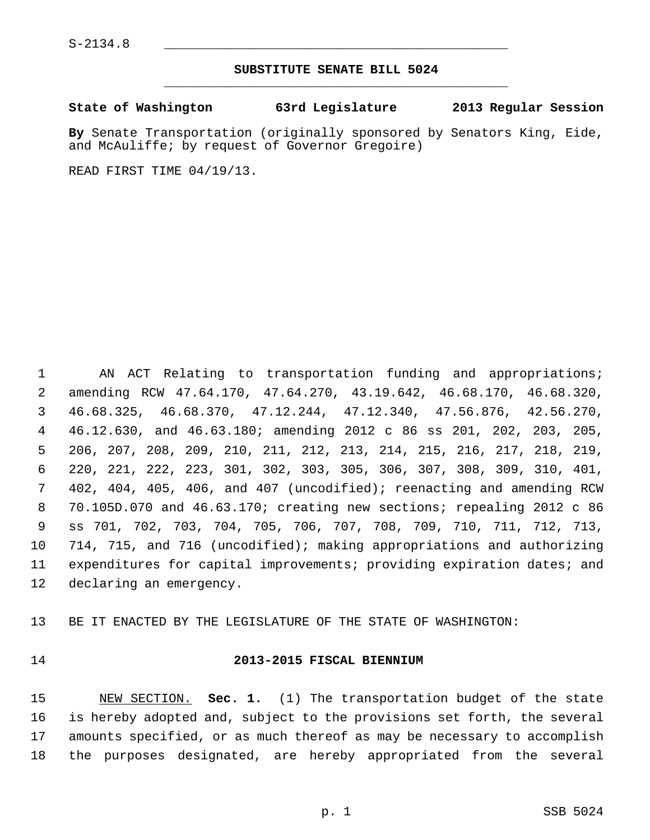#### **SUBSTITUTE SENATE BILL 5024** \_\_\_\_\_\_\_\_\_\_\_\_\_\_\_\_\_\_\_\_\_\_\_\_\_\_\_\_\_\_\_\_\_\_\_\_\_\_\_\_\_\_\_\_\_

#### **State of Washington 63rd Legislature 2013 Regular Session**

**By** Senate Transportation (originally sponsored by Senators King, Eide, and McAuliffe; by request of Governor Gregoire)

READ FIRST TIME 04/19/13.

 1 AN ACT Relating to transportation funding and appropriations; 2 amending RCW 47.64.170, 47.64.270, 43.19.642, 46.68.170, 46.68.320, 3 46.68.325, 46.68.370, 47.12.244, 47.12.340, 47.56.876, 42.56.270, 4 46.12.630, and 46.63.180; amending 2012 c 86 ss 201, 202, 203, 205, 5 206, 207, 208, 209, 210, 211, 212, 213, 214, 215, 216, 217, 218, 219, 6 220, 221, 222, 223, 301, 302, 303, 305, 306, 307, 308, 309, 310, 401, 7 402, 404, 405, 406, and 407 (uncodified); reenacting and amending RCW 8 70.105D.070 and 46.63.170; creating new sections; repealing 2012 c 86 9 ss 701, 702, 703, 704, 705, 706, 707, 708, 709, 710, 711, 712, 713, 10 714, 715, and 716 (uncodified); making appropriations and authorizing 11 expenditures for capital improvements; providing expiration dates; and 12 declaring an emergency.

13 BE IT ENACTED BY THE LEGISLATURE OF THE STATE OF WASHINGTON:

#### 14 **2013-2015 FISCAL BIENNIUM**

15 NEW SECTION. **Sec. 1.** (1) The transportation budget of the state 16 is hereby adopted and, subject to the provisions set forth, the several 17 amounts specified, or as much thereof as may be necessary to accomplish 18 the purposes designated, are hereby appropriated from the several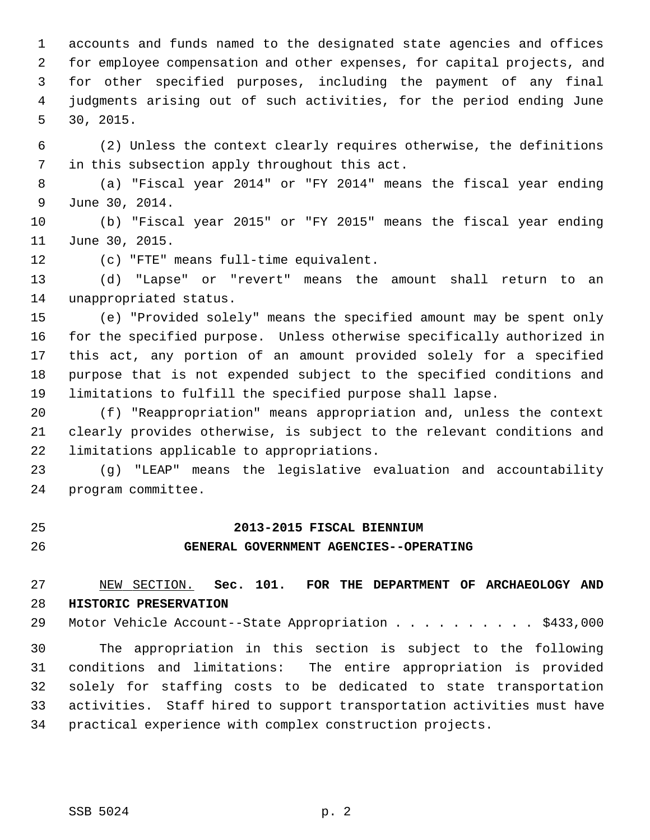1 accounts and funds named to the designated state agencies and offices 2 for employee compensation and other expenses, for capital projects, and 3 for other specified purposes, including the payment of any final 4 judgments arising out of such activities, for the period ending June 5 30, 2015.

 6 (2) Unless the context clearly requires otherwise, the definitions 7 in this subsection apply throughout this act.

 8 (a) "Fiscal year 2014" or "FY 2014" means the fiscal year ending 9 June 30, 2014.

10 (b) "Fiscal year 2015" or "FY 2015" means the fiscal year ending 11 June 30, 2015.

12 (c) "FTE" means full-time equivalent.

13 (d) "Lapse" or "revert" means the amount shall return to an 14 unappropriated status.

15 (e) "Provided solely" means the specified amount may be spent only 16 for the specified purpose. Unless otherwise specifically authorized in 17 this act, any portion of an amount provided solely for a specified 18 purpose that is not expended subject to the specified conditions and 19 limitations to fulfill the specified purpose shall lapse.

20 (f) "Reappropriation" means appropriation and, unless the context 21 clearly provides otherwise, is subject to the relevant conditions and 22 limitations applicable to appropriations.

23 (g) "LEAP" means the legislative evaluation and accountability 24 program committee.

#### 25 **2013-2015 FISCAL BIENNIUM**

#### 26 **GENERAL GOVERNMENT AGENCIES--OPERATING**

27 NEW SECTION. **Sec. 101. FOR THE DEPARTMENT OF ARCHAEOLOGY AND** 28 **HISTORIC PRESERVATION**

29 Motor Vehicle Account--State Appropriation . . . . . . . . . \$433,000

30 The appropriation in this section is subject to the following 31 conditions and limitations: The entire appropriation is provided 32 solely for staffing costs to be dedicated to state transportation 33 activities. Staff hired to support transportation activities must have 34 practical experience with complex construction projects.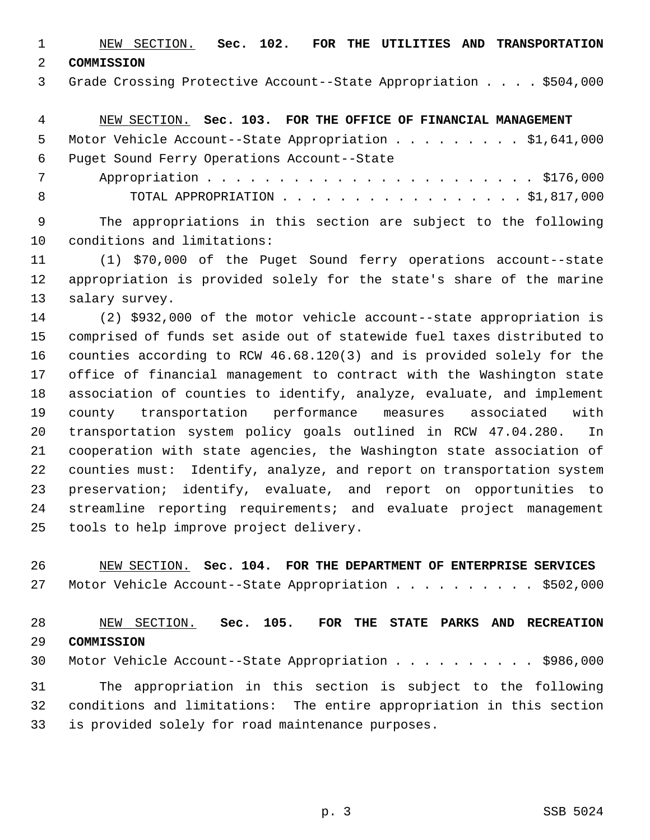1 NEW SECTION. **Sec. 102. FOR THE UTILITIES AND TRANSPORTATION**

2 **COMMISSION**

3 Grade Crossing Protective Account--State Appropriation . . . . \$504,000

4 NEW SECTION. **Sec. 103. FOR THE OFFICE OF FINANCIAL MANAGEMENT**

|     | 5 Motor Vehicle Account--State Appropriation \$1,641,000 |
|-----|----------------------------------------------------------|
|     | 6 Puget Sound Ferry Operations Account--State            |
| 7   |                                                          |
| - 8 | TOTAL APPROPRIATION $\ldots$ , \$1,817,000               |

 9 The appropriations in this section are subject to the following 10 conditions and limitations:

11 (1) \$70,000 of the Puget Sound ferry operations account--state 12 appropriation is provided solely for the state's share of the marine 13 salary survey.

14 (2) \$932,000 of the motor vehicle account--state appropriation is 15 comprised of funds set aside out of statewide fuel taxes distributed to 16 counties according to RCW 46.68.120(3) and is provided solely for the 17 office of financial management to contract with the Washington state 18 association of counties to identify, analyze, evaluate, and implement 19 county transportation performance measures associated with 20 transportation system policy goals outlined in RCW 47.04.280. In 21 cooperation with state agencies, the Washington state association of 22 counties must: Identify, analyze, and report on transportation system 23 preservation; identify, evaluate, and report on opportunities to 24 streamline reporting requirements; and evaluate project management 25 tools to help improve project delivery.

26 NEW SECTION. **Sec. 104. FOR THE DEPARTMENT OF ENTERPRISE SERVICES** 27 Motor Vehicle Account--State Appropriation . . . . . . . . . . \$502,000

28 NEW SECTION. **Sec. 105. FOR THE STATE PARKS AND RECREATION** 29 **COMMISSION**

30 Motor Vehicle Account--State Appropriation . . . . . . . . . \$986,000

31 The appropriation in this section is subject to the following 32 conditions and limitations: The entire appropriation in this section 33 is provided solely for road maintenance purposes.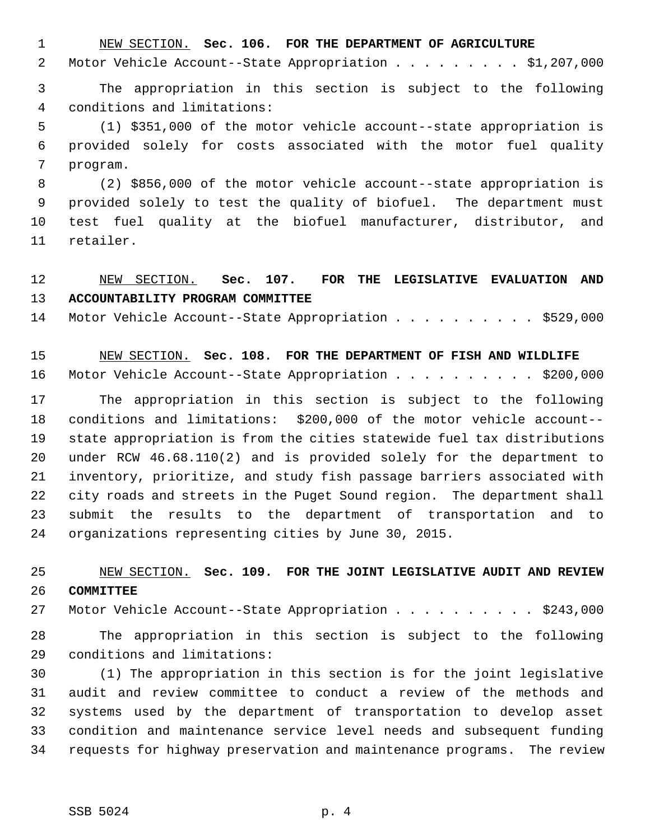1 NEW SECTION. **Sec. 106. FOR THE DEPARTMENT OF AGRICULTURE**

2 Motor Vehicle Account--State Appropriation . . . . . . . . \$1,207,000

 3 The appropriation in this section is subject to the following 4 conditions and limitations:

 5 (1) \$351,000 of the motor vehicle account--state appropriation is 6 provided solely for costs associated with the motor fuel quality 7 program.

 8 (2) \$856,000 of the motor vehicle account--state appropriation is 9 provided solely to test the quality of biofuel. The department must 10 test fuel quality at the biofuel manufacturer, distributor, and 11 retailer.

## 12 NEW SECTION. **Sec. 107. FOR THE LEGISLATIVE EVALUATION AND** 13 **ACCOUNTABILITY PROGRAM COMMITTEE**

14 Motor Vehicle Account--State Appropriation . . . . . . . . . \$529,000

15 NEW SECTION. **Sec. 108. FOR THE DEPARTMENT OF FISH AND WILDLIFE** 16 Motor Vehicle Account--State Appropriation . . . . . . . . . \$200,000

17 The appropriation in this section is subject to the following 18 conditions and limitations: \$200,000 of the motor vehicle account-- 19 state appropriation is from the cities statewide fuel tax distributions 20 under RCW 46.68.110(2) and is provided solely for the department to 21 inventory, prioritize, and study fish passage barriers associated with 22 city roads and streets in the Puget Sound region. The department shall 23 submit the results to the department of transportation and to 24 organizations representing cities by June 30, 2015.

## 25 NEW SECTION. **Sec. 109. FOR THE JOINT LEGISLATIVE AUDIT AND REVIEW** 26 **COMMITTEE**

27 Motor Vehicle Account--State Appropriation . . . . . . . . . \$243,000

28 The appropriation in this section is subject to the following 29 conditions and limitations:

30 (1) The appropriation in this section is for the joint legislative 31 audit and review committee to conduct a review of the methods and 32 systems used by the department of transportation to develop asset 33 condition and maintenance service level needs and subsequent funding 34 requests for highway preservation and maintenance programs. The review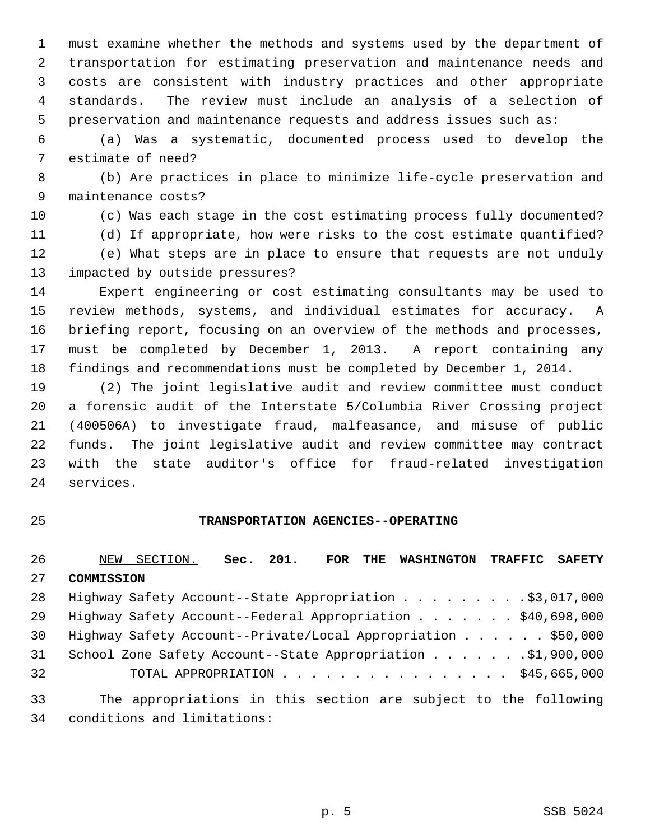1 must examine whether the methods and systems used by the department of 2 transportation for estimating preservation and maintenance needs and 3 costs are consistent with industry practices and other appropriate 4 standards. The review must include an analysis of a selection of 5 preservation and maintenance requests and address issues such as:

 6 (a) Was a systematic, documented process used to develop the 7 estimate of need?

 8 (b) Are practices in place to minimize life-cycle preservation and 9 maintenance costs?

10 (c) Was each stage in the cost estimating process fully documented? 11 (d) If appropriate, how were risks to the cost estimate quantified?

12 (e) What steps are in place to ensure that requests are not unduly 13 impacted by outside pressures?

14 Expert engineering or cost estimating consultants may be used to 15 review methods, systems, and individual estimates for accuracy. A 16 briefing report, focusing on an overview of the methods and processes, 17 must be completed by December 1, 2013. A report containing any 18 findings and recommendations must be completed by December 1, 2014.

19 (2) The joint legislative audit and review committee must conduct 20 a forensic audit of the Interstate 5/Columbia River Crossing project 21 (400506A) to investigate fraud, malfeasance, and misuse of public 22 funds. The joint legislative audit and review committee may contract 23 with the state auditor's office for fraud-related investigation 24 services.

#### 25 **TRANSPORTATION AGENCIES--OPERATING**

26 NEW SECTION. **Sec. 201. FOR THE WASHINGTON TRAFFIC SAFETY** 27 **COMMISSION** 28 Highway Safety Account--State Appropriation . . . . . . . . \$3,017,000 29 Highway Safety Account--Federal Appropriation . . . . . . . \$40,698,000 30 Highway Safety Account--Private/Local Appropriation . . . . . \$50,000 31 School Zone Safety Account--State Appropriation . . . . . . .\$1,900,000 32 TOTAL APPROPRIATION . . . . . . . . . . . . . . . . \$45,665,000 33 The appropriations in this section are subject to the following

34 conditions and limitations: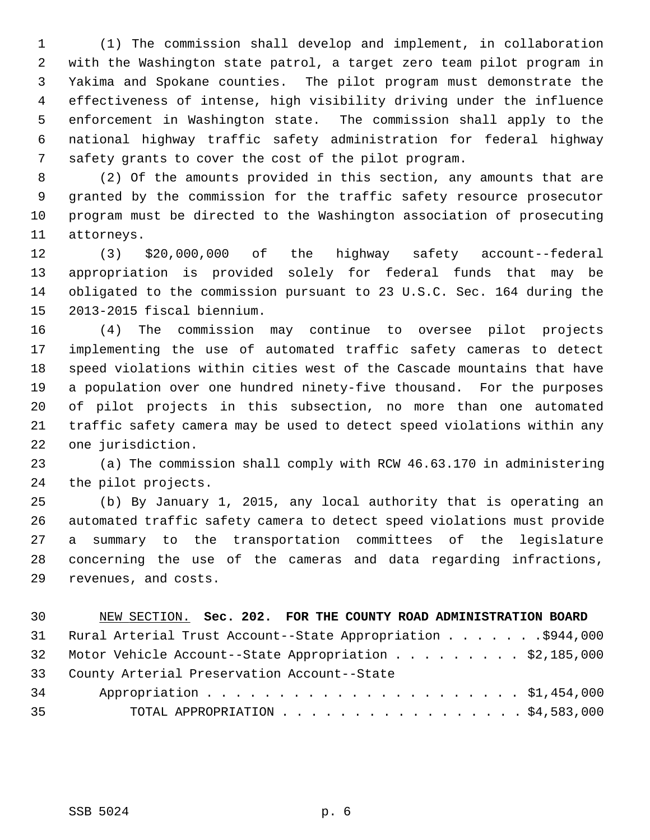1 (1) The commission shall develop and implement, in collaboration 2 with the Washington state patrol, a target zero team pilot program in 3 Yakima and Spokane counties. The pilot program must demonstrate the 4 effectiveness of intense, high visibility driving under the influence 5 enforcement in Washington state. The commission shall apply to the 6 national highway traffic safety administration for federal highway 7 safety grants to cover the cost of the pilot program.

 8 (2) Of the amounts provided in this section, any amounts that are 9 granted by the commission for the traffic safety resource prosecutor 10 program must be directed to the Washington association of prosecuting 11 attorneys.

12 (3) \$20,000,000 of the highway safety account--federal 13 appropriation is provided solely for federal funds that may be 14 obligated to the commission pursuant to 23 U.S.C. Sec. 164 during the 15 2013-2015 fiscal biennium.

16 (4) The commission may continue to oversee pilot projects 17 implementing the use of automated traffic safety cameras to detect 18 speed violations within cities west of the Cascade mountains that have 19 a population over one hundred ninety-five thousand. For the purposes 20 of pilot projects in this subsection, no more than one automated 21 traffic safety camera may be used to detect speed violations within any 22 one jurisdiction.

23 (a) The commission shall comply with RCW 46.63.170 in administering 24 the pilot projects.

25 (b) By January 1, 2015, any local authority that is operating an 26 automated traffic safety camera to detect speed violations must provide 27 a summary to the transportation committees of the legislature 28 concerning the use of the cameras and data regarding infractions, 29 revenues, and costs.

| 30 <sup>2</sup> | NEW SECTION. Sec. 202. FOR THE COUNTY ROAD ADMINISTRATION BOARD |
|-----------------|-----------------------------------------------------------------|
|                 | 31 Rural Arterial Trust Account--State Appropriation \$944,000  |
|                 | 32 Motor Vehicle Account--State Appropriation \$2,185,000       |
|                 | 33 County Arterial Preservation Account--State                  |
| 34              |                                                                 |
| 35              | TOTAL APPROPRIATION $\ldots$ \$4,583,000                        |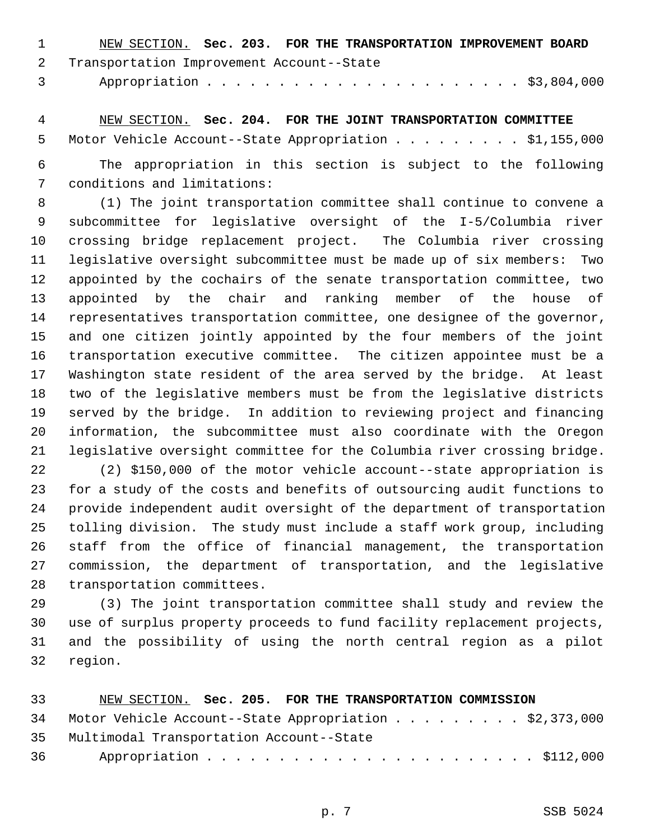| - 1000 - 100 | NEW SECTION. Sec. 203. FOR THE TRANSPORTATION IMPROVEMENT BOARD |  |  |  |
|--------------|-----------------------------------------------------------------|--|--|--|
|              | 2 Transportation Improvement Account--State                     |  |  |  |
|              |                                                                 |  |  |  |

 4 NEW SECTION. **Sec. 204. FOR THE JOINT TRANSPORTATION COMMITTEE** 5 Motor Vehicle Account--State Appropriation . . . . . . . . \$1,155,000

 6 The appropriation in this section is subject to the following 7 conditions and limitations:

 8 (1) The joint transportation committee shall continue to convene a 9 subcommittee for legislative oversight of the I-5/Columbia river 10 crossing bridge replacement project. The Columbia river crossing 11 legislative oversight subcommittee must be made up of six members: Two 12 appointed by the cochairs of the senate transportation committee, two 13 appointed by the chair and ranking member of the house of 14 representatives transportation committee, one designee of the governor, 15 and one citizen jointly appointed by the four members of the joint 16 transportation executive committee. The citizen appointee must be a 17 Washington state resident of the area served by the bridge. At least 18 two of the legislative members must be from the legislative districts 19 served by the bridge. In addition to reviewing project and financing 20 information, the subcommittee must also coordinate with the Oregon 21 legislative oversight committee for the Columbia river crossing bridge.

22 (2) \$150,000 of the motor vehicle account--state appropriation is 23 for a study of the costs and benefits of outsourcing audit functions to 24 provide independent audit oversight of the department of transportation 25 tolling division. The study must include a staff work group, including 26 staff from the office of financial management, the transportation 27 commission, the department of transportation, and the legislative 28 transportation committees.

29 (3) The joint transportation committee shall study and review the 30 use of surplus property proceeds to fund facility replacement projects, 31 and the possibility of using the north central region as a pilot 32 region.

| 33 | NEW SECTION. Sec. 205. FOR THE TRANSPORTATION COMMISSION  |
|----|-----------------------------------------------------------|
|    | 34 Motor Vehicle Account--State Appropriation \$2,373,000 |
|    | 35 Multimodal Transportation Account--State               |
| 36 |                                                           |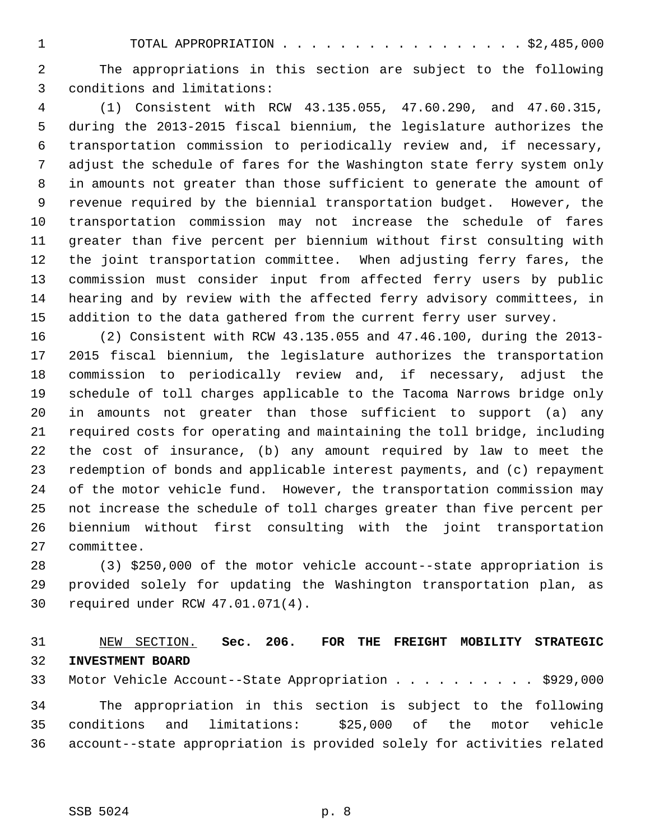1 TOTAL APPROPRIATION . . . . . . . . . . . . . . . . . \$2,485,000

 2 The appropriations in this section are subject to the following 3 conditions and limitations:

 4 (1) Consistent with RCW 43.135.055, 47.60.290, and 47.60.315, 5 during the 2013-2015 fiscal biennium, the legislature authorizes the 6 transportation commission to periodically review and, if necessary, 7 adjust the schedule of fares for the Washington state ferry system only 8 in amounts not greater than those sufficient to generate the amount of 9 revenue required by the biennial transportation budget. However, the 10 transportation commission may not increase the schedule of fares 11 greater than five percent per biennium without first consulting with 12 the joint transportation committee. When adjusting ferry fares, the 13 commission must consider input from affected ferry users by public 14 hearing and by review with the affected ferry advisory committees, in 15 addition to the data gathered from the current ferry user survey.

16 (2) Consistent with RCW 43.135.055 and 47.46.100, during the 2013- 17 2015 fiscal biennium, the legislature authorizes the transportation 18 commission to periodically review and, if necessary, adjust the 19 schedule of toll charges applicable to the Tacoma Narrows bridge only 20 in amounts not greater than those sufficient to support (a) any 21 required costs for operating and maintaining the toll bridge, including 22 the cost of insurance, (b) any amount required by law to meet the 23 redemption of bonds and applicable interest payments, and (c) repayment 24 of the motor vehicle fund. However, the transportation commission may 25 not increase the schedule of toll charges greater than five percent per 26 biennium without first consulting with the joint transportation 27 committee.

28 (3) \$250,000 of the motor vehicle account--state appropriation is 29 provided solely for updating the Washington transportation plan, as 30 required under RCW 47.01.071(4).

## 31 NEW SECTION. **Sec. 206. FOR THE FREIGHT MOBILITY STRATEGIC** 32 **INVESTMENT BOARD**

33 Motor Vehicle Account--State Appropriation . . . . . . . . . . \$929,000

34 The appropriation in this section is subject to the following 35 conditions and limitations: \$25,000 of the motor vehicle 36 account--state appropriation is provided solely for activities related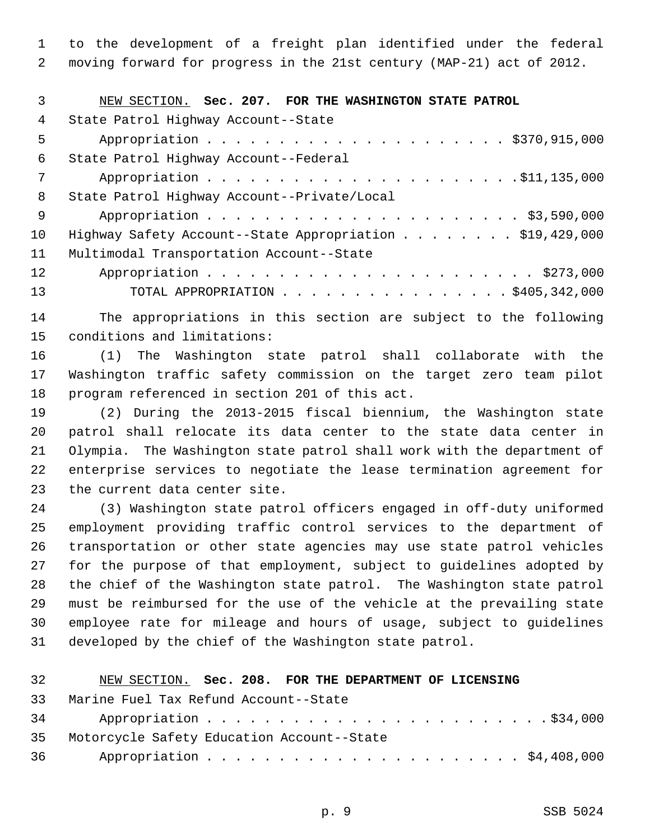1 to the development of a freight plan identified under the federal 2 moving forward for progress in the 21st century (MAP-21) act of 2012.

| 3   | NEW SECTION. Sec. 207. FOR THE WASHINGTON STATE PATROL   |
|-----|----------------------------------------------------------|
| 4   | State Patrol Highway Account--State                      |
| 5   |                                                          |
| 6   | State Patrol Highway Account--Federal                    |
| 7   |                                                          |
| 8   | State Patrol Highway Account--Private/Local              |
| - 9 |                                                          |
| 10  | Highway Safety Account--State Appropriation \$19,429,000 |
| 11  | Multimodal Transportation Account--State                 |
| 12  |                                                          |
| 13  | TOTAL APPROPRIATION \$405,342,000                        |

14 The appropriations in this section are subject to the following 15 conditions and limitations:

16 (1) The Washington state patrol shall collaborate with the 17 Washington traffic safety commission on the target zero team pilot 18 program referenced in section 201 of this act.

19 (2) During the 2013-2015 fiscal biennium, the Washington state 20 patrol shall relocate its data center to the state data center in 21 Olympia. The Washington state patrol shall work with the department of 22 enterprise services to negotiate the lease termination agreement for 23 the current data center site.

24 (3) Washington state patrol officers engaged in off-duty uniformed 25 employment providing traffic control services to the department of 26 transportation or other state agencies may use state patrol vehicles 27 for the purpose of that employment, subject to guidelines adopted by 28 the chief of the Washington state patrol. The Washington state patrol 29 must be reimbursed for the use of the vehicle at the prevailing state 30 employee rate for mileage and hours of usage, subject to guidelines 31 developed by the chief of the Washington state patrol.

| 32 | NEW SECTION. Sec. 208. FOR THE DEPARTMENT OF LICENSING |
|----|--------------------------------------------------------|
| 33 | Marine Fuel Tax Refund Account--State                  |
|    |                                                        |
| 35 | Motorcycle Safety Education Account--State             |
|    |                                                        |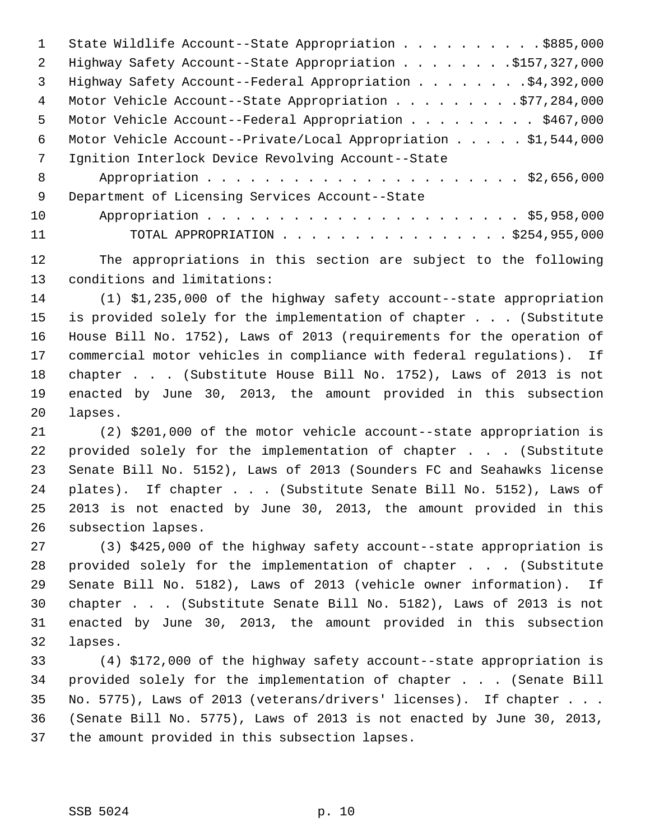1 State Wildlife Account--State Appropriation . . . . . . . . . . \$885,000 2 Highway Safety Account--State Appropriation . . . . . . . . \$157,327,000 3 Highway Safety Account--Federal Appropriation . . . . . . . . \$4,392,000 4 Motor Vehicle Account--State Appropriation . . . . . . . . . \$77,284,000 5 Motor Vehicle Account--Federal Appropriation . . . . . . . . . \$467,000 6 Motor Vehicle Account--Private/Local Appropriation . . . . . \$1,544,000 7 Ignition Interlock Device Revolving Account--State 8 Appropriation . . . . . . . . . . . . . . . . . . . . . . \$2,656,000 9 Department of Licensing Services Account--State 10 Appropriation . . . . . . . . . . . . . . . . . . . . . . \$5,958,000 11 TOTAL APPROPRIATION . . . . . . . . . . . . . . . . \$254,955,000

12 The appropriations in this section are subject to the following 13 conditions and limitations:

14 (1) \$1,235,000 of the highway safety account--state appropriation 15 is provided solely for the implementation of chapter . . . (Substitute 16 House Bill No. 1752), Laws of 2013 (requirements for the operation of 17 commercial motor vehicles in compliance with federal regulations). If 18 chapter . . . (Substitute House Bill No. 1752), Laws of 2013 is not 19 enacted by June 30, 2013, the amount provided in this subsection 20 lapses.

21 (2) \$201,000 of the motor vehicle account--state appropriation is 22 provided solely for the implementation of chapter . . . (Substitute 23 Senate Bill No. 5152), Laws of 2013 (Sounders FC and Seahawks license 24 plates). If chapter . . . (Substitute Senate Bill No. 5152), Laws of 25 2013 is not enacted by June 30, 2013, the amount provided in this 26 subsection lapses.

27 (3) \$425,000 of the highway safety account--state appropriation is 28 provided solely for the implementation of chapter . . . (Substitute 29 Senate Bill No. 5182), Laws of 2013 (vehicle owner information). If 30 chapter . . . (Substitute Senate Bill No. 5182), Laws of 2013 is not 31 enacted by June 30, 2013, the amount provided in this subsection 32 lapses.

33 (4) \$172,000 of the highway safety account--state appropriation is 34 provided solely for the implementation of chapter . . . (Senate Bill 35 No. 5775), Laws of 2013 (veterans/drivers' licenses). If chapter . . . 36 (Senate Bill No. 5775), Laws of 2013 is not enacted by June 30, 2013, 37 the amount provided in this subsection lapses.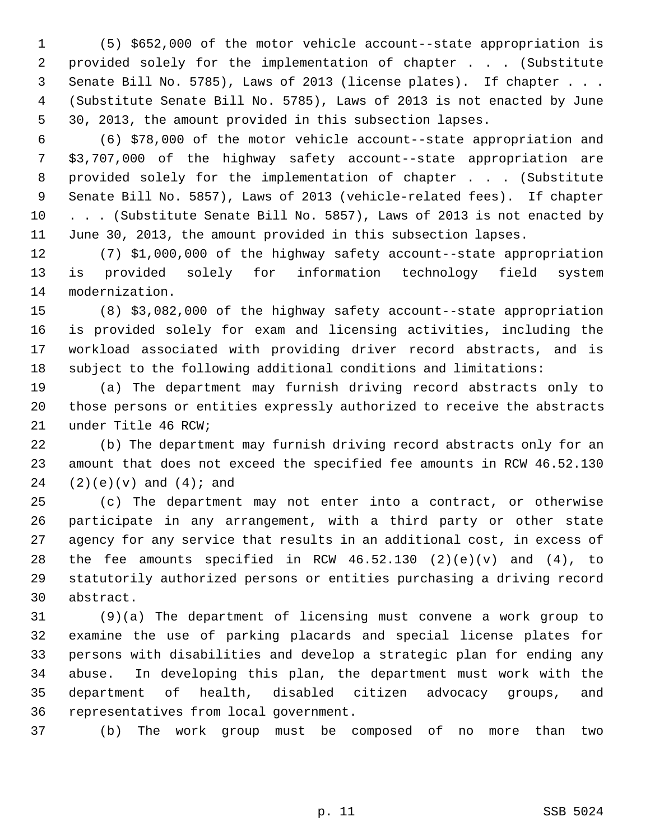1 (5) \$652,000 of the motor vehicle account--state appropriation is 2 provided solely for the implementation of chapter . . . (Substitute 3 Senate Bill No. 5785), Laws of 2013 (license plates). If chapter . . . 4 (Substitute Senate Bill No. 5785), Laws of 2013 is not enacted by June 5 30, 2013, the amount provided in this subsection lapses.

 6 (6) \$78,000 of the motor vehicle account--state appropriation and 7 \$3,707,000 of the highway safety account--state appropriation are 8 provided solely for the implementation of chapter . . . (Substitute 9 Senate Bill No. 5857), Laws of 2013 (vehicle-related fees). If chapter 10 . . . (Substitute Senate Bill No. 5857), Laws of 2013 is not enacted by 11 June 30, 2013, the amount provided in this subsection lapses.

12 (7) \$1,000,000 of the highway safety account--state appropriation 13 is provided solely for information technology field system 14 modernization.

15 (8) \$3,082,000 of the highway safety account--state appropriation 16 is provided solely for exam and licensing activities, including the 17 workload associated with providing driver record abstracts, and is 18 subject to the following additional conditions and limitations:

19 (a) The department may furnish driving record abstracts only to 20 those persons or entities expressly authorized to receive the abstracts 21 under Title 46 RCW;

22 (b) The department may furnish driving record abstracts only for an 23 amount that does not exceed the specified fee amounts in RCW 46.52.130  $24$  (2)(e)(v) and (4); and

25 (c) The department may not enter into a contract, or otherwise 26 participate in any arrangement, with a third party or other state 27 agency for any service that results in an additional cost, in excess of 28 the fee amounts specified in RCW 46.52.130 (2)(e)(v) and (4), to 29 statutorily authorized persons or entities purchasing a driving record 30 abstract.

31 (9)(a) The department of licensing must convene a work group to 32 examine the use of parking placards and special license plates for 33 persons with disabilities and develop a strategic plan for ending any 34 abuse. In developing this plan, the department must work with the 35 department of health, disabled citizen advocacy groups, and 36 representatives from local government.

37 (b) The work group must be composed of no more than two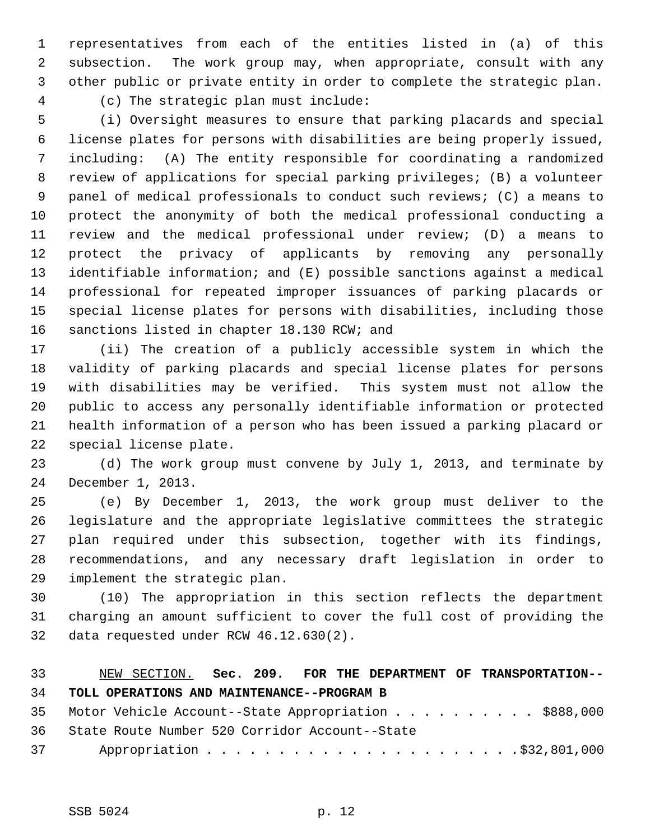1 representatives from each of the entities listed in (a) of this 2 subsection. The work group may, when appropriate, consult with any 3 other public or private entity in order to complete the strategic plan. 4 (c) The strategic plan must include:

 5 (i) Oversight measures to ensure that parking placards and special 6 license plates for persons with disabilities are being properly issued, 7 including: (A) The entity responsible for coordinating a randomized 8 review of applications for special parking privileges; (B) a volunteer 9 panel of medical professionals to conduct such reviews; (C) a means to 10 protect the anonymity of both the medical professional conducting a 11 review and the medical professional under review; (D) a means to 12 protect the privacy of applicants by removing any personally 13 identifiable information; and (E) possible sanctions against a medical 14 professional for repeated improper issuances of parking placards or 15 special license plates for persons with disabilities, including those 16 sanctions listed in chapter 18.130 RCW; and

17 (ii) The creation of a publicly accessible system in which the 18 validity of parking placards and special license plates for persons 19 with disabilities may be verified. This system must not allow the 20 public to access any personally identifiable information or protected 21 health information of a person who has been issued a parking placard or 22 special license plate.

23 (d) The work group must convene by July 1, 2013, and terminate by 24 December 1, 2013.

25 (e) By December 1, 2013, the work group must deliver to the 26 legislature and the appropriate legislative committees the strategic 27 plan required under this subsection, together with its findings, 28 recommendations, and any necessary draft legislation in order to 29 implement the strategic plan.

30 (10) The appropriation in this section reflects the department 31 charging an amount sufficient to cover the full cost of providing the 32 data requested under RCW 46.12.630(2).

## 33 NEW SECTION. **Sec. 209. FOR THE DEPARTMENT OF TRANSPORTATION--** 34 **TOLL OPERATIONS AND MAINTENANCE--PROGRAM B**

| 35 Motor Vehicle Account--State Appropriation \$888,000 |
|---------------------------------------------------------|
| 36 State Route Number 520 Corridor Account--State       |
|                                                         |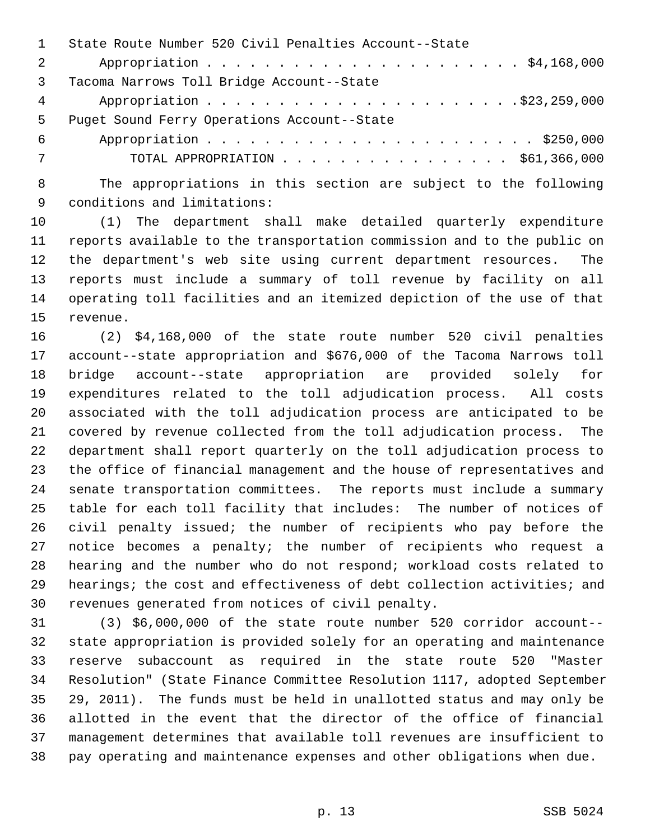|           | State Route Number 520 Civil Penalties Account--State |
|-----------|-------------------------------------------------------|
| 2         |                                                       |
| 3         | Tacoma Narrows Toll Bridge Account--State             |
| $4 \quad$ |                                                       |
| 5         | Puget Sound Ferry Operations Account--State           |
| 6         |                                                       |
| 7         | TOTAL APPROPRIATION $\ldots$ , \$61,366,000           |

 8 The appropriations in this section are subject to the following 9 conditions and limitations:

10 (1) The department shall make detailed quarterly expenditure 11 reports available to the transportation commission and to the public on 12 the department's web site using current department resources. The 13 reports must include a summary of toll revenue by facility on all 14 operating toll facilities and an itemized depiction of the use of that 15 revenue.

16 (2) \$4,168,000 of the state route number 520 civil penalties 17 account--state appropriation and \$676,000 of the Tacoma Narrows toll 18 bridge account--state appropriation are provided solely for 19 expenditures related to the toll adjudication process. All costs 20 associated with the toll adjudication process are anticipated to be 21 covered by revenue collected from the toll adjudication process. The 22 department shall report quarterly on the toll adjudication process to 23 the office of financial management and the house of representatives and 24 senate transportation committees. The reports must include a summary 25 table for each toll facility that includes: The number of notices of 26 civil penalty issued; the number of recipients who pay before the 27 notice becomes a penalty; the number of recipients who request a 28 hearing and the number who do not respond; workload costs related to 29 hearings; the cost and effectiveness of debt collection activities; and 30 revenues generated from notices of civil penalty.

31 (3) \$6,000,000 of the state route number 520 corridor account-- 32 state appropriation is provided solely for an operating and maintenance 33 reserve subaccount as required in the state route 520 "Master 34 Resolution" (State Finance Committee Resolution 1117, adopted September 35 29, 2011). The funds must be held in unallotted status and may only be 36 allotted in the event that the director of the office of financial 37 management determines that available toll revenues are insufficient to 38 pay operating and maintenance expenses and other obligations when due.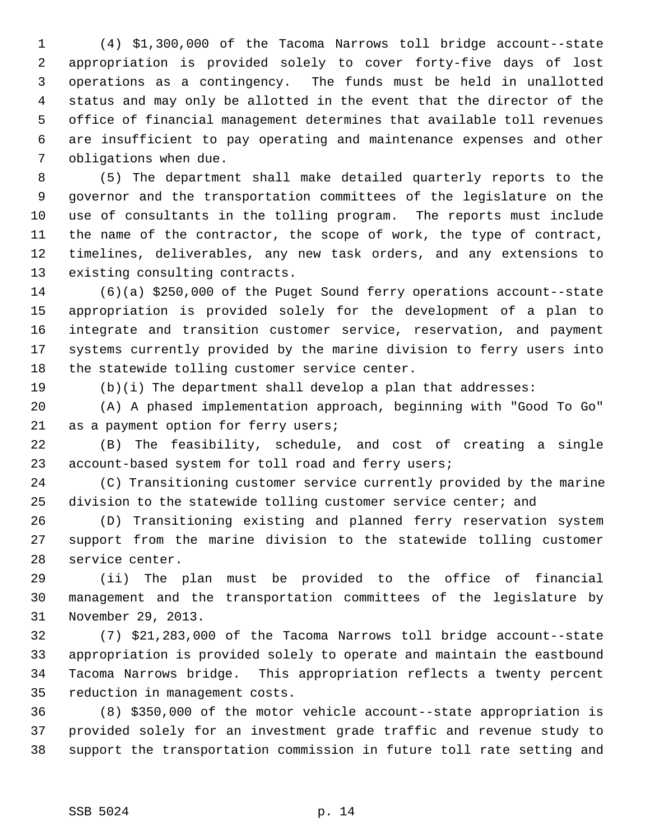1 (4) \$1,300,000 of the Tacoma Narrows toll bridge account--state 2 appropriation is provided solely to cover forty-five days of lost 3 operations as a contingency. The funds must be held in unallotted 4 status and may only be allotted in the event that the director of the 5 office of financial management determines that available toll revenues 6 are insufficient to pay operating and maintenance expenses and other 7 obligations when due.

 8 (5) The department shall make detailed quarterly reports to the 9 governor and the transportation committees of the legislature on the 10 use of consultants in the tolling program. The reports must include 11 the name of the contractor, the scope of work, the type of contract, 12 timelines, deliverables, any new task orders, and any extensions to 13 existing consulting contracts.

14 (6)(a) \$250,000 of the Puget Sound ferry operations account--state 15 appropriation is provided solely for the development of a plan to 16 integrate and transition customer service, reservation, and payment 17 systems currently provided by the marine division to ferry users into 18 the statewide tolling customer service center.

19 (b)(i) The department shall develop a plan that addresses:

20 (A) A phased implementation approach, beginning with "Good To Go" 21 as a payment option for ferry users;

22 (B) The feasibility, schedule, and cost of creating a single 23 account-based system for toll road and ferry users;

24 (C) Transitioning customer service currently provided by the marine 25 division to the statewide tolling customer service center; and

26 (D) Transitioning existing and planned ferry reservation system 27 support from the marine division to the statewide tolling customer 28 service center.

29 (ii) The plan must be provided to the office of financial 30 management and the transportation committees of the legislature by 31 November 29, 2013.

32 (7) \$21,283,000 of the Tacoma Narrows toll bridge account--state 33 appropriation is provided solely to operate and maintain the eastbound 34 Tacoma Narrows bridge. This appropriation reflects a twenty percent 35 reduction in management costs.

36 (8) \$350,000 of the motor vehicle account--state appropriation is 37 provided solely for an investment grade traffic and revenue study to 38 support the transportation commission in future toll rate setting and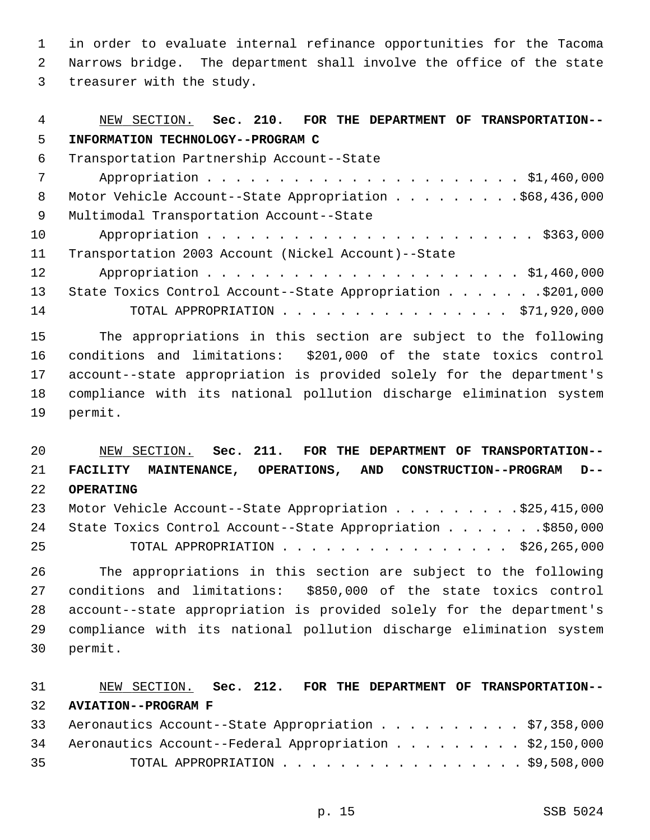1 in order to evaluate internal refinance opportunities for the Tacoma 2 Narrows bridge. The department shall involve the office of the state 3 treasurer with the study.

| 4   | NEW SECTION. Sec. 210. FOR THE DEPARTMENT OF TRANSPORTATION-- |
|-----|---------------------------------------------------------------|
| 5   | INFORMATION TECHNOLOGY--PROGRAM C                             |
| 6   | Transportation Partnership Account--State                     |
| 7   |                                                               |
| 8   | Motor Vehicle Account--State Appropriation \$68,436,000       |
| - 9 | Multimodal Transportation Account--State                      |
| 10  |                                                               |
| 11  | Transportation 2003 Account (Nickel Account)--State           |
| 12  |                                                               |
| 13  | State Toxics Control Account--State Appropriation \$201,000   |
| 14  | TOTAL APPROPRIATION $\ldots$ , \$71,920,000                   |

15 The appropriations in this section are subject to the following 16 conditions and limitations: \$201,000 of the state toxics control 17 account--state appropriation is provided solely for the department's 18 compliance with its national pollution discharge elimination system 19 permit.

 NEW SECTION. **Sec. 211. FOR THE DEPARTMENT OF TRANSPORTATION-- FACILITY MAINTENANCE, OPERATIONS, AND CONSTRUCTION--PROGRAM D-- OPERATING** 23 Motor Vehicle Account--State Appropriation . . . . . . . . . \$25,415,000

|    | 24 State Toxics Control Account--State Appropriation \$850,000 |  |
|----|----------------------------------------------------------------|--|
| 25 | TOTAL APPROPRIATION $\ldots$ , \$26,265,000                    |  |

26 The appropriations in this section are subject to the following 27 conditions and limitations: \$850,000 of the state toxics control 28 account--state appropriation is provided solely for the department's 29 compliance with its national pollution discharge elimination system 30 permit.

# 31 NEW SECTION. **Sec. 212. FOR THE DEPARTMENT OF TRANSPORTATION--** 32 **AVIATION--PROGRAM F** 33 Aeronautics Account--State Appropriation . . . . . . . . . . \$7,358,000

|    | 34 Aeronautics Account--Federal Appropriation \$2,150,000 |  |
|----|-----------------------------------------------------------|--|
| 35 | TOTAL APPROPRIATION $\ldots$ , \$9,508,000                |  |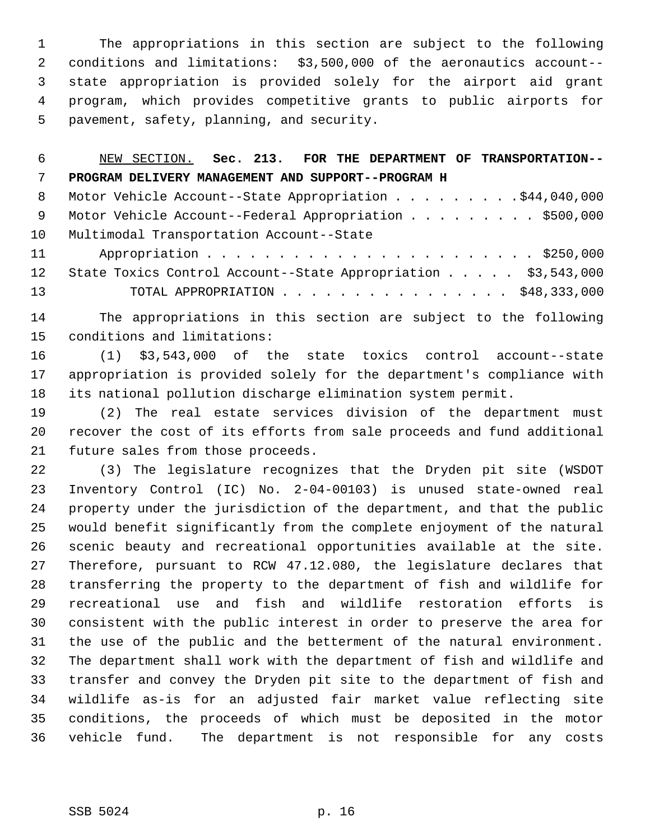1 The appropriations in this section are subject to the following 2 conditions and limitations: \$3,500,000 of the aeronautics account-- 3 state appropriation is provided solely for the airport aid grant 4 program, which provides competitive grants to public airports for 5 pavement, safety, planning, and security.

| 6               | NEW SECTION. Sec. 213. FOR THE DEPARTMENT OF TRANSPORTATION-- |
|-----------------|---------------------------------------------------------------|
| 7               | PROGRAM DELIVERY MANAGEMENT AND SUPPORT--PROGRAM H            |
| 8               | Motor Vehicle Account--State Appropriation \$44,040,000       |
| - 9             | Motor Vehicle Account--Federal Appropriation \$500,000        |
| 10 <sup>°</sup> | Multimodal Transportation Account--State                      |
| 11              |                                                               |
| 12              | State Toxics Control Account--State Appropriation \$3,543,000 |
| 13              | TOTAL APPROPRIATION $\ldots$ , \$48,333,000                   |
|                 |                                                               |

14 The appropriations in this section are subject to the following 15 conditions and limitations:

16 (1) \$3,543,000 of the state toxics control account--state 17 appropriation is provided solely for the department's compliance with 18 its national pollution discharge elimination system permit.

19 (2) The real estate services division of the department must 20 recover the cost of its efforts from sale proceeds and fund additional 21 future sales from those proceeds.

22 (3) The legislature recognizes that the Dryden pit site (WSDOT 23 Inventory Control (IC) No. 2-04-00103) is unused state-owned real 24 property under the jurisdiction of the department, and that the public 25 would benefit significantly from the complete enjoyment of the natural 26 scenic beauty and recreational opportunities available at the site. 27 Therefore, pursuant to RCW 47.12.080, the legislature declares that 28 transferring the property to the department of fish and wildlife for 29 recreational use and fish and wildlife restoration efforts is 30 consistent with the public interest in order to preserve the area for 31 the use of the public and the betterment of the natural environment. 32 The department shall work with the department of fish and wildlife and 33 transfer and convey the Dryden pit site to the department of fish and 34 wildlife as-is for an adjusted fair market value reflecting site 35 conditions, the proceeds of which must be deposited in the motor 36 vehicle fund. The department is not responsible for any costs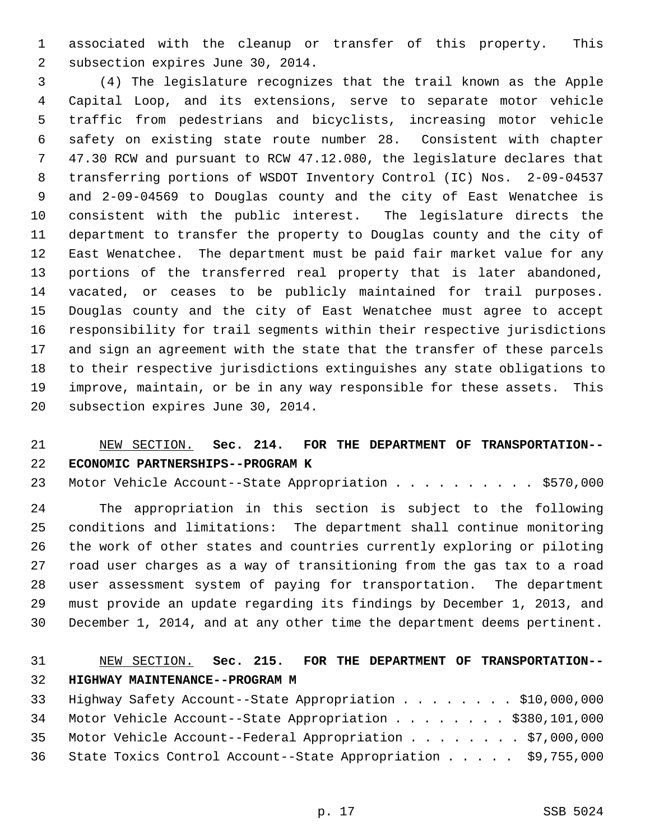1 associated with the cleanup or transfer of this property. This 2 subsection expires June 30, 2014.

 3 (4) The legislature recognizes that the trail known as the Apple 4 Capital Loop, and its extensions, serve to separate motor vehicle 5 traffic from pedestrians and bicyclists, increasing motor vehicle 6 safety on existing state route number 28. Consistent with chapter 7 47.30 RCW and pursuant to RCW 47.12.080, the legislature declares that 8 transferring portions of WSDOT Inventory Control (IC) Nos. 2-09-04537 9 and 2-09-04569 to Douglas county and the city of East Wenatchee is 10 consistent with the public interest. The legislature directs the 11 department to transfer the property to Douglas county and the city of 12 East Wenatchee. The department must be paid fair market value for any 13 portions of the transferred real property that is later abandoned, 14 vacated, or ceases to be publicly maintained for trail purposes. 15 Douglas county and the city of East Wenatchee must agree to accept 16 responsibility for trail segments within their respective jurisdictions 17 and sign an agreement with the state that the transfer of these parcels 18 to their respective jurisdictions extinguishes any state obligations to 19 improve, maintain, or be in any way responsible for these assets. This 20 subsection expires June 30, 2014.

## 21 NEW SECTION. **Sec. 214. FOR THE DEPARTMENT OF TRANSPORTATION--** 22 **ECONOMIC PARTNERSHIPS--PROGRAM K**

23 Motor Vehicle Account--State Appropriation . . . . . . . . . \$570,000

24 The appropriation in this section is subject to the following 25 conditions and limitations: The department shall continue monitoring 26 the work of other states and countries currently exploring or piloting 27 road user charges as a way of transitioning from the gas tax to a road 28 user assessment system of paying for transportation. The department 29 must provide an update regarding its findings by December 1, 2013, and 30 December 1, 2014, and at any other time the department deems pertinent.

## 31 NEW SECTION. **Sec. 215. FOR THE DEPARTMENT OF TRANSPORTATION--** 32 **HIGHWAY MAINTENANCE--PROGRAM M**

| 33 Highway Safety Account--State Appropriation \$10,000,000      |  |
|------------------------------------------------------------------|--|
| 34 Motor Vehicle Account--State Appropriation \$380,101,000      |  |
| 35 Motor Vehicle Account--Federal Appropriation \$7,000,000      |  |
| 36 State Toxics Control Account--State Appropriation \$9,755,000 |  |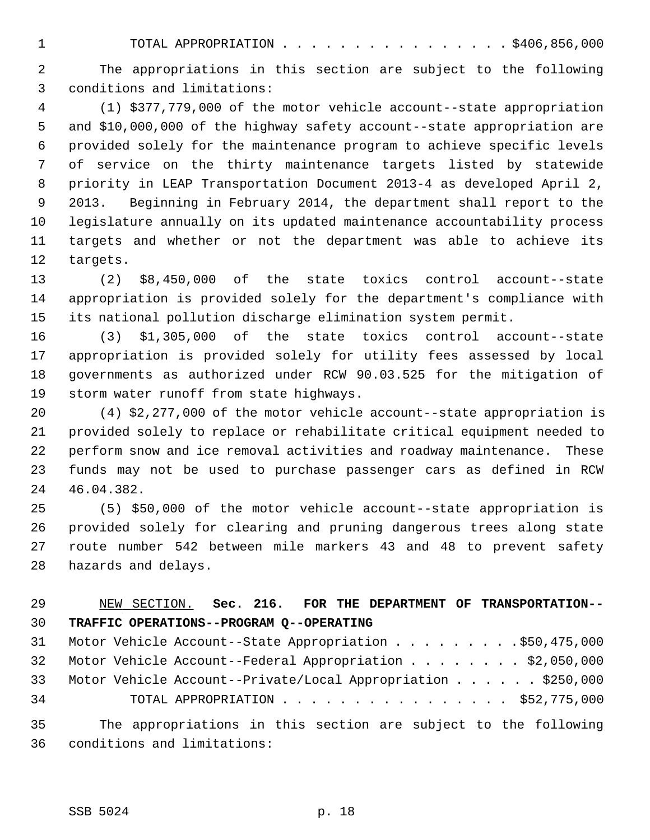1 TOTAL APPROPRIATION . . . . . . . . . . . . . . . . \$406,856,000

 2 The appropriations in this section are subject to the following 3 conditions and limitations:

 4 (1) \$377,779,000 of the motor vehicle account--state appropriation 5 and \$10,000,000 of the highway safety account--state appropriation are 6 provided solely for the maintenance program to achieve specific levels 7 of service on the thirty maintenance targets listed by statewide 8 priority in LEAP Transportation Document 2013-4 as developed April 2, 9 2013. Beginning in February 2014, the department shall report to the 10 legislature annually on its updated maintenance accountability process 11 targets and whether or not the department was able to achieve its 12 targets.

13 (2) \$8,450,000 of the state toxics control account--state 14 appropriation is provided solely for the department's compliance with 15 its national pollution discharge elimination system permit.

16 (3) \$1,305,000 of the state toxics control account--state 17 appropriation is provided solely for utility fees assessed by local 18 governments as authorized under RCW 90.03.525 for the mitigation of 19 storm water runoff from state highways.

20 (4) \$2,277,000 of the motor vehicle account--state appropriation is 21 provided solely to replace or rehabilitate critical equipment needed to 22 perform snow and ice removal activities and roadway maintenance. These 23 funds may not be used to purchase passenger cars as defined in RCW 24 46.04.382.

25 (5) \$50,000 of the motor vehicle account--state appropriation is 26 provided solely for clearing and pruning dangerous trees along state 27 route number 542 between mile markers 43 and 48 to prevent safety 28 hazards and delays.

## 29 NEW SECTION. **Sec. 216. FOR THE DEPARTMENT OF TRANSPORTATION--** 30 **TRAFFIC OPERATIONS--PROGRAM Q--OPERATING**

|    |  | 31 Motor Vehicle Account--State Appropriation \$50,475,000      |
|----|--|-----------------------------------------------------------------|
|    |  | 32 Motor Vehicle Account--Federal Appropriation \$2,050,000     |
|    |  | 33 Motor Vehicle Account--Private/Local Appropriation \$250,000 |
| 34 |  | TOTAL APPROPRIATION $\ldots$ , \$52,775,000                     |
|    |  |                                                                 |

35 The appropriations in this section are subject to the following 36 conditions and limitations: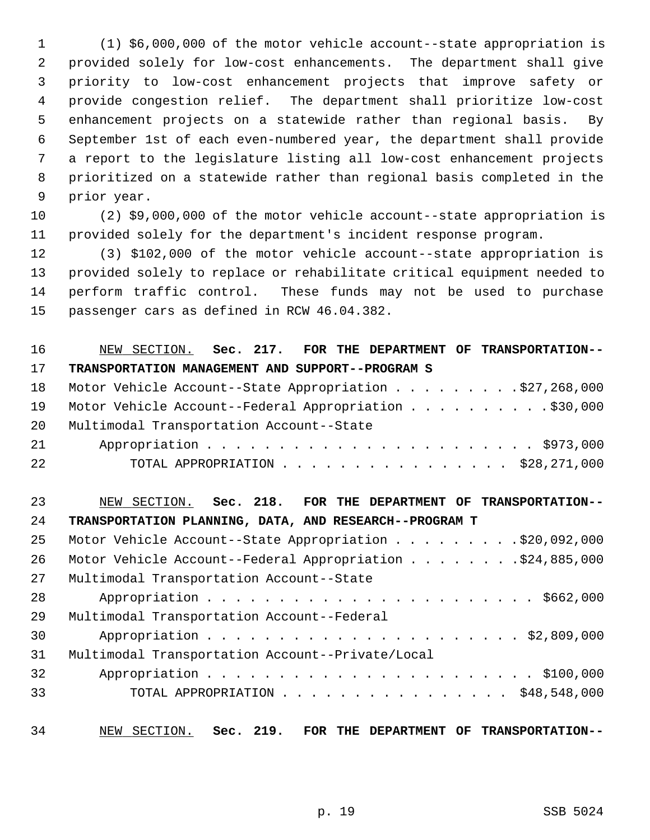1 (1) \$6,000,000 of the motor vehicle account--state appropriation is 2 provided solely for low-cost enhancements. The department shall give 3 priority to low-cost enhancement projects that improve safety or 4 provide congestion relief. The department shall prioritize low-cost 5 enhancement projects on a statewide rather than regional basis. By 6 September 1st of each even-numbered year, the department shall provide 7 a report to the legislature listing all low-cost enhancement projects 8 prioritized on a statewide rather than regional basis completed in the 9 prior year.

10 (2) \$9,000,000 of the motor vehicle account--state appropriation is 11 provided solely for the department's incident response program.

12 (3) \$102,000 of the motor vehicle account--state appropriation is 13 provided solely to replace or rehabilitate critical equipment needed to 14 perform traffic control. These funds may not be used to purchase 15 passenger cars as defined in RCW 46.04.382.

## 16 NEW SECTION. **Sec. 217. FOR THE DEPARTMENT OF TRANSPORTATION--** 17 **TRANSPORTATION MANAGEMENT AND SUPPORT--PROGRAM S**

|    | 18 Motor Vehicle Account--State Appropriation \$27,268,000 |
|----|------------------------------------------------------------|
|    | 19 Motor Vehicle Account--Federal Appropriation \$30,000   |
|    | 20 Multimodal Transportation Account--State                |
|    |                                                            |
| 22 | TOTAL APPROPRIATION \$28,271,000                           |

## 23 NEW SECTION. **Sec. 218. FOR THE DEPARTMENT OF TRANSPORTATION--** 24 **TRANSPORTATION PLANNING, DATA, AND RESEARCH--PROGRAM T**

| 25 | Motor Vehicle Account--State Appropriation \$20,092,000   |
|----|-----------------------------------------------------------|
| 26 | Motor Vehicle Account--Federal Appropriation \$24,885,000 |
| 27 | Multimodal Transportation Account--State                  |
| 28 |                                                           |
| 29 | Multimodal Transportation Account--Federal                |
| 30 |                                                           |
| 31 | Multimodal Transportation Account--Private/Local          |
| 32 |                                                           |
| 33 | TOTAL APPROPRIATION $\ldots$ , \$48,548,000               |
|    |                                                           |

34 NEW SECTION. **Sec. 219. FOR THE DEPARTMENT OF TRANSPORTATION--**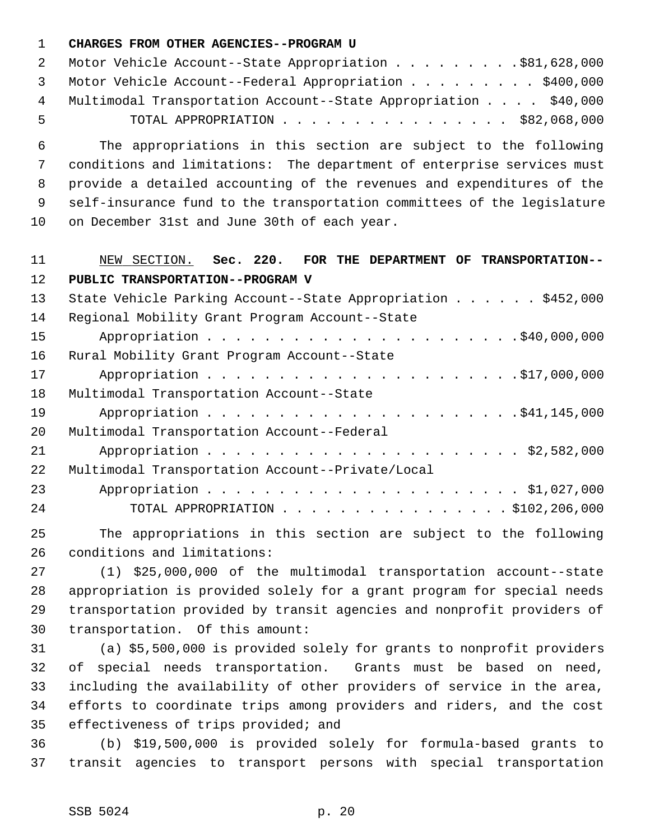#### 1 **CHARGES FROM OTHER AGENCIES--PROGRAM U**

|     | 2 Motor Vehicle Account--State Appropriation \$81,628,000         |
|-----|-------------------------------------------------------------------|
|     | 3 Motor Vehicle Account--Federal Appropriation \$400,000          |
|     | 4 Multimodal Transportation Account--State Appropriation \$40,000 |
| -5. | TOTAL APPROPRIATION $\ldots$ , \$82,068,000                       |

 6 The appropriations in this section are subject to the following 7 conditions and limitations: The department of enterprise services must 8 provide a detailed accounting of the revenues and expenditures of the 9 self-insurance fund to the transportation committees of the legislature 10 on December 31st and June 30th of each year.

## 11 NEW SECTION. **Sec. 220. FOR THE DEPARTMENT OF TRANSPORTATION--** 12 **PUBLIC TRANSPORTATION--PROGRAM V**

| 13 | State Vehicle Parking Account--State Appropriation \$452,000 |
|----|--------------------------------------------------------------|
| 14 | Regional Mobility Grant Program Account--State               |
| 15 |                                                              |
| 16 | Rural Mobility Grant Program Account--State                  |
| 17 |                                                              |
| 18 | Multimodal Transportation Account--State                     |
| 19 |                                                              |
| 20 | Multimodal Transportation Account--Federal                   |
| 21 |                                                              |
| 22 | Multimodal Transportation Account--Private/Local             |
| 23 |                                                              |
| 24 | TOTAL APPROPRIATION $\ldots$ , 5102, 206, 000                |

25 The appropriations in this section are subject to the following 26 conditions and limitations:

27 (1) \$25,000,000 of the multimodal transportation account--state 28 appropriation is provided solely for a grant program for special needs 29 transportation provided by transit agencies and nonprofit providers of 30 transportation. Of this amount:

31 (a) \$5,500,000 is provided solely for grants to nonprofit providers 32 of special needs transportation. Grants must be based on need, 33 including the availability of other providers of service in the area, 34 efforts to coordinate trips among providers and riders, and the cost 35 effectiveness of trips provided; and

36 (b) \$19,500,000 is provided solely for formula-based grants to 37 transit agencies to transport persons with special transportation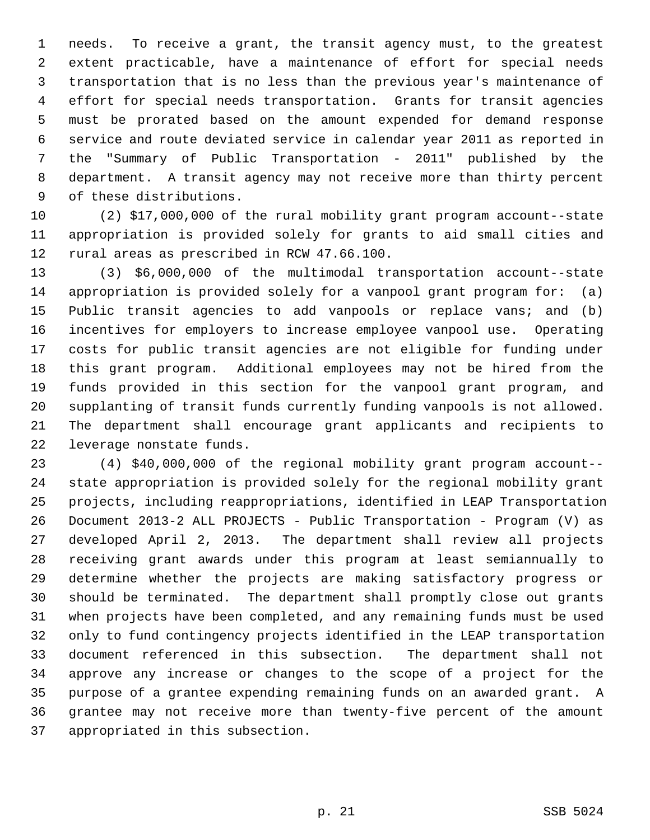1 needs. To receive a grant, the transit agency must, to the greatest 2 extent practicable, have a maintenance of effort for special needs 3 transportation that is no less than the previous year's maintenance of 4 effort for special needs transportation. Grants for transit agencies 5 must be prorated based on the amount expended for demand response 6 service and route deviated service in calendar year 2011 as reported in 7 the "Summary of Public Transportation - 2011" published by the 8 department. A transit agency may not receive more than thirty percent 9 of these distributions.

10 (2) \$17,000,000 of the rural mobility grant program account--state 11 appropriation is provided solely for grants to aid small cities and 12 rural areas as prescribed in RCW 47.66.100.

13 (3) \$6,000,000 of the multimodal transportation account--state 14 appropriation is provided solely for a vanpool grant program for: (a) 15 Public transit agencies to add vanpools or replace vans; and (b) 16 incentives for employers to increase employee vanpool use. Operating 17 costs for public transit agencies are not eligible for funding under 18 this grant program. Additional employees may not be hired from the 19 funds provided in this section for the vanpool grant program, and 20 supplanting of transit funds currently funding vanpools is not allowed. 21 The department shall encourage grant applicants and recipients to 22 leverage nonstate funds.

23 (4) \$40,000,000 of the regional mobility grant program account-- 24 state appropriation is provided solely for the regional mobility grant 25 projects, including reappropriations, identified in LEAP Transportation 26 Document 2013-2 ALL PROJECTS - Public Transportation - Program (V) as 27 developed April 2, 2013. The department shall review all projects 28 receiving grant awards under this program at least semiannually to 29 determine whether the projects are making satisfactory progress or 30 should be terminated. The department shall promptly close out grants 31 when projects have been completed, and any remaining funds must be used 32 only to fund contingency projects identified in the LEAP transportation 33 document referenced in this subsection. The department shall not 34 approve any increase or changes to the scope of a project for the 35 purpose of a grantee expending remaining funds on an awarded grant. A 36 grantee may not receive more than twenty-five percent of the amount 37 appropriated in this subsection.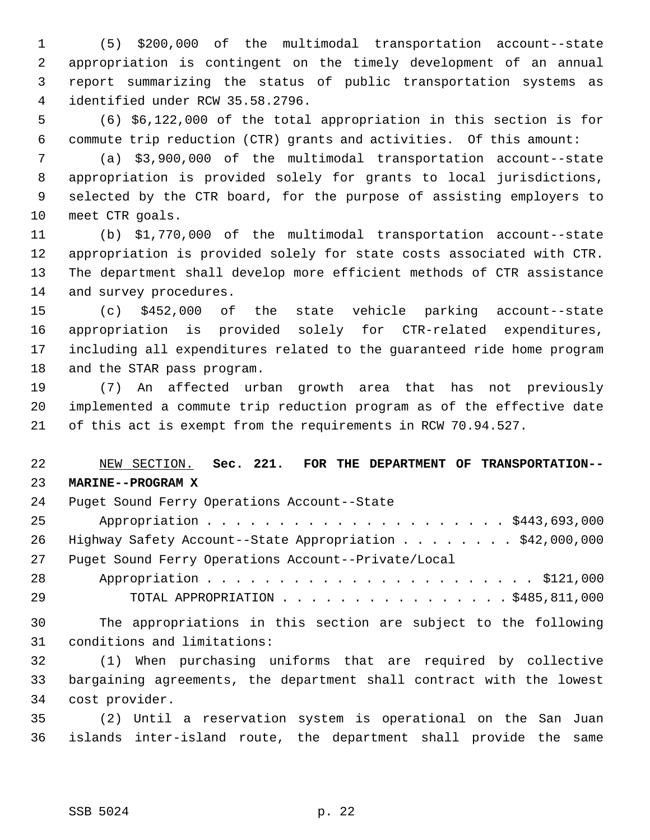1 (5) \$200,000 of the multimodal transportation account--state 2 appropriation is contingent on the timely development of an annual 3 report summarizing the status of public transportation systems as 4 identified under RCW 35.58.2796.

 5 (6) \$6,122,000 of the total appropriation in this section is for 6 commute trip reduction (CTR) grants and activities. Of this amount:

 7 (a) \$3,900,000 of the multimodal transportation account--state 8 appropriation is provided solely for grants to local jurisdictions, 9 selected by the CTR board, for the purpose of assisting employers to 10 meet CTR goals.

11 (b) \$1,770,000 of the multimodal transportation account--state 12 appropriation is provided solely for state costs associated with CTR. 13 The department shall develop more efficient methods of CTR assistance 14 and survey procedures.

15 (c) \$452,000 of the state vehicle parking account--state 16 appropriation is provided solely for CTR-related expenditures, 17 including all expenditures related to the guaranteed ride home program 18 and the STAR pass program.

19 (7) An affected urban growth area that has not previously 20 implemented a commute trip reduction program as of the effective date 21 of this act is exempt from the requirements in RCW 70.94.527.

22 NEW SECTION. **Sec. 221. FOR THE DEPARTMENT OF TRANSPORTATION--** 23 **MARINE--PROGRAM X**

| 24 | Puget Sound Ferry Operations Account--State                 |
|----|-------------------------------------------------------------|
| 25 |                                                             |
|    | 26 Highway Safety Account--State Appropriation \$42,000,000 |
| 27 | Puget Sound Ferry Operations Account--Private/Local         |
| 28 |                                                             |
|    |                                                             |

29 TOTAL APPROPRIATION . . . . . . . . . . . . . . . . \$485,811,000 30 The appropriations in this section are subject to the following

31 conditions and limitations:

32 (1) When purchasing uniforms that are required by collective 33 bargaining agreements, the department shall contract with the lowest 34 cost provider.

35 (2) Until a reservation system is operational on the San Juan 36 islands inter-island route, the department shall provide the same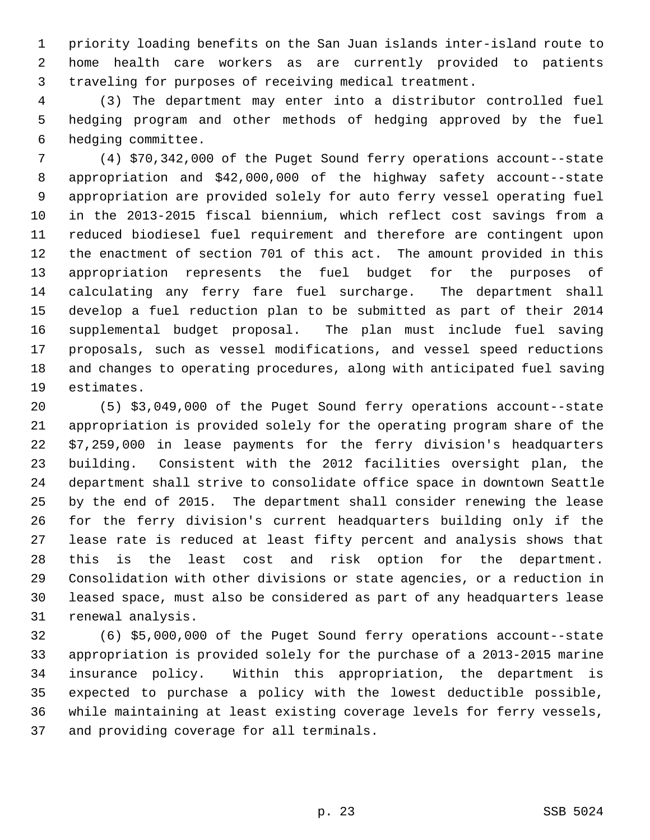1 priority loading benefits on the San Juan islands inter-island route to 2 home health care workers as are currently provided to patients 3 traveling for purposes of receiving medical treatment.

 4 (3) The department may enter into a distributor controlled fuel 5 hedging program and other methods of hedging approved by the fuel 6 hedging committee.

 7 (4) \$70,342,000 of the Puget Sound ferry operations account--state 8 appropriation and \$42,000,000 of the highway safety account--state 9 appropriation are provided solely for auto ferry vessel operating fuel 10 in the 2013-2015 fiscal biennium, which reflect cost savings from a 11 reduced biodiesel fuel requirement and therefore are contingent upon 12 the enactment of section 701 of this act. The amount provided in this 13 appropriation represents the fuel budget for the purposes of 14 calculating any ferry fare fuel surcharge. The department shall 15 develop a fuel reduction plan to be submitted as part of their 2014 16 supplemental budget proposal. The plan must include fuel saving 17 proposals, such as vessel modifications, and vessel speed reductions 18 and changes to operating procedures, along with anticipated fuel saving 19 estimates.

20 (5) \$3,049,000 of the Puget Sound ferry operations account--state 21 appropriation is provided solely for the operating program share of the 22 \$7,259,000 in lease payments for the ferry division's headquarters 23 building. Consistent with the 2012 facilities oversight plan, the 24 department shall strive to consolidate office space in downtown Seattle 25 by the end of 2015. The department shall consider renewing the lease 26 for the ferry division's current headquarters building only if the 27 lease rate is reduced at least fifty percent and analysis shows that 28 this is the least cost and risk option for the department. 29 Consolidation with other divisions or state agencies, or a reduction in 30 leased space, must also be considered as part of any headquarters lease 31 renewal analysis.

32 (6) \$5,000,000 of the Puget Sound ferry operations account--state 33 appropriation is provided solely for the purchase of a 2013-2015 marine 34 insurance policy. Within this appropriation, the department is 35 expected to purchase a policy with the lowest deductible possible, 36 while maintaining at least existing coverage levels for ferry vessels, 37 and providing coverage for all terminals.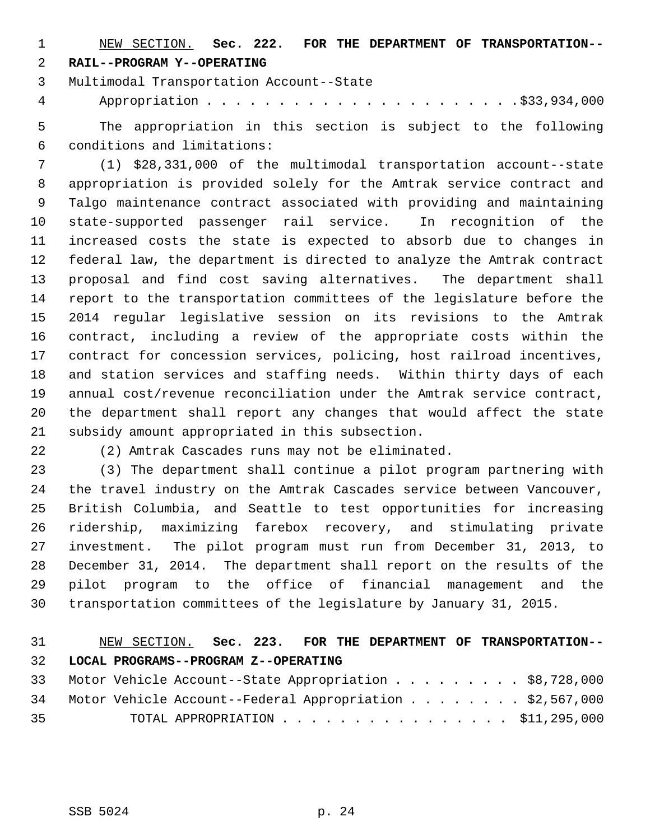1 NEW SECTION. **Sec. 222. FOR THE DEPARTMENT OF TRANSPORTATION--** 2 **RAIL--PROGRAM Y--OPERATING**

3 Multimodal Transportation Account--State

4 Appropriation . . . . . . . . . . . . . . . . . . . . . .\$33,934,000

 5 The appropriation in this section is subject to the following 6 conditions and limitations:

 7 (1) \$28,331,000 of the multimodal transportation account--state 8 appropriation is provided solely for the Amtrak service contract and 9 Talgo maintenance contract associated with providing and maintaining 10 state-supported passenger rail service. In recognition of the 11 increased costs the state is expected to absorb due to changes in 12 federal law, the department is directed to analyze the Amtrak contract 13 proposal and find cost saving alternatives. The department shall 14 report to the transportation committees of the legislature before the 15 2014 regular legislative session on its revisions to the Amtrak 16 contract, including a review of the appropriate costs within the 17 contract for concession services, policing, host railroad incentives, 18 and station services and staffing needs. Within thirty days of each 19 annual cost/revenue reconciliation under the Amtrak service contract, 20 the department shall report any changes that would affect the state 21 subsidy amount appropriated in this subsection.

22 (2) Amtrak Cascades runs may not be eliminated.

23 (3) The department shall continue a pilot program partnering with 24 the travel industry on the Amtrak Cascades service between Vancouver, 25 British Columbia, and Seattle to test opportunities for increasing 26 ridership, maximizing farebox recovery, and stimulating private 27 investment. The pilot program must run from December 31, 2013, to 28 December 31, 2014. The department shall report on the results of the 29 pilot program to the office of financial management and the 30 transportation committees of the legislature by January 31, 2015.

# 31 NEW SECTION. **Sec. 223. FOR THE DEPARTMENT OF TRANSPORTATION--** 32 **LOCAL PROGRAMS--PROGRAM Z--OPERATING**

|    | 33 Motor Vehicle Account--State Appropriation \$8,728,000   |                                             |  |  |  |  |  |  |
|----|-------------------------------------------------------------|---------------------------------------------|--|--|--|--|--|--|
|    | 34 Motor Vehicle Account--Federal Appropriation \$2,567,000 |                                             |  |  |  |  |  |  |
| 35 |                                                             | TOTAL APPROPRIATION $\ldots$ , \$11,295,000 |  |  |  |  |  |  |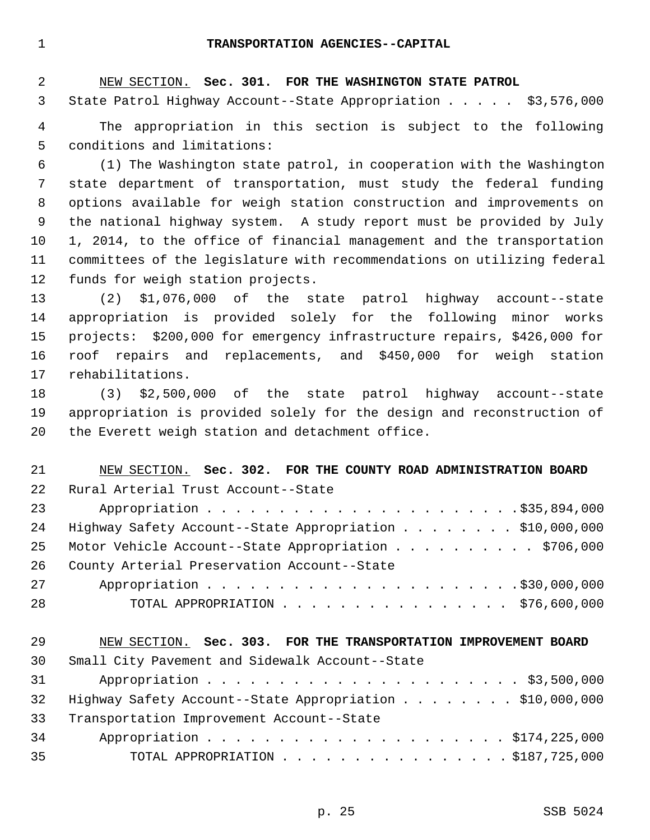1 **TRANSPORTATION AGENCIES--CAPITAL**

 2 NEW SECTION. **Sec. 301. FOR THE WASHINGTON STATE PATROL** 3 State Patrol Highway Account--State Appropriation . . . . . \$3,576,000 4 The appropriation in this section is subject to the following 5 conditions and limitations: 6 (1) The Washington state patrol, in cooperation with the Washington

 7 state department of transportation, must study the federal funding 8 options available for weigh station construction and improvements on 9 the national highway system. A study report must be provided by July 10 1, 2014, to the office of financial management and the transportation 11 committees of the legislature with recommendations on utilizing federal 12 funds for weigh station projects.

13 (2) \$1,076,000 of the state patrol highway account--state 14 appropriation is provided solely for the following minor works 15 projects: \$200,000 for emergency infrastructure repairs, \$426,000 for 16 roof repairs and replacements, and \$450,000 for weigh station 17 rehabilitations.

18 (3) \$2,500,000 of the state patrol highway account--state 19 appropriation is provided solely for the design and reconstruction of 20 the Everett weigh station and detachment office.

| 21 | NEW SECTION. Sec. 302. FOR THE COUNTY ROAD ADMINISTRATION BOARD |
|----|-----------------------------------------------------------------|
| 22 | Rural Arterial Trust Account--State                             |
| 23 |                                                                 |
| 24 | Highway Safety Account--State Appropriation \$10,000,000        |
| 25 | Motor Vehicle Account--State Appropriation \$706,000            |
| 26 | County Arterial Preservation Account--State                     |
| 27 |                                                                 |
| 28 | TOTAL APPROPRIATION $\ldots$ , \$76,600,000                     |
| 29 | NEW SECTION. Sec. 303. FOR THE TRANSPORTATION IMPROVEMENT BOARD |
| 30 | Small City Pavement and Sidewalk Account--State                 |
| 31 |                                                                 |
| 32 | Highway Safety Account--State Appropriation \$10,000,000        |
| 33 | Transportation Improvement Account--State                       |
|    |                                                                 |

|    | 34 Appropriation \$174,225,000               |
|----|----------------------------------------------|
| 35 | TOTAL APPROPRIATION $\ldots$ , \$187,725,000 |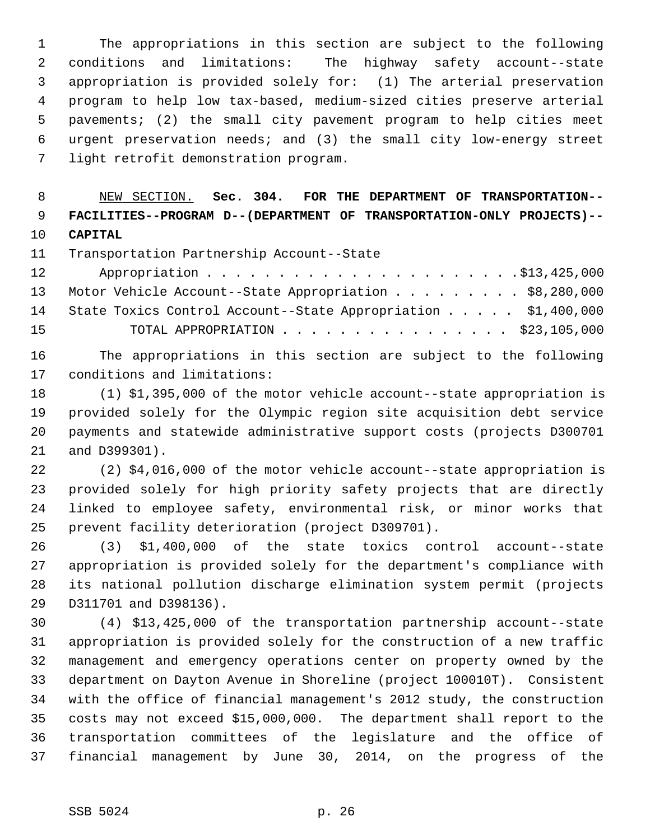1 The appropriations in this section are subject to the following 2 conditions and limitations: The highway safety account--state 3 appropriation is provided solely for: (1) The arterial preservation 4 program to help low tax-based, medium-sized cities preserve arterial 5 pavements; (2) the small city pavement program to help cities meet 6 urgent preservation needs; and (3) the small city low-energy street 7 light retrofit demonstration program.

 8 NEW SECTION. **Sec. 304. FOR THE DEPARTMENT OF TRANSPORTATION--** 9 **FACILITIES--PROGRAM D--(DEPARTMENT OF TRANSPORTATION-ONLY PROJECTS)--** 10 **CAPITAL**

11 Transportation Partnership Account--State

| 12 |                                                                  |
|----|------------------------------------------------------------------|
|    | 13 Motor Vehicle Account--State Appropriation \$8,280,000        |
|    | 14 State Toxics Control Account--State Appropriation \$1,400,000 |
| 15 | TOTAL APPROPRIATION $\ldots$ , \$23,105,000                      |

16 The appropriations in this section are subject to the following 17 conditions and limitations:

18 (1) \$1,395,000 of the motor vehicle account--state appropriation is 19 provided solely for the Olympic region site acquisition debt service 20 payments and statewide administrative support costs (projects D300701 21 and D399301).

22 (2) \$4,016,000 of the motor vehicle account--state appropriation is 23 provided solely for high priority safety projects that are directly 24 linked to employee safety, environmental risk, or minor works that 25 prevent facility deterioration (project D309701).

26 (3) \$1,400,000 of the state toxics control account--state 27 appropriation is provided solely for the department's compliance with 28 its national pollution discharge elimination system permit (projects 29 D311701 and D398136).

30 (4) \$13,425,000 of the transportation partnership account--state 31 appropriation is provided solely for the construction of a new traffic 32 management and emergency operations center on property owned by the 33 department on Dayton Avenue in Shoreline (project 100010T). Consistent 34 with the office of financial management's 2012 study, the construction 35 costs may not exceed \$15,000,000. The department shall report to the 36 transportation committees of the legislature and the office of 37 financial management by June 30, 2014, on the progress of the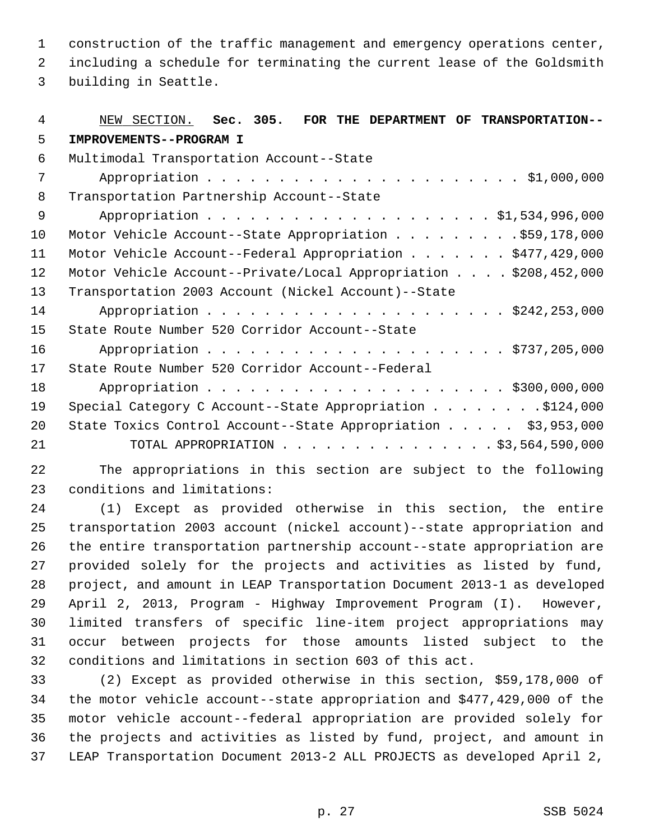1 construction of the traffic management and emergency operations center,

 2 including a schedule for terminating the current lease of the Goldsmith 3 building in Seattle.

| 4  | NEW SECTION. Sec. 305. FOR THE DEPARTMENT OF TRANSPORTATION--    |
|----|------------------------------------------------------------------|
| 5  | IMPROVEMENTS--PROGRAM I                                          |
| 6  | Multimodal Transportation Account--State                         |
| 7  |                                                                  |
| 8  | Transportation Partnership Account--State                        |
| 9  |                                                                  |
| 10 | Motor Vehicle Account--State Appropriation \$59,178,000          |
| 11 | Motor Vehicle Account--Federal Appropriation \$477,429,000       |
| 12 | Motor Vehicle Account--Private/Local Appropriation \$208,452,000 |
| 13 | Transportation 2003 Account (Nickel Account)--State              |
| 14 |                                                                  |
| 15 | State Route Number 520 Corridor Account--State                   |
| 16 |                                                                  |
| 17 | State Route Number 520 Corridor Account--Federal                 |
| 18 |                                                                  |
| 19 | Special Category C Account--State Appropriation \$124,000        |
| 20 | State Toxics Control Account--State Appropriation \$3,953,000    |
| 21 | TOTAL APPROPRIATION \$3,564,590,000                              |

22 The appropriations in this section are subject to the following 23 conditions and limitations:

24 (1) Except as provided otherwise in this section, the entire 25 transportation 2003 account (nickel account)--state appropriation and 26 the entire transportation partnership account--state appropriation are 27 provided solely for the projects and activities as listed by fund, 28 project, and amount in LEAP Transportation Document 2013-1 as developed 29 April 2, 2013, Program - Highway Improvement Program (I). However, 30 limited transfers of specific line-item project appropriations may 31 occur between projects for those amounts listed subject to the 32 conditions and limitations in section 603 of this act.

33 (2) Except as provided otherwise in this section, \$59,178,000 of 34 the motor vehicle account--state appropriation and \$477,429,000 of the 35 motor vehicle account--federal appropriation are provided solely for 36 the projects and activities as listed by fund, project, and amount in 37 LEAP Transportation Document 2013-2 ALL PROJECTS as developed April 2,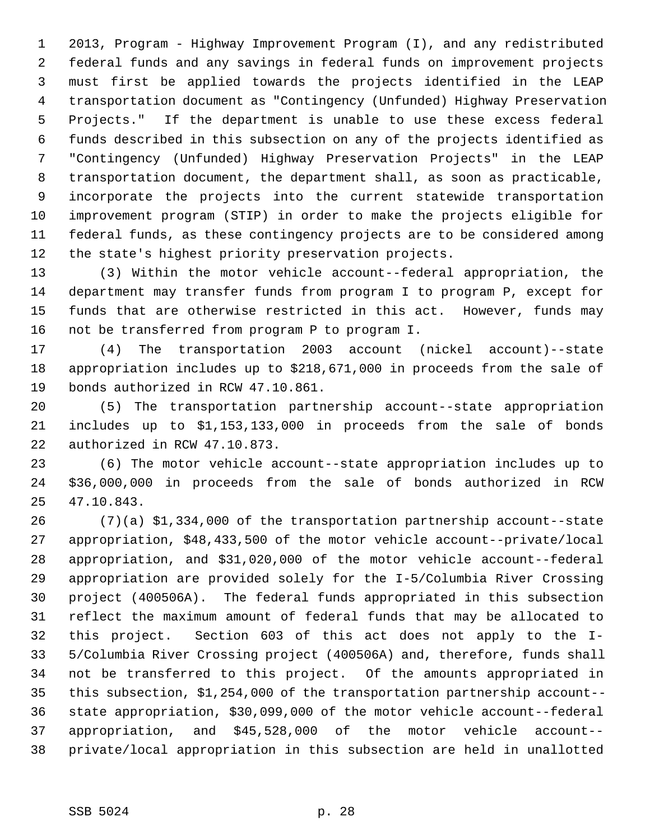1 2013, Program - Highway Improvement Program (I), and any redistributed 2 federal funds and any savings in federal funds on improvement projects 3 must first be applied towards the projects identified in the LEAP 4 transportation document as "Contingency (Unfunded) Highway Preservation 5 Projects." If the department is unable to use these excess federal 6 funds described in this subsection on any of the projects identified as 7 "Contingency (Unfunded) Highway Preservation Projects" in the LEAP 8 transportation document, the department shall, as soon as practicable, 9 incorporate the projects into the current statewide transportation 10 improvement program (STIP) in order to make the projects eligible for 11 federal funds, as these contingency projects are to be considered among 12 the state's highest priority preservation projects.

13 (3) Within the motor vehicle account--federal appropriation, the 14 department may transfer funds from program I to program P, except for 15 funds that are otherwise restricted in this act. However, funds may 16 not be transferred from program P to program I.

17 (4) The transportation 2003 account (nickel account)--state 18 appropriation includes up to \$218,671,000 in proceeds from the sale of 19 bonds authorized in RCW 47.10.861.

20 (5) The transportation partnership account--state appropriation 21 includes up to \$1,153,133,000 in proceeds from the sale of bonds 22 authorized in RCW 47.10.873.

23 (6) The motor vehicle account--state appropriation includes up to 24 \$36,000,000 in proceeds from the sale of bonds authorized in RCW 25 47.10.843.

26 (7)(a) \$1,334,000 of the transportation partnership account--state 27 appropriation, \$48,433,500 of the motor vehicle account--private/local 28 appropriation, and \$31,020,000 of the motor vehicle account--federal 29 appropriation are provided solely for the I-5/Columbia River Crossing 30 project (400506A). The federal funds appropriated in this subsection 31 reflect the maximum amount of federal funds that may be allocated to 32 this project. Section 603 of this act does not apply to the I-33 5/Columbia River Crossing project (400506A) and, therefore, funds shall 34 not be transferred to this project. Of the amounts appropriated in 35 this subsection, \$1,254,000 of the transportation partnership account-- 36 state appropriation, \$30,099,000 of the motor vehicle account--federal 37 appropriation, and \$45,528,000 of the motor vehicle account-- 38 private/local appropriation in this subsection are held in unallotted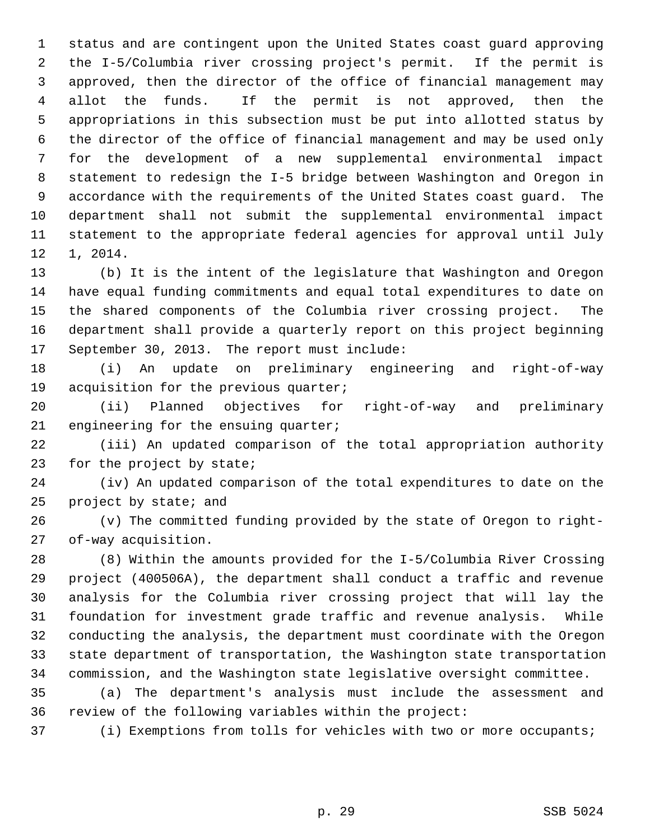1 status and are contingent upon the United States coast guard approving 2 the I-5/Columbia river crossing project's permit. If the permit is 3 approved, then the director of the office of financial management may 4 allot the funds. If the permit is not approved, then the 5 appropriations in this subsection must be put into allotted status by 6 the director of the office of financial management and may be used only 7 for the development of a new supplemental environmental impact 8 statement to redesign the I-5 bridge between Washington and Oregon in 9 accordance with the requirements of the United States coast guard. The 10 department shall not submit the supplemental environmental impact 11 statement to the appropriate federal agencies for approval until July 12 1, 2014.

13 (b) It is the intent of the legislature that Washington and Oregon 14 have equal funding commitments and equal total expenditures to date on 15 the shared components of the Columbia river crossing project. The 16 department shall provide a quarterly report on this project beginning 17 September 30, 2013. The report must include:

18 (i) An update on preliminary engineering and right-of-way 19 acquisition for the previous quarter;

20 (ii) Planned objectives for right-of-way and preliminary 21 engineering for the ensuing quarter;

22 (iii) An updated comparison of the total appropriation authority 23 for the project by state;

24 (iv) An updated comparison of the total expenditures to date on the 25 project by state; and

26 (v) The committed funding provided by the state of Oregon to right-27 of-way acquisition.

28 (8) Within the amounts provided for the I-5/Columbia River Crossing 29 project (400506A), the department shall conduct a traffic and revenue 30 analysis for the Columbia river crossing project that will lay the 31 foundation for investment grade traffic and revenue analysis. While 32 conducting the analysis, the department must coordinate with the Oregon 33 state department of transportation, the Washington state transportation 34 commission, and the Washington state legislative oversight committee.

35 (a) The department's analysis must include the assessment and 36 review of the following variables within the project:

37 (i) Exemptions from tolls for vehicles with two or more occupants;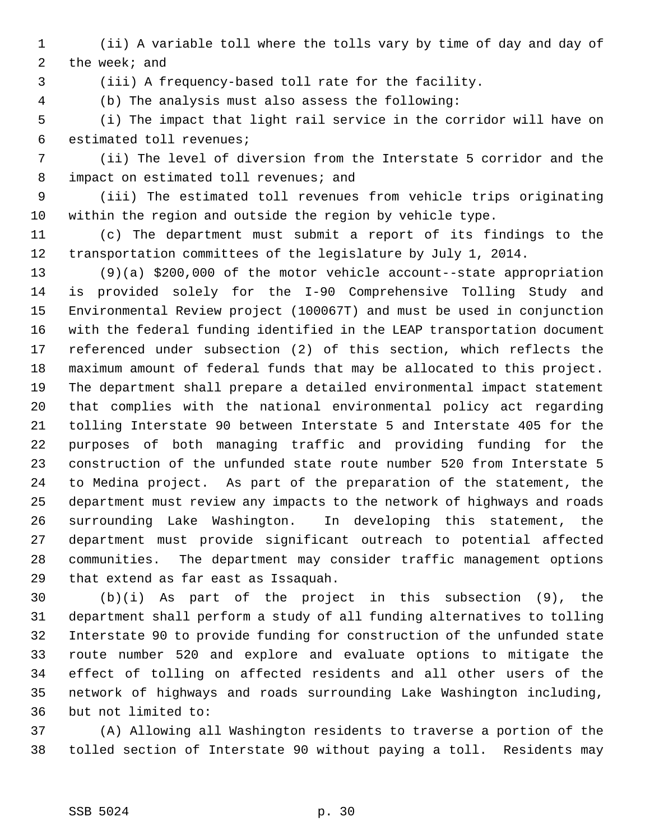- 1 (ii) A variable toll where the tolls vary by time of day and day of 2 the week; and
- 

3 (iii) A frequency-based toll rate for the facility.

4 (b) The analysis must also assess the following:

 5 (i) The impact that light rail service in the corridor will have on 6 estimated toll revenues;

 7 (ii) The level of diversion from the Interstate 5 corridor and the 8 impact on estimated toll revenues; and

 9 (iii) The estimated toll revenues from vehicle trips originating 10 within the region and outside the region by vehicle type.

11 (c) The department must submit a report of its findings to the 12 transportation committees of the legislature by July 1, 2014.

13 (9)(a) \$200,000 of the motor vehicle account--state appropriation 14 is provided solely for the I-90 Comprehensive Tolling Study and 15 Environmental Review project (100067T) and must be used in conjunction 16 with the federal funding identified in the LEAP transportation document 17 referenced under subsection (2) of this section, which reflects the 18 maximum amount of federal funds that may be allocated to this project. 19 The department shall prepare a detailed environmental impact statement 20 that complies with the national environmental policy act regarding 21 tolling Interstate 90 between Interstate 5 and Interstate 405 for the 22 purposes of both managing traffic and providing funding for the 23 construction of the unfunded state route number 520 from Interstate 5 24 to Medina project. As part of the preparation of the statement, the 25 department must review any impacts to the network of highways and roads 26 surrounding Lake Washington. In developing this statement, the 27 department must provide significant outreach to potential affected 28 communities. The department may consider traffic management options 29 that extend as far east as Issaquah.

30 (b)(i) As part of the project in this subsection (9), the 31 department shall perform a study of all funding alternatives to tolling 32 Interstate 90 to provide funding for construction of the unfunded state 33 route number 520 and explore and evaluate options to mitigate the 34 effect of tolling on affected residents and all other users of the 35 network of highways and roads surrounding Lake Washington including, 36 but not limited to:

37 (A) Allowing all Washington residents to traverse a portion of the 38 tolled section of Interstate 90 without paying a toll. Residents may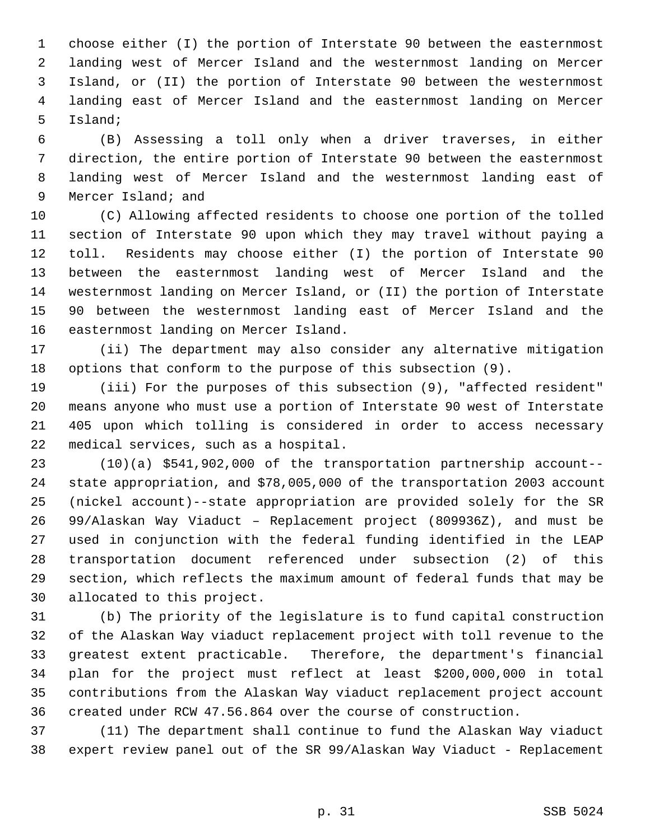1 choose either (I) the portion of Interstate 90 between the easternmost 2 landing west of Mercer Island and the westernmost landing on Mercer 3 Island, or (II) the portion of Interstate 90 between the westernmost 4 landing east of Mercer Island and the easternmost landing on Mercer 5 Island;

 6 (B) Assessing a toll only when a driver traverses, in either 7 direction, the entire portion of Interstate 90 between the easternmost 8 landing west of Mercer Island and the westernmost landing east of 9 Mercer Island; and

10 (C) Allowing affected residents to choose one portion of the tolled 11 section of Interstate 90 upon which they may travel without paying a 12 toll. Residents may choose either (I) the portion of Interstate 90 13 between the easternmost landing west of Mercer Island and the 14 westernmost landing on Mercer Island, or (II) the portion of Interstate 15 90 between the westernmost landing east of Mercer Island and the 16 easternmost landing on Mercer Island.

17 (ii) The department may also consider any alternative mitigation 18 options that conform to the purpose of this subsection (9).

19 (iii) For the purposes of this subsection (9), "affected resident" 20 means anyone who must use a portion of Interstate 90 west of Interstate 21 405 upon which tolling is considered in order to access necessary 22 medical services, such as a hospital.

23 (10)(a) \$541,902,000 of the transportation partnership account-- 24 state appropriation, and \$78,005,000 of the transportation 2003 account 25 (nickel account)--state appropriation are provided solely for the SR 26 99/Alaskan Way Viaduct – Replacement project (809936Z), and must be 27 used in conjunction with the federal funding identified in the LEAP 28 transportation document referenced under subsection (2) of this 29 section, which reflects the maximum amount of federal funds that may be 30 allocated to this project.

31 (b) The priority of the legislature is to fund capital construction 32 of the Alaskan Way viaduct replacement project with toll revenue to the 33 greatest extent practicable. Therefore, the department's financial 34 plan for the project must reflect at least \$200,000,000 in total 35 contributions from the Alaskan Way viaduct replacement project account 36 created under RCW 47.56.864 over the course of construction.

37 (11) The department shall continue to fund the Alaskan Way viaduct 38 expert review panel out of the SR 99/Alaskan Way Viaduct - Replacement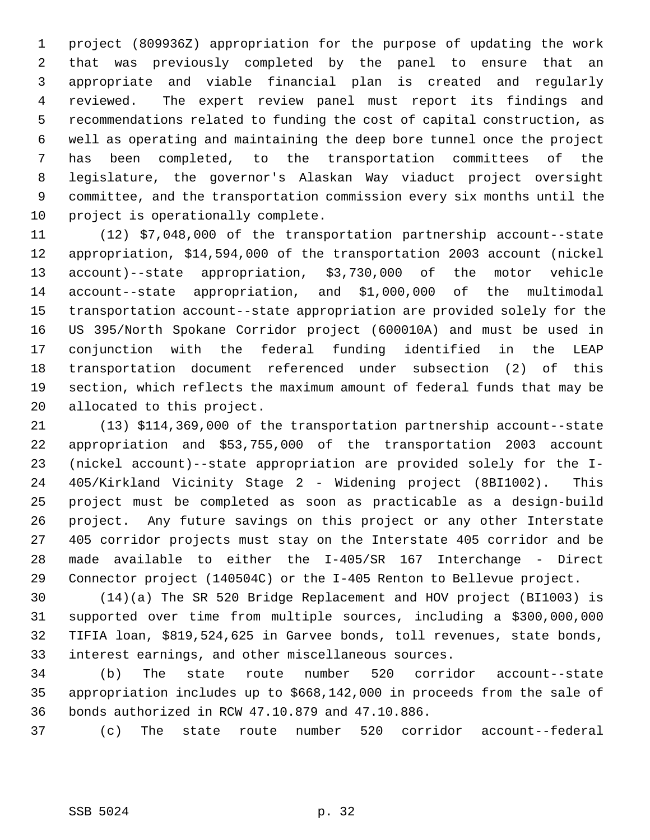1 project (809936Z) appropriation for the purpose of updating the work 2 that was previously completed by the panel to ensure that an 3 appropriate and viable financial plan is created and regularly 4 reviewed. The expert review panel must report its findings and 5 recommendations related to funding the cost of capital construction, as 6 well as operating and maintaining the deep bore tunnel once the project 7 has been completed, to the transportation committees of the 8 legislature, the governor's Alaskan Way viaduct project oversight 9 committee, and the transportation commission every six months until the 10 project is operationally complete.

11 (12) \$7,048,000 of the transportation partnership account--state 12 appropriation, \$14,594,000 of the transportation 2003 account (nickel 13 account)--state appropriation, \$3,730,000 of the motor vehicle 14 account--state appropriation, and \$1,000,000 of the multimodal 15 transportation account--state appropriation are provided solely for the 16 US 395/North Spokane Corridor project (600010A) and must be used in 17 conjunction with the federal funding identified in the LEAP 18 transportation document referenced under subsection (2) of this 19 section, which reflects the maximum amount of federal funds that may be 20 allocated to this project.

21 (13) \$114,369,000 of the transportation partnership account--state 22 appropriation and \$53,755,000 of the transportation 2003 account 23 (nickel account)--state appropriation are provided solely for the I-24 405/Kirkland Vicinity Stage 2 - Widening project (8BI1002). This 25 project must be completed as soon as practicable as a design-build 26 project. Any future savings on this project or any other Interstate 27 405 corridor projects must stay on the Interstate 405 corridor and be 28 made available to either the I-405/SR 167 Interchange - Direct 29 Connector project (140504C) or the I-405 Renton to Bellevue project.

30 (14)(a) The SR 520 Bridge Replacement and HOV project (BI1003) is 31 supported over time from multiple sources, including a \$300,000,000 32 TIFIA loan, \$819,524,625 in Garvee bonds, toll revenues, state bonds, 33 interest earnings, and other miscellaneous sources.

34 (b) The state route number 520 corridor account--state 35 appropriation includes up to \$668,142,000 in proceeds from the sale of 36 bonds authorized in RCW 47.10.879 and 47.10.886.

37 (c) The state route number 520 corridor account--federal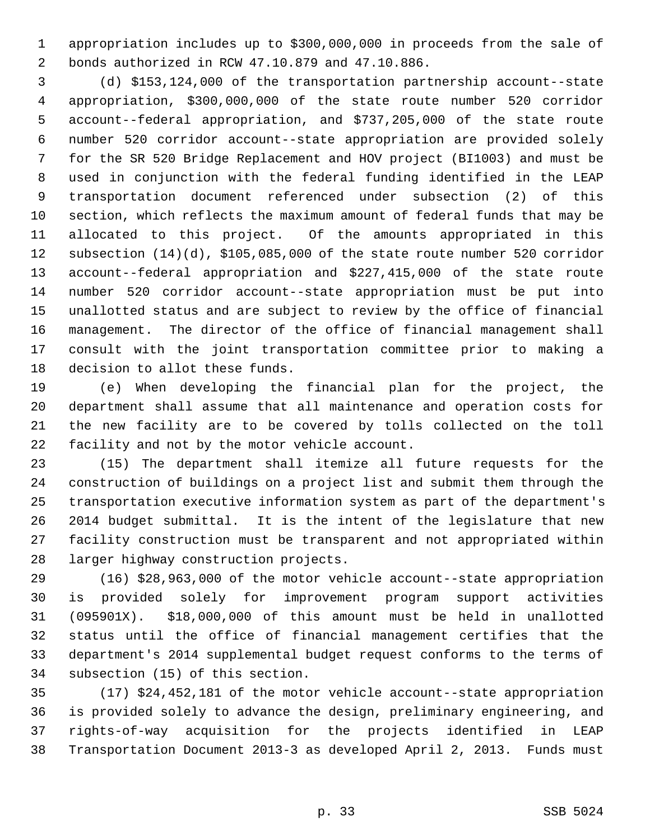1 appropriation includes up to \$300,000,000 in proceeds from the sale of 2 bonds authorized in RCW 47.10.879 and 47.10.886.

 3 (d) \$153,124,000 of the transportation partnership account--state 4 appropriation, \$300,000,000 of the state route number 520 corridor 5 account--federal appropriation, and \$737,205,000 of the state route 6 number 520 corridor account--state appropriation are provided solely 7 for the SR 520 Bridge Replacement and HOV project (BI1003) and must be 8 used in conjunction with the federal funding identified in the LEAP 9 transportation document referenced under subsection (2) of this 10 section, which reflects the maximum amount of federal funds that may be 11 allocated to this project. Of the amounts appropriated in this 12 subsection (14)(d), \$105,085,000 of the state route number 520 corridor 13 account--federal appropriation and \$227,415,000 of the state route 14 number 520 corridor account--state appropriation must be put into 15 unallotted status and are subject to review by the office of financial 16 management. The director of the office of financial management shall 17 consult with the joint transportation committee prior to making a 18 decision to allot these funds.

19 (e) When developing the financial plan for the project, the 20 department shall assume that all maintenance and operation costs for 21 the new facility are to be covered by tolls collected on the toll 22 facility and not by the motor vehicle account.

23 (15) The department shall itemize all future requests for the 24 construction of buildings on a project list and submit them through the 25 transportation executive information system as part of the department's 26 2014 budget submittal. It is the intent of the legislature that new 27 facility construction must be transparent and not appropriated within 28 larger highway construction projects.

29 (16) \$28,963,000 of the motor vehicle account--state appropriation 30 is provided solely for improvement program support activities 31 (095901X). \$18,000,000 of this amount must be held in unallotted 32 status until the office of financial management certifies that the 33 department's 2014 supplemental budget request conforms to the terms of 34 subsection (15) of this section.

35 (17) \$24,452,181 of the motor vehicle account--state appropriation 36 is provided solely to advance the design, preliminary engineering, and 37 rights-of-way acquisition for the projects identified in LEAP 38 Transportation Document 2013-3 as developed April 2, 2013. Funds must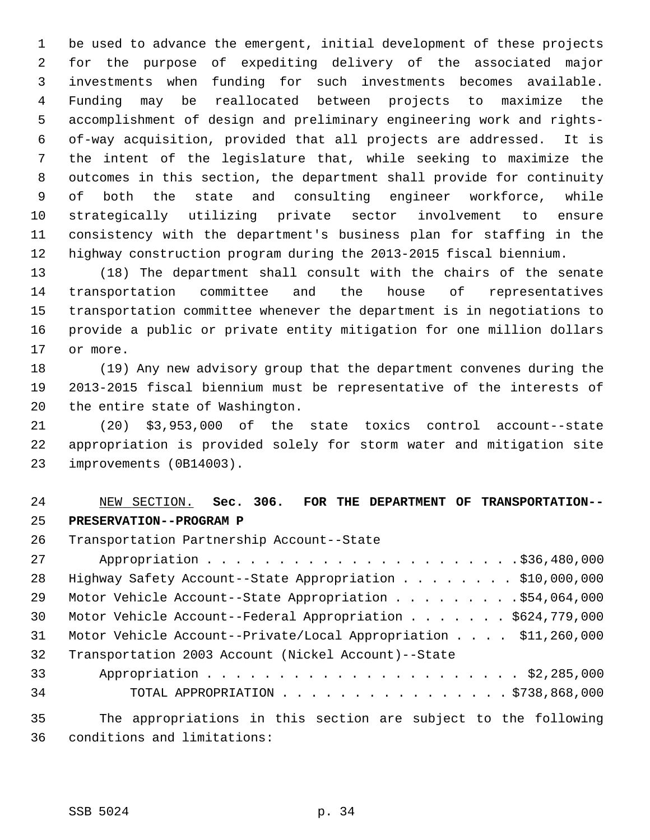1 be used to advance the emergent, initial development of these projects 2 for the purpose of expediting delivery of the associated major 3 investments when funding for such investments becomes available. 4 Funding may be reallocated between projects to maximize the 5 accomplishment of design and preliminary engineering work and rights- 6 of-way acquisition, provided that all projects are addressed. It is 7 the intent of the legislature that, while seeking to maximize the 8 outcomes in this section, the department shall provide for continuity 9 of both the state and consulting engineer workforce, while 10 strategically utilizing private sector involvement to ensure 11 consistency with the department's business plan for staffing in the 12 highway construction program during the 2013-2015 fiscal biennium.

13 (18) The department shall consult with the chairs of the senate 14 transportation committee and the house of representatives 15 transportation committee whenever the department is in negotiations to 16 provide a public or private entity mitigation for one million dollars 17 or more.

18 (19) Any new advisory group that the department convenes during the 19 2013-2015 fiscal biennium must be representative of the interests of 20 the entire state of Washington.

21 (20) \$3,953,000 of the state toxics control account--state 22 appropriation is provided solely for storm water and mitigation site 23 improvements (0B14003).

## 24 NEW SECTION. **Sec. 306. FOR THE DEPARTMENT OF TRANSPORTATION--** 25 **PRESERVATION--PROGRAM P**

26 Transportation Partnership Account--State

| 27       |                                                                          |
|----------|--------------------------------------------------------------------------|
| 28       | Highway Safety Account--State Appropriation \$10,000,000                 |
| 29       | Motor Vehicle Account--State Appropriation \$54,064,000                  |
| 30       | Motor Vehicle Account--Federal Appropriation \$624,779,000               |
| 31       | Motor Vehicle Account--Private/Local Appropriation $\ldots$ \$11,260,000 |
| 32       | Transportation 2003 Account (Nickel Account)--State                      |
| 33       |                                                                          |
| 34       | TOTAL APPROPRIATION $\ldots$ , \$738,868,000                             |
| $\Omega$ | The environmentational in this seation are subject to the following      |

35 The appropriations in this section are subject to the following 36 conditions and limitations: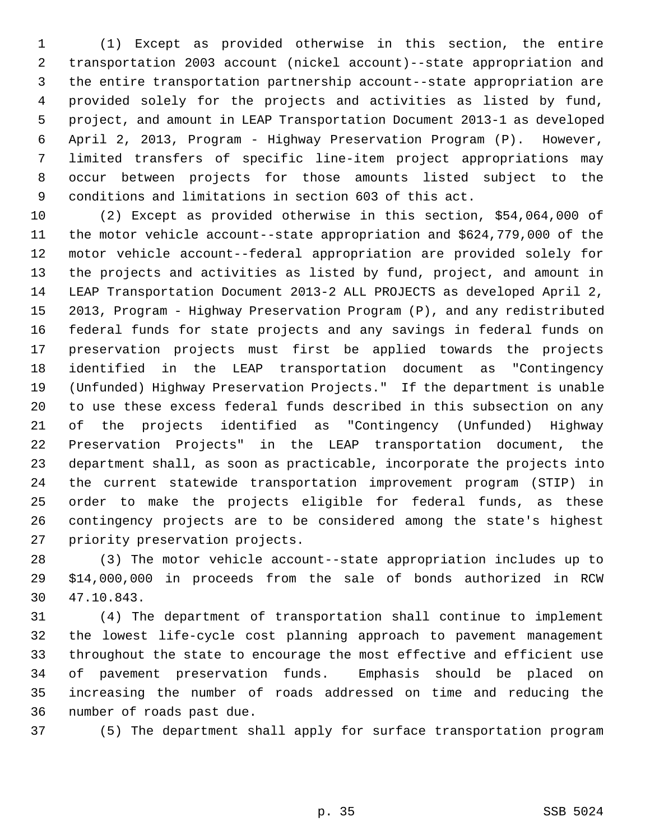1 (1) Except as provided otherwise in this section, the entire 2 transportation 2003 account (nickel account)--state appropriation and 3 the entire transportation partnership account--state appropriation are 4 provided solely for the projects and activities as listed by fund, 5 project, and amount in LEAP Transportation Document 2013-1 as developed 6 April 2, 2013, Program - Highway Preservation Program (P). However, 7 limited transfers of specific line-item project appropriations may 8 occur between projects for those amounts listed subject to the 9 conditions and limitations in section 603 of this act.

10 (2) Except as provided otherwise in this section, \$54,064,000 of 11 the motor vehicle account--state appropriation and \$624,779,000 of the 12 motor vehicle account--federal appropriation are provided solely for 13 the projects and activities as listed by fund, project, and amount in 14 LEAP Transportation Document 2013-2 ALL PROJECTS as developed April 2, 15 2013, Program - Highway Preservation Program (P), and any redistributed 16 federal funds for state projects and any savings in federal funds on 17 preservation projects must first be applied towards the projects 18 identified in the LEAP transportation document as "Contingency 19 (Unfunded) Highway Preservation Projects." If the department is unable 20 to use these excess federal funds described in this subsection on any 21 of the projects identified as "Contingency (Unfunded) Highway 22 Preservation Projects" in the LEAP transportation document, the 23 department shall, as soon as practicable, incorporate the projects into 24 the current statewide transportation improvement program (STIP) in 25 order to make the projects eligible for federal funds, as these 26 contingency projects are to be considered among the state's highest 27 priority preservation projects.

28 (3) The motor vehicle account--state appropriation includes up to 29 \$14,000,000 in proceeds from the sale of bonds authorized in RCW 30 47.10.843.

31 (4) The department of transportation shall continue to implement 32 the lowest life-cycle cost planning approach to pavement management 33 throughout the state to encourage the most effective and efficient use 34 of pavement preservation funds. Emphasis should be placed on 35 increasing the number of roads addressed on time and reducing the 36 number of roads past due.

37 (5) The department shall apply for surface transportation program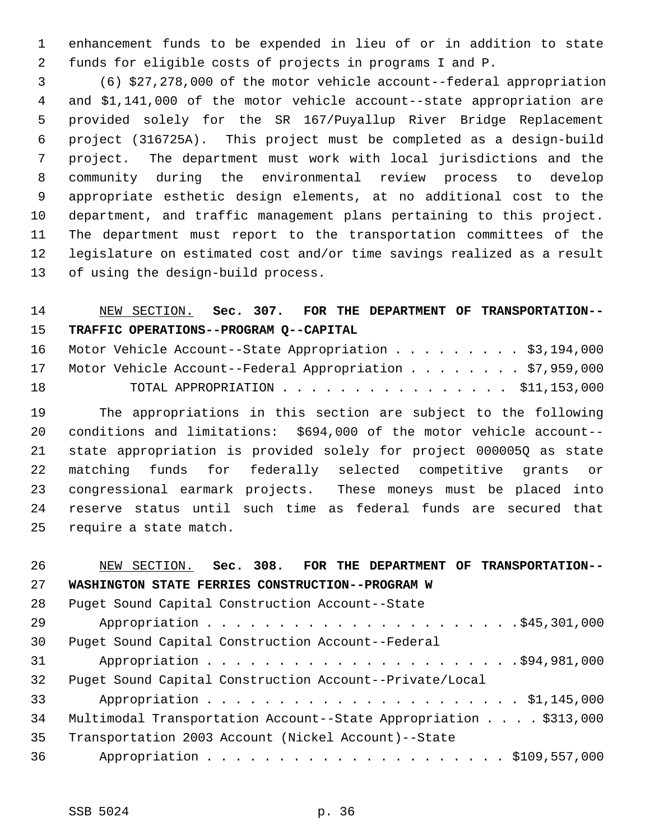1 enhancement funds to be expended in lieu of or in addition to state 2 funds for eligible costs of projects in programs I and P.

 3 (6) \$27,278,000 of the motor vehicle account--federal appropriation 4 and \$1,141,000 of the motor vehicle account--state appropriation are 5 provided solely for the SR 167/Puyallup River Bridge Replacement 6 project (316725A). This project must be completed as a design-build 7 project. The department must work with local jurisdictions and the 8 community during the environmental review process to develop 9 appropriate esthetic design elements, at no additional cost to the 10 department, and traffic management plans pertaining to this project. 11 The department must report to the transportation committees of the 12 legislature on estimated cost and/or time savings realized as a result 13 of using the design-build process.

## 14 NEW SECTION. **Sec. 307. FOR THE DEPARTMENT OF TRANSPORTATION--** 15 **TRAFFIC OPERATIONS--PROGRAM Q--CAPITAL**

|    | 16 Motor Vehicle Account--State Appropriation \$3,194,000   |  |
|----|-------------------------------------------------------------|--|
|    | 17 Motor Vehicle Account--Federal Appropriation \$7,959,000 |  |
| 18 | TOTAL APPROPRIATION $\ldots$ , \$11,153,000                 |  |

19 The appropriations in this section are subject to the following 20 conditions and limitations: \$694,000 of the motor vehicle account-- 21 state appropriation is provided solely for project 000005Q as state 22 matching funds for federally selected competitive grants or 23 congressional earmark projects. These moneys must be placed into 24 reserve status until such time as federal funds are secured that 25 require a state match.

| 26 | NEW SECTION. Sec. 308. FOR THE DEPARTMENT OF TRANSPORTATION--    |
|----|------------------------------------------------------------------|
| 27 | WASHINGTON STATE FERRIES CONSTRUCTION--PROGRAM W                 |
| 28 | Puget Sound Capital Construction Account--State                  |
| 29 |                                                                  |
| 30 | Puget Sound Capital Construction Account--Federal                |
| 31 |                                                                  |
| 32 | Puget Sound Capital Construction Account--Private/Local          |
| 33 |                                                                  |
| 34 | Multimodal Transportation Account--State Appropriation \$313,000 |
| 35 | Transportation 2003 Account (Nickel Account)--State              |
| 36 |                                                                  |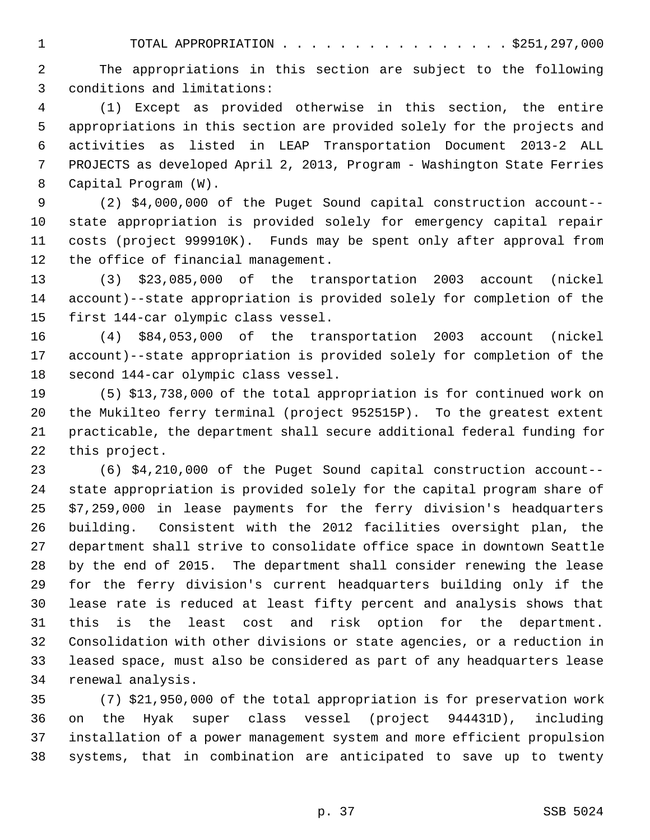1 TOTAL APPROPRIATION . . . . . . . . . . . . . . . . \$251,297,000

 2 The appropriations in this section are subject to the following 3 conditions and limitations:

 4 (1) Except as provided otherwise in this section, the entire 5 appropriations in this section are provided solely for the projects and 6 activities as listed in LEAP Transportation Document 2013-2 ALL 7 PROJECTS as developed April 2, 2013, Program - Washington State Ferries 8 Capital Program (W).

 9 (2) \$4,000,000 of the Puget Sound capital construction account-- 10 state appropriation is provided solely for emergency capital repair 11 costs (project 999910K). Funds may be spent only after approval from 12 the office of financial management.

13 (3) \$23,085,000 of the transportation 2003 account (nickel 14 account)--state appropriation is provided solely for completion of the 15 first 144-car olympic class vessel.

16 (4) \$84,053,000 of the transportation 2003 account (nickel 17 account)--state appropriation is provided solely for completion of the 18 second 144-car olympic class vessel.

19 (5) \$13,738,000 of the total appropriation is for continued work on 20 the Mukilteo ferry terminal (project 952515P). To the greatest extent 21 practicable, the department shall secure additional federal funding for 22 this project.

23 (6) \$4,210,000 of the Puget Sound capital construction account-- 24 state appropriation is provided solely for the capital program share of 25 \$7,259,000 in lease payments for the ferry division's headquarters 26 building. Consistent with the 2012 facilities oversight plan, the 27 department shall strive to consolidate office space in downtown Seattle 28 by the end of 2015. The department shall consider renewing the lease 29 for the ferry division's current headquarters building only if the 30 lease rate is reduced at least fifty percent and analysis shows that 31 this is the least cost and risk option for the department. 32 Consolidation with other divisions or state agencies, or a reduction in 33 leased space, must also be considered as part of any headquarters lease 34 renewal analysis.

35 (7) \$21,950,000 of the total appropriation is for preservation work 36 on the Hyak super class vessel (project 944431D), including 37 installation of a power management system and more efficient propulsion 38 systems, that in combination are anticipated to save up to twenty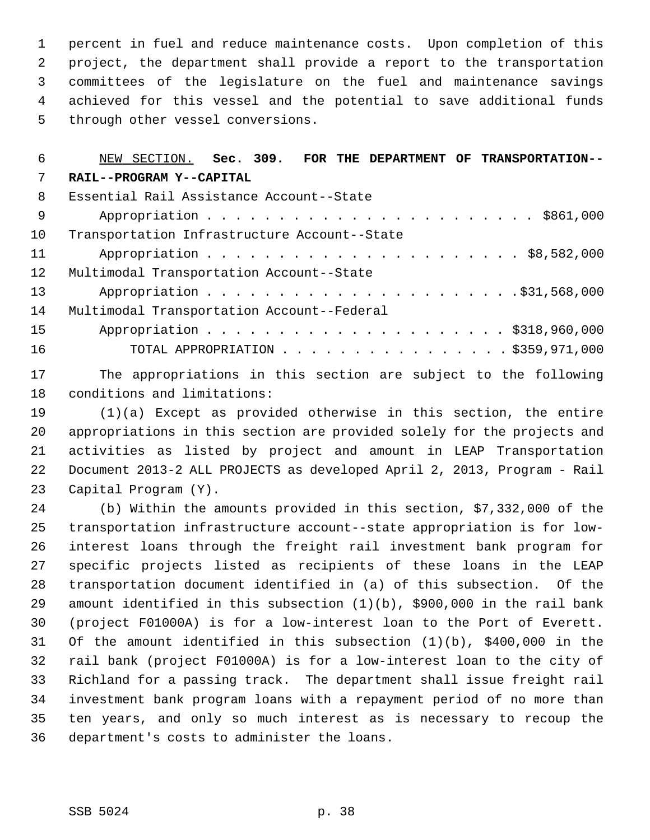1 percent in fuel and reduce maintenance costs. Upon completion of this 2 project, the department shall provide a report to the transportation 3 committees of the legislature on the fuel and maintenance savings 4 achieved for this vessel and the potential to save additional funds 5 through other vessel conversions.

# 6 NEW SECTION. **Sec. 309. FOR THE DEPARTMENT OF TRANSPORTATION--** 7 **RAIL--PROGRAM Y--CAPITAL** 8 Essential Rail Assistance Account--State 9 Appropriation . . . . . . . . . . . . . . . . . . . . . . . \$861,000 10 Transportation Infrastructure Account--State 11 Appropriation . . . . . . . . . . . . . . . . . . . . . . \$8,582,000

12 Multimodal Transportation Account--State 13 Appropriation . . . . . . . . . . . . . . . . . . . . . .\$31,568,000 14 Multimodal Transportation Account--Federal 15 Appropriation . . . . . . . . . . . . . . . . . . . . . \$318,960,000

16 TOTAL APPROPRIATION . . . . . . . . . . . . . . . . \$359,971,000

17 The appropriations in this section are subject to the following 18 conditions and limitations:

19 (1)(a) Except as provided otherwise in this section, the entire 20 appropriations in this section are provided solely for the projects and 21 activities as listed by project and amount in LEAP Transportation 22 Document 2013-2 ALL PROJECTS as developed April 2, 2013, Program - Rail 23 Capital Program (Y).

24 (b) Within the amounts provided in this section, \$7,332,000 of the 25 transportation infrastructure account--state appropriation is for low-26 interest loans through the freight rail investment bank program for 27 specific projects listed as recipients of these loans in the LEAP 28 transportation document identified in (a) of this subsection. Of the 29 amount identified in this subsection (1)(b), \$900,000 in the rail bank 30 (project F01000A) is for a low-interest loan to the Port of Everett. 31 Of the amount identified in this subsection (1)(b), \$400,000 in the 32 rail bank (project F01000A) is for a low-interest loan to the city of 33 Richland for a passing track. The department shall issue freight rail 34 investment bank program loans with a repayment period of no more than 35 ten years, and only so much interest as is necessary to recoup the 36 department's costs to administer the loans.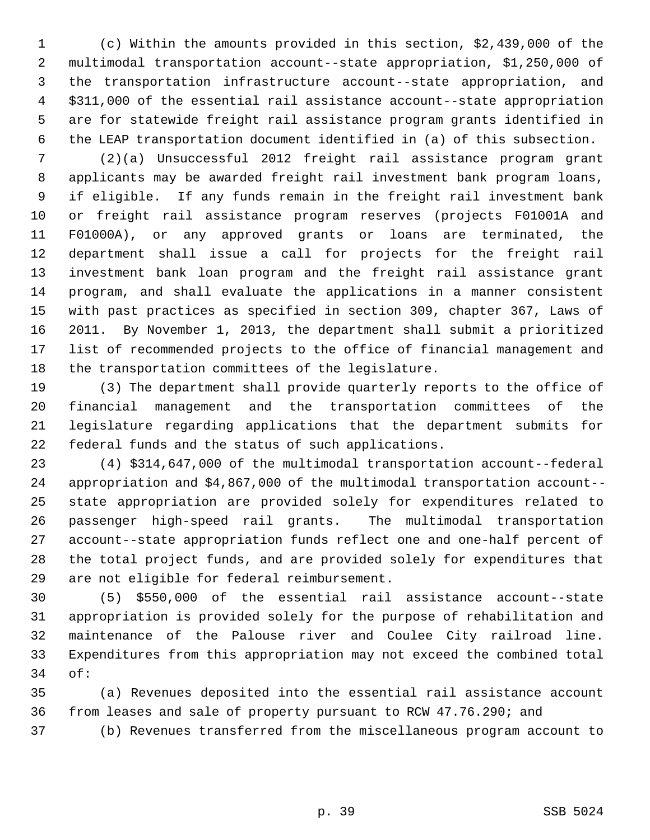1 (c) Within the amounts provided in this section, \$2,439,000 of the 2 multimodal transportation account--state appropriation, \$1,250,000 of 3 the transportation infrastructure account--state appropriation, and 4 \$311,000 of the essential rail assistance account--state appropriation 5 are for statewide freight rail assistance program grants identified in 6 the LEAP transportation document identified in (a) of this subsection.

 7 (2)(a) Unsuccessful 2012 freight rail assistance program grant 8 applicants may be awarded freight rail investment bank program loans, 9 if eligible. If any funds remain in the freight rail investment bank 10 or freight rail assistance program reserves (projects F01001A and 11 F01000A), or any approved grants or loans are terminated, the 12 department shall issue a call for projects for the freight rail 13 investment bank loan program and the freight rail assistance grant 14 program, and shall evaluate the applications in a manner consistent 15 with past practices as specified in section 309, chapter 367, Laws of 16 2011. By November 1, 2013, the department shall submit a prioritized 17 list of recommended projects to the office of financial management and 18 the transportation committees of the legislature.

19 (3) The department shall provide quarterly reports to the office of 20 financial management and the transportation committees of the 21 legislature regarding applications that the department submits for 22 federal funds and the status of such applications.

23 (4) \$314,647,000 of the multimodal transportation account--federal 24 appropriation and \$4,867,000 of the multimodal transportation account-- 25 state appropriation are provided solely for expenditures related to 26 passenger high-speed rail grants. The multimodal transportation 27 account--state appropriation funds reflect one and one-half percent of 28 the total project funds, and are provided solely for expenditures that 29 are not eligible for federal reimbursement.

30 (5) \$550,000 of the essential rail assistance account--state 31 appropriation is provided solely for the purpose of rehabilitation and 32 maintenance of the Palouse river and Coulee City railroad line. 33 Expenditures from this appropriation may not exceed the combined total 34 of:

35 (a) Revenues deposited into the essential rail assistance account 36 from leases and sale of property pursuant to RCW 47.76.290; and

37 (b) Revenues transferred from the miscellaneous program account to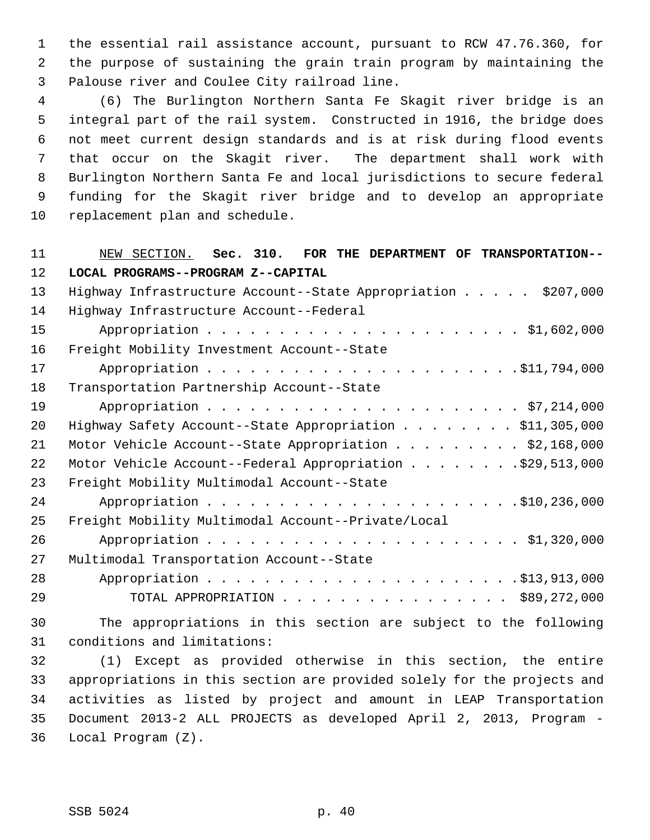1 the essential rail assistance account, pursuant to RCW 47.76.360, for 2 the purpose of sustaining the grain train program by maintaining the 3 Palouse river and Coulee City railroad line.

 4 (6) The Burlington Northern Santa Fe Skagit river bridge is an 5 integral part of the rail system. Constructed in 1916, the bridge does 6 not meet current design standards and is at risk during flood events 7 that occur on the Skagit river. The department shall work with 8 Burlington Northern Santa Fe and local jurisdictions to secure federal 9 funding for the Skagit river bridge and to develop an appropriate 10 replacement plan and schedule.

# 11 NEW SECTION. **Sec. 310. FOR THE DEPARTMENT OF TRANSPORTATION--** 12 **LOCAL PROGRAMS--PROGRAM Z--CAPITAL** 13 Highway Infrastructure Account--State Appropriation . . . . \$207,000 14 Highway Infrastructure Account--Federal

| ᆠᆇ | highway infrastructure Account--Federal                                                                         |
|----|-----------------------------------------------------------------------------------------------------------------|
| 15 |                                                                                                                 |
| 16 | Freight Mobility Investment Account--State                                                                      |
| 17 |                                                                                                                 |
| 18 | Transportation Partnership Account--State                                                                       |
| 19 |                                                                                                                 |
| 20 | Highway Safety Account--State Appropriation \$11,305,000                                                        |
| 21 | Motor Vehicle Account--State Appropriation \$2,168,000                                                          |
| 22 | Motor Vehicle Account--Federal Appropriation \$29,513,000                                                       |
| 23 | Freight Mobility Multimodal Account--State                                                                      |
| 24 |                                                                                                                 |
| 25 | Freight Mobility Multimodal Account--Private/Local                                                              |
| 26 |                                                                                                                 |
| 27 | Multimodal Transportation Account--State                                                                        |
| 28 |                                                                                                                 |
| 29 | TOTAL APPROPRIATION $\ldots$ , \$89,272,000                                                                     |
|    | 1000 - 1000 - 1000 - 1000 - 1000 - 1000 - 1000 - 1000 - 1000 - 1000 - 1000 - 1000 - 1000 - 1000 - 1000 - 1000 - |

30 The appropriations in this section are subject to the following 31 conditions and limitations:

32 (1) Except as provided otherwise in this section, the entire 33 appropriations in this section are provided solely for the projects and 34 activities as listed by project and amount in LEAP Transportation 35 Document 2013-2 ALL PROJECTS as developed April 2, 2013, Program - 36 Local Program (Z).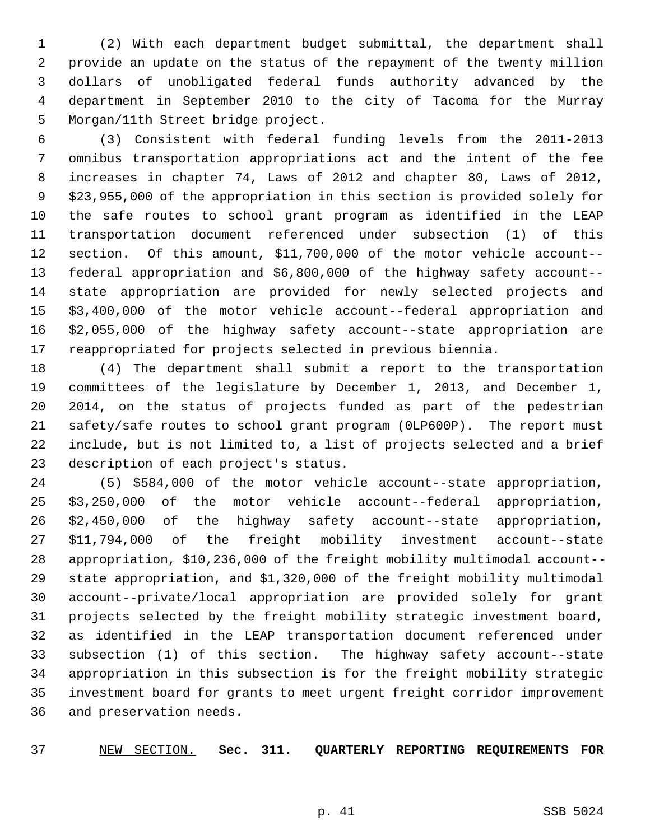1 (2) With each department budget submittal, the department shall 2 provide an update on the status of the repayment of the twenty million 3 dollars of unobligated federal funds authority advanced by the 4 department in September 2010 to the city of Tacoma for the Murray 5 Morgan/11th Street bridge project.

 6 (3) Consistent with federal funding levels from the 2011-2013 7 omnibus transportation appropriations act and the intent of the fee 8 increases in chapter 74, Laws of 2012 and chapter 80, Laws of 2012, 9 \$23,955,000 of the appropriation in this section is provided solely for 10 the safe routes to school grant program as identified in the LEAP 11 transportation document referenced under subsection (1) of this 12 section. Of this amount, \$11,700,000 of the motor vehicle account-- 13 federal appropriation and \$6,800,000 of the highway safety account-- 14 state appropriation are provided for newly selected projects and 15 \$3,400,000 of the motor vehicle account--federal appropriation and 16 \$2,055,000 of the highway safety account--state appropriation are 17 reappropriated for projects selected in previous biennia.

18 (4) The department shall submit a report to the transportation 19 committees of the legislature by December 1, 2013, and December 1, 20 2014, on the status of projects funded as part of the pedestrian 21 safety/safe routes to school grant program (0LP600P). The report must 22 include, but is not limited to, a list of projects selected and a brief 23 description of each project's status.

24 (5) \$584,000 of the motor vehicle account--state appropriation, 25 \$3,250,000 of the motor vehicle account--federal appropriation, 26 \$2,450,000 of the highway safety account--state appropriation, 27 \$11,794,000 of the freight mobility investment account--state 28 appropriation, \$10,236,000 of the freight mobility multimodal account-- 29 state appropriation, and \$1,320,000 of the freight mobility multimodal 30 account--private/local appropriation are provided solely for grant 31 projects selected by the freight mobility strategic investment board, 32 as identified in the LEAP transportation document referenced under 33 subsection (1) of this section. The highway safety account--state 34 appropriation in this subsection is for the freight mobility strategic 35 investment board for grants to meet urgent freight corridor improvement 36 and preservation needs.

37 NEW SECTION. **Sec. 311. QUARTERLY REPORTING REQUIREMENTS FOR**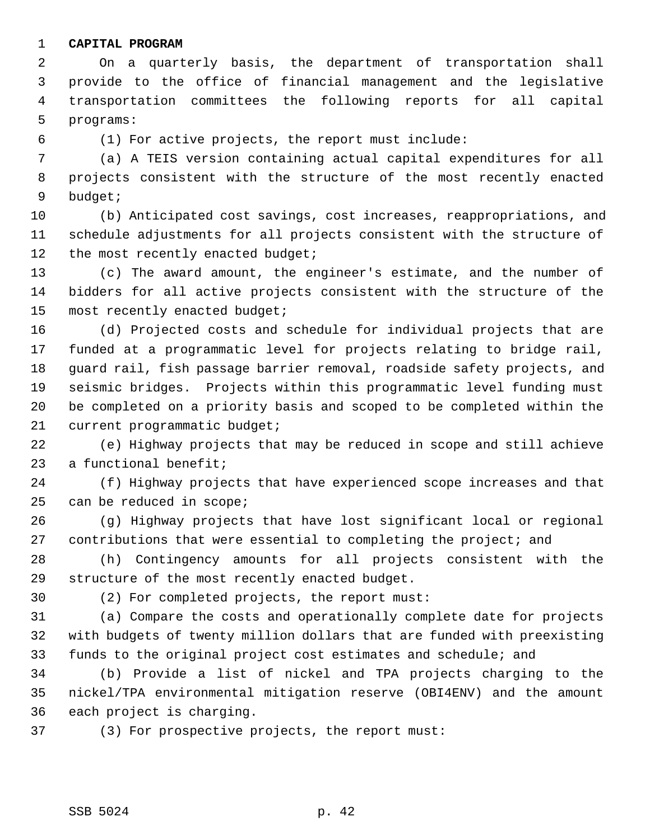#### 1 **CAPITAL PROGRAM**

 2 On a quarterly basis, the department of transportation shall 3 provide to the office of financial management and the legislative 4 transportation committees the following reports for all capital 5 programs:

6 (1) For active projects, the report must include:

 7 (a) A TEIS version containing actual capital expenditures for all 8 projects consistent with the structure of the most recently enacted 9 budget;

10 (b) Anticipated cost savings, cost increases, reappropriations, and 11 schedule adjustments for all projects consistent with the structure of 12 the most recently enacted budget;

13 (c) The award amount, the engineer's estimate, and the number of 14 bidders for all active projects consistent with the structure of the 15 most recently enacted budget;

16 (d) Projected costs and schedule for individual projects that are 17 funded at a programmatic level for projects relating to bridge rail, 18 guard rail, fish passage barrier removal, roadside safety projects, and 19 seismic bridges. Projects within this programmatic level funding must 20 be completed on a priority basis and scoped to be completed within the 21 current programmatic budget;

22 (e) Highway projects that may be reduced in scope and still achieve 23 a functional benefit;

24 (f) Highway projects that have experienced scope increases and that 25 can be reduced in scope;

26 (g) Highway projects that have lost significant local or regional 27 contributions that were essential to completing the project; and

28 (h) Contingency amounts for all projects consistent with the 29 structure of the most recently enacted budget.

30 (2) For completed projects, the report must:

31 (a) Compare the costs and operationally complete date for projects 32 with budgets of twenty million dollars that are funded with preexisting 33 funds to the original project cost estimates and schedule; and

34 (b) Provide a list of nickel and TPA projects charging to the 35 nickel/TPA environmental mitigation reserve (OBI4ENV) and the amount 36 each project is charging.

37 (3) For prospective projects, the report must: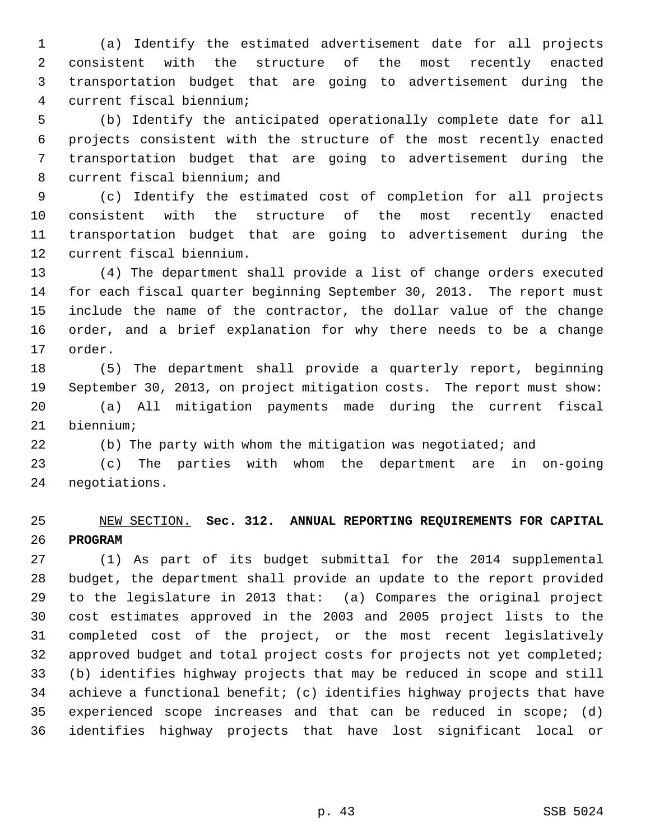1 (a) Identify the estimated advertisement date for all projects 2 consistent with the structure of the most recently enacted 3 transportation budget that are going to advertisement during the 4 current fiscal biennium;

 5 (b) Identify the anticipated operationally complete date for all 6 projects consistent with the structure of the most recently enacted 7 transportation budget that are going to advertisement during the 8 current fiscal biennium; and

 9 (c) Identify the estimated cost of completion for all projects 10 consistent with the structure of the most recently enacted 11 transportation budget that are going to advertisement during the 12 current fiscal biennium.

13 (4) The department shall provide a list of change orders executed 14 for each fiscal quarter beginning September 30, 2013. The report must 15 include the name of the contractor, the dollar value of the change 16 order, and a brief explanation for why there needs to be a change 17 order.

18 (5) The department shall provide a quarterly report, beginning 19 September 30, 2013, on project mitigation costs. The report must show: 20 (a) All mitigation payments made during the current fiscal 21 biennium;

22 (b) The party with whom the mitigation was negotiated; and

23 (c) The parties with whom the department are in on-going 24 negotiations.

### 25 NEW SECTION. **Sec. 312. ANNUAL REPORTING REQUIREMENTS FOR CAPITAL** 26 **PROGRAM**

27 (1) As part of its budget submittal for the 2014 supplemental 28 budget, the department shall provide an update to the report provided 29 to the legislature in 2013 that: (a) Compares the original project 30 cost estimates approved in the 2003 and 2005 project lists to the 31 completed cost of the project, or the most recent legislatively 32 approved budget and total project costs for projects not yet completed; 33 (b) identifies highway projects that may be reduced in scope and still 34 achieve a functional benefit; (c) identifies highway projects that have 35 experienced scope increases and that can be reduced in scope; (d) 36 identifies highway projects that have lost significant local or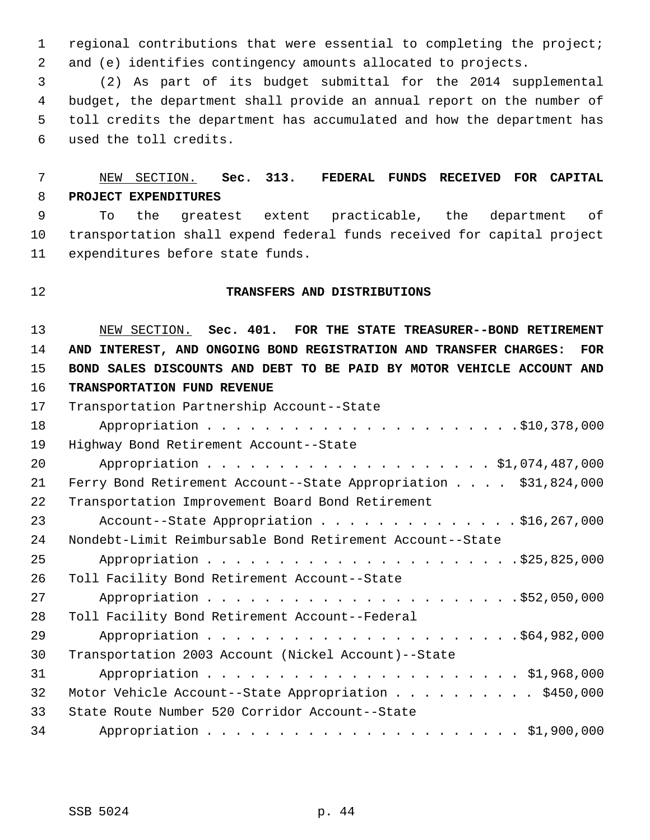1 regional contributions that were essential to completing the project; 2 and (e) identifies contingency amounts allocated to projects.

 3 (2) As part of its budget submittal for the 2014 supplemental 4 budget, the department shall provide an annual report on the number of 5 toll credits the department has accumulated and how the department has 6 used the toll credits.

# 7 NEW SECTION. **Sec. 313. FEDERAL FUNDS RECEIVED FOR CAPITAL** 8 **PROJECT EXPENDITURES**

 9 To the greatest extent practicable, the department of 10 transportation shall expend federal funds received for capital project 11 expenditures before state funds.

#### 12 **TRANSFERS AND DISTRIBUTIONS**

 NEW SECTION. **Sec. 401. FOR THE STATE TREASURER--BOND RETIREMENT AND INTEREST, AND ONGOING BOND REGISTRATION AND TRANSFER CHARGES: FOR BOND SALES DISCOUNTS AND DEBT TO BE PAID BY MOTOR VEHICLE ACCOUNT AND TRANSPORTATION FUND REVENUE** 17 Transportation Partnership Account--State

| 18 |                                                                 |
|----|-----------------------------------------------------------------|
| 19 | Highway Bond Retirement Account--State                          |
| 20 |                                                                 |
| 21 | Ferry Bond Retirement Account--State Appropriation \$31,824,000 |
| 22 | Transportation Improvement Board Bond Retirement                |
| 23 |                                                                 |
| 24 | Nondebt-Limit Reimbursable Bond Retirement Account--State       |
| 25 |                                                                 |
| 26 | Toll Facility Bond Retirement Account--State                    |
| 27 |                                                                 |
| 28 | Toll Facility Bond Retirement Account--Federal                  |
| 29 |                                                                 |
| 30 | Transportation 2003 Account (Nickel Account)--State             |
| 31 |                                                                 |
| 32 | Motor Vehicle Account--State Appropriation \$450,000            |
| 33 | State Route Number 520 Corridor Account--State                  |
| 34 |                                                                 |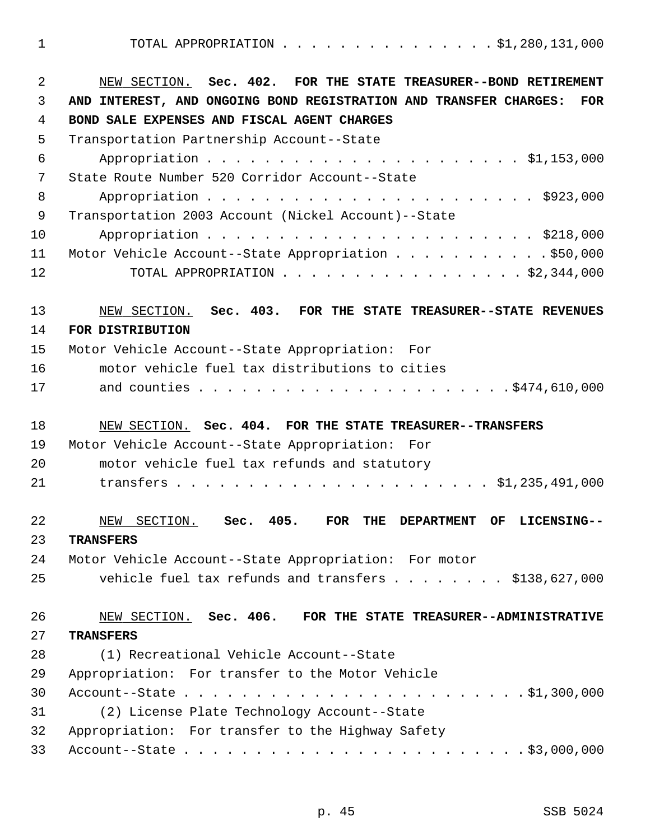1 TOTAL APPROPRIATION . . . . . . . . . . . . . . . \$1,280,131,000

| $\overline{2}$ | NEW SECTION. Sec. 402. FOR THE STATE TREASURER--BOND RETIREMENT                                |
|----------------|------------------------------------------------------------------------------------------------|
| 3              | AND INTEREST, AND ONGOING BOND REGISTRATION AND TRANSFER CHARGES:<br><b>FOR</b>                |
| 4              | BOND SALE EXPENSES AND FISCAL AGENT CHARGES                                                    |
| 5              | Transportation Partnership Account--State                                                      |
| 6              |                                                                                                |
| 7              | State Route Number 520 Corridor Account--State                                                 |
| 8              |                                                                                                |
| 9              | Transportation 2003 Account (Nickel Account)--State                                            |
| 10             |                                                                                                |
| 11             | Motor Vehicle Account--State Appropriation \$50,000                                            |
| 12             | TOTAL APPROPRIATION $\ldots$ , \$2,344,000                                                     |
|                |                                                                                                |
| 13<br>14       | NEW SECTION. Sec. 403. FOR THE STATE TREASURER--STATE REVENUES<br>FOR DISTRIBUTION             |
| 15             | Motor Vehicle Account--State Appropriation: For                                                |
| 16             | motor vehicle fuel tax distributions to cities                                                 |
| 17             |                                                                                                |
|                |                                                                                                |
| 18             | NEW SECTION. Sec. 404. FOR THE STATE TREASURER--TRANSFERS                                      |
| 19             | Motor Vehicle Account--State Appropriation: For                                                |
| 20             | motor vehicle fuel tax refunds and statutory                                                   |
| 21             |                                                                                                |
|                |                                                                                                |
| 22             | 405.<br>NEW<br>SECTION.<br>Sec.<br><b>FOR</b><br>THE<br><b>DEPARTMENT</b><br>OF<br>LICENSING-- |
| 23             | <b>TRANSFERS</b>                                                                               |
| 24             | Motor Vehicle Account--State Appropriation: For motor                                          |
| 25             | vehicle fuel tax refunds and transfers $\ldots$ \$138,627,000                                  |
| 26             | NEW SECTION. Sec. 406. FOR THE STATE TREASURER--ADMINISTRATIVE                                 |
| 27             | <b>TRANSFERS</b>                                                                               |
| 28             | (1) Recreational Vehicle Account--State                                                        |
| 29             | Appropriation: For transfer to the Motor Vehicle                                               |
| 30             |                                                                                                |
| 31             | (2) License Plate Technology Account--State                                                    |
| 32             | Appropriation: For transfer to the Highway Safety                                              |
| 33             |                                                                                                |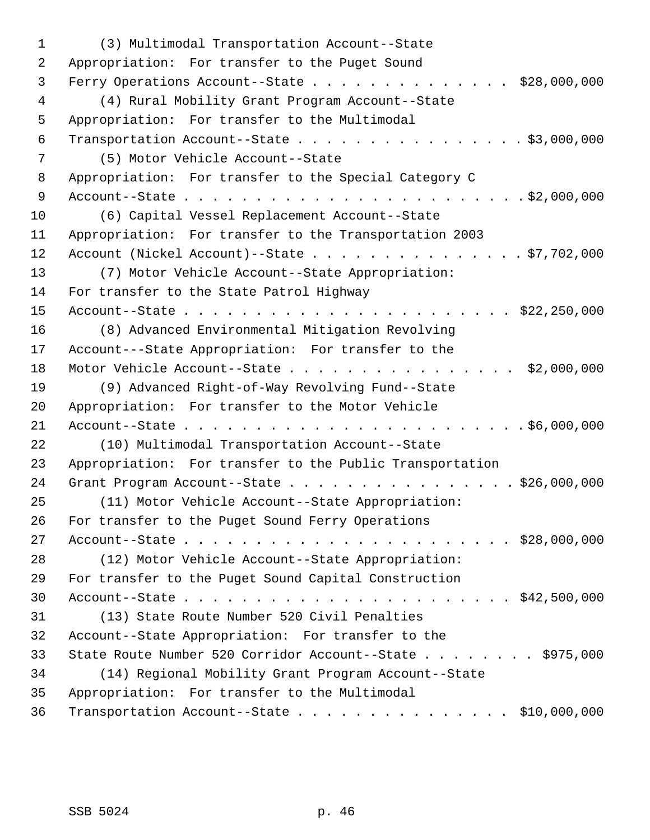1 (3) Multimodal Transportation Account--State 2 Appropriation: For transfer to the Puget Sound 3 Ferry Operations Account--State . . . . . . . . . . . . . . \$28,000,000 4 (4) Rural Mobility Grant Program Account--State 5 Appropriation: For transfer to the Multimodal 6 Transportation Account--State . . . . . . . . . . . . . . . . \$3,000,000 7 (5) Motor Vehicle Account--State 8 Appropriation: For transfer to the Special Category C 9 Account--State . . . . . . . . . . . . . . . . . . . . . . . . \$2,000,000 10 (6) Capital Vessel Replacement Account--State 11 Appropriation: For transfer to the Transportation 2003 12 Account (Nickel Account)--State . . . . . . . . . . . . . . . \$7,702,000 13 (7) Motor Vehicle Account--State Appropriation: 14 For transfer to the State Patrol Highway 15 Account--State . . . . . . . . . . . . . . . . . . . . . . . \$22,250,000 16 (8) Advanced Environmental Mitigation Revolving 17 Account---State Appropriation: For transfer to the 18 Motor Vehicle Account--State . . . . . . . . . . . . . . . . \$2,000,000 19 (9) Advanced Right-of-Way Revolving Fund--State 20 Appropriation: For transfer to the Motor Vehicle 21 Account--State . . . . . . . . . . . . . . . . . . . . . . . . \$6,000,000 22 (10) Multimodal Transportation Account--State 23 Appropriation: For transfer to the Public Transportation 24 Grant Program Account--State . . . . . . . . . . . . . . . . \$26,000,000 25 (11) Motor Vehicle Account--State Appropriation: 26 For transfer to the Puget Sound Ferry Operations 27 Account--State . . . . . . . . . . . . . . . . . . . . . . . \$28,000,000 28 (12) Motor Vehicle Account--State Appropriation: 29 For transfer to the Puget Sound Capital Construction 30 Account--State . . . . . . . . . . . . . . . . . . . . . . . \$42,500,000 31 (13) State Route Number 520 Civil Penalties 32 Account--State Appropriation: For transfer to the 33 State Route Number 520 Corridor Account--State . . . . . . . \$975,000 34 (14) Regional Mobility Grant Program Account--State 35 Appropriation: For transfer to the Multimodal 36 Transportation Account--State . . . . . . . . . . . . . . . \$10,000,000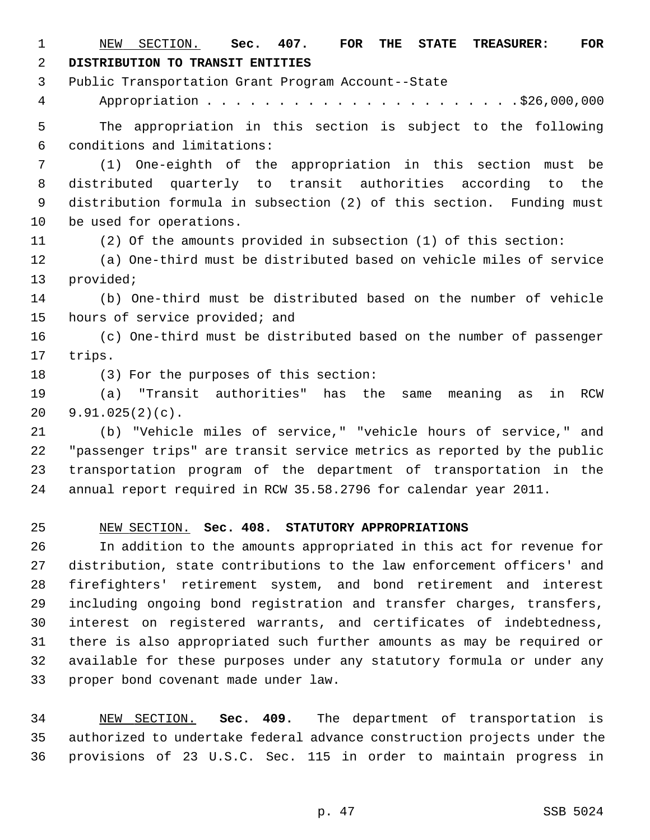1 NEW SECTION. **Sec. 407. FOR THE STATE TREASURER: FOR** 2 **DISTRIBUTION TO TRANSIT ENTITIES** 3 Public Transportation Grant Program Account--State 4 Appropriation . . . . . . . . . . . . . . . . . . . . . .\$26,000,000 5 The appropriation in this section is subject to the following 6 conditions and limitations: 7 (1) One-eighth of the appropriation in this section must be 8 distributed quarterly to transit authorities according to the 9 distribution formula in subsection (2) of this section. Funding must 10 be used for operations. 11 (2) Of the amounts provided in subsection (1) of this section: 12 (a) One-third must be distributed based on vehicle miles of service 13 provided; 14 (b) One-third must be distributed based on the number of vehicle 15 hours of service provided; and 16 (c) One-third must be distributed based on the number of passenger 17 trips. 18 (3) For the purposes of this section: 19 (a) "Transit authorities" has the same meaning as in RCW 20 9.91.025(2)(c). 21 (b) "Vehicle miles of service," "vehicle hours of service," and 22 "passenger trips" are transit service metrics as reported by the public 23 transportation program of the department of transportation in the 24 annual report required in RCW 35.58.2796 for calendar year 2011.

#### 25 NEW SECTION. **Sec. 408. STATUTORY APPROPRIATIONS**

26 In addition to the amounts appropriated in this act for revenue for 27 distribution, state contributions to the law enforcement officers' and 28 firefighters' retirement system, and bond retirement and interest 29 including ongoing bond registration and transfer charges, transfers, 30 interest on registered warrants, and certificates of indebtedness, 31 there is also appropriated such further amounts as may be required or 32 available for these purposes under any statutory formula or under any 33 proper bond covenant made under law.

34 NEW SECTION. **Sec. 409.** The department of transportation is 35 authorized to undertake federal advance construction projects under the 36 provisions of 23 U.S.C. Sec. 115 in order to maintain progress in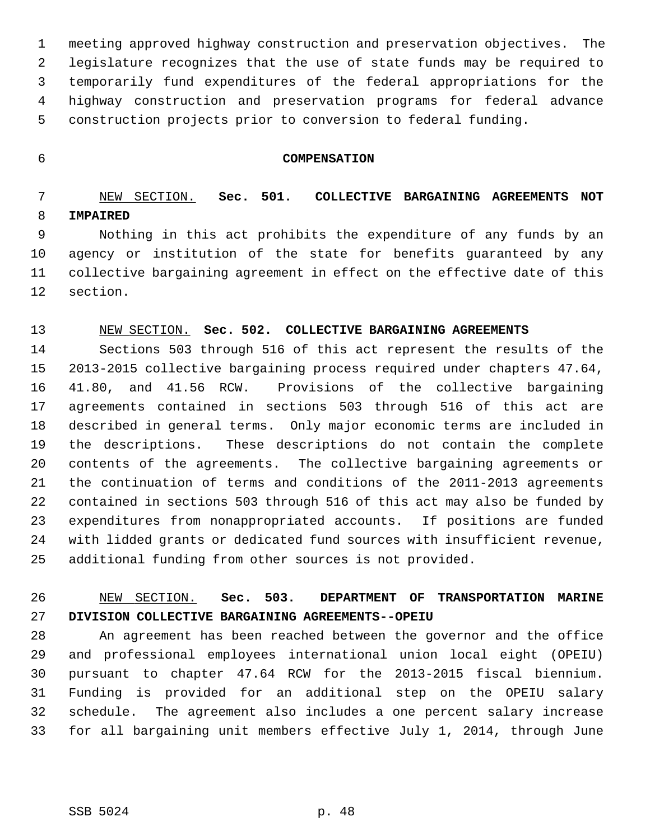1 meeting approved highway construction and preservation objectives. The 2 legislature recognizes that the use of state funds may be required to 3 temporarily fund expenditures of the federal appropriations for the 4 highway construction and preservation programs for federal advance 5 construction projects prior to conversion to federal funding.

#### 6 **COMPENSATION**

### 7 NEW SECTION. **Sec. 501. COLLECTIVE BARGAINING AGREEMENTS NOT** 8 **IMPAIRED**

 9 Nothing in this act prohibits the expenditure of any funds by an 10 agency or institution of the state for benefits guaranteed by any 11 collective bargaining agreement in effect on the effective date of this 12 section.

#### 13 NEW SECTION. **Sec. 502. COLLECTIVE BARGAINING AGREEMENTS**

14 Sections 503 through 516 of this act represent the results of the 15 2013-2015 collective bargaining process required under chapters 47.64, 16 41.80, and 41.56 RCW. Provisions of the collective bargaining 17 agreements contained in sections 503 through 516 of this act are 18 described in general terms. Only major economic terms are included in 19 the descriptions. These descriptions do not contain the complete 20 contents of the agreements. The collective bargaining agreements or 21 the continuation of terms and conditions of the 2011-2013 agreements 22 contained in sections 503 through 516 of this act may also be funded by 23 expenditures from nonappropriated accounts. If positions are funded 24 with lidded grants or dedicated fund sources with insufficient revenue, 25 additional funding from other sources is not provided.

### 26 NEW SECTION. **Sec. 503. DEPARTMENT OF TRANSPORTATION MARINE** 27 **DIVISION COLLECTIVE BARGAINING AGREEMENTS--OPEIU**

28 An agreement has been reached between the governor and the office 29 and professional employees international union local eight (OPEIU) 30 pursuant to chapter 47.64 RCW for the 2013-2015 fiscal biennium. 31 Funding is provided for an additional step on the OPEIU salary 32 schedule. The agreement also includes a one percent salary increase 33 for all bargaining unit members effective July 1, 2014, through June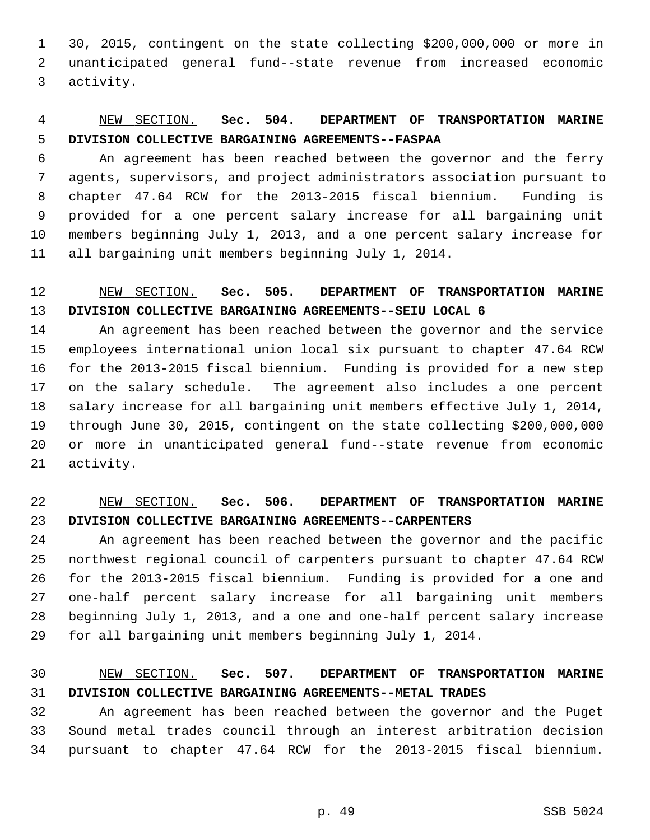1 30, 2015, contingent on the state collecting \$200,000,000 or more in 2 unanticipated general fund--state revenue from increased economic 3 activity.

# 4 NEW SECTION. **Sec. 504. DEPARTMENT OF TRANSPORTATION MARINE** 5 **DIVISION COLLECTIVE BARGAINING AGREEMENTS--FASPAA**

 6 An agreement has been reached between the governor and the ferry 7 agents, supervisors, and project administrators association pursuant to 8 chapter 47.64 RCW for the 2013-2015 fiscal biennium. Funding is 9 provided for a one percent salary increase for all bargaining unit 10 members beginning July 1, 2013, and a one percent salary increase for 11 all bargaining unit members beginning July 1, 2014.

# 12 NEW SECTION. **Sec. 505. DEPARTMENT OF TRANSPORTATION MARINE** 13 **DIVISION COLLECTIVE BARGAINING AGREEMENTS--SEIU LOCAL 6**

14 An agreement has been reached between the governor and the service 15 employees international union local six pursuant to chapter 47.64 RCW 16 for the 2013-2015 fiscal biennium. Funding is provided for a new step 17 on the salary schedule. The agreement also includes a one percent 18 salary increase for all bargaining unit members effective July 1, 2014, 19 through June 30, 2015, contingent on the state collecting \$200,000,000 20 or more in unanticipated general fund--state revenue from economic 21 activity.

# 22 NEW SECTION. **Sec. 506. DEPARTMENT OF TRANSPORTATION MARINE** 23 **DIVISION COLLECTIVE BARGAINING AGREEMENTS--CARPENTERS**

24 An agreement has been reached between the governor and the pacific 25 northwest regional council of carpenters pursuant to chapter 47.64 RCW 26 for the 2013-2015 fiscal biennium. Funding is provided for a one and 27 one-half percent salary increase for all bargaining unit members 28 beginning July 1, 2013, and a one and one-half percent salary increase 29 for all bargaining unit members beginning July 1, 2014.

### 30 NEW SECTION. **Sec. 507. DEPARTMENT OF TRANSPORTATION MARINE** 31 **DIVISION COLLECTIVE BARGAINING AGREEMENTS--METAL TRADES**

32 An agreement has been reached between the governor and the Puget 33 Sound metal trades council through an interest arbitration decision 34 pursuant to chapter 47.64 RCW for the 2013-2015 fiscal biennium.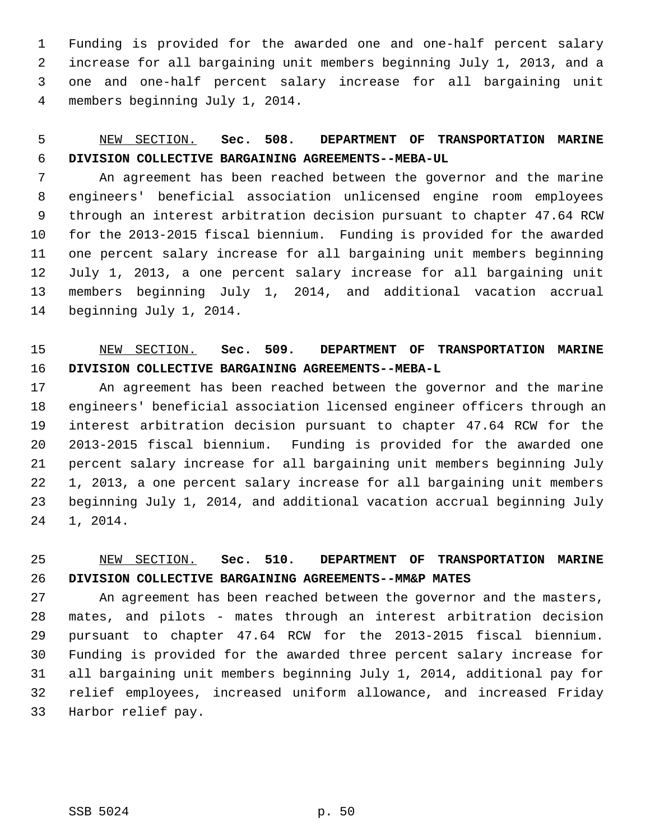1 Funding is provided for the awarded one and one-half percent salary 2 increase for all bargaining unit members beginning July 1, 2013, and a 3 one and one-half percent salary increase for all bargaining unit 4 members beginning July 1, 2014.

# 5 NEW SECTION. **Sec. 508. DEPARTMENT OF TRANSPORTATION MARINE** 6 **DIVISION COLLECTIVE BARGAINING AGREEMENTS--MEBA-UL**

 7 An agreement has been reached between the governor and the marine 8 engineers' beneficial association unlicensed engine room employees 9 through an interest arbitration decision pursuant to chapter 47.64 RCW 10 for the 2013-2015 fiscal biennium. Funding is provided for the awarded 11 one percent salary increase for all bargaining unit members beginning 12 July 1, 2013, a one percent salary increase for all bargaining unit 13 members beginning July 1, 2014, and additional vacation accrual 14 beginning July 1, 2014.

# 15 NEW SECTION. **Sec. 509. DEPARTMENT OF TRANSPORTATION MARINE** 16 **DIVISION COLLECTIVE BARGAINING AGREEMENTS--MEBA-L**

17 An agreement has been reached between the governor and the marine 18 engineers' beneficial association licensed engineer officers through an 19 interest arbitration decision pursuant to chapter 47.64 RCW for the 20 2013-2015 fiscal biennium. Funding is provided for the awarded one 21 percent salary increase for all bargaining unit members beginning July 22 1, 2013, a one percent salary increase for all bargaining unit members 23 beginning July 1, 2014, and additional vacation accrual beginning July 24 1, 2014.

# 25 NEW SECTION. **Sec. 510. DEPARTMENT OF TRANSPORTATION MARINE** 26 **DIVISION COLLECTIVE BARGAINING AGREEMENTS--MM&P MATES**

27 An agreement has been reached between the governor and the masters, 28 mates, and pilots - mates through an interest arbitration decision 29 pursuant to chapter 47.64 RCW for the 2013-2015 fiscal biennium. 30 Funding is provided for the awarded three percent salary increase for 31 all bargaining unit members beginning July 1, 2014, additional pay for 32 relief employees, increased uniform allowance, and increased Friday 33 Harbor relief pay.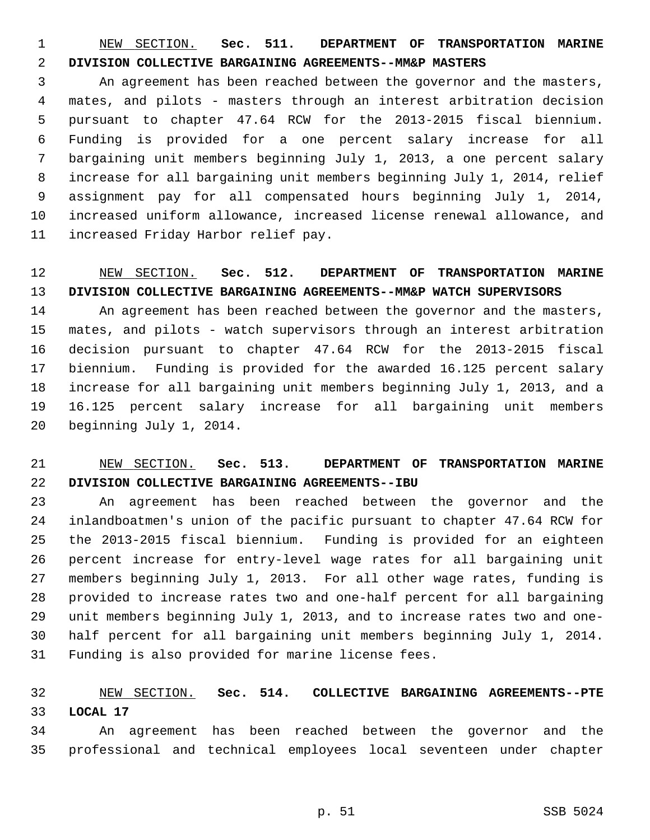1 NEW SECTION. **Sec. 511. DEPARTMENT OF TRANSPORTATION MARINE** 2 **DIVISION COLLECTIVE BARGAINING AGREEMENTS--MM&P MASTERS**

 3 An agreement has been reached between the governor and the masters, 4 mates, and pilots - masters through an interest arbitration decision 5 pursuant to chapter 47.64 RCW for the 2013-2015 fiscal biennium. 6 Funding is provided for a one percent salary increase for all 7 bargaining unit members beginning July 1, 2013, a one percent salary 8 increase for all bargaining unit members beginning July 1, 2014, relief 9 assignment pay for all compensated hours beginning July 1, 2014, 10 increased uniform allowance, increased license renewal allowance, and 11 increased Friday Harbor relief pay.

### 12 NEW SECTION. **Sec. 512. DEPARTMENT OF TRANSPORTATION MARINE** 13 **DIVISION COLLECTIVE BARGAINING AGREEMENTS--MM&P WATCH SUPERVISORS**

14 An agreement has been reached between the governor and the masters, 15 mates, and pilots - watch supervisors through an interest arbitration 16 decision pursuant to chapter 47.64 RCW for the 2013-2015 fiscal 17 biennium. Funding is provided for the awarded 16.125 percent salary 18 increase for all bargaining unit members beginning July 1, 2013, and a 19 16.125 percent salary increase for all bargaining unit members 20 beginning July 1, 2014.

# 21 NEW SECTION. **Sec. 513. DEPARTMENT OF TRANSPORTATION MARINE** 22 **DIVISION COLLECTIVE BARGAINING AGREEMENTS--IBU**

23 An agreement has been reached between the governor and the 24 inlandboatmen's union of the pacific pursuant to chapter 47.64 RCW for 25 the 2013-2015 fiscal biennium. Funding is provided for an eighteen 26 percent increase for entry-level wage rates for all bargaining unit 27 members beginning July 1, 2013. For all other wage rates, funding is 28 provided to increase rates two and one-half percent for all bargaining 29 unit members beginning July 1, 2013, and to increase rates two and one-30 half percent for all bargaining unit members beginning July 1, 2014. 31 Funding is also provided for marine license fees.

### 32 NEW SECTION. **Sec. 514. COLLECTIVE BARGAINING AGREEMENTS--PTE** 33 **LOCAL 17**

34 An agreement has been reached between the governor and the 35 professional and technical employees local seventeen under chapter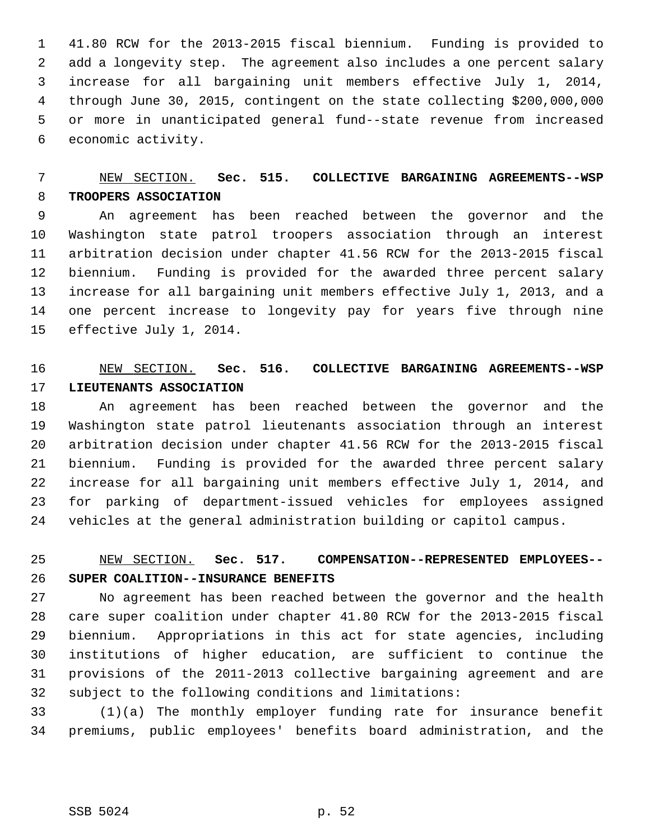1 41.80 RCW for the 2013-2015 fiscal biennium. Funding is provided to 2 add a longevity step. The agreement also includes a one percent salary 3 increase for all bargaining unit members effective July 1, 2014, 4 through June 30, 2015, contingent on the state collecting \$200,000,000 5 or more in unanticipated general fund--state revenue from increased 6 economic activity.

# 7 NEW SECTION. **Sec. 515. COLLECTIVE BARGAINING AGREEMENTS--WSP** 8 **TROOPERS ASSOCIATION**

 9 An agreement has been reached between the governor and the 10 Washington state patrol troopers association through an interest 11 arbitration decision under chapter 41.56 RCW for the 2013-2015 fiscal 12 biennium. Funding is provided for the awarded three percent salary 13 increase for all bargaining unit members effective July 1, 2013, and a 14 one percent increase to longevity pay for years five through nine 15 effective July 1, 2014.

### 16 NEW SECTION. **Sec. 516. COLLECTIVE BARGAINING AGREEMENTS--WSP** 17 **LIEUTENANTS ASSOCIATION**

18 An agreement has been reached between the governor and the 19 Washington state patrol lieutenants association through an interest 20 arbitration decision under chapter 41.56 RCW for the 2013-2015 fiscal 21 biennium. Funding is provided for the awarded three percent salary 22 increase for all bargaining unit members effective July 1, 2014, and 23 for parking of department-issued vehicles for employees assigned 24 vehicles at the general administration building or capitol campus.

# 25 NEW SECTION. **Sec. 517. COMPENSATION--REPRESENTED EMPLOYEES--** 26 **SUPER COALITION--INSURANCE BENEFITS**

27 No agreement has been reached between the governor and the health 28 care super coalition under chapter 41.80 RCW for the 2013-2015 fiscal 29 biennium. Appropriations in this act for state agencies, including 30 institutions of higher education, are sufficient to continue the 31 provisions of the 2011-2013 collective bargaining agreement and are 32 subject to the following conditions and limitations:

33 (1)(a) The monthly employer funding rate for insurance benefit 34 premiums, public employees' benefits board administration, and the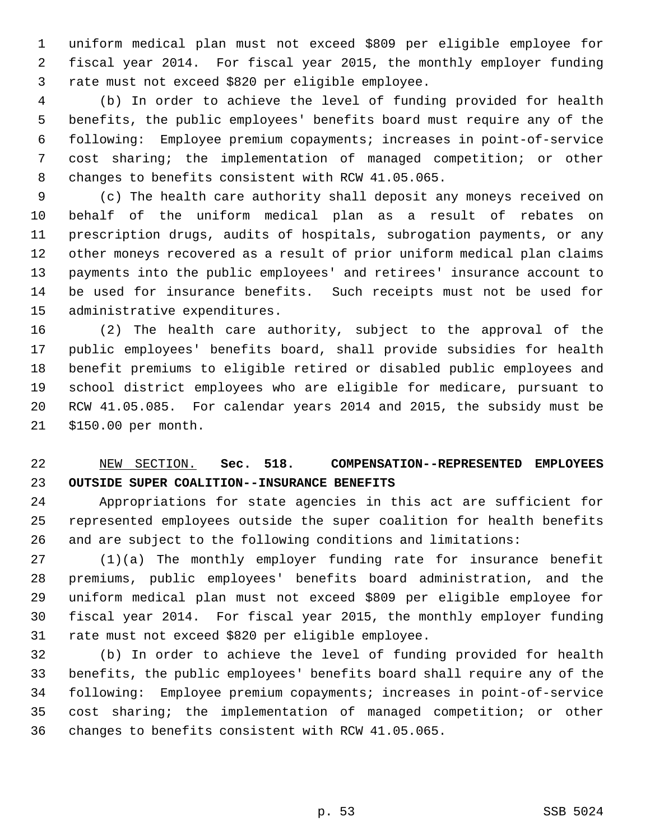1 uniform medical plan must not exceed \$809 per eligible employee for 2 fiscal year 2014. For fiscal year 2015, the monthly employer funding 3 rate must not exceed \$820 per eligible employee.

 4 (b) In order to achieve the level of funding provided for health 5 benefits, the public employees' benefits board must require any of the 6 following: Employee premium copayments; increases in point-of-service 7 cost sharing; the implementation of managed competition; or other 8 changes to benefits consistent with RCW 41.05.065.

 9 (c) The health care authority shall deposit any moneys received on 10 behalf of the uniform medical plan as a result of rebates on 11 prescription drugs, audits of hospitals, subrogation payments, or any 12 other moneys recovered as a result of prior uniform medical plan claims 13 payments into the public employees' and retirees' insurance account to 14 be used for insurance benefits. Such receipts must not be used for 15 administrative expenditures.

16 (2) The health care authority, subject to the approval of the 17 public employees' benefits board, shall provide subsidies for health 18 benefit premiums to eligible retired or disabled public employees and 19 school district employees who are eligible for medicare, pursuant to 20 RCW 41.05.085. For calendar years 2014 and 2015, the subsidy must be 21 \$150.00 per month.

# 22 NEW SECTION. **Sec. 518. COMPENSATION--REPRESENTED EMPLOYEES** 23 **OUTSIDE SUPER COALITION--INSURANCE BENEFITS**

24 Appropriations for state agencies in this act are sufficient for 25 represented employees outside the super coalition for health benefits 26 and are subject to the following conditions and limitations:

27 (1)(a) The monthly employer funding rate for insurance benefit 28 premiums, public employees' benefits board administration, and the 29 uniform medical plan must not exceed \$809 per eligible employee for 30 fiscal year 2014. For fiscal year 2015, the monthly employer funding 31 rate must not exceed \$820 per eligible employee.

32 (b) In order to achieve the level of funding provided for health 33 benefits, the public employees' benefits board shall require any of the 34 following: Employee premium copayments; increases in point-of-service 35 cost sharing; the implementation of managed competition; or other 36 changes to benefits consistent with RCW 41.05.065.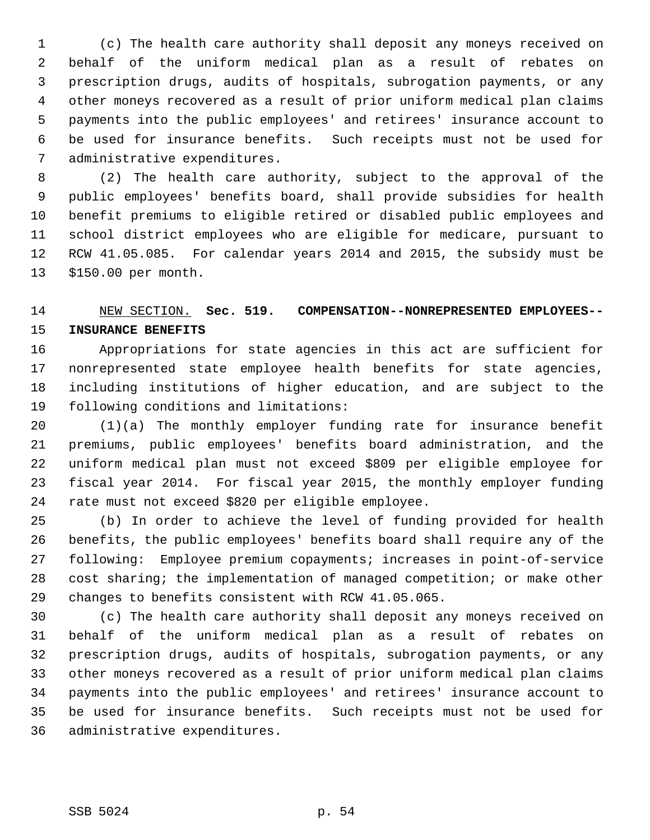1 (c) The health care authority shall deposit any moneys received on 2 behalf of the uniform medical plan as a result of rebates on 3 prescription drugs, audits of hospitals, subrogation payments, or any 4 other moneys recovered as a result of prior uniform medical plan claims 5 payments into the public employees' and retirees' insurance account to 6 be used for insurance benefits. Such receipts must not be used for 7 administrative expenditures.

 8 (2) The health care authority, subject to the approval of the 9 public employees' benefits board, shall provide subsidies for health 10 benefit premiums to eligible retired or disabled public employees and 11 school district employees who are eligible for medicare, pursuant to 12 RCW 41.05.085. For calendar years 2014 and 2015, the subsidy must be 13 \$150.00 per month.

# 14 NEW SECTION. **Sec. 519. COMPENSATION--NONREPRESENTED EMPLOYEES--** 15 **INSURANCE BENEFITS**

16 Appropriations for state agencies in this act are sufficient for 17 nonrepresented state employee health benefits for state agencies, 18 including institutions of higher education, and are subject to the 19 following conditions and limitations:

20 (1)(a) The monthly employer funding rate for insurance benefit 21 premiums, public employees' benefits board administration, and the 22 uniform medical plan must not exceed \$809 per eligible employee for 23 fiscal year 2014. For fiscal year 2015, the monthly employer funding 24 rate must not exceed \$820 per eligible employee.

25 (b) In order to achieve the level of funding provided for health 26 benefits, the public employees' benefits board shall require any of the 27 following: Employee premium copayments; increases in point-of-service 28 cost sharing; the implementation of managed competition; or make other 29 changes to benefits consistent with RCW 41.05.065.

30 (c) The health care authority shall deposit any moneys received on 31 behalf of the uniform medical plan as a result of rebates on 32 prescription drugs, audits of hospitals, subrogation payments, or any 33 other moneys recovered as a result of prior uniform medical plan claims 34 payments into the public employees' and retirees' insurance account to 35 be used for insurance benefits. Such receipts must not be used for 36 administrative expenditures.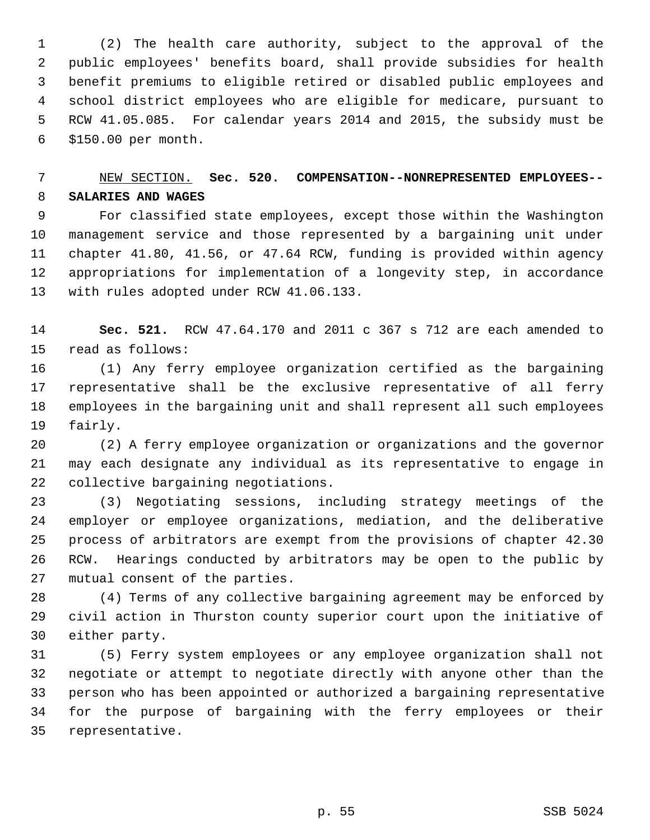1 (2) The health care authority, subject to the approval of the 2 public employees' benefits board, shall provide subsidies for health 3 benefit premiums to eligible retired or disabled public employees and 4 school district employees who are eligible for medicare, pursuant to 5 RCW 41.05.085. For calendar years 2014 and 2015, the subsidy must be 6 \$150.00 per month.

### 7 NEW SECTION. **Sec. 520. COMPENSATION--NONREPRESENTED EMPLOYEES--** 8 **SALARIES AND WAGES**

 9 For classified state employees, except those within the Washington 10 management service and those represented by a bargaining unit under 11 chapter 41.80, 41.56, or 47.64 RCW, funding is provided within agency 12 appropriations for implementation of a longevity step, in accordance 13 with rules adopted under RCW 41.06.133.

14 **Sec. 521.** RCW 47.64.170 and 2011 c 367 s 712 are each amended to 15 read as follows:

16 (1) Any ferry employee organization certified as the bargaining 17 representative shall be the exclusive representative of all ferry 18 employees in the bargaining unit and shall represent all such employees 19 fairly.

20 (2) A ferry employee organization or organizations and the governor 21 may each designate any individual as its representative to engage in 22 collective bargaining negotiations.

23 (3) Negotiating sessions, including strategy meetings of the 24 employer or employee organizations, mediation, and the deliberative 25 process of arbitrators are exempt from the provisions of chapter 42.30 26 RCW. Hearings conducted by arbitrators may be open to the public by 27 mutual consent of the parties.

28 (4) Terms of any collective bargaining agreement may be enforced by 29 civil action in Thurston county superior court upon the initiative of 30 either party.

31 (5) Ferry system employees or any employee organization shall not 32 negotiate or attempt to negotiate directly with anyone other than the 33 person who has been appointed or authorized a bargaining representative 34 for the purpose of bargaining with the ferry employees or their 35 representative.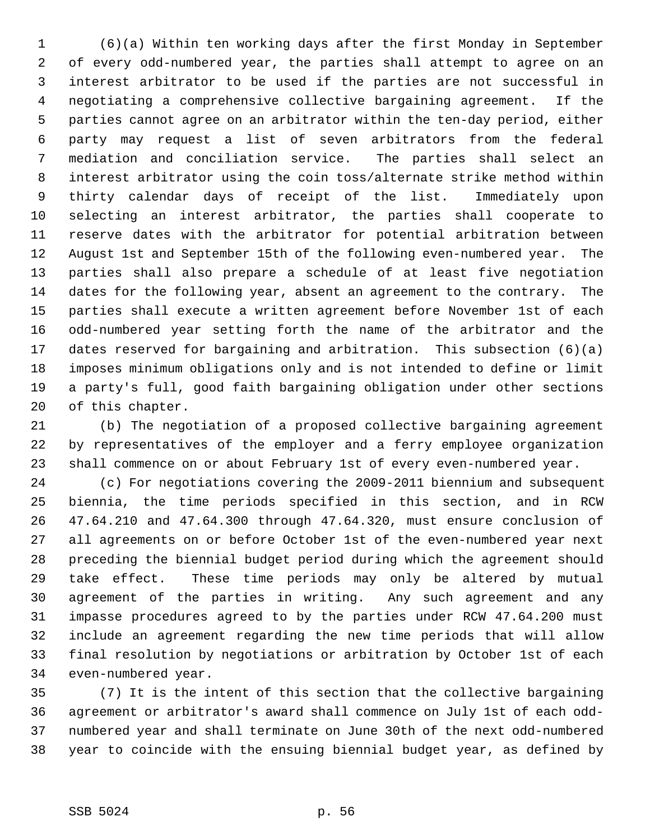1 (6)(a) Within ten working days after the first Monday in September 2 of every odd-numbered year, the parties shall attempt to agree on an 3 interest arbitrator to be used if the parties are not successful in 4 negotiating a comprehensive collective bargaining agreement. If the 5 parties cannot agree on an arbitrator within the ten-day period, either 6 party may request a list of seven arbitrators from the federal 7 mediation and conciliation service. The parties shall select an 8 interest arbitrator using the coin toss/alternate strike method within 9 thirty calendar days of receipt of the list. Immediately upon 10 selecting an interest arbitrator, the parties shall cooperate to 11 reserve dates with the arbitrator for potential arbitration between 12 August 1st and September 15th of the following even-numbered year. The 13 parties shall also prepare a schedule of at least five negotiation 14 dates for the following year, absent an agreement to the contrary. The 15 parties shall execute a written agreement before November 1st of each 16 odd-numbered year setting forth the name of the arbitrator and the 17 dates reserved for bargaining and arbitration. This subsection (6)(a) 18 imposes minimum obligations only and is not intended to define or limit 19 a party's full, good faith bargaining obligation under other sections 20 of this chapter.

21 (b) The negotiation of a proposed collective bargaining agreement 22 by representatives of the employer and a ferry employee organization 23 shall commence on or about February 1st of every even-numbered year.

24 (c) For negotiations covering the 2009-2011 biennium and subsequent 25 biennia, the time periods specified in this section, and in RCW 26 47.64.210 and 47.64.300 through 47.64.320, must ensure conclusion of 27 all agreements on or before October 1st of the even-numbered year next 28 preceding the biennial budget period during which the agreement should 29 take effect. These time periods may only be altered by mutual 30 agreement of the parties in writing. Any such agreement and any 31 impasse procedures agreed to by the parties under RCW 47.64.200 must 32 include an agreement regarding the new time periods that will allow 33 final resolution by negotiations or arbitration by October 1st of each 34 even-numbered year.

35 (7) It is the intent of this section that the collective bargaining 36 agreement or arbitrator's award shall commence on July 1st of each odd-37 numbered year and shall terminate on June 30th of the next odd-numbered 38 year to coincide with the ensuing biennial budget year, as defined by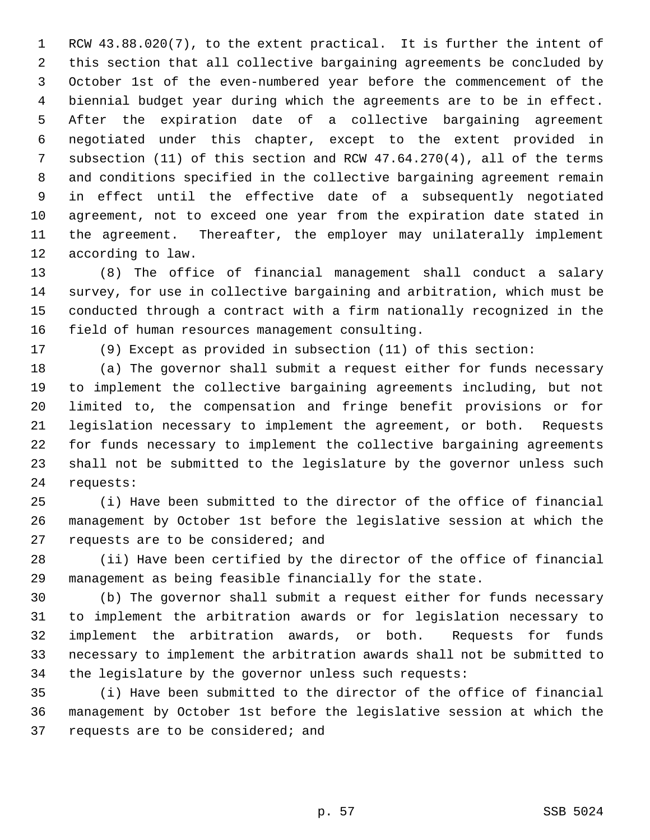1 RCW 43.88.020(7), to the extent practical. It is further the intent of 2 this section that all collective bargaining agreements be concluded by 3 October 1st of the even-numbered year before the commencement of the 4 biennial budget year during which the agreements are to be in effect. 5 After the expiration date of a collective bargaining agreement 6 negotiated under this chapter, except to the extent provided in 7 subsection (11) of this section and RCW 47.64.270(4), all of the terms 8 and conditions specified in the collective bargaining agreement remain 9 in effect until the effective date of a subsequently negotiated 10 agreement, not to exceed one year from the expiration date stated in 11 the agreement. Thereafter, the employer may unilaterally implement 12 according to law.

13 (8) The office of financial management shall conduct a salary 14 survey, for use in collective bargaining and arbitration, which must be 15 conducted through a contract with a firm nationally recognized in the 16 field of human resources management consulting.

17 (9) Except as provided in subsection (11) of this section:

18 (a) The governor shall submit a request either for funds necessary 19 to implement the collective bargaining agreements including, but not 20 limited to, the compensation and fringe benefit provisions or for 21 legislation necessary to implement the agreement, or both. Requests 22 for funds necessary to implement the collective bargaining agreements 23 shall not be submitted to the legislature by the governor unless such 24 requests:

25 (i) Have been submitted to the director of the office of financial 26 management by October 1st before the legislative session at which the 27 requests are to be considered; and

28 (ii) Have been certified by the director of the office of financial 29 management as being feasible financially for the state.

30 (b) The governor shall submit a request either for funds necessary 31 to implement the arbitration awards or for legislation necessary to 32 implement the arbitration awards, or both. Requests for funds 33 necessary to implement the arbitration awards shall not be submitted to 34 the legislature by the governor unless such requests:

35 (i) Have been submitted to the director of the office of financial 36 management by October 1st before the legislative session at which the 37 requests are to be considered; and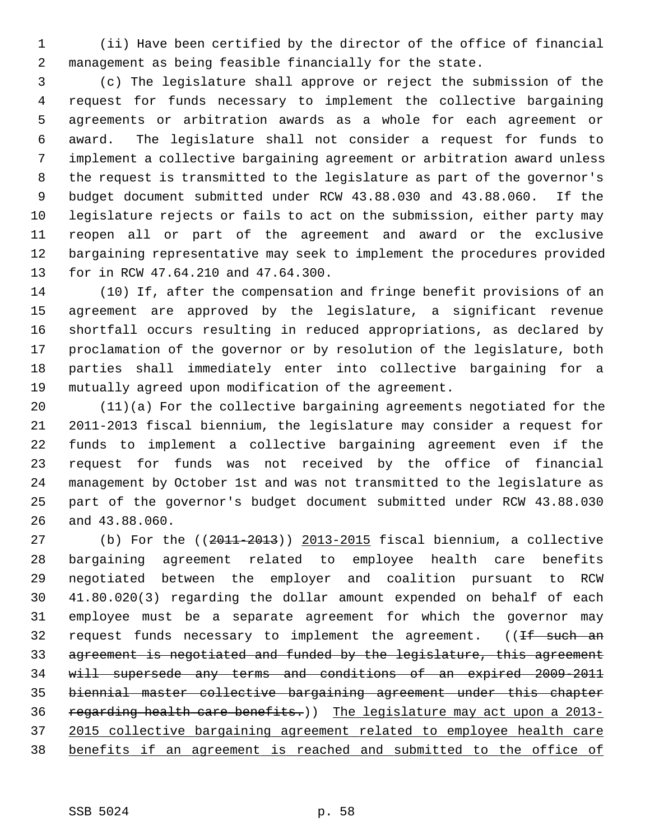1 (ii) Have been certified by the director of the office of financial 2 management as being feasible financially for the state.

 3 (c) The legislature shall approve or reject the submission of the 4 request for funds necessary to implement the collective bargaining 5 agreements or arbitration awards as a whole for each agreement or 6 award. The legislature shall not consider a request for funds to 7 implement a collective bargaining agreement or arbitration award unless 8 the request is transmitted to the legislature as part of the governor's 9 budget document submitted under RCW 43.88.030 and 43.88.060. If the 10 legislature rejects or fails to act on the submission, either party may 11 reopen all or part of the agreement and award or the exclusive 12 bargaining representative may seek to implement the procedures provided 13 for in RCW 47.64.210 and 47.64.300.

14 (10) If, after the compensation and fringe benefit provisions of an 15 agreement are approved by the legislature, a significant revenue 16 shortfall occurs resulting in reduced appropriations, as declared by 17 proclamation of the governor or by resolution of the legislature, both 18 parties shall immediately enter into collective bargaining for a 19 mutually agreed upon modification of the agreement.

20 (11)(a) For the collective bargaining agreements negotiated for the 21 2011-2013 fiscal biennium, the legislature may consider a request for 22 funds to implement a collective bargaining agreement even if the 23 request for funds was not received by the office of financial 24 management by October 1st and was not transmitted to the legislature as 25 part of the governor's budget document submitted under RCW 43.88.030 26 and 43.88.060.

27 (b) For the ((2011-2013)) 2013-2015 fiscal biennium, a collective 28 bargaining agreement related to employee health care benefits 29 negotiated between the employer and coalition pursuant to RCW 30 41.80.020(3) regarding the dollar amount expended on behalf of each 31 employee must be a separate agreement for which the governor may 32 request funds necessary to implement the agreement. ((If such an 33 agreement is negotiated and funded by the legislature, this agreement 34 will supersede any terms and conditions of an expired 2009-2011 35 biennial master collective bargaining agreement under this chapter 36 regarding health care benefits.)) The legislature may act upon a 2013-37 2015 collective bargaining agreement related to employee health care 38 benefits if an agreement is reached and submitted to the office of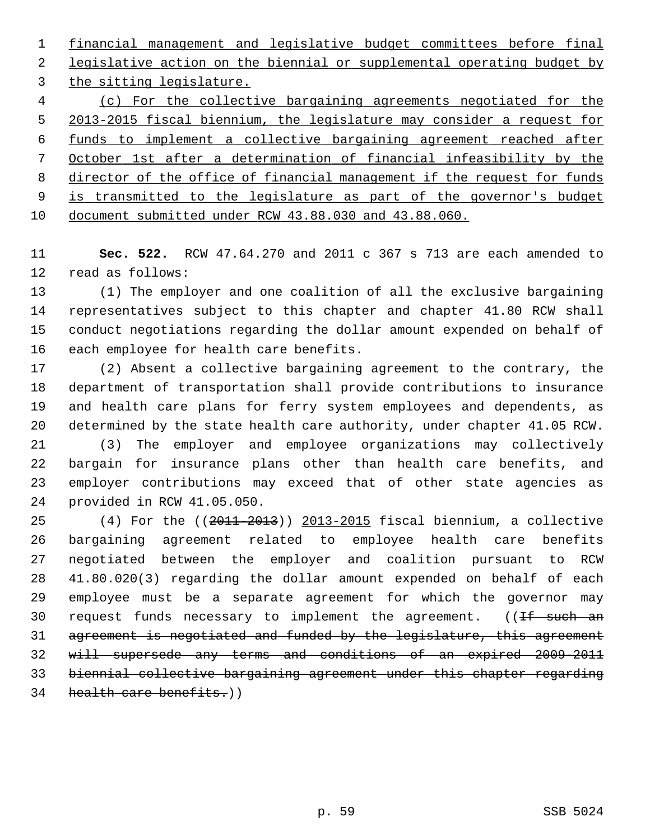financial management and legislative budget committees before final legislative action on the biennial or supplemental operating budget by the sitting legislature. (c) For the collective bargaining agreements negotiated for the 2013-2015 fiscal biennium, the legislature may consider a request for funds to implement a collective bargaining agreement reached after October 1st after a determination of financial infeasibility by the director of the office of financial management if the request for funds is transmitted to the legislature as part of the governor's budget

10 document submitted under RCW 43.88.030 and 43.88.060.

11 **Sec. 522.** RCW 47.64.270 and 2011 c 367 s 713 are each amended to 12 read as follows:

13 (1) The employer and one coalition of all the exclusive bargaining 14 representatives subject to this chapter and chapter 41.80 RCW shall 15 conduct negotiations regarding the dollar amount expended on behalf of 16 each employee for health care benefits.

17 (2) Absent a collective bargaining agreement to the contrary, the 18 department of transportation shall provide contributions to insurance 19 and health care plans for ferry system employees and dependents, as 20 determined by the state health care authority, under chapter 41.05 RCW.

21 (3) The employer and employee organizations may collectively 22 bargain for insurance plans other than health care benefits, and 23 employer contributions may exceed that of other state agencies as 24 provided in RCW 41.05.050.

25 (4) For the ((2011-2013)) 2013-2015 fiscal biennium, a collective 26 bargaining agreement related to employee health care benefits 27 negotiated between the employer and coalition pursuant to RCW 28 41.80.020(3) regarding the dollar amount expended on behalf of each 29 employee must be a separate agreement for which the governor may 30 request funds necessary to implement the agreement.  $(1f$  such an 31 agreement is negotiated and funded by the legislature, this agreement 32 will supersede any terms and conditions of an expired 2009-2011 33 biennial collective bargaining agreement under this chapter regarding 34 health care benefits.)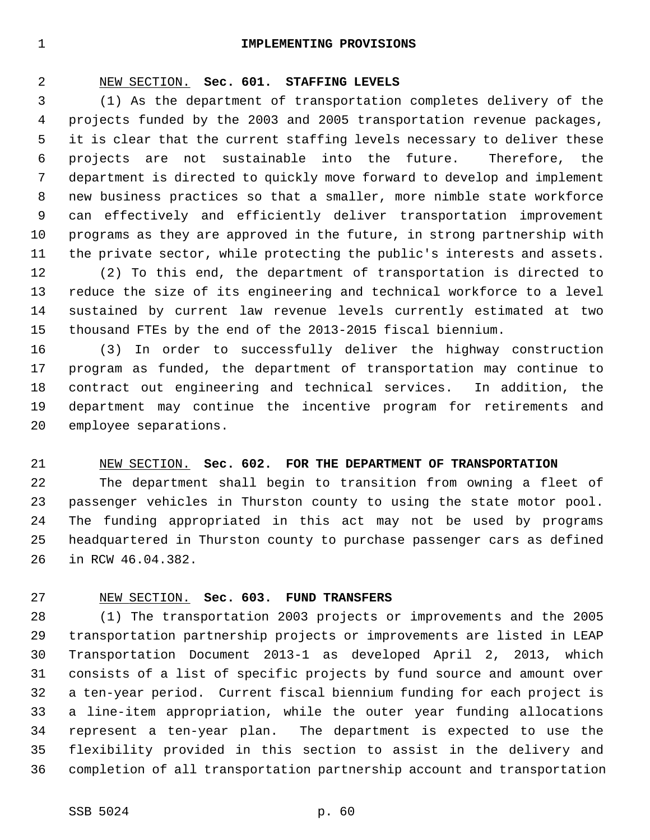#### 1 **IMPLEMENTING PROVISIONS**

#### 2 NEW SECTION. **Sec. 601. STAFFING LEVELS**

 3 (1) As the department of transportation completes delivery of the 4 projects funded by the 2003 and 2005 transportation revenue packages, 5 it is clear that the current staffing levels necessary to deliver these 6 projects are not sustainable into the future. Therefore, the 7 department is directed to quickly move forward to develop and implement 8 new business practices so that a smaller, more nimble state workforce 9 can effectively and efficiently deliver transportation improvement 10 programs as they are approved in the future, in strong partnership with 11 the private sector, while protecting the public's interests and assets.

12 (2) To this end, the department of transportation is directed to 13 reduce the size of its engineering and technical workforce to a level 14 sustained by current law revenue levels currently estimated at two 15 thousand FTEs by the end of the 2013-2015 fiscal biennium.

16 (3) In order to successfully deliver the highway construction 17 program as funded, the department of transportation may continue to 18 contract out engineering and technical services. In addition, the 19 department may continue the incentive program for retirements and 20 employee separations.

#### 21 NEW SECTION. **Sec. 602. FOR THE DEPARTMENT OF TRANSPORTATION**

22 The department shall begin to transition from owning a fleet of 23 passenger vehicles in Thurston county to using the state motor pool. 24 The funding appropriated in this act may not be used by programs 25 headquartered in Thurston county to purchase passenger cars as defined 26 in RCW 46.04.382.

#### 27 NEW SECTION. **Sec. 603. FUND TRANSFERS**

28 (1) The transportation 2003 projects or improvements and the 2005 29 transportation partnership projects or improvements are listed in LEAP 30 Transportation Document 2013-1 as developed April 2, 2013, which 31 consists of a list of specific projects by fund source and amount over 32 a ten-year period. Current fiscal biennium funding for each project is 33 a line-item appropriation, while the outer year funding allocations 34 represent a ten-year plan. The department is expected to use the 35 flexibility provided in this section to assist in the delivery and 36 completion of all transportation partnership account and transportation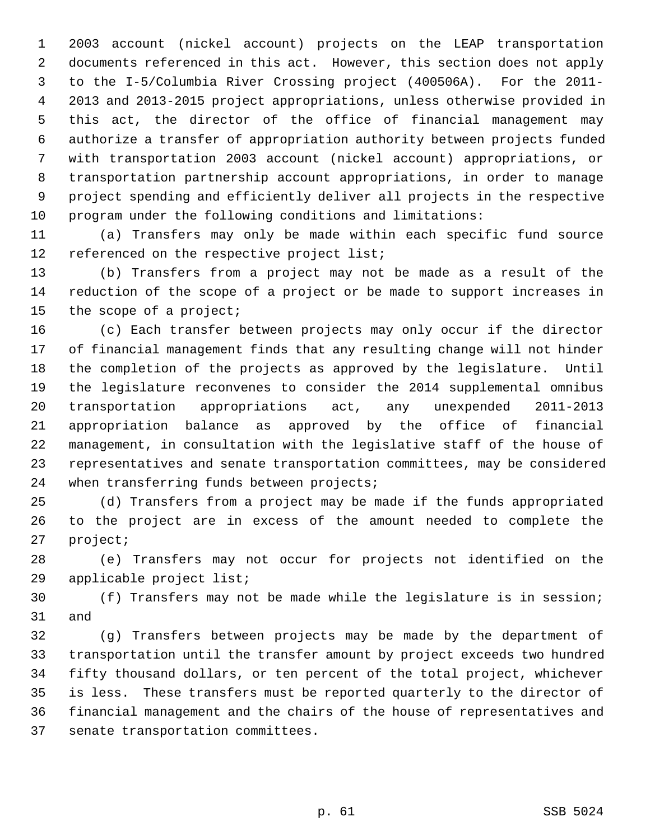1 2003 account (nickel account) projects on the LEAP transportation 2 documents referenced in this act. However, this section does not apply 3 to the I-5/Columbia River Crossing project (400506A). For the 2011- 4 2013 and 2013-2015 project appropriations, unless otherwise provided in 5 this act, the director of the office of financial management may 6 authorize a transfer of appropriation authority between projects funded 7 with transportation 2003 account (nickel account) appropriations, or 8 transportation partnership account appropriations, in order to manage 9 project spending and efficiently deliver all projects in the respective 10 program under the following conditions and limitations:

11 (a) Transfers may only be made within each specific fund source 12 referenced on the respective project list;

13 (b) Transfers from a project may not be made as a result of the 14 reduction of the scope of a project or be made to support increases in 15 the scope of a project;

16 (c) Each transfer between projects may only occur if the director 17 of financial management finds that any resulting change will not hinder 18 the completion of the projects as approved by the legislature. Until 19 the legislature reconvenes to consider the 2014 supplemental omnibus 20 transportation appropriations act, any unexpended 2011-2013 21 appropriation balance as approved by the office of financial 22 management, in consultation with the legislative staff of the house of 23 representatives and senate transportation committees, may be considered 24 when transferring funds between projects;

25 (d) Transfers from a project may be made if the funds appropriated 26 to the project are in excess of the amount needed to complete the 27 project;

28 (e) Transfers may not occur for projects not identified on the 29 applicable project list;

30 (f) Transfers may not be made while the legislature is in session; 31 and

32 (g) Transfers between projects may be made by the department of 33 transportation until the transfer amount by project exceeds two hundred 34 fifty thousand dollars, or ten percent of the total project, whichever 35 is less. These transfers must be reported quarterly to the director of 36 financial management and the chairs of the house of representatives and 37 senate transportation committees.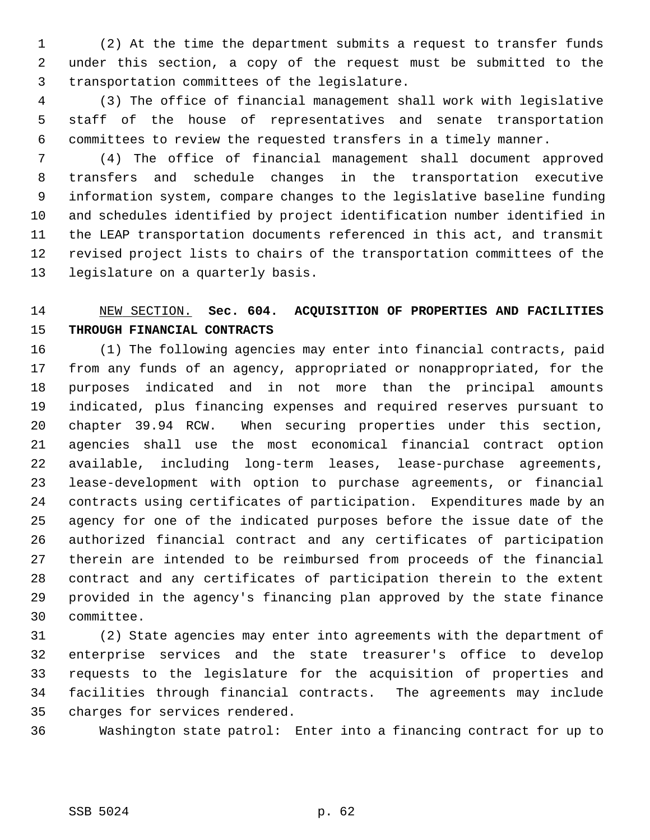1 (2) At the time the department submits a request to transfer funds 2 under this section, a copy of the request must be submitted to the 3 transportation committees of the legislature.

 4 (3) The office of financial management shall work with legislative 5 staff of the house of representatives and senate transportation 6 committees to review the requested transfers in a timely manner.

 7 (4) The office of financial management shall document approved 8 transfers and schedule changes in the transportation executive 9 information system, compare changes to the legislative baseline funding 10 and schedules identified by project identification number identified in 11 the LEAP transportation documents referenced in this act, and transmit 12 revised project lists to chairs of the transportation committees of the 13 legislature on a quarterly basis.

# 14 NEW SECTION. **Sec. 604. ACQUISITION OF PROPERTIES AND FACILITIES** 15 **THROUGH FINANCIAL CONTRACTS**

16 (1) The following agencies may enter into financial contracts, paid 17 from any funds of an agency, appropriated or nonappropriated, for the 18 purposes indicated and in not more than the principal amounts 19 indicated, plus financing expenses and required reserves pursuant to 20 chapter 39.94 RCW. When securing properties under this section, 21 agencies shall use the most economical financial contract option 22 available, including long-term leases, lease-purchase agreements, 23 lease-development with option to purchase agreements, or financial 24 contracts using certificates of participation. Expenditures made by an 25 agency for one of the indicated purposes before the issue date of the 26 authorized financial contract and any certificates of participation 27 therein are intended to be reimbursed from proceeds of the financial 28 contract and any certificates of participation therein to the extent 29 provided in the agency's financing plan approved by the state finance 30 committee.

31 (2) State agencies may enter into agreements with the department of 32 enterprise services and the state treasurer's office to develop 33 requests to the legislature for the acquisition of properties and 34 facilities through financial contracts. The agreements may include 35 charges for services rendered.

36 Washington state patrol: Enter into a financing contract for up to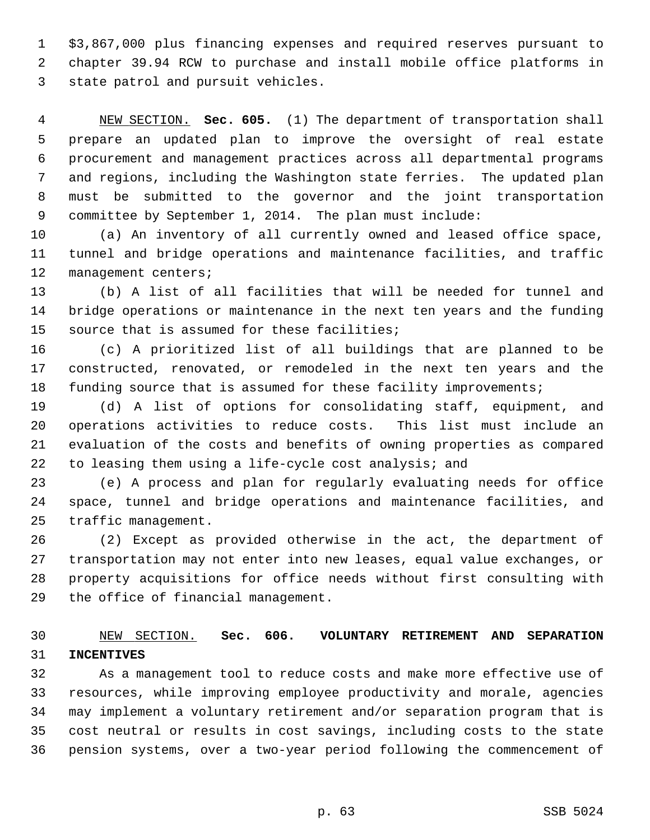1 \$3,867,000 plus financing expenses and required reserves pursuant to 2 chapter 39.94 RCW to purchase and install mobile office platforms in 3 state patrol and pursuit vehicles.

 4 NEW SECTION. **Sec. 605.** (1) The department of transportation shall 5 prepare an updated plan to improve the oversight of real estate 6 procurement and management practices across all departmental programs 7 and regions, including the Washington state ferries. The updated plan 8 must be submitted to the governor and the joint transportation 9 committee by September 1, 2014. The plan must include:

10 (a) An inventory of all currently owned and leased office space, 11 tunnel and bridge operations and maintenance facilities, and traffic 12 management centers;

13 (b) A list of all facilities that will be needed for tunnel and 14 bridge operations or maintenance in the next ten years and the funding 15 source that is assumed for these facilities;

16 (c) A prioritized list of all buildings that are planned to be 17 constructed, renovated, or remodeled in the next ten years and the 18 funding source that is assumed for these facility improvements;

19 (d) A list of options for consolidating staff, equipment, and 20 operations activities to reduce costs. This list must include an 21 evaluation of the costs and benefits of owning properties as compared 22 to leasing them using a life-cycle cost analysis; and

23 (e) A process and plan for regularly evaluating needs for office 24 space, tunnel and bridge operations and maintenance facilities, and 25 traffic management.

26 (2) Except as provided otherwise in the act, the department of 27 transportation may not enter into new leases, equal value exchanges, or 28 property acquisitions for office needs without first consulting with 29 the office of financial management.

#### 30 NEW SECTION. **Sec. 606. VOLUNTARY RETIREMENT AND SEPARATION** 31 **INCENTIVES**

32 As a management tool to reduce costs and make more effective use of 33 resources, while improving employee productivity and morale, agencies 34 may implement a voluntary retirement and/or separation program that is 35 cost neutral or results in cost savings, including costs to the state 36 pension systems, over a two-year period following the commencement of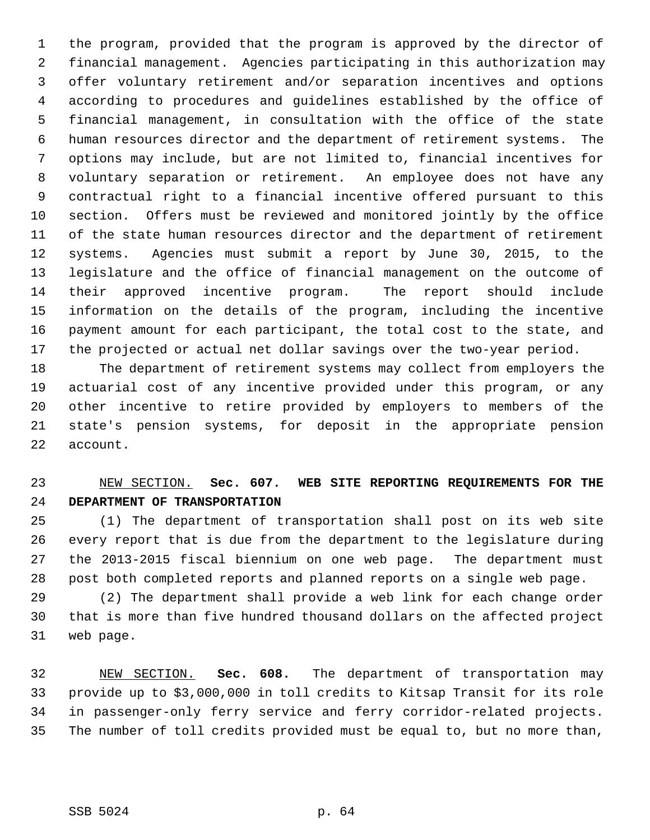1 the program, provided that the program is approved by the director of 2 financial management. Agencies participating in this authorization may 3 offer voluntary retirement and/or separation incentives and options 4 according to procedures and guidelines established by the office of 5 financial management, in consultation with the office of the state 6 human resources director and the department of retirement systems. The 7 options may include, but are not limited to, financial incentives for 8 voluntary separation or retirement. An employee does not have any 9 contractual right to a financial incentive offered pursuant to this 10 section. Offers must be reviewed and monitored jointly by the office 11 of the state human resources director and the department of retirement 12 systems. Agencies must submit a report by June 30, 2015, to the 13 legislature and the office of financial management on the outcome of 14 their approved incentive program. The report should include 15 information on the details of the program, including the incentive 16 payment amount for each participant, the total cost to the state, and 17 the projected or actual net dollar savings over the two-year period.

18 The department of retirement systems may collect from employers the 19 actuarial cost of any incentive provided under this program, or any 20 other incentive to retire provided by employers to members of the 21 state's pension systems, for deposit in the appropriate pension 22 account.

### 23 NEW SECTION. **Sec. 607. WEB SITE REPORTING REQUIREMENTS FOR THE** 24 **DEPARTMENT OF TRANSPORTATION**

25 (1) The department of transportation shall post on its web site 26 every report that is due from the department to the legislature during 27 the 2013-2015 fiscal biennium on one web page. The department must 28 post both completed reports and planned reports on a single web page.

29 (2) The department shall provide a web link for each change order 30 that is more than five hundred thousand dollars on the affected project 31 web page.

32 NEW SECTION. **Sec. 608.** The department of transportation may 33 provide up to \$3,000,000 in toll credits to Kitsap Transit for its role 34 in passenger-only ferry service and ferry corridor-related projects. 35 The number of toll credits provided must be equal to, but no more than,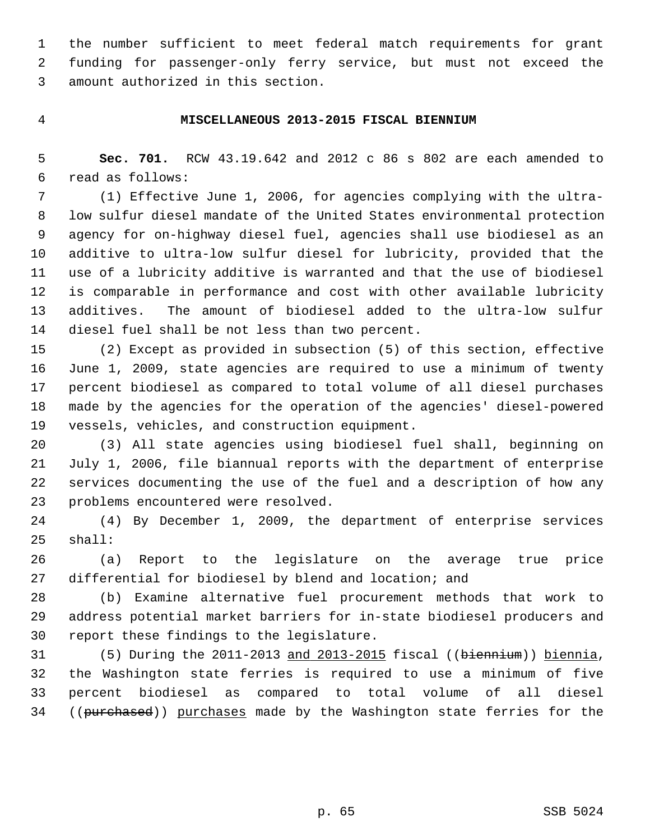1 the number sufficient to meet federal match requirements for grant 2 funding for passenger-only ferry service, but must not exceed the 3 amount authorized in this section.

#### 4 **MISCELLANEOUS 2013-2015 FISCAL BIENNIUM**

 5 **Sec. 701.** RCW 43.19.642 and 2012 c 86 s 802 are each amended to 6 read as follows:

 7 (1) Effective June 1, 2006, for agencies complying with the ultra- 8 low sulfur diesel mandate of the United States environmental protection 9 agency for on-highway diesel fuel, agencies shall use biodiesel as an 10 additive to ultra-low sulfur diesel for lubricity, provided that the 11 use of a lubricity additive is warranted and that the use of biodiesel 12 is comparable in performance and cost with other available lubricity 13 additives. The amount of biodiesel added to the ultra-low sulfur 14 diesel fuel shall be not less than two percent.

15 (2) Except as provided in subsection (5) of this section, effective 16 June 1, 2009, state agencies are required to use a minimum of twenty 17 percent biodiesel as compared to total volume of all diesel purchases 18 made by the agencies for the operation of the agencies' diesel-powered 19 vessels, vehicles, and construction equipment.

20 (3) All state agencies using biodiesel fuel shall, beginning on 21 July 1, 2006, file biannual reports with the department of enterprise 22 services documenting the use of the fuel and a description of how any 23 problems encountered were resolved.

24 (4) By December 1, 2009, the department of enterprise services 25 shall:

26 (a) Report to the legislature on the average true price 27 differential for biodiesel by blend and location; and

28 (b) Examine alternative fuel procurement methods that work to 29 address potential market barriers for in-state biodiesel producers and 30 report these findings to the legislature.

31 (5) During the 2011-2013 and 2013-2015 fiscal ((biennium)) biennia, 32 the Washington state ferries is required to use a minimum of five 33 percent biodiesel as compared to total volume of all diesel 34 ((purchased)) purchases made by the Washington state ferries for the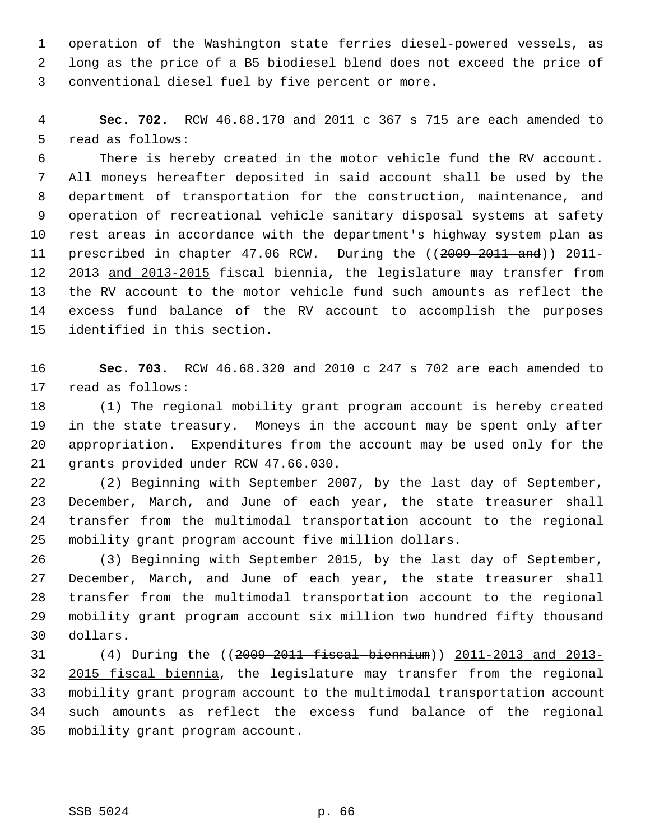1 operation of the Washington state ferries diesel-powered vessels, as 2 long as the price of a B5 biodiesel blend does not exceed the price of 3 conventional diesel fuel by five percent or more.

 4 **Sec. 702.** RCW 46.68.170 and 2011 c 367 s 715 are each amended to 5 read as follows:

 6 There is hereby created in the motor vehicle fund the RV account. 7 All moneys hereafter deposited in said account shall be used by the 8 department of transportation for the construction, maintenance, and 9 operation of recreational vehicle sanitary disposal systems at safety 10 rest areas in accordance with the department's highway system plan as 11 prescribed in chapter 47.06 RCW. During the ((2009-2011 and)) 2011-12 2013 and 2013-2015 fiscal biennia, the legislature may transfer from 13 the RV account to the motor vehicle fund such amounts as reflect the 14 excess fund balance of the RV account to accomplish the purposes 15 identified in this section.

16 **Sec. 703.** RCW 46.68.320 and 2010 c 247 s 702 are each amended to 17 read as follows:

18 (1) The regional mobility grant program account is hereby created 19 in the state treasury. Moneys in the account may be spent only after 20 appropriation. Expenditures from the account may be used only for the 21 grants provided under RCW 47.66.030.

22 (2) Beginning with September 2007, by the last day of September, 23 December, March, and June of each year, the state treasurer shall 24 transfer from the multimodal transportation account to the regional 25 mobility grant program account five million dollars.

26 (3) Beginning with September 2015, by the last day of September, 27 December, March, and June of each year, the state treasurer shall 28 transfer from the multimodal transportation account to the regional 29 mobility grant program account six million two hundred fifty thousand 30 dollars.

31 (4) During the ((2009-2011 fiscal biennium)) 2011-2013 and 2013- 32 2015 fiscal biennia, the legislature may transfer from the regional 33 mobility grant program account to the multimodal transportation account 34 such amounts as reflect the excess fund balance of the regional 35 mobility grant program account.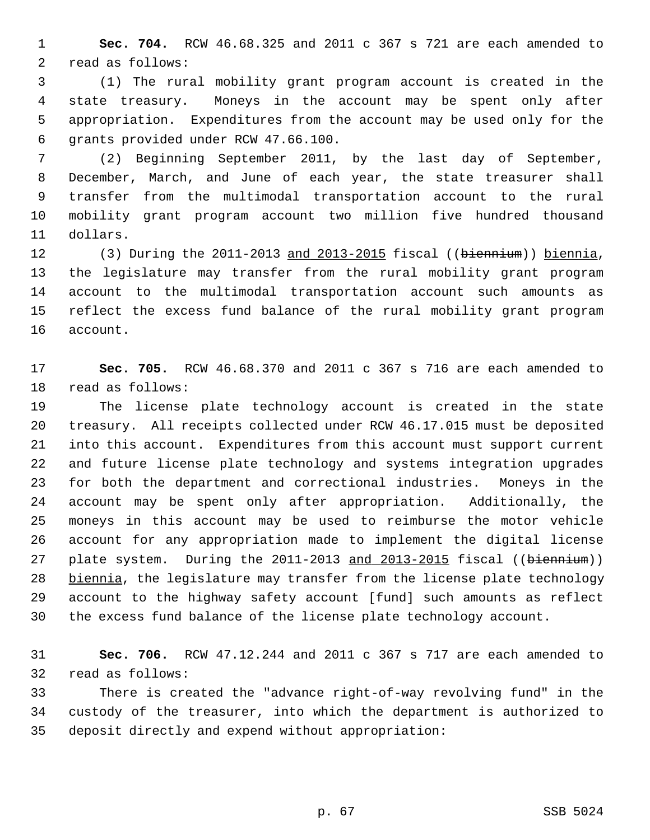1 **Sec. 704.** RCW 46.68.325 and 2011 c 367 s 721 are each amended to 2 read as follows:

 3 (1) The rural mobility grant program account is created in the 4 state treasury. Moneys in the account may be spent only after 5 appropriation. Expenditures from the account may be used only for the 6 grants provided under RCW 47.66.100.

 7 (2) Beginning September 2011, by the last day of September, 8 December, March, and June of each year, the state treasurer shall 9 transfer from the multimodal transportation account to the rural 10 mobility grant program account two million five hundred thousand 11 dollars.

12 (3) During the 2011-2013 and 2013-2015 fiscal ((biennium)) biennia, 13 the legislature may transfer from the rural mobility grant program 14 account to the multimodal transportation account such amounts as 15 reflect the excess fund balance of the rural mobility grant program 16 account.

17 **Sec. 705.** RCW 46.68.370 and 2011 c 367 s 716 are each amended to 18 read as follows:

19 The license plate technology account is created in the state 20 treasury. All receipts collected under RCW 46.17.015 must be deposited 21 into this account. Expenditures from this account must support current 22 and future license plate technology and systems integration upgrades 23 for both the department and correctional industries. Moneys in the 24 account may be spent only after appropriation. Additionally, the 25 moneys in this account may be used to reimburse the motor vehicle 26 account for any appropriation made to implement the digital license 27 plate system. During the 2011-2013 and 2013-2015 fiscal ((biennium)) 28 biennia, the legislature may transfer from the license plate technology 29 account to the highway safety account [fund] such amounts as reflect 30 the excess fund balance of the license plate technology account.

31 **Sec. 706.** RCW 47.12.244 and 2011 c 367 s 717 are each amended to 32 read as follows:

33 There is created the "advance right-of-way revolving fund" in the 34 custody of the treasurer, into which the department is authorized to 35 deposit directly and expend without appropriation: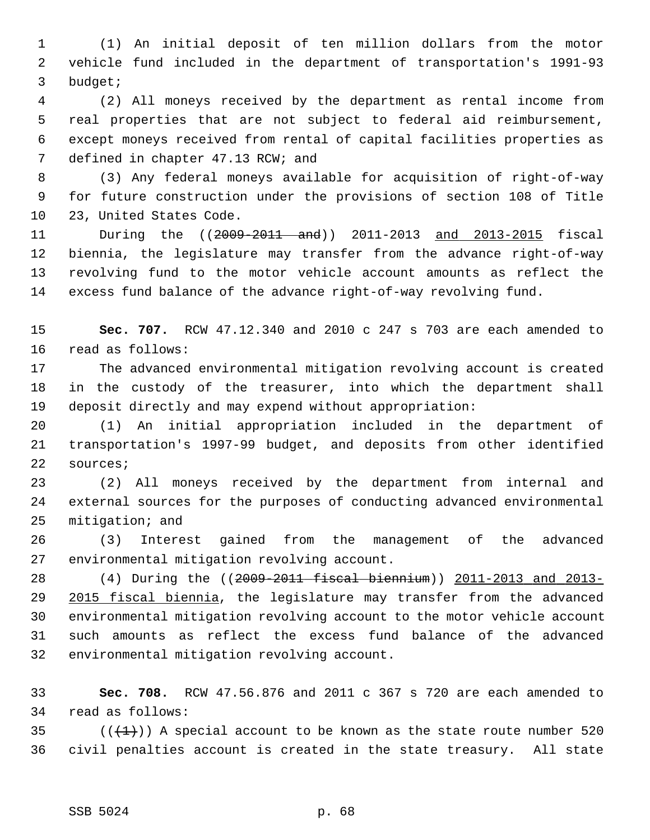1 (1) An initial deposit of ten million dollars from the motor 2 vehicle fund included in the department of transportation's 1991-93 3 budget;

 4 (2) All moneys received by the department as rental income from 5 real properties that are not subject to federal aid reimbursement, 6 except moneys received from rental of capital facilities properties as 7 defined in chapter 47.13 RCW; and

 8 (3) Any federal moneys available for acquisition of right-of-way 9 for future construction under the provisions of section 108 of Title 10 23, United States Code.

11 During the ((2009-2011 and)) 2011-2013 and 2013-2015 fiscal 12 biennia, the legislature may transfer from the advance right-of-way 13 revolving fund to the motor vehicle account amounts as reflect the 14 excess fund balance of the advance right-of-way revolving fund.

15 **Sec. 707.** RCW 47.12.340 and 2010 c 247 s 703 are each amended to 16 read as follows:

17 The advanced environmental mitigation revolving account is created 18 in the custody of the treasurer, into which the department shall 19 deposit directly and may expend without appropriation:

20 (1) An initial appropriation included in the department of 21 transportation's 1997-99 budget, and deposits from other identified 22 sources;

23 (2) All moneys received by the department from internal and 24 external sources for the purposes of conducting advanced environmental 25 mitigation; and

26 (3) Interest gained from the management of the advanced 27 environmental mitigation revolving account.

28 (4) During the ((2009-2011 fiscal biennium)) 2011-2013 and 2013-29 2015 fiscal biennia, the legislature may transfer from the advanced 30 environmental mitigation revolving account to the motor vehicle account 31 such amounts as reflect the excess fund balance of the advanced 32 environmental mitigation revolving account.

33 **Sec. 708.** RCW 47.56.876 and 2011 c 367 s 720 are each amended to 34 read as follows:

35 ( $(\frac{1}{1})$ ) A special account to be known as the state route number 520 36 civil penalties account is created in the state treasury. All state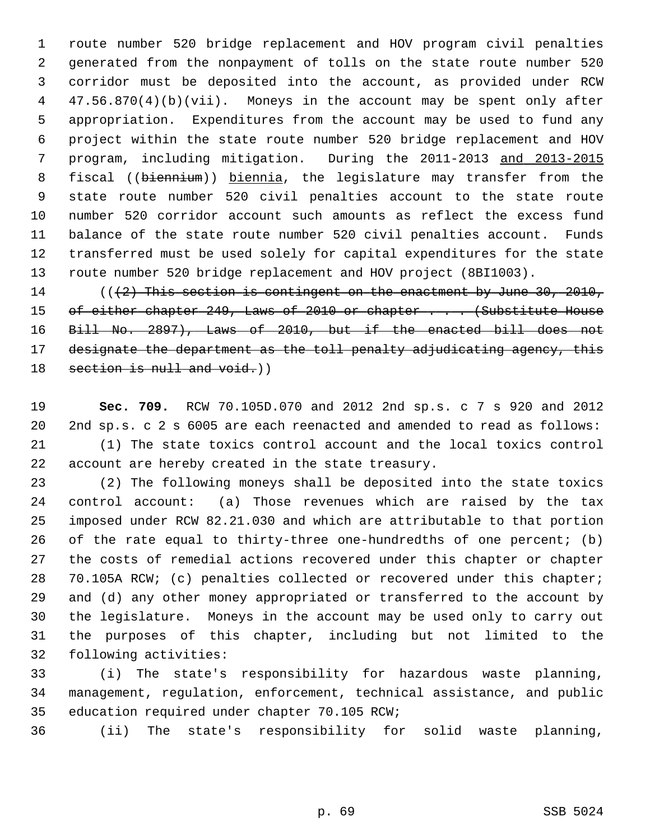1 route number 520 bridge replacement and HOV program civil penalties 2 generated from the nonpayment of tolls on the state route number 520 3 corridor must be deposited into the account, as provided under RCW 4 47.56.870(4)(b)(vii). Moneys in the account may be spent only after 5 appropriation. Expenditures from the account may be used to fund any 6 project within the state route number 520 bridge replacement and HOV 7 program, including mitigation. During the 2011-2013 and 2013-2015 8 fiscal ((biennium)) biennia, the legislature may transfer from the 9 state route number 520 civil penalties account to the state route 10 number 520 corridor account such amounts as reflect the excess fund 11 balance of the state route number 520 civil penalties account. Funds 12 transferred must be used solely for capital expenditures for the state 13 route number 520 bridge replacement and HOV project (8BI1003).

14 ( $(42)$  This section is contingent on the enactment by June 30, 2010, 15 of either chapter 249, Laws of 2010 or chapter . . . (Substitute House 16 Bill No. 2897), Laws of 2010, but if the enacted bill does not 17 designate the department as the toll penalty adjudicating agency, this 18 section is null and void.)

19 **Sec. 709.** RCW 70.105D.070 and 2012 2nd sp.s. c 7 s 920 and 2012 20 2nd sp.s. c 2 s 6005 are each reenacted and amended to read as follows: 21 (1) The state toxics control account and the local toxics control 22 account are hereby created in the state treasury.

23 (2) The following moneys shall be deposited into the state toxics 24 control account: (a) Those revenues which are raised by the tax 25 imposed under RCW 82.21.030 and which are attributable to that portion 26 of the rate equal to thirty-three one-hundredths of one percent; (b) 27 the costs of remedial actions recovered under this chapter or chapter 28 70.105A RCW; (c) penalties collected or recovered under this chapter; 29 and (d) any other money appropriated or transferred to the account by 30 the legislature. Moneys in the account may be used only to carry out 31 the purposes of this chapter, including but not limited to the 32 following activities:

33 (i) The state's responsibility for hazardous waste planning, 34 management, regulation, enforcement, technical assistance, and public 35 education required under chapter 70.105 RCW;

36 (ii) The state's responsibility for solid waste planning,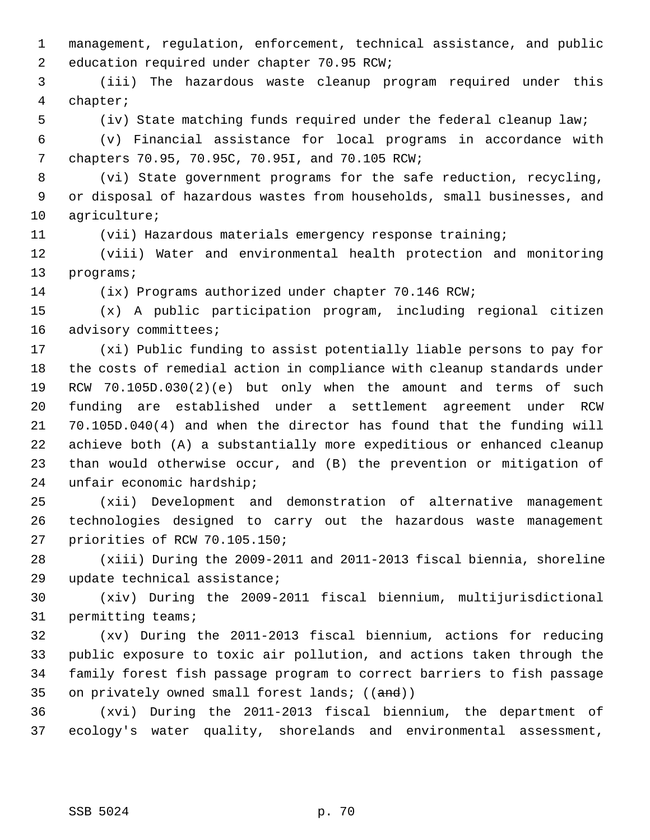1 management, regulation, enforcement, technical assistance, and public 2 education required under chapter 70.95 RCW;

 3 (iii) The hazardous waste cleanup program required under this 4 chapter;

5 (iv) State matching funds required under the federal cleanup law;

 6 (v) Financial assistance for local programs in accordance with 7 chapters 70.95, 70.95C, 70.95I, and 70.105 RCW;

 8 (vi) State government programs for the safe reduction, recycling, 9 or disposal of hazardous wastes from households, small businesses, and 10 agriculture;

11 (vii) Hazardous materials emergency response training;

12 (viii) Water and environmental health protection and monitoring 13 programs;

14 (ix) Programs authorized under chapter 70.146 RCW;

15 (x) A public participation program, including regional citizen 16 advisory committees;

17 (xi) Public funding to assist potentially liable persons to pay for 18 the costs of remedial action in compliance with cleanup standards under 19 RCW 70.105D.030(2)(e) but only when the amount and terms of such 20 funding are established under a settlement agreement under RCW 21 70.105D.040(4) and when the director has found that the funding will 22 achieve both (A) a substantially more expeditious or enhanced cleanup 23 than would otherwise occur, and (B) the prevention or mitigation of 24 unfair economic hardship;

25 (xii) Development and demonstration of alternative management 26 technologies designed to carry out the hazardous waste management 27 priorities of RCW 70.105.150;

28 (xiii) During the 2009-2011 and 2011-2013 fiscal biennia, shoreline 29 update technical assistance;

30 (xiv) During the 2009-2011 fiscal biennium, multijurisdictional 31 permitting teams;

32 (xv) During the 2011-2013 fiscal biennium, actions for reducing 33 public exposure to toxic air pollution, and actions taken through the 34 family forest fish passage program to correct barriers to fish passage 35 on privately owned small forest lands;  $((and))$ 

36 (xvi) During the 2011-2013 fiscal biennium, the department of 37 ecology's water quality, shorelands and environmental assessment,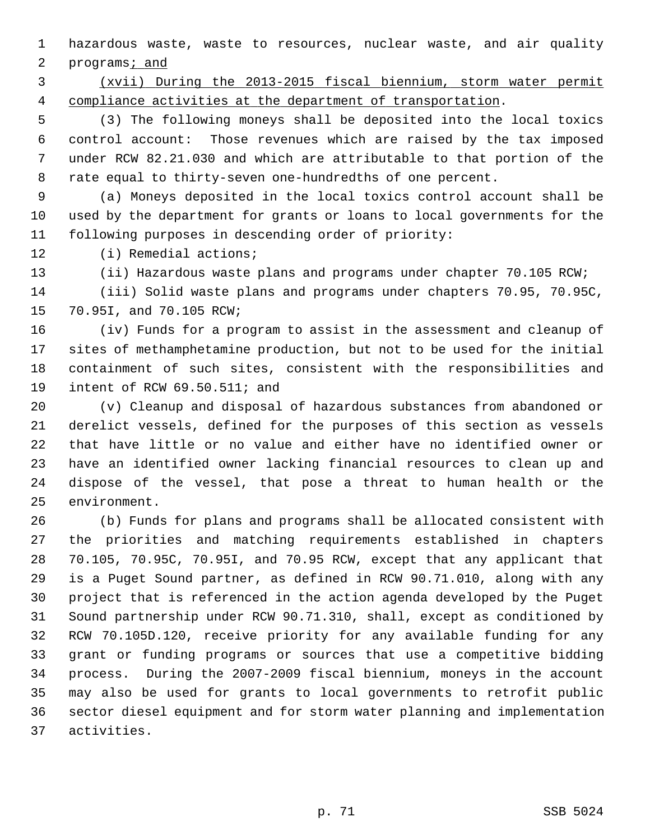1 hazardous waste, waste to resources, nuclear waste, and air quality

2 programs; and

 3 (xvii) During the 2013-2015 fiscal biennium, storm water permit 4 compliance activities at the department of transportation.

 5 (3) The following moneys shall be deposited into the local toxics 6 control account: Those revenues which are raised by the tax imposed 7 under RCW 82.21.030 and which are attributable to that portion of the 8 rate equal to thirty-seven one-hundredths of one percent.

 9 (a) Moneys deposited in the local toxics control account shall be 10 used by the department for grants or loans to local governments for the 11 following purposes in descending order of priority:

12 (i) Remedial actions;

13 (ii) Hazardous waste plans and programs under chapter 70.105 RCW;

14 (iii) Solid waste plans and programs under chapters 70.95, 70.95C, 15 70.95I, and 70.105 RCW;

16 (iv) Funds for a program to assist in the assessment and cleanup of 17 sites of methamphetamine production, but not to be used for the initial 18 containment of such sites, consistent with the responsibilities and 19 intent of RCW 69.50.511; and

20 (v) Cleanup and disposal of hazardous substances from abandoned or 21 derelict vessels, defined for the purposes of this section as vessels 22 that have little or no value and either have no identified owner or 23 have an identified owner lacking financial resources to clean up and 24 dispose of the vessel, that pose a threat to human health or the 25 environment.

26 (b) Funds for plans and programs shall be allocated consistent with 27 the priorities and matching requirements established in chapters 28 70.105, 70.95C, 70.95I, and 70.95 RCW, except that any applicant that 29 is a Puget Sound partner, as defined in RCW 90.71.010, along with any 30 project that is referenced in the action agenda developed by the Puget 31 Sound partnership under RCW 90.71.310, shall, except as conditioned by 32 RCW 70.105D.120, receive priority for any available funding for any 33 grant or funding programs or sources that use a competitive bidding 34 process. During the 2007-2009 fiscal biennium, moneys in the account 35 may also be used for grants to local governments to retrofit public 36 sector diesel equipment and for storm water planning and implementation 37 activities.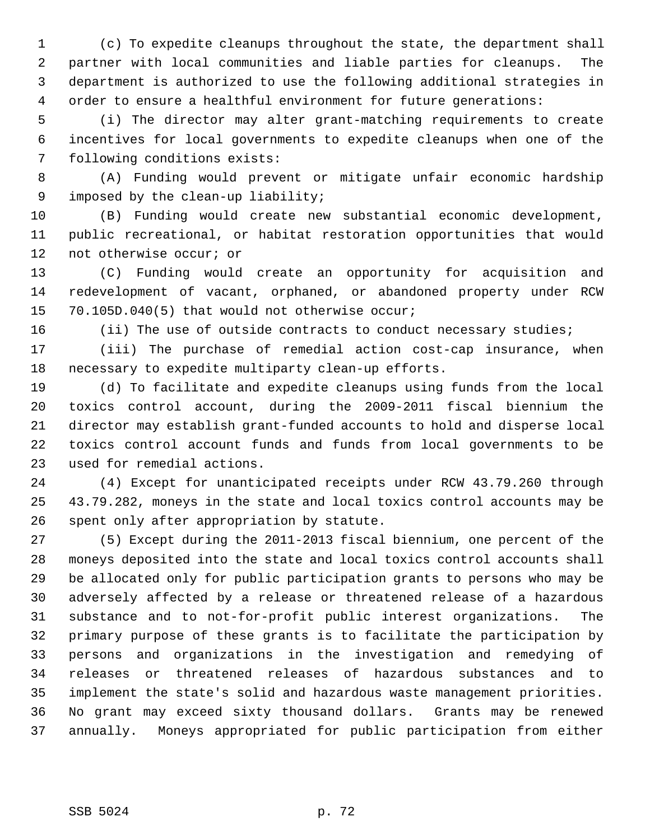1 (c) To expedite cleanups throughout the state, the department shall 2 partner with local communities and liable parties for cleanups. The 3 department is authorized to use the following additional strategies in 4 order to ensure a healthful environment for future generations:

 5 (i) The director may alter grant-matching requirements to create 6 incentives for local governments to expedite cleanups when one of the 7 following conditions exists:

 8 (A) Funding would prevent or mitigate unfair economic hardship 9 imposed by the clean-up liability;

10 (B) Funding would create new substantial economic development, 11 public recreational, or habitat restoration opportunities that would 12 not otherwise occur; or

13 (C) Funding would create an opportunity for acquisition and 14 redevelopment of vacant, orphaned, or abandoned property under RCW 15 70.105D.040(5) that would not otherwise occur;

16 (ii) The use of outside contracts to conduct necessary studies;

17 (iii) The purchase of remedial action cost-cap insurance, when 18 necessary to expedite multiparty clean-up efforts.

19 (d) To facilitate and expedite cleanups using funds from the local 20 toxics control account, during the 2009-2011 fiscal biennium the 21 director may establish grant-funded accounts to hold and disperse local 22 toxics control account funds and funds from local governments to be 23 used for remedial actions.

24 (4) Except for unanticipated receipts under RCW 43.79.260 through 25 43.79.282, moneys in the state and local toxics control accounts may be 26 spent only after appropriation by statute.

27 (5) Except during the 2011-2013 fiscal biennium, one percent of the 28 moneys deposited into the state and local toxics control accounts shall 29 be allocated only for public participation grants to persons who may be 30 adversely affected by a release or threatened release of a hazardous 31 substance and to not-for-profit public interest organizations. The 32 primary purpose of these grants is to facilitate the participation by 33 persons and organizations in the investigation and remedying of 34 releases or threatened releases of hazardous substances and to 35 implement the state's solid and hazardous waste management priorities. 36 No grant may exceed sixty thousand dollars. Grants may be renewed 37 annually. Moneys appropriated for public participation from either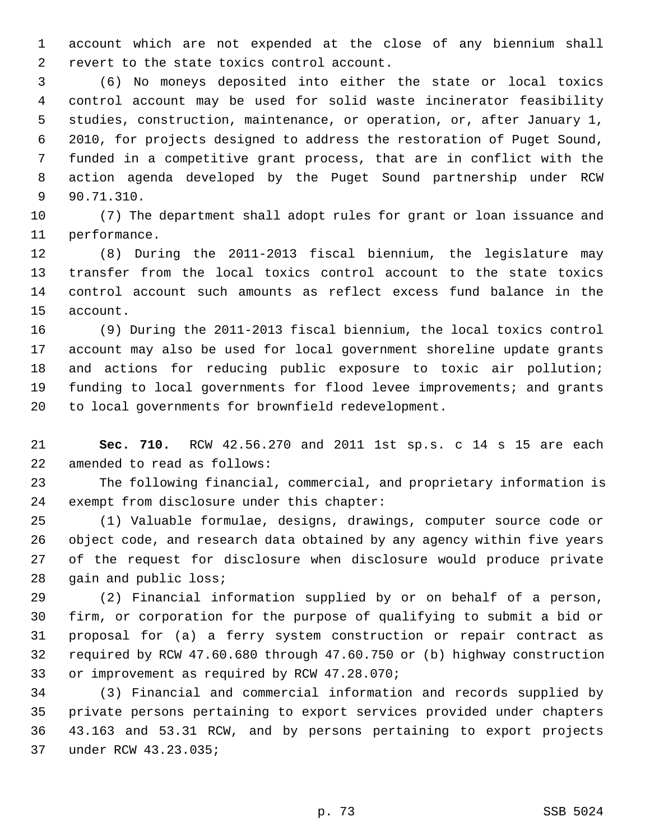1 account which are not expended at the close of any biennium shall 2 revert to the state toxics control account.

 3 (6) No moneys deposited into either the state or local toxics 4 control account may be used for solid waste incinerator feasibility 5 studies, construction, maintenance, or operation, or, after January 1, 6 2010, for projects designed to address the restoration of Puget Sound, 7 funded in a competitive grant process, that are in conflict with the 8 action agenda developed by the Puget Sound partnership under RCW 9 90.71.310.

10 (7) The department shall adopt rules for grant or loan issuance and 11 performance.

12 (8) During the 2011-2013 fiscal biennium, the legislature may 13 transfer from the local toxics control account to the state toxics 14 control account such amounts as reflect excess fund balance in the 15 account.

16 (9) During the 2011-2013 fiscal biennium, the local toxics control 17 account may also be used for local government shoreline update grants 18 and actions for reducing public exposure to toxic air pollution; 19 funding to local governments for flood levee improvements; and grants 20 to local governments for brownfield redevelopment.

21 **Sec. 710.** RCW 42.56.270 and 2011 1st sp.s. c 14 s 15 are each 22 amended to read as follows:

23 The following financial, commercial, and proprietary information is 24 exempt from disclosure under this chapter:

25 (1) Valuable formulae, designs, drawings, computer source code or 26 object code, and research data obtained by any agency within five years 27 of the request for disclosure when disclosure would produce private 28 gain and public loss;

29 (2) Financial information supplied by or on behalf of a person, 30 firm, or corporation for the purpose of qualifying to submit a bid or 31 proposal for (a) a ferry system construction or repair contract as 32 required by RCW 47.60.680 through 47.60.750 or (b) highway construction 33 or improvement as required by RCW 47.28.070;

34 (3) Financial and commercial information and records supplied by 35 private persons pertaining to export services provided under chapters 36 43.163 and 53.31 RCW, and by persons pertaining to export projects 37 under RCW 43.23.035;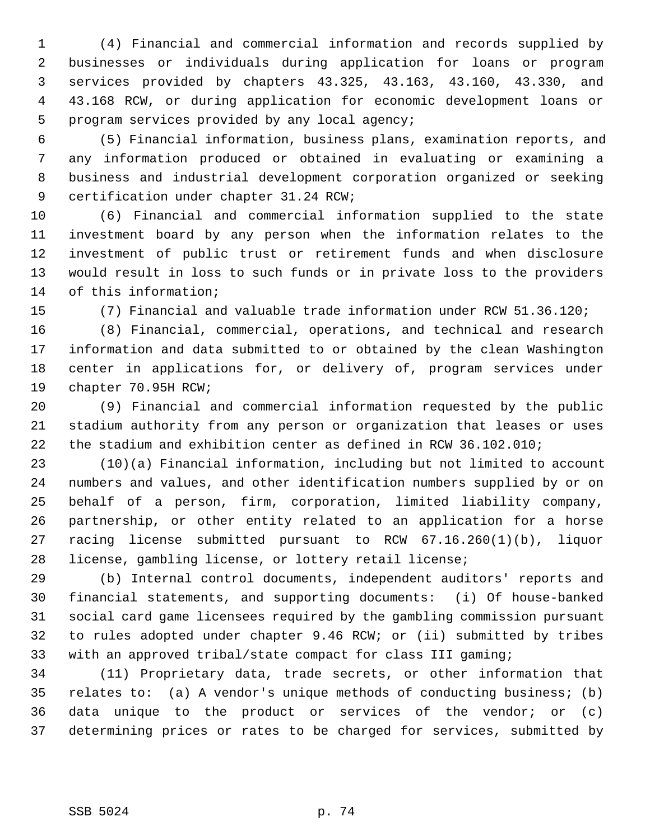1 (4) Financial and commercial information and records supplied by 2 businesses or individuals during application for loans or program 3 services provided by chapters 43.325, 43.163, 43.160, 43.330, and 4 43.168 RCW, or during application for economic development loans or 5 program services provided by any local agency;

 6 (5) Financial information, business plans, examination reports, and 7 any information produced or obtained in evaluating or examining a 8 business and industrial development corporation organized or seeking 9 certification under chapter 31.24 RCW;

10 (6) Financial and commercial information supplied to the state 11 investment board by any person when the information relates to the 12 investment of public trust or retirement funds and when disclosure 13 would result in loss to such funds or in private loss to the providers 14 of this information;

15 (7) Financial and valuable trade information under RCW 51.36.120;

16 (8) Financial, commercial, operations, and technical and research 17 information and data submitted to or obtained by the clean Washington 18 center in applications for, or delivery of, program services under 19 chapter 70.95H RCW;

20 (9) Financial and commercial information requested by the public 21 stadium authority from any person or organization that leases or uses 22 the stadium and exhibition center as defined in RCW 36.102.010;

23 (10)(a) Financial information, including but not limited to account 24 numbers and values, and other identification numbers supplied by or on 25 behalf of a person, firm, corporation, limited liability company, 26 partnership, or other entity related to an application for a horse 27 racing license submitted pursuant to RCW 67.16.260(1)(b), liquor 28 license, gambling license, or lottery retail license;

29 (b) Internal control documents, independent auditors' reports and 30 financial statements, and supporting documents: (i) Of house-banked 31 social card game licensees required by the gambling commission pursuant 32 to rules adopted under chapter 9.46 RCW; or (ii) submitted by tribes 33 with an approved tribal/state compact for class III gaming;

34 (11) Proprietary data, trade secrets, or other information that 35 relates to: (a) A vendor's unique methods of conducting business; (b) 36 data unique to the product or services of the vendor; or (c) 37 determining prices or rates to be charged for services, submitted by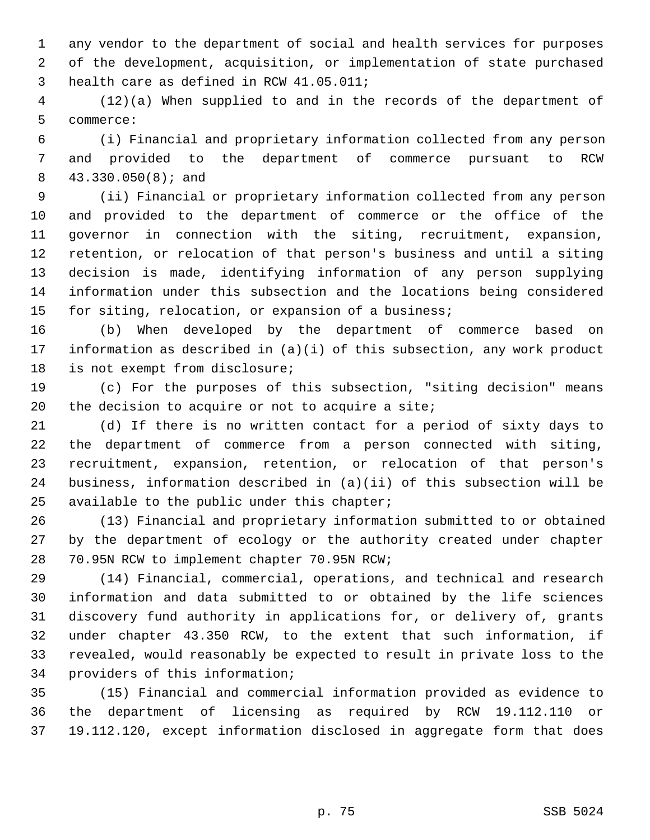1 any vendor to the department of social and health services for purposes 2 of the development, acquisition, or implementation of state purchased 3 health care as defined in RCW 41.05.011;

 4 (12)(a) When supplied to and in the records of the department of 5 commerce:

 6 (i) Financial and proprietary information collected from any person 7 and provided to the department of commerce pursuant to RCW 8 43.330.050(8); and

 9 (ii) Financial or proprietary information collected from any person 10 and provided to the department of commerce or the office of the 11 governor in connection with the siting, recruitment, expansion, 12 retention, or relocation of that person's business and until a siting 13 decision is made, identifying information of any person supplying 14 information under this subsection and the locations being considered 15 for siting, relocation, or expansion of a business;

16 (b) When developed by the department of commerce based on 17 information as described in (a)(i) of this subsection, any work product 18 is not exempt from disclosure;

19 (c) For the purposes of this subsection, "siting decision" means 20 the decision to acquire or not to acquire a site;

21 (d) If there is no written contact for a period of sixty days to 22 the department of commerce from a person connected with siting, 23 recruitment, expansion, retention, or relocation of that person's 24 business, information described in (a)(ii) of this subsection will be 25 available to the public under this chapter;

26 (13) Financial and proprietary information submitted to or obtained 27 by the department of ecology or the authority created under chapter 28 70.95N RCW to implement chapter 70.95N RCW;

29 (14) Financial, commercial, operations, and technical and research 30 information and data submitted to or obtained by the life sciences 31 discovery fund authority in applications for, or delivery of, grants 32 under chapter 43.350 RCW, to the extent that such information, if 33 revealed, would reasonably be expected to result in private loss to the 34 providers of this information;

35 (15) Financial and commercial information provided as evidence to 36 the department of licensing as required by RCW 19.112.110 or 37 19.112.120, except information disclosed in aggregate form that does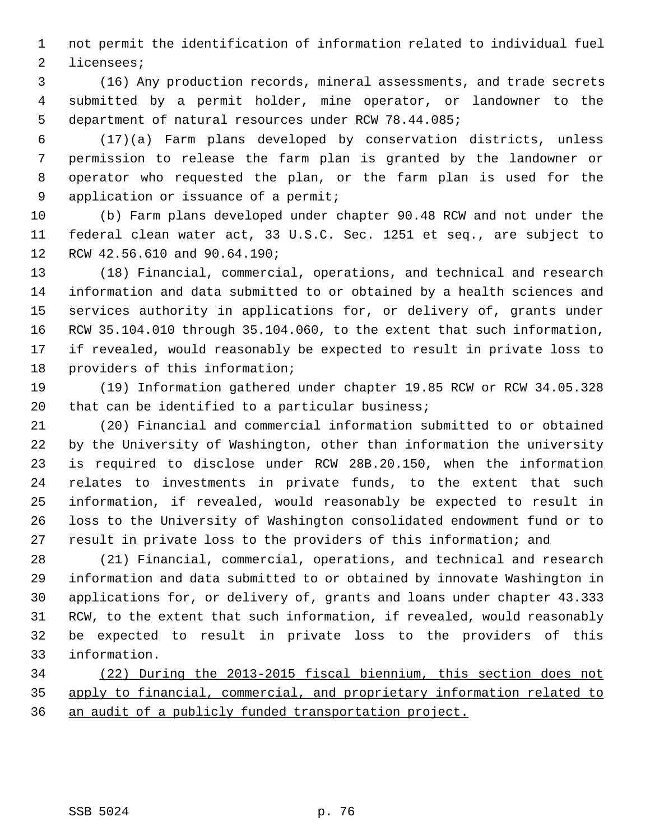1 not permit the identification of information related to individual fuel 2 licensees;

 3 (16) Any production records, mineral assessments, and trade secrets 4 submitted by a permit holder, mine operator, or landowner to the 5 department of natural resources under RCW 78.44.085;

 6 (17)(a) Farm plans developed by conservation districts, unless 7 permission to release the farm plan is granted by the landowner or 8 operator who requested the plan, or the farm plan is used for the 9 application or issuance of a permit;

10 (b) Farm plans developed under chapter 90.48 RCW and not under the 11 federal clean water act, 33 U.S.C. Sec. 1251 et seq., are subject to 12 RCW 42.56.610 and 90.64.190;

13 (18) Financial, commercial, operations, and technical and research 14 information and data submitted to or obtained by a health sciences and 15 services authority in applications for, or delivery of, grants under 16 RCW 35.104.010 through 35.104.060, to the extent that such information, 17 if revealed, would reasonably be expected to result in private loss to 18 providers of this information;

19 (19) Information gathered under chapter 19.85 RCW or RCW 34.05.328 20 that can be identified to a particular business;

21 (20) Financial and commercial information submitted to or obtained 22 by the University of Washington, other than information the university 23 is required to disclose under RCW 28B.20.150, when the information 24 relates to investments in private funds, to the extent that such 25 information, if revealed, would reasonably be expected to result in 26 loss to the University of Washington consolidated endowment fund or to 27 result in private loss to the providers of this information; and

28 (21) Financial, commercial, operations, and technical and research 29 information and data submitted to or obtained by innovate Washington in 30 applications for, or delivery of, grants and loans under chapter 43.333 31 RCW, to the extent that such information, if revealed, would reasonably 32 be expected to result in private loss to the providers of this 33 information.

34 (22) During the 2013-2015 fiscal biennium, this section does not 35 apply to financial, commercial, and proprietary information related to 36 an audit of a publicly funded transportation project.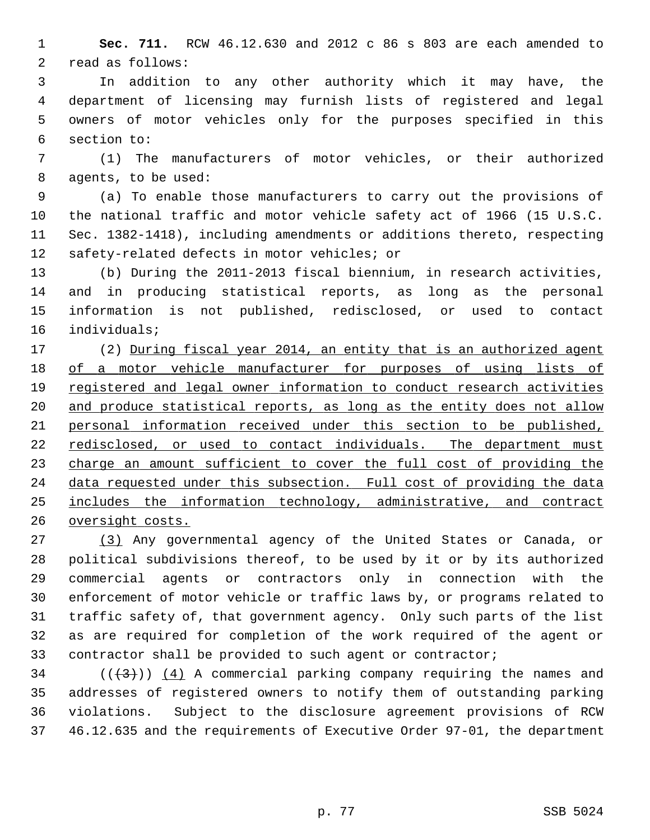1 **Sec. 711.** RCW 46.12.630 and 2012 c 86 s 803 are each amended to 2 read as follows:

 3 In addition to any other authority which it may have, the 4 department of licensing may furnish lists of registered and legal 5 owners of motor vehicles only for the purposes specified in this 6 section to:

 7 (1) The manufacturers of motor vehicles, or their authorized 8 agents, to be used:

 9 (a) To enable those manufacturers to carry out the provisions of 10 the national traffic and motor vehicle safety act of 1966 (15 U.S.C. 11 Sec. 1382-1418), including amendments or additions thereto, respecting 12 safety-related defects in motor vehicles; or

13 (b) During the 2011-2013 fiscal biennium, in research activities, 14 and in producing statistical reports, as long as the personal 15 information is not published, redisclosed, or used to contact 16 individuals;

17 (2) During fiscal year 2014, an entity that is an authorized agent of a motor vehicle manufacturer for purposes of using lists of registered and legal owner information to conduct research activities and produce statistical reports, as long as the entity does not allow personal information received under this section to be published, 22 redisclosed, or used to contact individuals. The department must 23 charge an amount sufficient to cover the full cost of providing the data requested under this subsection. Full cost of providing the data includes the information technology, administrative, and contract oversight costs.

27 (3) Any governmental agency of the United States or Canada, or 28 political subdivisions thereof, to be used by it or by its authorized 29 commercial agents or contractors only in connection with the 30 enforcement of motor vehicle or traffic laws by, or programs related to 31 traffic safety of, that government agency. Only such parts of the list 32 as are required for completion of the work required of the agent or 33 contractor shall be provided to such agent or contractor;

 $(1+3)$ ) (4) A commercial parking company requiring the names and 35 addresses of registered owners to notify them of outstanding parking 36 violations. Subject to the disclosure agreement provisions of RCW 37 46.12.635 and the requirements of Executive Order 97-01, the department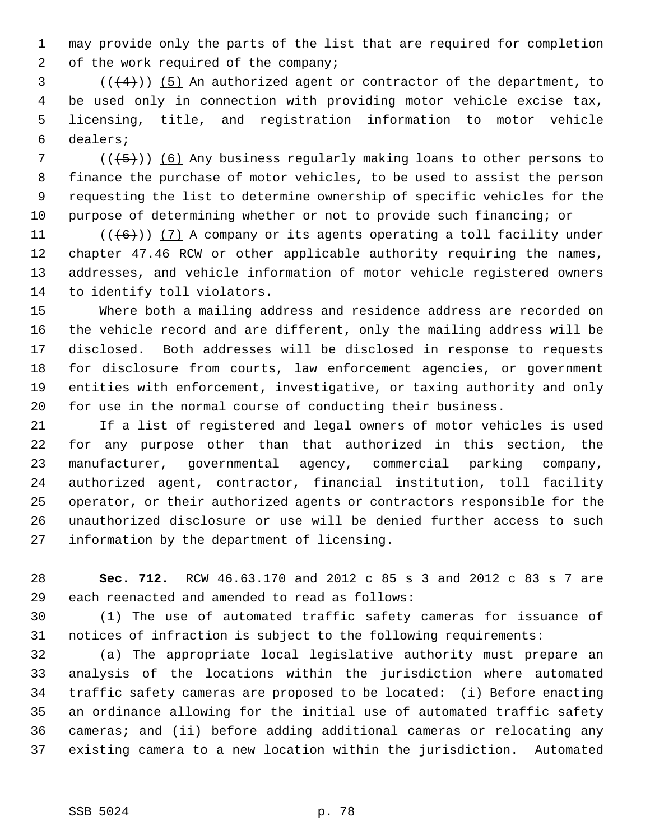1 may provide only the parts of the list that are required for completion 2 of the work required of the company;

 $(1+4)$ ) (5) An authorized agent or contractor of the department, to 4 be used only in connection with providing motor vehicle excise tax, 5 licensing, title, and registration information to motor vehicle 6 dealers;

7 ( $(\overline{5})$ ) (6) Any business regularly making loans to other persons to 8 finance the purchase of motor vehicles, to be used to assist the person 9 requesting the list to determine ownership of specific vehicles for the 10 purpose of determining whether or not to provide such financing; or

11  $((\langle 6 \rangle)(7)$  A company or its agents operating a toll facility under 12 chapter 47.46 RCW or other applicable authority requiring the names, 13 addresses, and vehicle information of motor vehicle registered owners 14 to identify toll violators.

15 Where both a mailing address and residence address are recorded on 16 the vehicle record and are different, only the mailing address will be 17 disclosed. Both addresses will be disclosed in response to requests 18 for disclosure from courts, law enforcement agencies, or government 19 entities with enforcement, investigative, or taxing authority and only 20 for use in the normal course of conducting their business.

21 If a list of registered and legal owners of motor vehicles is used 22 for any purpose other than that authorized in this section, the 23 manufacturer, governmental agency, commercial parking company, 24 authorized agent, contractor, financial institution, toll facility 25 operator, or their authorized agents or contractors responsible for the 26 unauthorized disclosure or use will be denied further access to such 27 information by the department of licensing.

28 **Sec. 712.** RCW 46.63.170 and 2012 c 85 s 3 and 2012 c 83 s 7 are 29 each reenacted and amended to read as follows:

30 (1) The use of automated traffic safety cameras for issuance of 31 notices of infraction is subject to the following requirements:

32 (a) The appropriate local legislative authority must prepare an 33 analysis of the locations within the jurisdiction where automated 34 traffic safety cameras are proposed to be located: (i) Before enacting 35 an ordinance allowing for the initial use of automated traffic safety 36 cameras; and (ii) before adding additional cameras or relocating any 37 existing camera to a new location within the jurisdiction. Automated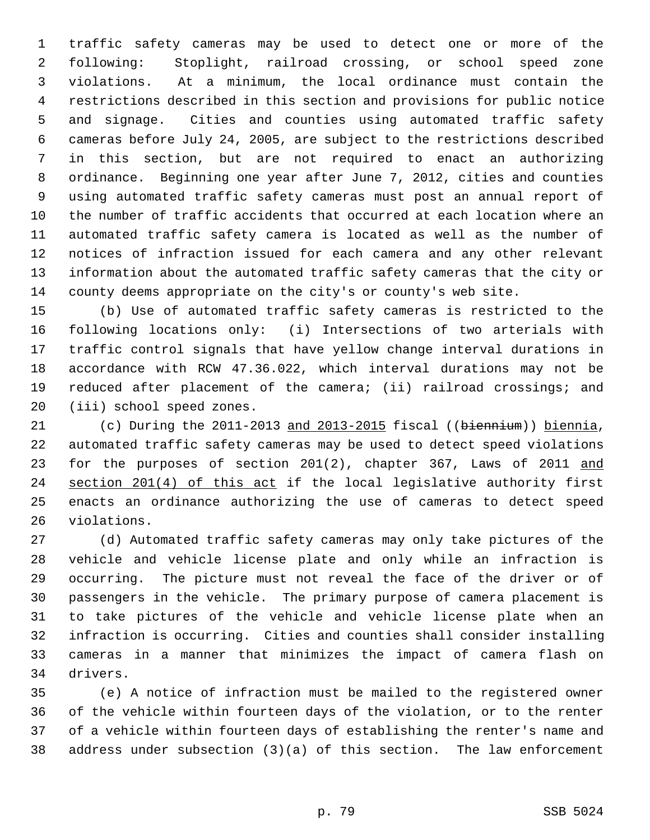1 traffic safety cameras may be used to detect one or more of the 2 following: Stoplight, railroad crossing, or school speed zone 3 violations. At a minimum, the local ordinance must contain the 4 restrictions described in this section and provisions for public notice 5 and signage. Cities and counties using automated traffic safety 6 cameras before July 24, 2005, are subject to the restrictions described 7 in this section, but are not required to enact an authorizing 8 ordinance. Beginning one year after June 7, 2012, cities and counties 9 using automated traffic safety cameras must post an annual report of 10 the number of traffic accidents that occurred at each location where an 11 automated traffic safety camera is located as well as the number of 12 notices of infraction issued for each camera and any other relevant 13 information about the automated traffic safety cameras that the city or 14 county deems appropriate on the city's or county's web site.

15 (b) Use of automated traffic safety cameras is restricted to the 16 following locations only: (i) Intersections of two arterials with 17 traffic control signals that have yellow change interval durations in 18 accordance with RCW 47.36.022, which interval durations may not be 19 reduced after placement of the camera; (ii) railroad crossings; and 20 (iii) school speed zones.

21 (c) During the 2011-2013 and 2013-2015 fiscal ((biennium)) biennia, 22 automated traffic safety cameras may be used to detect speed violations 23 for the purposes of section 201(2), chapter 367, Laws of 2011 and 24 section 201(4) of this act if the local legislative authority first 25 enacts an ordinance authorizing the use of cameras to detect speed 26 violations.

27 (d) Automated traffic safety cameras may only take pictures of the 28 vehicle and vehicle license plate and only while an infraction is 29 occurring. The picture must not reveal the face of the driver or of 30 passengers in the vehicle. The primary purpose of camera placement is 31 to take pictures of the vehicle and vehicle license plate when an 32 infraction is occurring. Cities and counties shall consider installing 33 cameras in a manner that minimizes the impact of camera flash on 34 drivers.

35 (e) A notice of infraction must be mailed to the registered owner 36 of the vehicle within fourteen days of the violation, or to the renter 37 of a vehicle within fourteen days of establishing the renter's name and 38 address under subsection (3)(a) of this section. The law enforcement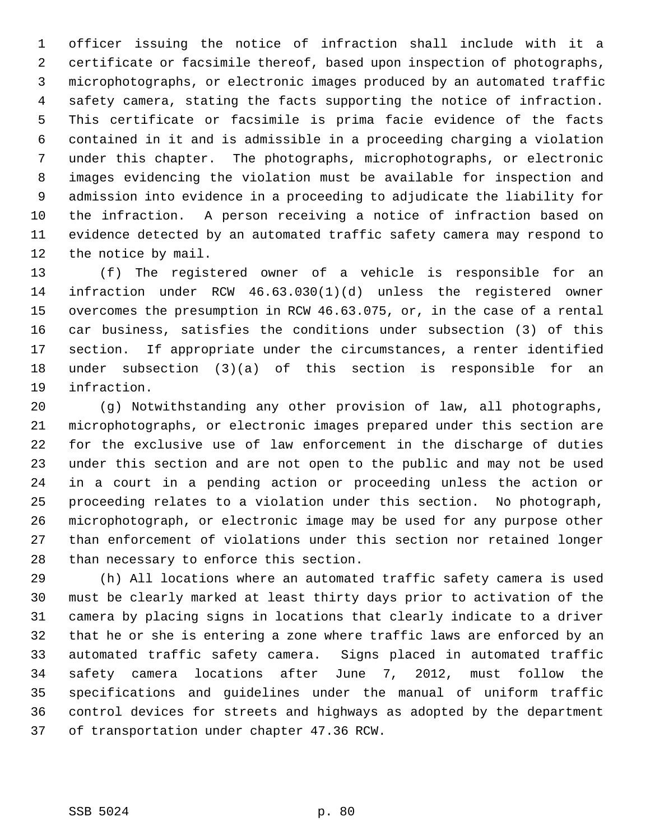1 officer issuing the notice of infraction shall include with it a 2 certificate or facsimile thereof, based upon inspection of photographs, 3 microphotographs, or electronic images produced by an automated traffic 4 safety camera, stating the facts supporting the notice of infraction. 5 This certificate or facsimile is prima facie evidence of the facts 6 contained in it and is admissible in a proceeding charging a violation 7 under this chapter. The photographs, microphotographs, or electronic 8 images evidencing the violation must be available for inspection and 9 admission into evidence in a proceeding to adjudicate the liability for 10 the infraction. A person receiving a notice of infraction based on 11 evidence detected by an automated traffic safety camera may respond to 12 the notice by mail.

13 (f) The registered owner of a vehicle is responsible for an 14 infraction under RCW 46.63.030(1)(d) unless the registered owner 15 overcomes the presumption in RCW 46.63.075, or, in the case of a rental 16 car business, satisfies the conditions under subsection (3) of this 17 section. If appropriate under the circumstances, a renter identified 18 under subsection (3)(a) of this section is responsible for an 19 infraction.

20 (g) Notwithstanding any other provision of law, all photographs, 21 microphotographs, or electronic images prepared under this section are 22 for the exclusive use of law enforcement in the discharge of duties 23 under this section and are not open to the public and may not be used 24 in a court in a pending action or proceeding unless the action or 25 proceeding relates to a violation under this section. No photograph, 26 microphotograph, or electronic image may be used for any purpose other 27 than enforcement of violations under this section nor retained longer 28 than necessary to enforce this section.

29 (h) All locations where an automated traffic safety camera is used 30 must be clearly marked at least thirty days prior to activation of the 31 camera by placing signs in locations that clearly indicate to a driver 32 that he or she is entering a zone where traffic laws are enforced by an 33 automated traffic safety camera. Signs placed in automated traffic 34 safety camera locations after June 7, 2012, must follow the 35 specifications and guidelines under the manual of uniform traffic 36 control devices for streets and highways as adopted by the department 37 of transportation under chapter 47.36 RCW.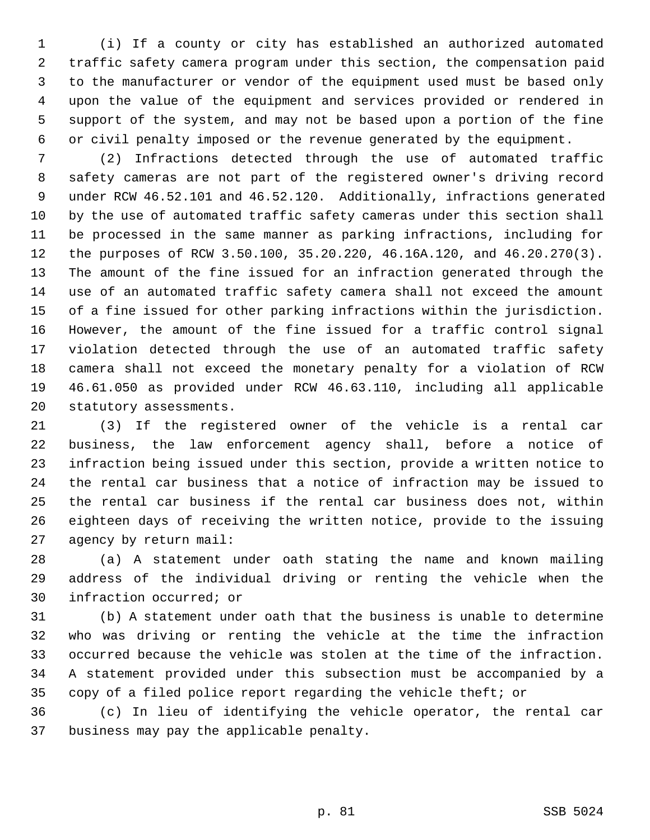1 (i) If a county or city has established an authorized automated 2 traffic safety camera program under this section, the compensation paid 3 to the manufacturer or vendor of the equipment used must be based only 4 upon the value of the equipment and services provided or rendered in 5 support of the system, and may not be based upon a portion of the fine 6 or civil penalty imposed or the revenue generated by the equipment.

 7 (2) Infractions detected through the use of automated traffic 8 safety cameras are not part of the registered owner's driving record 9 under RCW 46.52.101 and 46.52.120. Additionally, infractions generated 10 by the use of automated traffic safety cameras under this section shall 11 be processed in the same manner as parking infractions, including for 12 the purposes of RCW 3.50.100, 35.20.220, 46.16A.120, and 46.20.270(3). 13 The amount of the fine issued for an infraction generated through the 14 use of an automated traffic safety camera shall not exceed the amount 15 of a fine issued for other parking infractions within the jurisdiction. 16 However, the amount of the fine issued for a traffic control signal 17 violation detected through the use of an automated traffic safety 18 camera shall not exceed the monetary penalty for a violation of RCW 19 46.61.050 as provided under RCW 46.63.110, including all applicable 20 statutory assessments.

21 (3) If the registered owner of the vehicle is a rental car 22 business, the law enforcement agency shall, before a notice of 23 infraction being issued under this section, provide a written notice to 24 the rental car business that a notice of infraction may be issued to 25 the rental car business if the rental car business does not, within 26 eighteen days of receiving the written notice, provide to the issuing 27 agency by return mail:

28 (a) A statement under oath stating the name and known mailing 29 address of the individual driving or renting the vehicle when the 30 infraction occurred; or

31 (b) A statement under oath that the business is unable to determine 32 who was driving or renting the vehicle at the time the infraction 33 occurred because the vehicle was stolen at the time of the infraction. 34 A statement provided under this subsection must be accompanied by a 35 copy of a filed police report regarding the vehicle theft; or

36 (c) In lieu of identifying the vehicle operator, the rental car 37 business may pay the applicable penalty.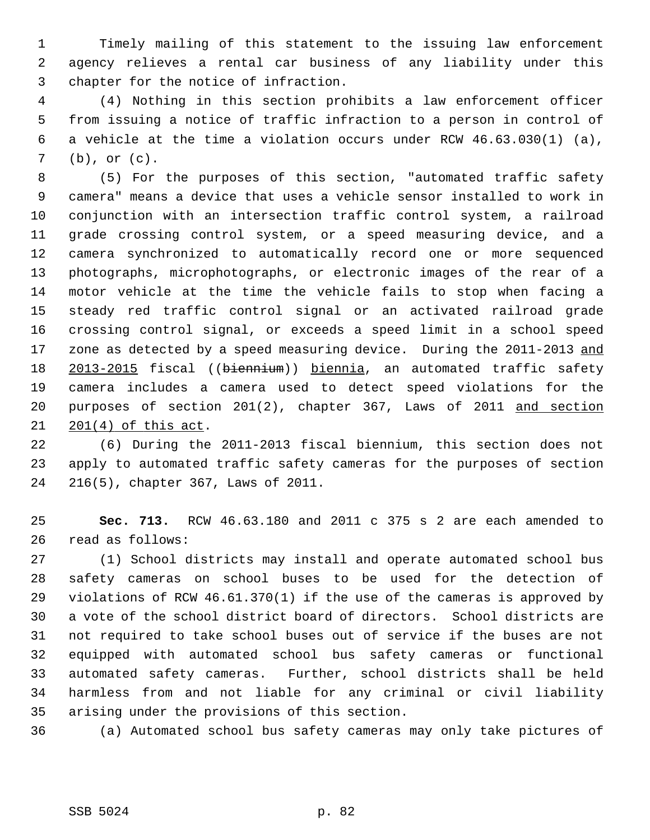1 Timely mailing of this statement to the issuing law enforcement 2 agency relieves a rental car business of any liability under this 3 chapter for the notice of infraction.

 4 (4) Nothing in this section prohibits a law enforcement officer 5 from issuing a notice of traffic infraction to a person in control of 6 a vehicle at the time a violation occurs under RCW 46.63.030(1) (a), 7 (b), or (c).

 8 (5) For the purposes of this section, "automated traffic safety 9 camera" means a device that uses a vehicle sensor installed to work in 10 conjunction with an intersection traffic control system, a railroad 11 grade crossing control system, or a speed measuring device, and a 12 camera synchronized to automatically record one or more sequenced 13 photographs, microphotographs, or electronic images of the rear of a 14 motor vehicle at the time the vehicle fails to stop when facing a 15 steady red traffic control signal or an activated railroad grade 16 crossing control signal, or exceeds a speed limit in a school speed 17 zone as detected by a speed measuring device. During the 2011-2013 and 18 2013-2015 fiscal ((biennium)) biennia, an automated traffic safety 19 camera includes a camera used to detect speed violations for the 20 purposes of section 201(2), chapter 367, Laws of 2011 and section 21 201(4) of this act.

22 (6) During the 2011-2013 fiscal biennium, this section does not 23 apply to automated traffic safety cameras for the purposes of section 24 216(5), chapter 367, Laws of 2011.

25 **Sec. 713.** RCW 46.63.180 and 2011 c 375 s 2 are each amended to 26 read as follows:

27 (1) School districts may install and operate automated school bus 28 safety cameras on school buses to be used for the detection of 29 violations of RCW 46.61.370(1) if the use of the cameras is approved by 30 a vote of the school district board of directors. School districts are 31 not required to take school buses out of service if the buses are not 32 equipped with automated school bus safety cameras or functional 33 automated safety cameras. Further, school districts shall be held 34 harmless from and not liable for any criminal or civil liability 35 arising under the provisions of this section.

36 (a) Automated school bus safety cameras may only take pictures of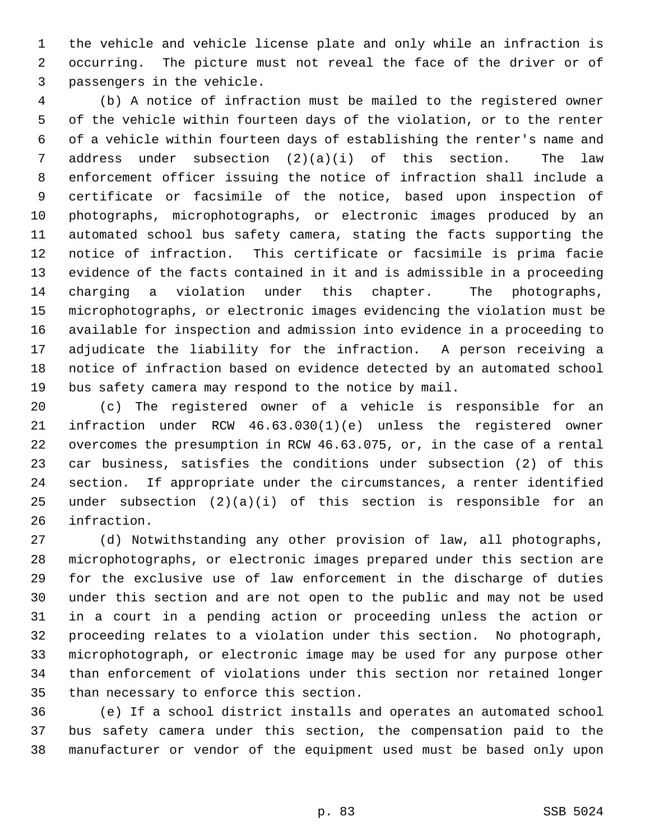1 the vehicle and vehicle license plate and only while an infraction is 2 occurring. The picture must not reveal the face of the driver or of 3 passengers in the vehicle.

 4 (b) A notice of infraction must be mailed to the registered owner 5 of the vehicle within fourteen days of the violation, or to the renter 6 of a vehicle within fourteen days of establishing the renter's name and 7 address under subsection (2)(a)(i) of this section. The law 8 enforcement officer issuing the notice of infraction shall include a 9 certificate or facsimile of the notice, based upon inspection of 10 photographs, microphotographs, or electronic images produced by an 11 automated school bus safety camera, stating the facts supporting the 12 notice of infraction. This certificate or facsimile is prima facie 13 evidence of the facts contained in it and is admissible in a proceeding 14 charging a violation under this chapter. The photographs, 15 microphotographs, or electronic images evidencing the violation must be 16 available for inspection and admission into evidence in a proceeding to 17 adjudicate the liability for the infraction. A person receiving a 18 notice of infraction based on evidence detected by an automated school 19 bus safety camera may respond to the notice by mail.

20 (c) The registered owner of a vehicle is responsible for an 21 infraction under RCW 46.63.030(1)(e) unless the registered owner 22 overcomes the presumption in RCW 46.63.075, or, in the case of a rental 23 car business, satisfies the conditions under subsection (2) of this 24 section. If appropriate under the circumstances, a renter identified 25 under subsection (2)(a)(i) of this section is responsible for an 26 infraction.

27 (d) Notwithstanding any other provision of law, all photographs, 28 microphotographs, or electronic images prepared under this section are 29 for the exclusive use of law enforcement in the discharge of duties 30 under this section and are not open to the public and may not be used 31 in a court in a pending action or proceeding unless the action or 32 proceeding relates to a violation under this section. No photograph, 33 microphotograph, or electronic image may be used for any purpose other 34 than enforcement of violations under this section nor retained longer 35 than necessary to enforce this section.

36 (e) If a school district installs and operates an automated school 37 bus safety camera under this section, the compensation paid to the 38 manufacturer or vendor of the equipment used must be based only upon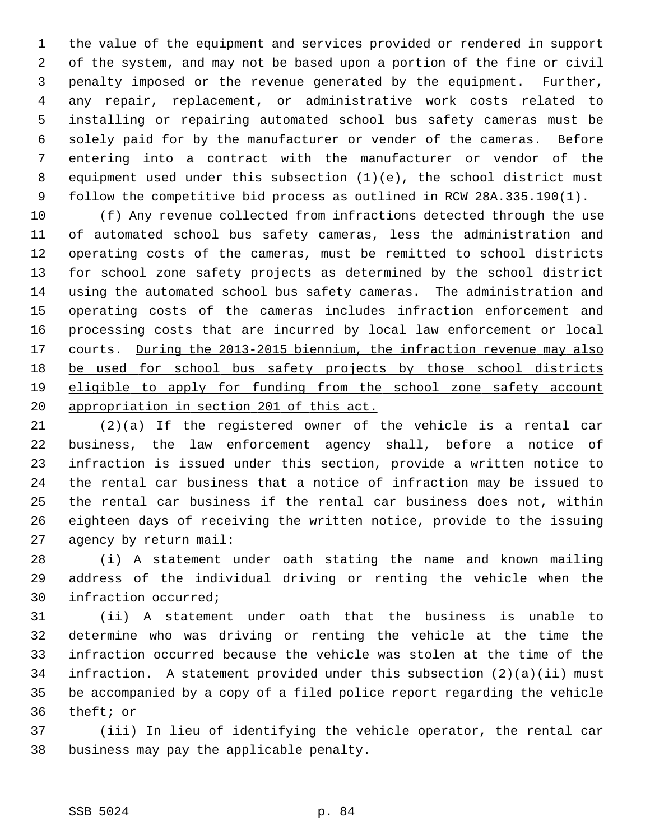1 the value of the equipment and services provided or rendered in support 2 of the system, and may not be based upon a portion of the fine or civil 3 penalty imposed or the revenue generated by the equipment. Further, 4 any repair, replacement, or administrative work costs related to 5 installing or repairing automated school bus safety cameras must be 6 solely paid for by the manufacturer or vender of the cameras. Before 7 entering into a contract with the manufacturer or vendor of the 8 equipment used under this subsection (1)(e), the school district must 9 follow the competitive bid process as outlined in RCW 28A.335.190(1).

10 (f) Any revenue collected from infractions detected through the use 11 of automated school bus safety cameras, less the administration and 12 operating costs of the cameras, must be remitted to school districts 13 for school zone safety projects as determined by the school district 14 using the automated school bus safety cameras. The administration and 15 operating costs of the cameras includes infraction enforcement and 16 processing costs that are incurred by local law enforcement or local 17 courts. During the 2013-2015 biennium, the infraction revenue may also 18 be used for school bus safety projects by those school districts 19 eligible to apply for funding from the school zone safety account 20 appropriation in section 201 of this act.

21 (2)(a) If the registered owner of the vehicle is a rental car 22 business, the law enforcement agency shall, before a notice of 23 infraction is issued under this section, provide a written notice to 24 the rental car business that a notice of infraction may be issued to 25 the rental car business if the rental car business does not, within 26 eighteen days of receiving the written notice, provide to the issuing 27 agency by return mail:

28 (i) A statement under oath stating the name and known mailing 29 address of the individual driving or renting the vehicle when the 30 infraction occurred;

31 (ii) A statement under oath that the business is unable to 32 determine who was driving or renting the vehicle at the time the 33 infraction occurred because the vehicle was stolen at the time of the 34 infraction. A statement provided under this subsection (2)(a)(ii) must 35 be accompanied by a copy of a filed police report regarding the vehicle 36 theft; or

37 (iii) In lieu of identifying the vehicle operator, the rental car 38 business may pay the applicable penalty.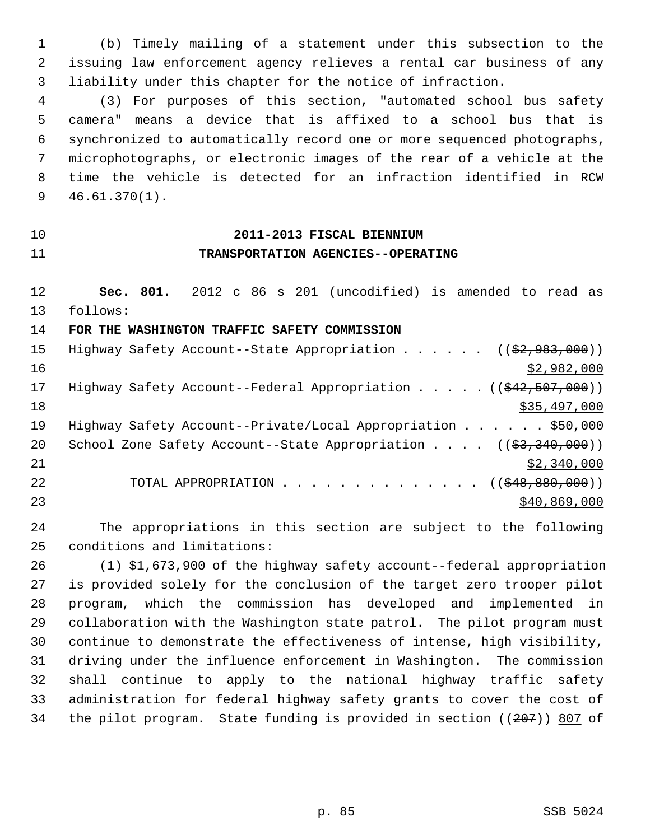1 (b) Timely mailing of a statement under this subsection to the 2 issuing law enforcement agency relieves a rental car business of any 3 liability under this chapter for the notice of infraction.

 4 (3) For purposes of this section, "automated school bus safety 5 camera" means a device that is affixed to a school bus that is 6 synchronized to automatically record one or more sequenced photographs, 7 microphotographs, or electronic images of the rear of a vehicle at the 8 time the vehicle is detected for an infraction identified in RCW 9 46.61.370(1).

## 10 **2011-2013 FISCAL BIENNIUM** 11 **TRANSPORTATION AGENCIES--OPERATING**

12 **Sec. 801.** 2012 c 86 s 201 (uncodified) is amended to read as 13 follows:

14 **FOR THE WASHINGTON TRAFFIC SAFETY COMMISSION**

| Highway Safety Account--State Appropriation $($ $($ $\frac{2}{92},983,000) )$                     |
|---------------------------------------------------------------------------------------------------|
| \$2,982,000                                                                                       |
| Highway Safety Account--Federal Appropriation $($ $($ $\frac{42}{7}$ , $\frac{507}{7}$ , $000)$ ) |
| \$35,497,000                                                                                      |
| Highway Safety Account--Private/Local Appropriation \$50,000                                      |
| School Zone Safety Account--State Appropriation $($ $($ \$3,340,000) $)$                          |
| \$2,340,000                                                                                       |
| TOTAL APPROPRIATION ( $(\frac{248}{980}, \frac{880}{100})$ )                                      |
| \$40,869,000                                                                                      |
|                                                                                                   |

24 The appropriations in this section are subject to the following 25 conditions and limitations:

26 (1) \$1,673,900 of the highway safety account--federal appropriation 27 is provided solely for the conclusion of the target zero trooper pilot 28 program, which the commission has developed and implemented in 29 collaboration with the Washington state patrol. The pilot program must 30 continue to demonstrate the effectiveness of intense, high visibility, 31 driving under the influence enforcement in Washington. The commission 32 shall continue to apply to the national highway traffic safety 33 administration for federal highway safety grants to cover the cost of 34 the pilot program. State funding is provided in section ((207)) 807 of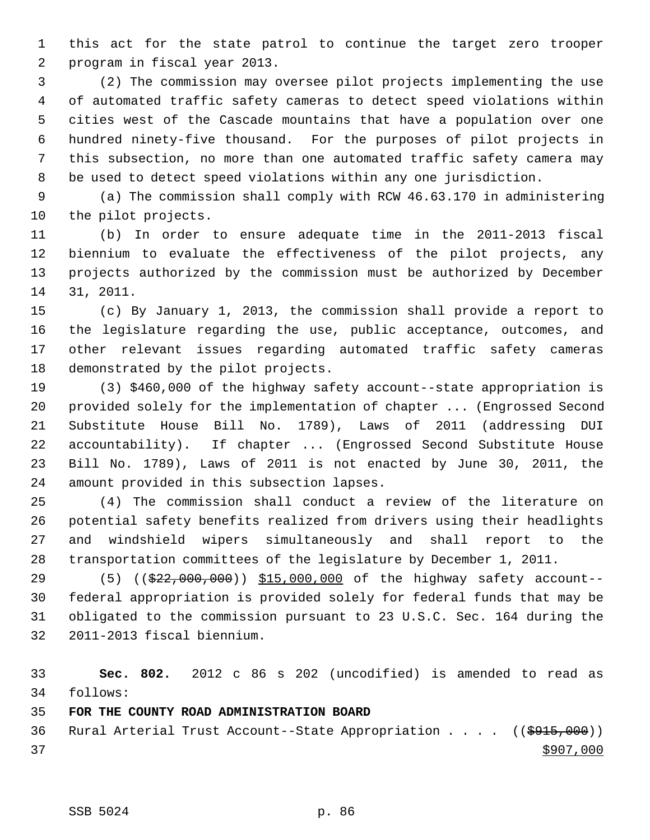1 this act for the state patrol to continue the target zero trooper 2 program in fiscal year 2013.

 3 (2) The commission may oversee pilot projects implementing the use 4 of automated traffic safety cameras to detect speed violations within 5 cities west of the Cascade mountains that have a population over one 6 hundred ninety-five thousand. For the purposes of pilot projects in 7 this subsection, no more than one automated traffic safety camera may 8 be used to detect speed violations within any one jurisdiction.

 9 (a) The commission shall comply with RCW 46.63.170 in administering 10 the pilot projects.

11 (b) In order to ensure adequate time in the 2011-2013 fiscal 12 biennium to evaluate the effectiveness of the pilot projects, any 13 projects authorized by the commission must be authorized by December 14 31, 2011.

15 (c) By January 1, 2013, the commission shall provide a report to 16 the legislature regarding the use, public acceptance, outcomes, and 17 other relevant issues regarding automated traffic safety cameras 18 demonstrated by the pilot projects.

19 (3) \$460,000 of the highway safety account--state appropriation is 20 provided solely for the implementation of chapter ... (Engrossed Second 21 Substitute House Bill No. 1789), Laws of 2011 (addressing DUI 22 accountability). If chapter ... (Engrossed Second Substitute House 23 Bill No. 1789), Laws of 2011 is not enacted by June 30, 2011, the 24 amount provided in this subsection lapses.

25 (4) The commission shall conduct a review of the literature on 26 potential safety benefits realized from drivers using their headlights 27 and windshield wipers simultaneously and shall report to the 28 transportation committees of the legislature by December 1, 2011.

29 (5) (( $\frac{29}{22}$ , 000, 000)) \$15,000,000 of the highway safety account-30 federal appropriation is provided solely for federal funds that may be 31 obligated to the commission pursuant to 23 U.S.C. Sec. 164 during the 32 2011-2013 fiscal biennium.

33 **Sec. 802.** 2012 c 86 s 202 (uncodified) is amended to read as 34 follows:

35 **FOR THE COUNTY ROAD ADMINISTRATION BOARD**

36 Rural Arterial Trust Account--State Appropriation . . . ((\$915,000))  $37$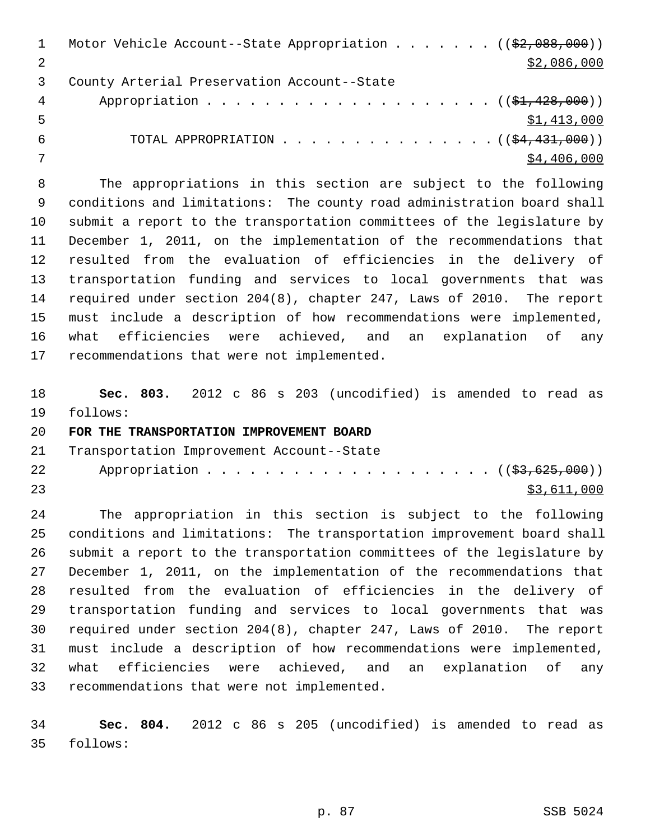|     | Motor Vehicle Account--State Appropriation ( $(\frac{2}{2}, 088, 000)$ ) |
|-----|--------------------------------------------------------------------------|
|     | \$2,086,000                                                              |
|     | County Arterial Preservation Account--State                              |
| 4   |                                                                          |
| . 5 | \$1,413,000                                                              |
| 6   | TOTAL APPROPRIATION $($ $($ \$4,431,000) $)$                             |
|     | \$4,406,000                                                              |

 8 The appropriations in this section are subject to the following 9 conditions and limitations: The county road administration board shall 10 submit a report to the transportation committees of the legislature by 11 December 1, 2011, on the implementation of the recommendations that 12 resulted from the evaluation of efficiencies in the delivery of 13 transportation funding and services to local governments that was 14 required under section 204(8), chapter 247, Laws of 2010. The report 15 must include a description of how recommendations were implemented, 16 what efficiencies were achieved, and an explanation of any 17 recommendations that were not implemented.

18 **Sec. 803.** 2012 c 86 s 203 (uncodified) is amended to read as 19 follows:

## 20 **FOR THE TRANSPORTATION IMPROVEMENT BOARD**

21 Transportation Improvement Account--State

| 22 | Appropriation ( ( <del>\$3,625,000</del> ) ) |  |  |  |  |  |  |  |  |  |             |
|----|----------------------------------------------|--|--|--|--|--|--|--|--|--|-------------|
| 23 |                                              |  |  |  |  |  |  |  |  |  | \$3,611,000 |

24 The appropriation in this section is subject to the following 25 conditions and limitations: The transportation improvement board shall 26 submit a report to the transportation committees of the legislature by 27 December 1, 2011, on the implementation of the recommendations that 28 resulted from the evaluation of efficiencies in the delivery of 29 transportation funding and services to local governments that was 30 required under section 204(8), chapter 247, Laws of 2010. The report 31 must include a description of how recommendations were implemented, 32 what efficiencies were achieved, and an explanation of any 33 recommendations that were not implemented.

34 **Sec. 804.** 2012 c 86 s 205 (uncodified) is amended to read as 35 follows: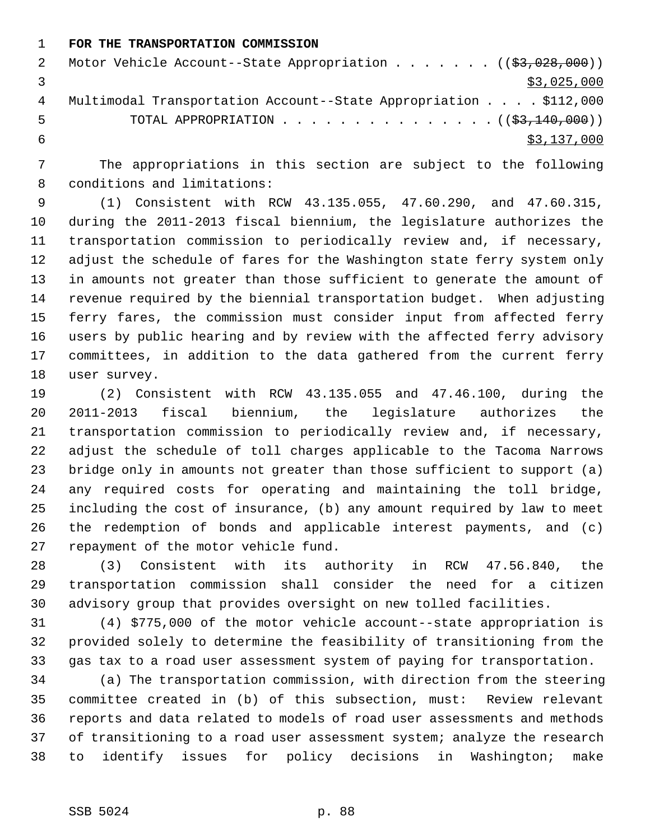1 **FOR THE TRANSPORTATION COMMISSION**

|   | Motor Vehicle Account--State Appropriation $($ $($ \$3,028,000) $)$ |
|---|---------------------------------------------------------------------|
|   | \$3,025,000                                                         |
| 4 | Multimodal Transportation Account--State Appropriation \$112,000    |
| 5 | TOTAL APPROPRIATION $($ $($ $\frac{23}{140}$ ,000) $)$              |
|   | \$3,137,000                                                         |

 7 The appropriations in this section are subject to the following 8 conditions and limitations:

 9 (1) Consistent with RCW 43.135.055, 47.60.290, and 47.60.315, 10 during the 2011-2013 fiscal biennium, the legislature authorizes the 11 transportation commission to periodically review and, if necessary, 12 adjust the schedule of fares for the Washington state ferry system only 13 in amounts not greater than those sufficient to generate the amount of 14 revenue required by the biennial transportation budget. When adjusting 15 ferry fares, the commission must consider input from affected ferry 16 users by public hearing and by review with the affected ferry advisory 17 committees, in addition to the data gathered from the current ferry 18 user survey.

19 (2) Consistent with RCW 43.135.055 and 47.46.100, during the 20 2011-2013 fiscal biennium, the legislature authorizes the 21 transportation commission to periodically review and, if necessary, 22 adjust the schedule of toll charges applicable to the Tacoma Narrows 23 bridge only in amounts not greater than those sufficient to support (a) 24 any required costs for operating and maintaining the toll bridge, 25 including the cost of insurance, (b) any amount required by law to meet 26 the redemption of bonds and applicable interest payments, and (c) 27 repayment of the motor vehicle fund.

28 (3) Consistent with its authority in RCW 47.56.840, the 29 transportation commission shall consider the need for a citizen 30 advisory group that provides oversight on new tolled facilities.

31 (4) \$775,000 of the motor vehicle account--state appropriation is 32 provided solely to determine the feasibility of transitioning from the 33 gas tax to a road user assessment system of paying for transportation.

34 (a) The transportation commission, with direction from the steering 35 committee created in (b) of this subsection, must: Review relevant 36 reports and data related to models of road user assessments and methods 37 of transitioning to a road user assessment system; analyze the research 38 to identify issues for policy decisions in Washington; make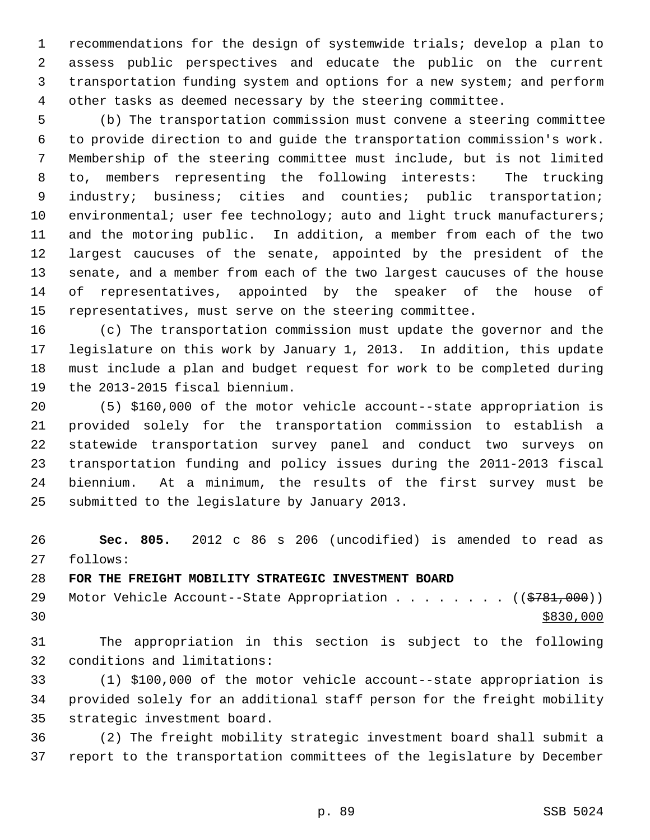1 recommendations for the design of systemwide trials; develop a plan to 2 assess public perspectives and educate the public on the current 3 transportation funding system and options for a new system; and perform 4 other tasks as deemed necessary by the steering committee.

 5 (b) The transportation commission must convene a steering committee 6 to provide direction to and guide the transportation commission's work. 7 Membership of the steering committee must include, but is not limited 8 to, members representing the following interests: The trucking 9 industry; business; cities and counties; public transportation; 10 environmental; user fee technology; auto and light truck manufacturers; 11 and the motoring public. In addition, a member from each of the two 12 largest caucuses of the senate, appointed by the president of the 13 senate, and a member from each of the two largest caucuses of the house 14 of representatives, appointed by the speaker of the house of 15 representatives, must serve on the steering committee.

16 (c) The transportation commission must update the governor and the 17 legislature on this work by January 1, 2013. In addition, this update 18 must include a plan and budget request for work to be completed during 19 the 2013-2015 fiscal biennium.

20 (5) \$160,000 of the motor vehicle account--state appropriation is 21 provided solely for the transportation commission to establish a 22 statewide transportation survey panel and conduct two surveys on 23 transportation funding and policy issues during the 2011-2013 fiscal 24 biennium. At a minimum, the results of the first survey must be 25 submitted to the legislature by January 2013.

26 **Sec. 805.** 2012 c 86 s 206 (uncodified) is amended to read as 27 follows:

28 **FOR THE FREIGHT MOBILITY STRATEGIC INVESTMENT BOARD**

29 Motor Vehicle Account--State Appropriation . . . . . . . ((\$781,000))  $30$ 

31 The appropriation in this section is subject to the following 32 conditions and limitations:

33 (1) \$100,000 of the motor vehicle account--state appropriation is 34 provided solely for an additional staff person for the freight mobility 35 strategic investment board.

36 (2) The freight mobility strategic investment board shall submit a 37 report to the transportation committees of the legislature by December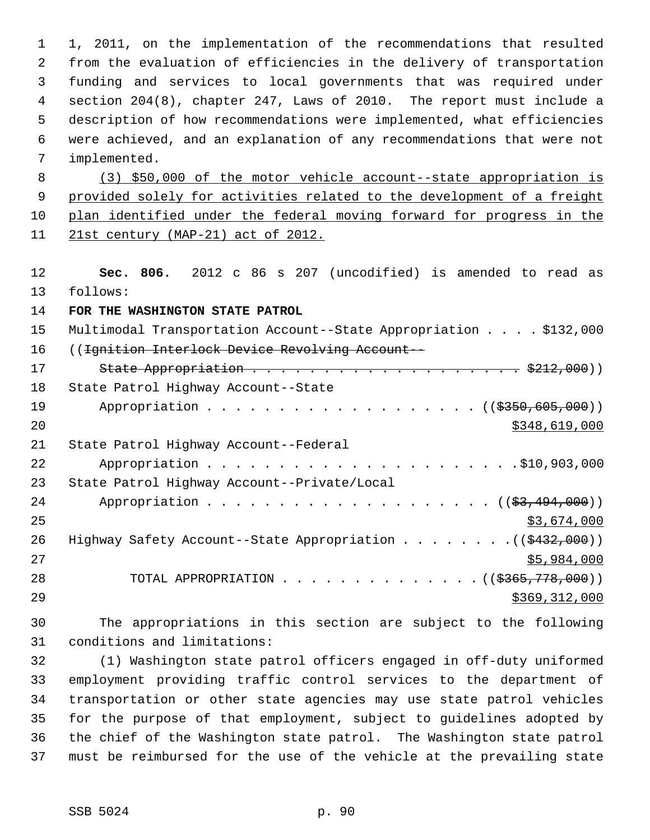1 1, 2011, on the implementation of the recommendations that resulted 2 from the evaluation of efficiencies in the delivery of transportation 3 funding and services to local governments that was required under 4 section 204(8), chapter 247, Laws of 2010. The report must include a 5 description of how recommendations were implemented, what efficiencies 6 were achieved, and an explanation of any recommendations that were not 7 implemented. 8 (3) \$50,000 of the motor vehicle account--state appropriation is 9 provided solely for activities related to the development of a freight 10 plan identified under the federal moving forward for progress in the 11 21st century (MAP-21) act of 2012. 12 **Sec. 806.** 2012 c 86 s 207 (uncodified) is amended to read as 13 follows: 14 **FOR THE WASHINGTON STATE PATROL** 15 Multimodal Transportation Account--State Appropriation . . . . \$132,000 16 ((Ignition Interlock Device Revolving Account-- 17 State Appropriation . . . . . . . . . . . . . . . . . . . \$212,000)) 18 State Patrol Highway Account--State 19 Appropriation . . . . . . . . . . . . . . . . . (  $(\frac{2350,605,000}{1})$ 20 \$348,619,000 \$348,619,000 21 State Patrol Highway Account--Federal 22 Appropriation . . . . . . . . . . . . . . . . . . . . . .\$10,903,000 23 State Patrol Highway Account--Private/Local 24 Appropriation . . . . . . . . . . . . . . . . . . (  $(\frac{23}{1000})$  )  $25$  \$3,674,000 26 Highway Safety Account--State Appropriation . . . . . . . . ((\$432,000)) 27 \$5,984,000 28 TOTAL APPROPRIATION . . . . . . . . . . . . . ((<del>\$365,778,000</del>)) 29 \$369,312,000 30 The appropriations in this section are subject to the following

31 conditions and limitations:

32 (1) Washington state patrol officers engaged in off-duty uniformed 33 employment providing traffic control services to the department of 34 transportation or other state agencies may use state patrol vehicles 35 for the purpose of that employment, subject to guidelines adopted by 36 the chief of the Washington state patrol. The Washington state patrol 37 must be reimbursed for the use of the vehicle at the prevailing state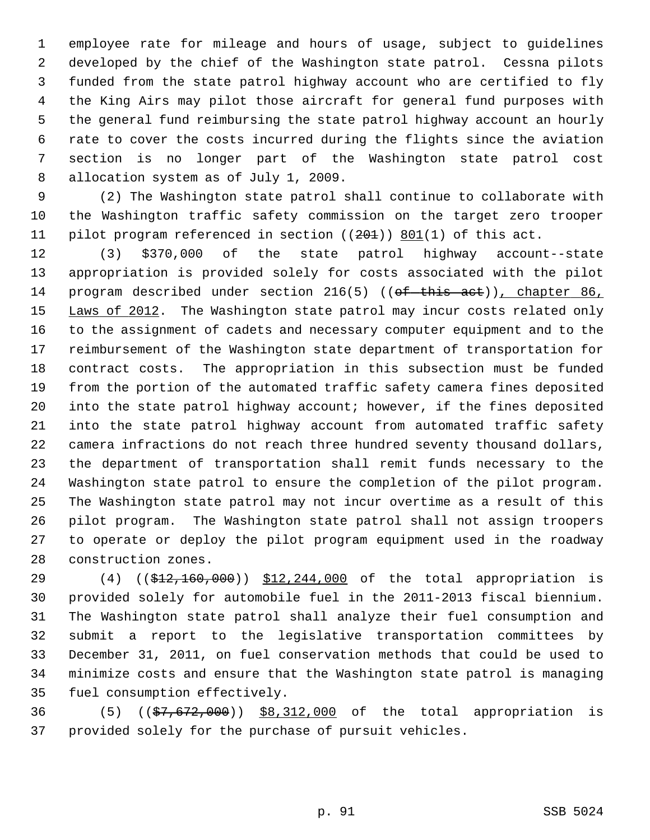1 employee rate for mileage and hours of usage, subject to guidelines 2 developed by the chief of the Washington state patrol. Cessna pilots 3 funded from the state patrol highway account who are certified to fly 4 the King Airs may pilot those aircraft for general fund purposes with 5 the general fund reimbursing the state patrol highway account an hourly 6 rate to cover the costs incurred during the flights since the aviation 7 section is no longer part of the Washington state patrol cost 8 allocation system as of July 1, 2009.

 9 (2) The Washington state patrol shall continue to collaborate with 10 the Washington traffic safety commission on the target zero trooper 11 pilot program referenced in section  $((201))$  801(1) of this act.

12 (3) \$370,000 of the state patrol highway account--state 13 appropriation is provided solely for costs associated with the pilot 14 program described under section 216(5) ((of this act)), chapter 86, 15 Laws of 2012. The Washington state patrol may incur costs related only 16 to the assignment of cadets and necessary computer equipment and to the 17 reimbursement of the Washington state department of transportation for 18 contract costs. The appropriation in this subsection must be funded 19 from the portion of the automated traffic safety camera fines deposited 20 into the state patrol highway account; however, if the fines deposited 21 into the state patrol highway account from automated traffic safety 22 camera infractions do not reach three hundred seventy thousand dollars, 23 the department of transportation shall remit funds necessary to the 24 Washington state patrol to ensure the completion of the pilot program. 25 The Washington state patrol may not incur overtime as a result of this 26 pilot program. The Washington state patrol shall not assign troopers 27 to operate or deploy the pilot program equipment used in the roadway 28 construction zones.

29 (4) ((\$12,160,000)) \$12,244,000 of the total appropriation is 30 provided solely for automobile fuel in the 2011-2013 fiscal biennium. 31 The Washington state patrol shall analyze their fuel consumption and 32 submit a report to the legislative transportation committees by 33 December 31, 2011, on fuel conservation methods that could be used to 34 minimize costs and ensure that the Washington state patrol is managing 35 fuel consumption effectively.

36 (5) ((\$7,672,000)) \$8,312,000 of the total appropriation is 37 provided solely for the purchase of pursuit vehicles.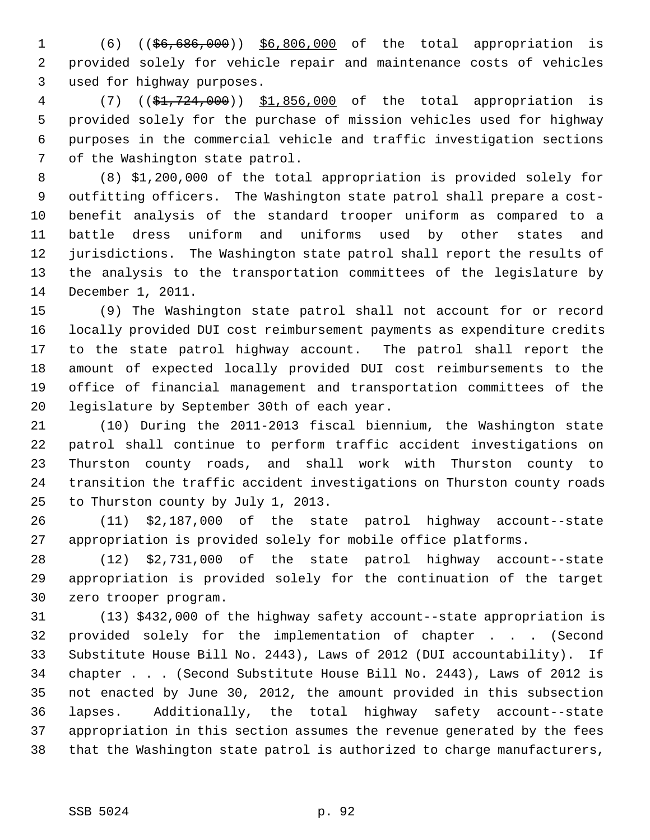1 (6) ((\$6,686,000)) \$6,806,000 of the total appropriation is 2 provided solely for vehicle repair and maintenance costs of vehicles 3 used for highway purposes.

 4 (7) ((\$1,724,000)) \$1,856,000 of the total appropriation is 5 provided solely for the purchase of mission vehicles used for highway 6 purposes in the commercial vehicle and traffic investigation sections 7 of the Washington state patrol.

 8 (8) \$1,200,000 of the total appropriation is provided solely for 9 outfitting officers. The Washington state patrol shall prepare a cost-10 benefit analysis of the standard trooper uniform as compared to a 11 battle dress uniform and uniforms used by other states and 12 jurisdictions. The Washington state patrol shall report the results of 13 the analysis to the transportation committees of the legislature by 14 December 1, 2011.

15 (9) The Washington state patrol shall not account for or record 16 locally provided DUI cost reimbursement payments as expenditure credits 17 to the state patrol highway account. The patrol shall report the 18 amount of expected locally provided DUI cost reimbursements to the 19 office of financial management and transportation committees of the 20 legislature by September 30th of each year.

21 (10) During the 2011-2013 fiscal biennium, the Washington state 22 patrol shall continue to perform traffic accident investigations on 23 Thurston county roads, and shall work with Thurston county to 24 transition the traffic accident investigations on Thurston county roads 25 to Thurston county by July 1, 2013.

26 (11) \$2,187,000 of the state patrol highway account--state 27 appropriation is provided solely for mobile office platforms.

28 (12) \$2,731,000 of the state patrol highway account--state 29 appropriation is provided solely for the continuation of the target 30 zero trooper program.

31 (13) \$432,000 of the highway safety account--state appropriation is 32 provided solely for the implementation of chapter . . . (Second 33 Substitute House Bill No. 2443), Laws of 2012 (DUI accountability). If 34 chapter . . . (Second Substitute House Bill No. 2443), Laws of 2012 is 35 not enacted by June 30, 2012, the amount provided in this subsection 36 lapses. Additionally, the total highway safety account--state 37 appropriation in this section assumes the revenue generated by the fees 38 that the Washington state patrol is authorized to charge manufacturers,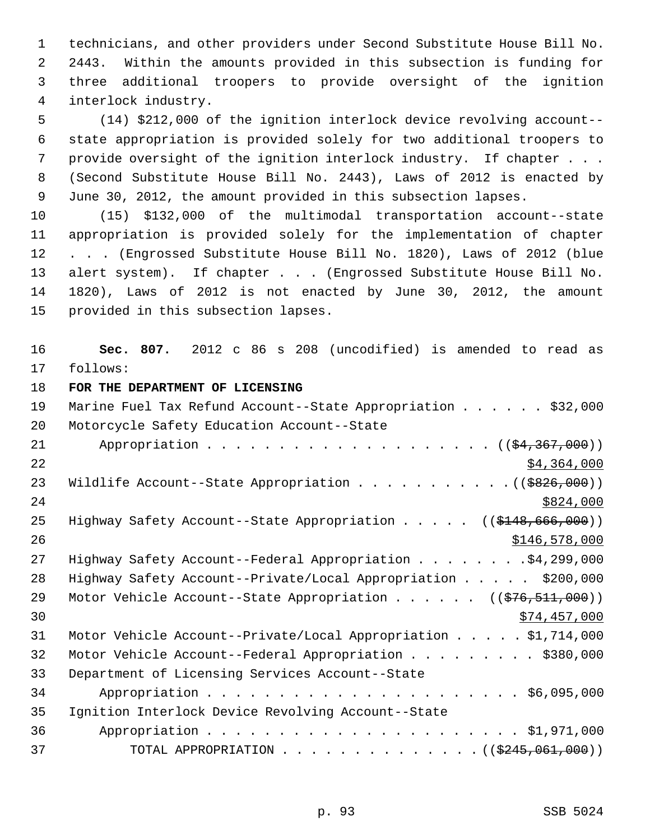1 technicians, and other providers under Second Substitute House Bill No. 2 2443. Within the amounts provided in this subsection is funding for 3 three additional troopers to provide oversight of the ignition 4 interlock industry.

 5 (14) \$212,000 of the ignition interlock device revolving account-- 6 state appropriation is provided solely for two additional troopers to 7 provide oversight of the ignition interlock industry. If chapter . . . 8 (Second Substitute House Bill No. 2443), Laws of 2012 is enacted by 9 June 30, 2012, the amount provided in this subsection lapses.

10 (15) \$132,000 of the multimodal transportation account--state 11 appropriation is provided solely for the implementation of chapter 12 . . . (Engrossed Substitute House Bill No. 1820), Laws of 2012 (blue 13 alert system). If chapter . . . (Engrossed Substitute House Bill No. 14 1820), Laws of 2012 is not enacted by June 30, 2012, the amount 15 provided in this subsection lapses.

16 **Sec. 807.** 2012 c 86 s 208 (uncodified) is amended to read as 17 follows:

18 **FOR THE DEPARTMENT OF LICENSING**

| 19 | Marine Fuel Tax Refund Account--State Appropriation \$32,000            |
|----|-------------------------------------------------------------------------|
| 20 | Motorcycle Safety Education Account--State                              |
| 21 |                                                                         |
| 22 | \$4,364,000                                                             |
| 23 | Wildlife Account--State Appropriation ( $(\frac{2826}{100})$ )          |
| 24 | \$824,000                                                               |
| 25 | Highway Safety Account--State Appropriation ((\$148,666,000))           |
| 26 | \$146,578,000                                                           |
| 27 | Highway Safety Account--Federal Appropriation \$4,299,000               |
| 28 | Highway Safety Account--Private/Local Appropriation \$200,000           |
| 29 | Motor Vehicle Account--State Appropriation ( $(\frac{276}{511}, 000)$ ) |
| 30 | \$74,457,000                                                            |
| 31 | Motor Vehicle Account--Private/Local Appropriation $\ldots$ \$1,714,000 |
| 32 | Motor Vehicle Account--Federal Appropriation \$380,000                  |
| 33 | Department of Licensing Services Account--State                         |
| 34 |                                                                         |
| 35 | Ignition Interlock Device Revolving Account--State                      |
| 36 |                                                                         |
| 37 | TOTAL APPROPRIATION ( $(\frac{2445,061,000}{$ )                         |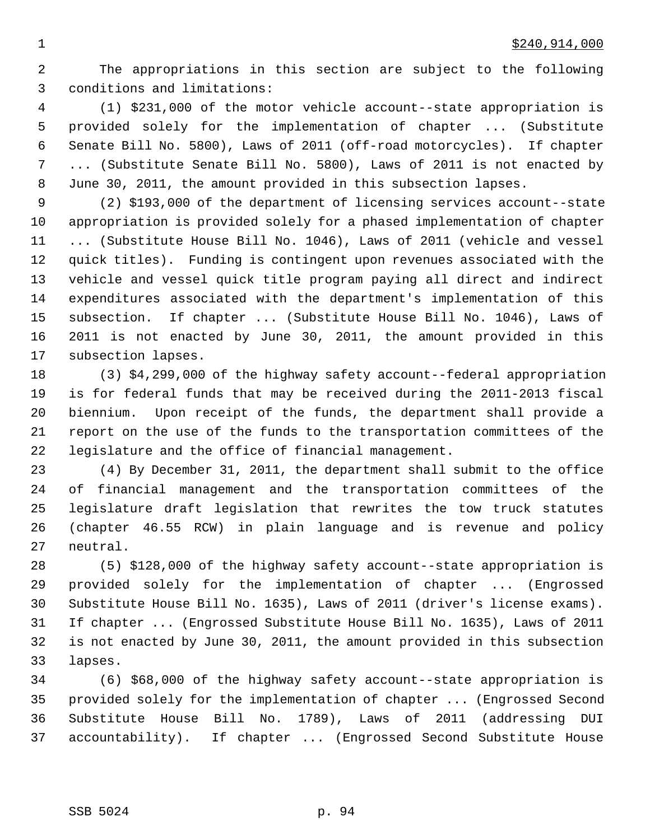2 The appropriations in this section are subject to the following 3 conditions and limitations:

 4 (1) \$231,000 of the motor vehicle account--state appropriation is 5 provided solely for the implementation of chapter ... (Substitute 6 Senate Bill No. 5800), Laws of 2011 (off-road motorcycles). If chapter 7 ... (Substitute Senate Bill No. 5800), Laws of 2011 is not enacted by 8 June 30, 2011, the amount provided in this subsection lapses.

 9 (2) \$193,000 of the department of licensing services account--state 10 appropriation is provided solely for a phased implementation of chapter 11 ... (Substitute House Bill No. 1046), Laws of 2011 (vehicle and vessel 12 quick titles). Funding is contingent upon revenues associated with the 13 vehicle and vessel quick title program paying all direct and indirect 14 expenditures associated with the department's implementation of this 15 subsection. If chapter ... (Substitute House Bill No. 1046), Laws of 16 2011 is not enacted by June 30, 2011, the amount provided in this 17 subsection lapses.

18 (3) \$4,299,000 of the highway safety account--federal appropriation 19 is for federal funds that may be received during the 2011-2013 fiscal 20 biennium. Upon receipt of the funds, the department shall provide a 21 report on the use of the funds to the transportation committees of the 22 legislature and the office of financial management.

23 (4) By December 31, 2011, the department shall submit to the office 24 of financial management and the transportation committees of the 25 legislature draft legislation that rewrites the tow truck statutes 26 (chapter 46.55 RCW) in plain language and is revenue and policy 27 neutral.

28 (5) \$128,000 of the highway safety account--state appropriation is 29 provided solely for the implementation of chapter ... (Engrossed 30 Substitute House Bill No. 1635), Laws of 2011 (driver's license exams). 31 If chapter ... (Engrossed Substitute House Bill No. 1635), Laws of 2011 32 is not enacted by June 30, 2011, the amount provided in this subsection 33 lapses.

34 (6) \$68,000 of the highway safety account--state appropriation is 35 provided solely for the implementation of chapter ... (Engrossed Second 36 Substitute House Bill No. 1789), Laws of 2011 (addressing DUI 37 accountability). If chapter ... (Engrossed Second Substitute House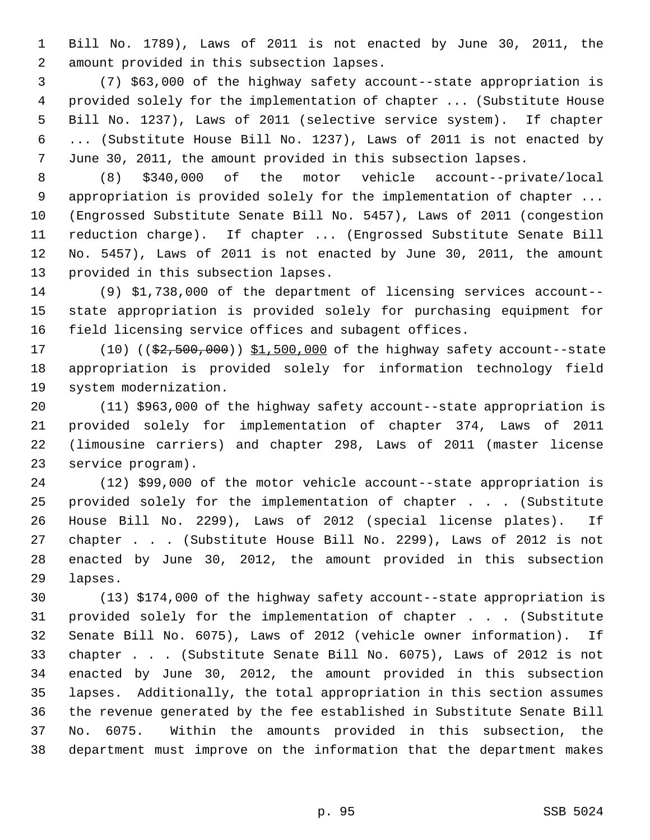1 Bill No. 1789), Laws of 2011 is not enacted by June 30, 2011, the 2 amount provided in this subsection lapses.

 3 (7) \$63,000 of the highway safety account--state appropriation is 4 provided solely for the implementation of chapter ... (Substitute House 5 Bill No. 1237), Laws of 2011 (selective service system). If chapter 6 ... (Substitute House Bill No. 1237), Laws of 2011 is not enacted by 7 June 30, 2011, the amount provided in this subsection lapses.

 8 (8) \$340,000 of the motor vehicle account--private/local 9 appropriation is provided solely for the implementation of chapter ... 10 (Engrossed Substitute Senate Bill No. 5457), Laws of 2011 (congestion 11 reduction charge). If chapter ... (Engrossed Substitute Senate Bill 12 No. 5457), Laws of 2011 is not enacted by June 30, 2011, the amount 13 provided in this subsection lapses.

14 (9) \$1,738,000 of the department of licensing services account-- 15 state appropriation is provided solely for purchasing equipment for 16 field licensing service offices and subagent offices.

17 (10) ((\$2,500,000)) \$1,500,000 of the highway safety account--state 18 appropriation is provided solely for information technology field 19 system modernization.

20 (11) \$963,000 of the highway safety account--state appropriation is 21 provided solely for implementation of chapter 374, Laws of 2011 22 (limousine carriers) and chapter 298, Laws of 2011 (master license 23 service program).

24 (12) \$99,000 of the motor vehicle account--state appropriation is 25 provided solely for the implementation of chapter . . . (Substitute 26 House Bill No. 2299), Laws of 2012 (special license plates). If 27 chapter . . . (Substitute House Bill No. 2299), Laws of 2012 is not 28 enacted by June 30, 2012, the amount provided in this subsection 29 lapses.

30 (13) \$174,000 of the highway safety account--state appropriation is 31 provided solely for the implementation of chapter . . . (Substitute 32 Senate Bill No. 6075), Laws of 2012 (vehicle owner information). If 33 chapter . . . (Substitute Senate Bill No. 6075), Laws of 2012 is not 34 enacted by June 30, 2012, the amount provided in this subsection 35 lapses. Additionally, the total appropriation in this section assumes 36 the revenue generated by the fee established in Substitute Senate Bill 37 No. 6075. Within the amounts provided in this subsection, the 38 department must improve on the information that the department makes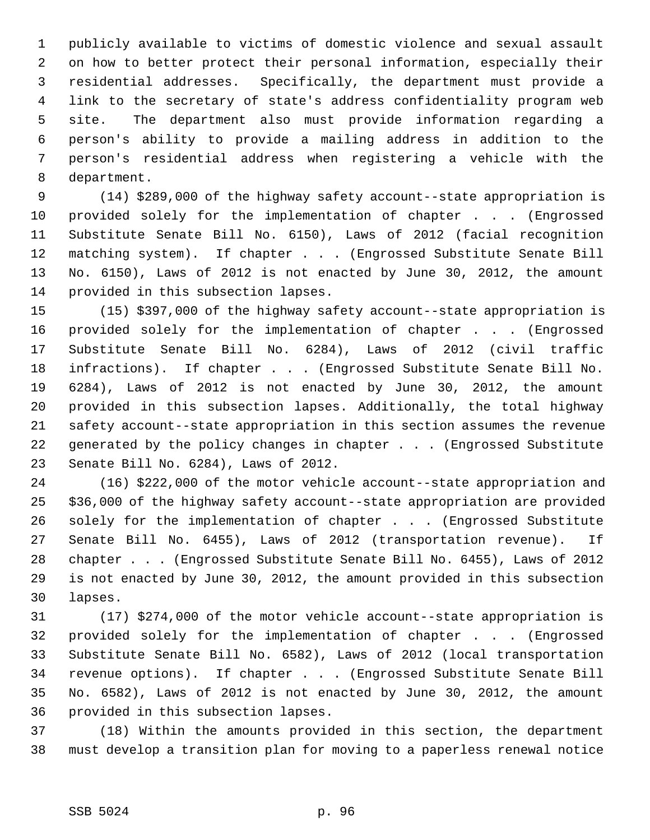1 publicly available to victims of domestic violence and sexual assault 2 on how to better protect their personal information, especially their 3 residential addresses. Specifically, the department must provide a 4 link to the secretary of state's address confidentiality program web 5 site. The department also must provide information regarding a 6 person's ability to provide a mailing address in addition to the 7 person's residential address when registering a vehicle with the 8 department.

 9 (14) \$289,000 of the highway safety account--state appropriation is 10 provided solely for the implementation of chapter . . . (Engrossed 11 Substitute Senate Bill No. 6150), Laws of 2012 (facial recognition 12 matching system). If chapter . . . (Engrossed Substitute Senate Bill 13 No. 6150), Laws of 2012 is not enacted by June 30, 2012, the amount 14 provided in this subsection lapses.

15 (15) \$397,000 of the highway safety account--state appropriation is 16 provided solely for the implementation of chapter . . . (Engrossed 17 Substitute Senate Bill No. 6284), Laws of 2012 (civil traffic 18 infractions). If chapter . . . (Engrossed Substitute Senate Bill No. 19 6284), Laws of 2012 is not enacted by June 30, 2012, the amount 20 provided in this subsection lapses. Additionally, the total highway 21 safety account--state appropriation in this section assumes the revenue 22 generated by the policy changes in chapter . . . (Engrossed Substitute 23 Senate Bill No. 6284), Laws of 2012.

24 (16) \$222,000 of the motor vehicle account--state appropriation and 25 \$36,000 of the highway safety account--state appropriation are provided 26 solely for the implementation of chapter . . . (Engrossed Substitute 27 Senate Bill No. 6455), Laws of 2012 (transportation revenue). If 28 chapter . . . (Engrossed Substitute Senate Bill No. 6455), Laws of 2012 29 is not enacted by June 30, 2012, the amount provided in this subsection 30 lapses.

31 (17) \$274,000 of the motor vehicle account--state appropriation is 32 provided solely for the implementation of chapter . . . (Engrossed 33 Substitute Senate Bill No. 6582), Laws of 2012 (local transportation 34 revenue options). If chapter . . . (Engrossed Substitute Senate Bill 35 No. 6582), Laws of 2012 is not enacted by June 30, 2012, the amount 36 provided in this subsection lapses.

37 (18) Within the amounts provided in this section, the department 38 must develop a transition plan for moving to a paperless renewal notice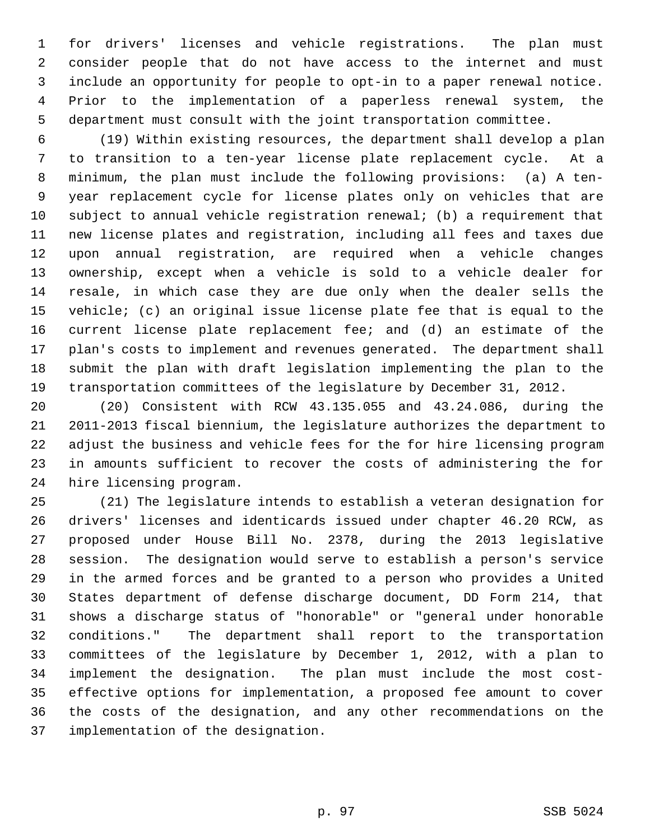1 for drivers' licenses and vehicle registrations. The plan must 2 consider people that do not have access to the internet and must 3 include an opportunity for people to opt-in to a paper renewal notice. 4 Prior to the implementation of a paperless renewal system, the 5 department must consult with the joint transportation committee.

 6 (19) Within existing resources, the department shall develop a plan 7 to transition to a ten-year license plate replacement cycle. At a 8 minimum, the plan must include the following provisions: (a) A ten- 9 year replacement cycle for license plates only on vehicles that are 10 subject to annual vehicle registration renewal; (b) a requirement that 11 new license plates and registration, including all fees and taxes due 12 upon annual registration, are required when a vehicle changes 13 ownership, except when a vehicle is sold to a vehicle dealer for 14 resale, in which case they are due only when the dealer sells the 15 vehicle; (c) an original issue license plate fee that is equal to the 16 current license plate replacement fee; and (d) an estimate of the 17 plan's costs to implement and revenues generated. The department shall 18 submit the plan with draft legislation implementing the plan to the 19 transportation committees of the legislature by December 31, 2012.

20 (20) Consistent with RCW 43.135.055 and 43.24.086, during the 21 2011-2013 fiscal biennium, the legislature authorizes the department to 22 adjust the business and vehicle fees for the for hire licensing program 23 in amounts sufficient to recover the costs of administering the for 24 hire licensing program.

25 (21) The legislature intends to establish a veteran designation for 26 drivers' licenses and identicards issued under chapter 46.20 RCW, as 27 proposed under House Bill No. 2378, during the 2013 legislative 28 session. The designation would serve to establish a person's service 29 in the armed forces and be granted to a person who provides a United 30 States department of defense discharge document, DD Form 214, that 31 shows a discharge status of "honorable" or "general under honorable 32 conditions." The department shall report to the transportation 33 committees of the legislature by December 1, 2012, with a plan to 34 implement the designation. The plan must include the most cost-35 effective options for implementation, a proposed fee amount to cover 36 the costs of the designation, and any other recommendations on the 37 implementation of the designation.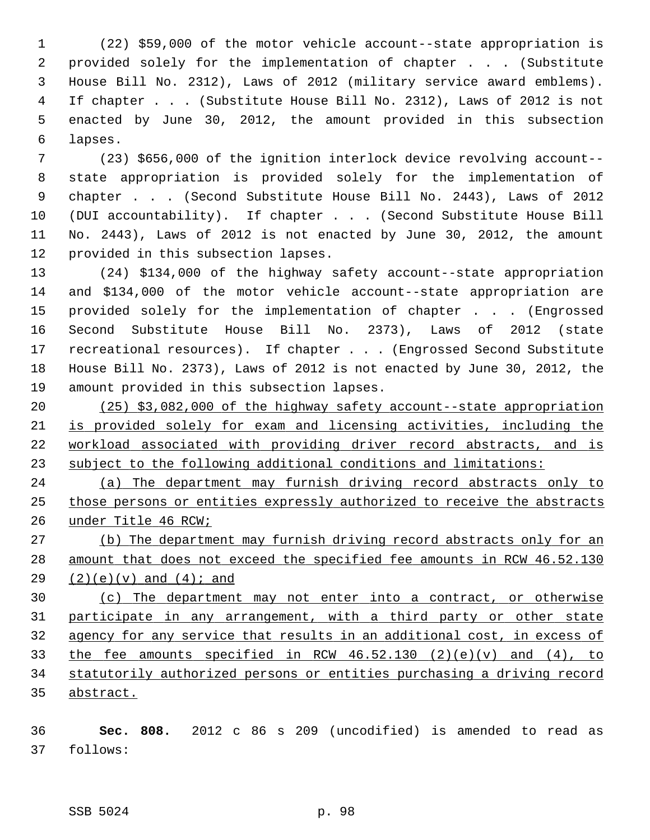1 (22) \$59,000 of the motor vehicle account--state appropriation is 2 provided solely for the implementation of chapter . . . (Substitute 3 House Bill No. 2312), Laws of 2012 (military service award emblems). 4 If chapter . . . (Substitute House Bill No. 2312), Laws of 2012 is not 5 enacted by June 30, 2012, the amount provided in this subsection 6 lapses.

 7 (23) \$656,000 of the ignition interlock device revolving account-- 8 state appropriation is provided solely for the implementation of 9 chapter . . . (Second Substitute House Bill No. 2443), Laws of 2012 10 (DUI accountability). If chapter . . . (Second Substitute House Bill 11 No. 2443), Laws of 2012 is not enacted by June 30, 2012, the amount 12 provided in this subsection lapses.

13 (24) \$134,000 of the highway safety account--state appropriation 14 and \$134,000 of the motor vehicle account--state appropriation are 15 provided solely for the implementation of chapter . . . (Engrossed 16 Second Substitute House Bill No. 2373), Laws of 2012 (state 17 recreational resources). If chapter . . . (Engrossed Second Substitute 18 House Bill No. 2373), Laws of 2012 is not enacted by June 30, 2012, the 19 amount provided in this subsection lapses.

 (25) \$3,082,000 of the highway safety account--state appropriation is provided solely for exam and licensing activities, including the workload associated with providing driver record abstracts, and is subject to the following additional conditions and limitations:

24 (a) The department may furnish driving record abstracts only to 25 those persons or entities expressly authorized to receive the abstracts 26 under Title 46 RCW;

27 (b) The department may furnish driving record abstracts only for an 28 amount that does not exceed the specified fee amounts in RCW 46.52.130 29  $(2)(e)(v)$  and  $(4)i$  and

 (c) The department may not enter into a contract, or otherwise participate in any arrangement, with a third party or other state agency for any service that results in an additional cost, in excess of 33 the fee amounts specified in RCW  $46.52.130$   $(2)(e)(v)$  and  $(4)$ , to statutorily authorized persons or entities purchasing a driving record abstract.

36 **Sec. 808.** 2012 c 86 s 209 (uncodified) is amended to read as 37 follows: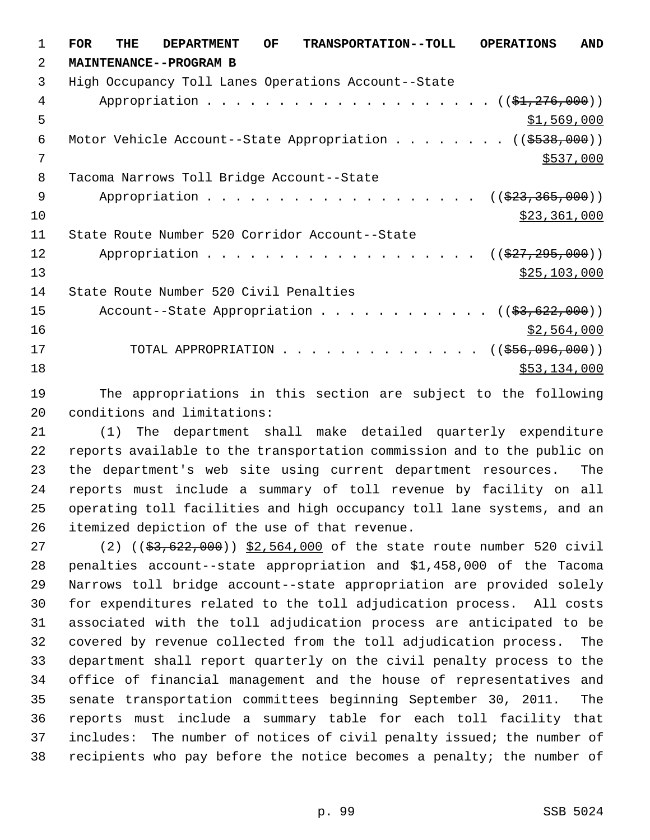1 **FOR THE DEPARTMENT OF TRANSPORTATION--TOLL OPERATIONS AND** 2 **MAINTENANCE--PROGRAM B** 3 High Occupancy Toll Lanes Operations Account--State 4 Appropriation . . . . . . . . . . . . . . . . . . (  $(\frac{1}{24}, \frac{276}{100})$  )  $5 - 5$  \$1,569,000 6 Motor Vehicle Account--State Appropriation . . . . . . . ((\$538,000))  $7$  \$537,000 8 Tacoma Narrows Toll Bridge Account--State 9 Appropriation . . . . . . . . . . . . . . . . . (  $(\frac{233}{100})$  )  $\frac{10}{223,361,000}$ 11 State Route Number 520 Corridor Account--State 12 Appropriation . . . . . . . . . . . . . . . . . ((<del>\$27,295,000</del>))  $\frac{13}{25,103,000}$ 14 State Route Number 520 Civil Penalties 15 Account--State Appropriation . . . . . . . . . . . ((<del>\$3,622,000</del>))  $\frac{16}{2,564,000}$ 17 TOTAL APPROPRIATION . . . . . . . . . . . . . . ((\$56,096,000)) 18 \$53,134,000

19 The appropriations in this section are subject to the following 20 conditions and limitations:

21 (1) The department shall make detailed quarterly expenditure 22 reports available to the transportation commission and to the public on 23 the department's web site using current department resources. The 24 reports must include a summary of toll revenue by facility on all 25 operating toll facilities and high occupancy toll lane systems, and an 26 itemized depiction of the use of that revenue.

27 (2) ((\$3,622,000)) \$2,564,000 of the state route number 520 civil 28 penalties account--state appropriation and \$1,458,000 of the Tacoma 29 Narrows toll bridge account--state appropriation are provided solely 30 for expenditures related to the toll adjudication process. All costs 31 associated with the toll adjudication process are anticipated to be 32 covered by revenue collected from the toll adjudication process. The 33 department shall report quarterly on the civil penalty process to the 34 office of financial management and the house of representatives and 35 senate transportation committees beginning September 30, 2011. The 36 reports must include a summary table for each toll facility that 37 includes: The number of notices of civil penalty issued; the number of 38 recipients who pay before the notice becomes a penalty; the number of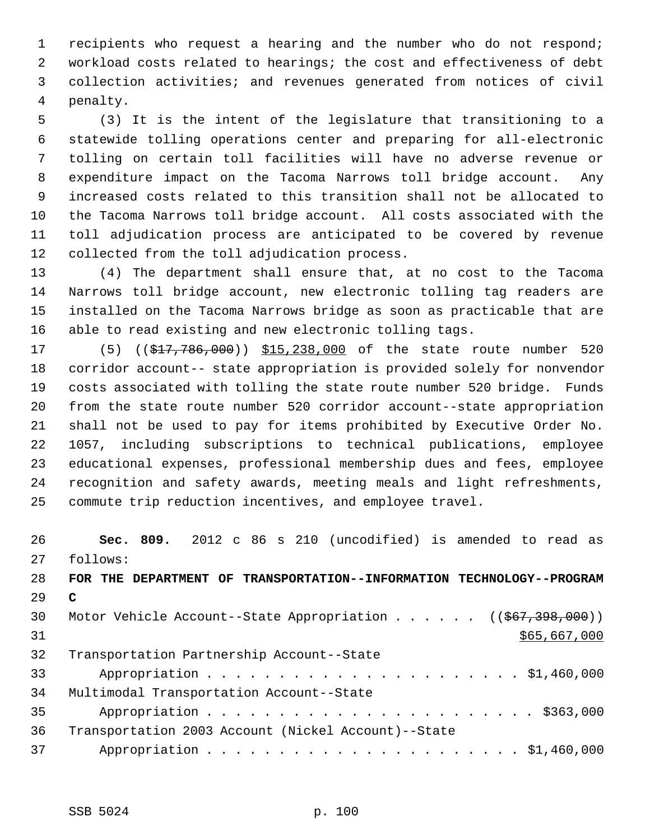1 recipients who request a hearing and the number who do not respond; 2 workload costs related to hearings; the cost and effectiveness of debt 3 collection activities; and revenues generated from notices of civil 4 penalty.

 5 (3) It is the intent of the legislature that transitioning to a 6 statewide tolling operations center and preparing for all-electronic 7 tolling on certain toll facilities will have no adverse revenue or 8 expenditure impact on the Tacoma Narrows toll bridge account. Any 9 increased costs related to this transition shall not be allocated to 10 the Tacoma Narrows toll bridge account. All costs associated with the 11 toll adjudication process are anticipated to be covered by revenue 12 collected from the toll adjudication process.

13 (4) The department shall ensure that, at no cost to the Tacoma 14 Narrows toll bridge account, new electronic tolling tag readers are 15 installed on the Tacoma Narrows bridge as soon as practicable that are 16 able to read existing and new electronic tolling tags.

17 (5) ((\$17,786,000)) \$15,238,000 of the state route number 520 18 corridor account-- state appropriation is provided solely for nonvendor 19 costs associated with tolling the state route number 520 bridge. Funds 20 from the state route number 520 corridor account--state appropriation 21 shall not be used to pay for items prohibited by Executive Order No. 22 1057, including subscriptions to technical publications, employee 23 educational expenses, professional membership dues and fees, employee 24 recognition and safety awards, meeting meals and light refreshments, 25 commute trip reduction incentives, and employee travel.

26 **Sec. 809.** 2012 c 86 s 210 (uncodified) is amended to read as 27 follows: 28 **FOR THE DEPARTMENT OF TRANSPORTATION--INFORMATION TECHNOLOGY--PROGRAM** 29 **C** 30 Motor Vehicle Account--State Appropriation . . . . . ((\$67,398,000)) 31 \$65,667,000 32 Transportation Partnership Account--State 33 Appropriation . . . . . . . . . . . . . . . . . . . . . . \$1,460,000 34 Multimodal Transportation Account--State 35 Appropriation . . . . . . . . . . . . . . . . . . . . . . . \$363,000 36 Transportation 2003 Account (Nickel Account)--State 37 Appropriation . . . . . . . . . . . . . . . . . . . . . . \$1,460,000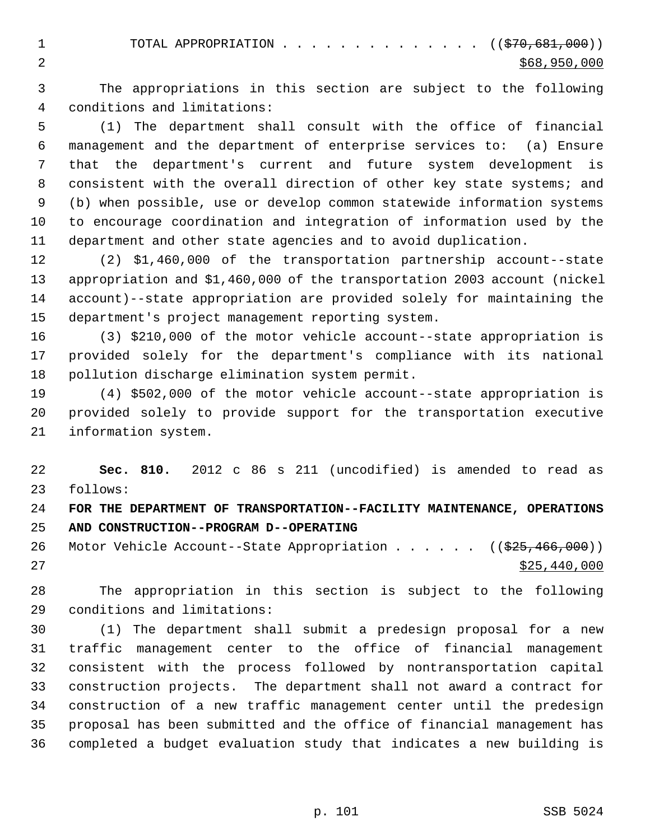1 TOTAL APPROPRIATION . . . . . . . . . . . . . ((<del>\$70,681,000</del>)) 2  $\frac{$68,950,000}{ }$ 

 3 The appropriations in this section are subject to the following 4 conditions and limitations:

 5 (1) The department shall consult with the office of financial 6 management and the department of enterprise services to: (a) Ensure 7 that the department's current and future system development is 8 consistent with the overall direction of other key state systems; and 9 (b) when possible, use or develop common statewide information systems 10 to encourage coordination and integration of information used by the 11 department and other state agencies and to avoid duplication.

12 (2) \$1,460,000 of the transportation partnership account--state 13 appropriation and \$1,460,000 of the transportation 2003 account (nickel 14 account)--state appropriation are provided solely for maintaining the 15 department's project management reporting system.

16 (3) \$210,000 of the motor vehicle account--state appropriation is 17 provided solely for the department's compliance with its national 18 pollution discharge elimination system permit.

19 (4) \$502,000 of the motor vehicle account--state appropriation is 20 provided solely to provide support for the transportation executive 21 information system.

22 **Sec. 810.** 2012 c 86 s 211 (uncodified) is amended to read as 23 follows:

24 **FOR THE DEPARTMENT OF TRANSPORTATION--FACILITY MAINTENANCE, OPERATIONS** 25 **AND CONSTRUCTION--PROGRAM D--OPERATING**

26 Motor Vehicle Account--State Appropriation . . . . . ((\$25,466,000)) 27 \$25,440,000

28 The appropriation in this section is subject to the following 29 conditions and limitations:

30 (1) The department shall submit a predesign proposal for a new 31 traffic management center to the office of financial management 32 consistent with the process followed by nontransportation capital 33 construction projects. The department shall not award a contract for 34 construction of a new traffic management center until the predesign 35 proposal has been submitted and the office of financial management has 36 completed a budget evaluation study that indicates a new building is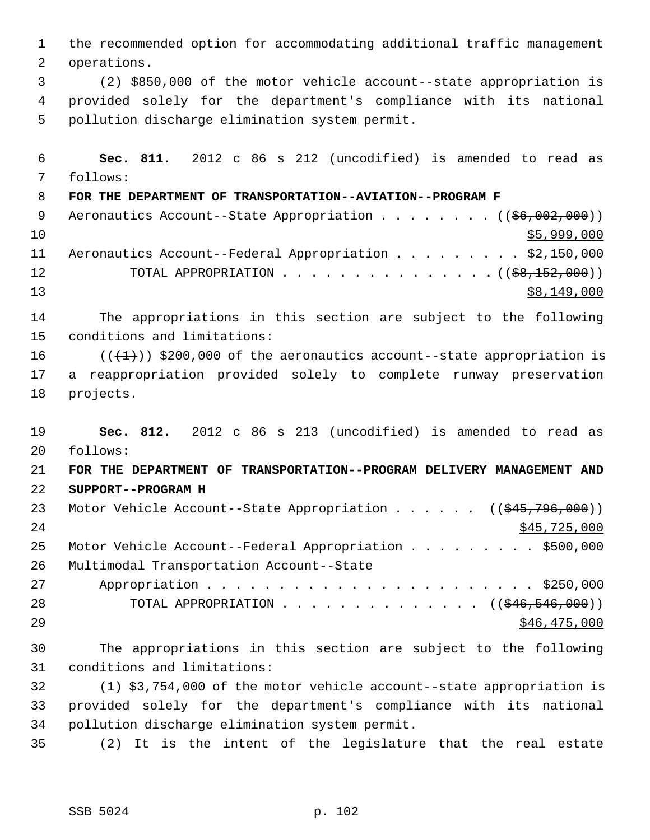1 the recommended option for accommodating additional traffic management 2 operations. 3 (2) \$850,000 of the motor vehicle account--state appropriation is 4 provided solely for the department's compliance with its national 5 pollution discharge elimination system permit. 6 **Sec. 811.** 2012 c 86 s 212 (uncodified) is amended to read as 7 follows: 8 **FOR THE DEPARTMENT OF TRANSPORTATION--AVIATION--PROGRAM F** 9 Aeronautics Account--State Appropriation . . . . . . . ((\$6,002,000))  $10$  \$5,999,000 11 Aeronautics Account--Federal Appropriation . . . . . . . . . \$2,150,000 12 TOTAL APPROPRIATION . . . . . . . . . . . . . . ((<del>\$8,152,000</del>)) 13 \$8,149,000 14 The appropriations in this section are subject to the following 15 conditions and limitations: 16  $((+1))$  \$200,000 of the aeronautics account--state appropriation is 17 a reappropriation provided solely to complete runway preservation 18 projects. 19 **Sec. 812.** 2012 c 86 s 213 (uncodified) is amended to read as 20 follows: 21 **FOR THE DEPARTMENT OF TRANSPORTATION--PROGRAM DELIVERY MANAGEMENT AND** 22 **SUPPORT--PROGRAM H** 23 Motor Vehicle Account--State Appropriation . . . . . ((\$45,796,000)) 24 \$45,725,000 25 Motor Vehicle Account--Federal Appropriation . . . . . . . . \$500,000 26 Multimodal Transportation Account--State 27 Appropriation . . . . . . . . . . . . . . . . . . . . . . . \$250,000 28 TOTAL APPROPRIATION . . . . . . . . . . . . . ((\$46,546,000))  $29$   $546,475,000$ 30 The appropriations in this section are subject to the following 31 conditions and limitations: 32 (1) \$3,754,000 of the motor vehicle account--state appropriation is 33 provided solely for the department's compliance with its national 34 pollution discharge elimination system permit. 35 (2) It is the intent of the legislature that the real estate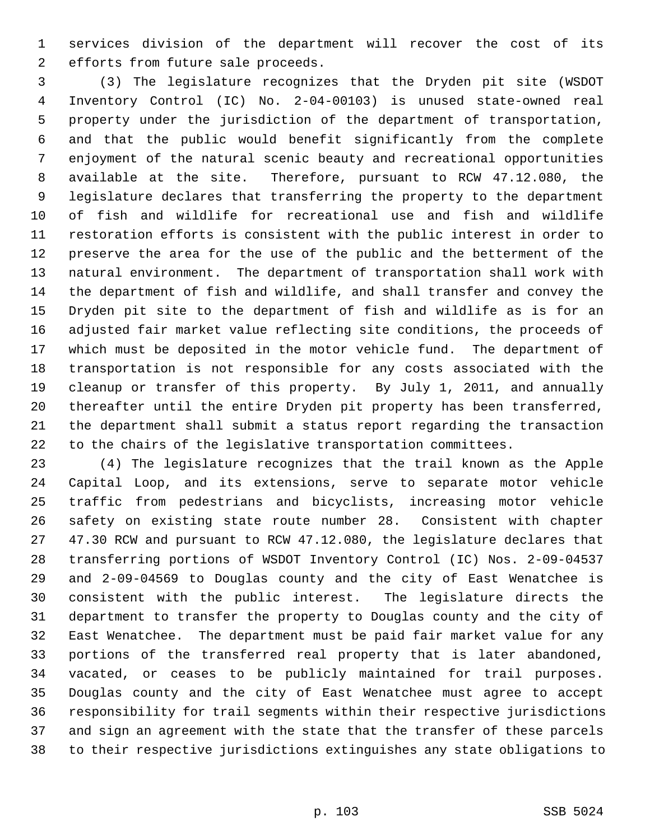1 services division of the department will recover the cost of its 2 efforts from future sale proceeds.

 3 (3) The legislature recognizes that the Dryden pit site (WSDOT 4 Inventory Control (IC) No. 2-04-00103) is unused state-owned real 5 property under the jurisdiction of the department of transportation, 6 and that the public would benefit significantly from the complete 7 enjoyment of the natural scenic beauty and recreational opportunities 8 available at the site. Therefore, pursuant to RCW 47.12.080, the 9 legislature declares that transferring the property to the department 10 of fish and wildlife for recreational use and fish and wildlife 11 restoration efforts is consistent with the public interest in order to 12 preserve the area for the use of the public and the betterment of the 13 natural environment. The department of transportation shall work with 14 the department of fish and wildlife, and shall transfer and convey the 15 Dryden pit site to the department of fish and wildlife as is for an 16 adjusted fair market value reflecting site conditions, the proceeds of 17 which must be deposited in the motor vehicle fund. The department of 18 transportation is not responsible for any costs associated with the 19 cleanup or transfer of this property. By July 1, 2011, and annually 20 thereafter until the entire Dryden pit property has been transferred, 21 the department shall submit a status report regarding the transaction 22 to the chairs of the legislative transportation committees.

23 (4) The legislature recognizes that the trail known as the Apple 24 Capital Loop, and its extensions, serve to separate motor vehicle 25 traffic from pedestrians and bicyclists, increasing motor vehicle 26 safety on existing state route number 28. Consistent with chapter 27 47.30 RCW and pursuant to RCW 47.12.080, the legislature declares that 28 transferring portions of WSDOT Inventory Control (IC) Nos. 2-09-04537 29 and 2-09-04569 to Douglas county and the city of East Wenatchee is 30 consistent with the public interest. The legislature directs the 31 department to transfer the property to Douglas county and the city of 32 East Wenatchee. The department must be paid fair market value for any 33 portions of the transferred real property that is later abandoned, 34 vacated, or ceases to be publicly maintained for trail purposes. 35 Douglas county and the city of East Wenatchee must agree to accept 36 responsibility for trail segments within their respective jurisdictions 37 and sign an agreement with the state that the transfer of these parcels 38 to their respective jurisdictions extinguishes any state obligations to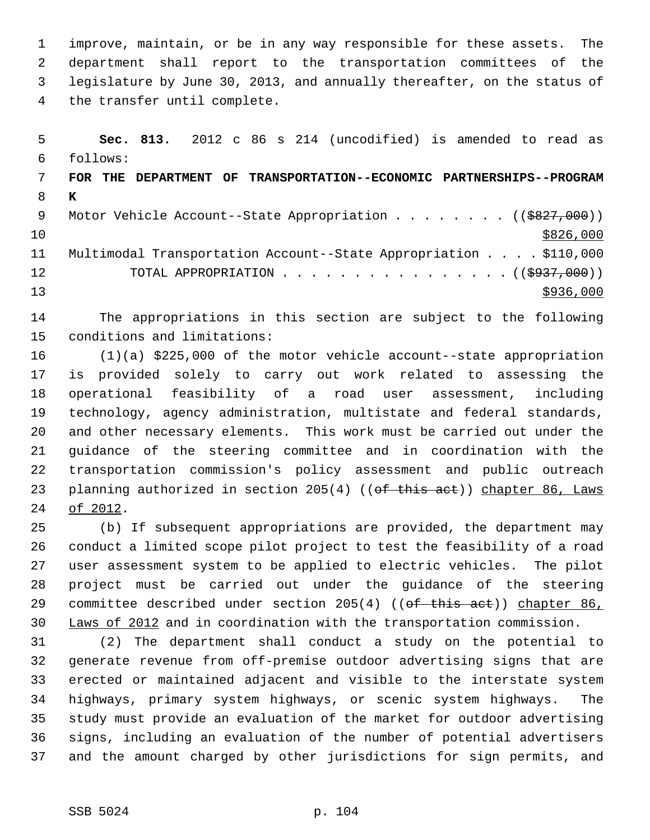1 improve, maintain, or be in any way responsible for these assets. The 2 department shall report to the transportation committees of the 3 legislature by June 30, 2013, and annually thereafter, on the status of 4 the transfer until complete.

 5 **Sec. 813.** 2012 c 86 s 214 (uncodified) is amended to read as 6 follows: 7 **FOR THE DEPARTMENT OF TRANSPORTATION--ECONOMIC PARTNERSHIPS--PROGRAM** 8 **K** 9 Motor Vehicle Account--State Appropriation . . . . . . . ((\$827,000))  $10 \frac{\$826,000}{}$ 11 Multimodal Transportation Account--State Appropriation . . . . \$110,000 12 TOTAL APPROPRIATION . . . . . . . . . . . . . . . ((<del>\$937,000</del>))  $13$   $\frac{$936,000}{ }$ 

14 The appropriations in this section are subject to the following 15 conditions and limitations:

16 (1)(a) \$225,000 of the motor vehicle account--state appropriation 17 is provided solely to carry out work related to assessing the 18 operational feasibility of a road user assessment, including 19 technology, agency administration, multistate and federal standards, 20 and other necessary elements. This work must be carried out under the 21 guidance of the steering committee and in coordination with the 22 transportation commission's policy assessment and public outreach 23 planning authorized in section 205(4) ((of this act)) chapter 86, Laws 24 of 2012.

25 (b) If subsequent appropriations are provided, the department may 26 conduct a limited scope pilot project to test the feasibility of a road 27 user assessment system to be applied to electric vehicles. The pilot 28 project must be carried out under the guidance of the steering 29 committee described under section 205(4) ((of this act)) chapter 86, 30 Laws of 2012 and in coordination with the transportation commission.

31 (2) The department shall conduct a study on the potential to 32 generate revenue from off-premise outdoor advertising signs that are 33 erected or maintained adjacent and visible to the interstate system 34 highways, primary system highways, or scenic system highways. The 35 study must provide an evaluation of the market for outdoor advertising 36 signs, including an evaluation of the number of potential advertisers 37 and the amount charged by other jurisdictions for sign permits, and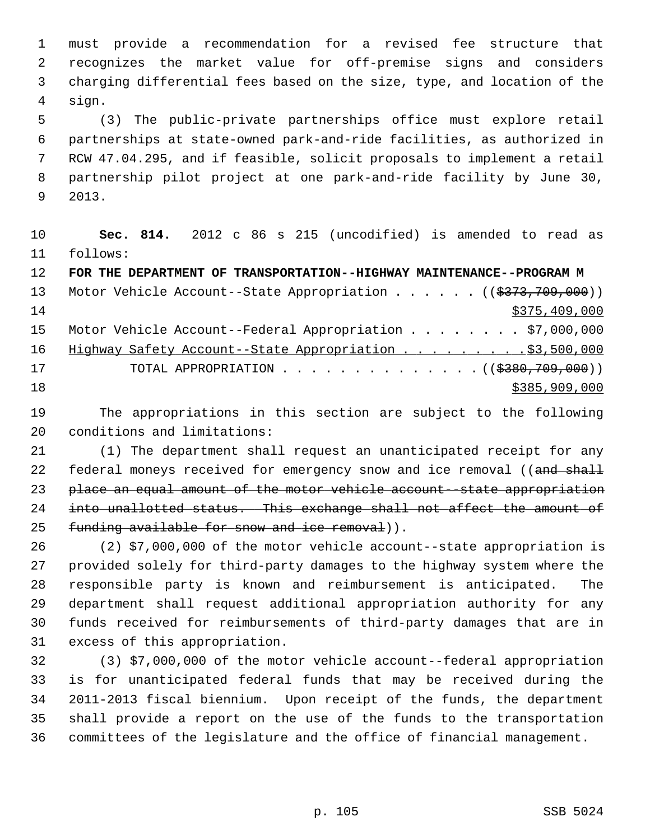1 must provide a recommendation for a revised fee structure that 2 recognizes the market value for off-premise signs and considers 3 charging differential fees based on the size, type, and location of the 4 sign.

 5 (3) The public-private partnerships office must explore retail 6 partnerships at state-owned park-and-ride facilities, as authorized in 7 RCW 47.04.295, and if feasible, solicit proposals to implement a retail 8 partnership pilot project at one park-and-ride facility by June 30, 9 2013.

10 **Sec. 814.** 2012 c 86 s 215 (uncodified) is amended to read as 11 follows:

| 12 <sub>1</sub> | FOR THE DEPARTMENT OF TRANSPORTATION--HIGHWAY MAINTENANCE--PROGRAM M                 |
|-----------------|--------------------------------------------------------------------------------------|
| 13              | Motor Vehicle Account--State Appropriation ( $(\frac{2373}{709}, \frac{709}{000})$ ) |
| 14              | \$375,409,000                                                                        |
| 15              | Motor Vehicle Account--Federal Appropriation \$7,000,000                             |
| 16              | Highway Safety Account--State Appropriation \$3,500,000                              |
| 17              | TOTAL APPROPRIATION $\ldots$ , ( $(\frac{2380,709,000}{2})$ )                        |
| 18              | \$385,909,000                                                                        |
|                 |                                                                                      |

19 The appropriations in this section are subject to the following 20 conditions and limitations:

21 (1) The department shall request an unanticipated receipt for any 22 federal moneys received for emergency snow and ice removal ((and shall 23 place an equal amount of the motor vehicle account--state appropriation 24 into unallotted status. This exchange shall not affect the amount of 25 funding available for snow and ice removal)).

26 (2) \$7,000,000 of the motor vehicle account--state appropriation is 27 provided solely for third-party damages to the highway system where the 28 responsible party is known and reimbursement is anticipated. The 29 department shall request additional appropriation authority for any 30 funds received for reimbursements of third-party damages that are in 31 excess of this appropriation.

32 (3) \$7,000,000 of the motor vehicle account--federal appropriation 33 is for unanticipated federal funds that may be received during the 34 2011-2013 fiscal biennium. Upon receipt of the funds, the department 35 shall provide a report on the use of the funds to the transportation 36 committees of the legislature and the office of financial management.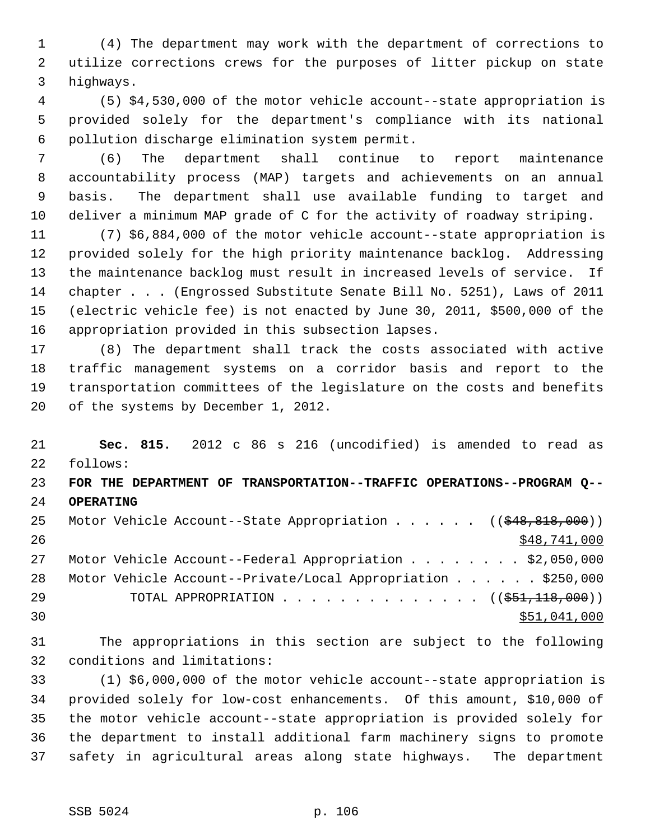1 (4) The department may work with the department of corrections to 2 utilize corrections crews for the purposes of litter pickup on state 3 highways.

 4 (5) \$4,530,000 of the motor vehicle account--state appropriation is 5 provided solely for the department's compliance with its national 6 pollution discharge elimination system permit.

 7 (6) The department shall continue to report maintenance 8 accountability process (MAP) targets and achievements on an annual 9 basis. The department shall use available funding to target and 10 deliver a minimum MAP grade of C for the activity of roadway striping.

11 (7) \$6,884,000 of the motor vehicle account--state appropriation is 12 provided solely for the high priority maintenance backlog. Addressing 13 the maintenance backlog must result in increased levels of service. If 14 chapter . . . (Engrossed Substitute Senate Bill No. 5251), Laws of 2011 15 (electric vehicle fee) is not enacted by June 30, 2011, \$500,000 of the 16 appropriation provided in this subsection lapses.

17 (8) The department shall track the costs associated with active 18 traffic management systems on a corridor basis and report to the 19 transportation committees of the legislature on the costs and benefits 20 of the systems by December 1, 2012.

21 **Sec. 815.** 2012 c 86 s 216 (uncodified) is amended to read as 22 follows: 23 **FOR THE DEPARTMENT OF TRANSPORTATION--TRAFFIC OPERATIONS--PROGRAM Q--** 24 **OPERATING** 25 Motor Vehicle Account--State Appropriation . . . . . ((\$48,818,000)) 26 \$48,741,000 27 Motor Vehicle Account--Federal Appropriation . . . . . . . \$2,050,000 28 Motor Vehicle Account--Private/Local Appropriation . . . . . . \$250,000 29 TOTAL APPROPRIATION . . . . . . . . . . . . . ((<del>\$51,118,000</del>))  $\frac{$51,041,000}{ }$ 

31 The appropriations in this section are subject to the following 32 conditions and limitations:

33 (1) \$6,000,000 of the motor vehicle account--state appropriation is 34 provided solely for low-cost enhancements. Of this amount, \$10,000 of 35 the motor vehicle account--state appropriation is provided solely for 36 the department to install additional farm machinery signs to promote 37 safety in agricultural areas along state highways. The department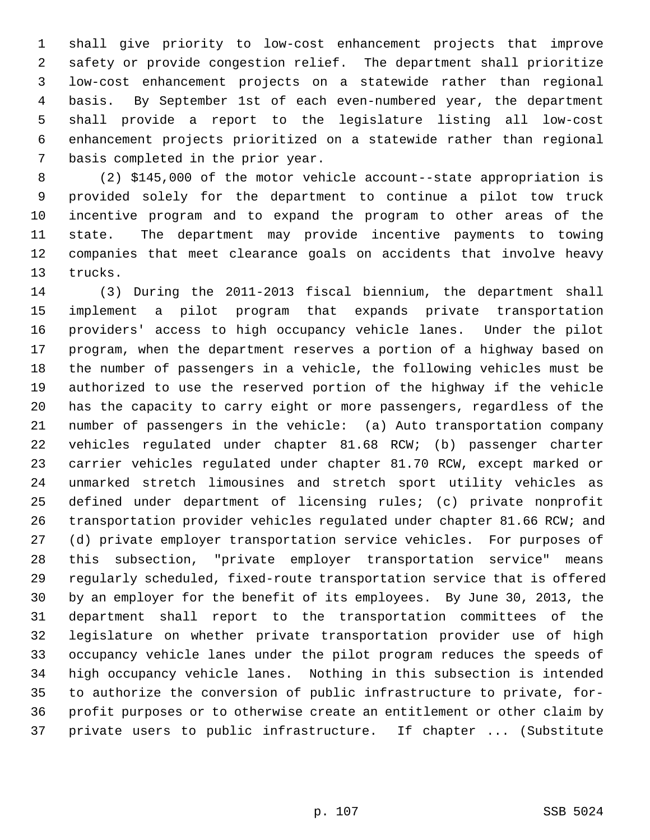1 shall give priority to low-cost enhancement projects that improve 2 safety or provide congestion relief. The department shall prioritize 3 low-cost enhancement projects on a statewide rather than regional 4 basis. By September 1st of each even-numbered year, the department 5 shall provide a report to the legislature listing all low-cost 6 enhancement projects prioritized on a statewide rather than regional 7 basis completed in the prior year.

 8 (2) \$145,000 of the motor vehicle account--state appropriation is 9 provided solely for the department to continue a pilot tow truck 10 incentive program and to expand the program to other areas of the 11 state. The department may provide incentive payments to towing 12 companies that meet clearance goals on accidents that involve heavy 13 trucks.

14 (3) During the 2011-2013 fiscal biennium, the department shall 15 implement a pilot program that expands private transportation 16 providers' access to high occupancy vehicle lanes. Under the pilot 17 program, when the department reserves a portion of a highway based on 18 the number of passengers in a vehicle, the following vehicles must be 19 authorized to use the reserved portion of the highway if the vehicle 20 has the capacity to carry eight or more passengers, regardless of the 21 number of passengers in the vehicle: (a) Auto transportation company 22 vehicles regulated under chapter 81.68 RCW; (b) passenger charter 23 carrier vehicles regulated under chapter 81.70 RCW, except marked or 24 unmarked stretch limousines and stretch sport utility vehicles as 25 defined under department of licensing rules; (c) private nonprofit 26 transportation provider vehicles regulated under chapter 81.66 RCW; and 27 (d) private employer transportation service vehicles. For purposes of 28 this subsection, "private employer transportation service" means 29 regularly scheduled, fixed-route transportation service that is offered 30 by an employer for the benefit of its employees. By June 30, 2013, the 31 department shall report to the transportation committees of the 32 legislature on whether private transportation provider use of high 33 occupancy vehicle lanes under the pilot program reduces the speeds of 34 high occupancy vehicle lanes. Nothing in this subsection is intended 35 to authorize the conversion of public infrastructure to private, for-36 profit purposes or to otherwise create an entitlement or other claim by 37 private users to public infrastructure. If chapter ... (Substitute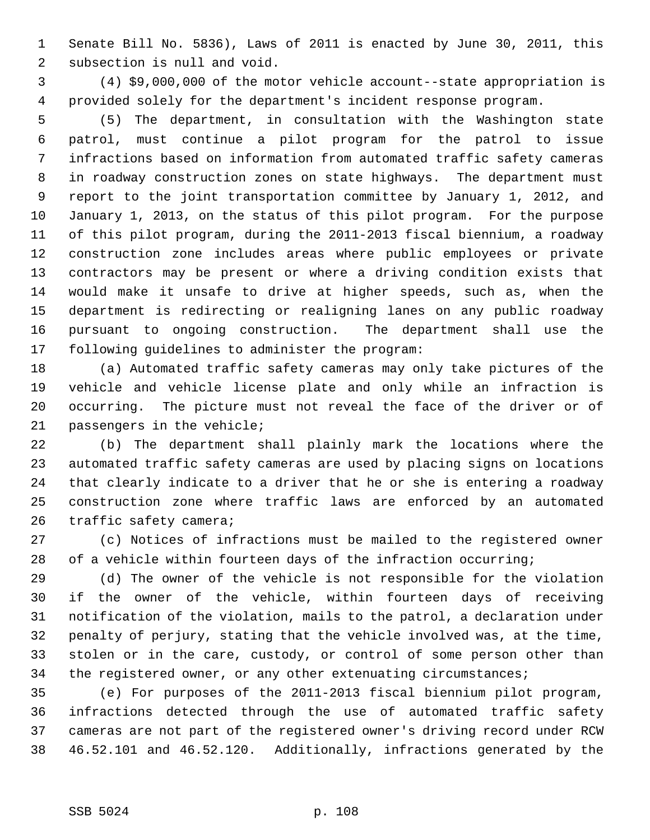1 Senate Bill No. 5836), Laws of 2011 is enacted by June 30, 2011, this 2 subsection is null and void.

 3 (4) \$9,000,000 of the motor vehicle account--state appropriation is 4 provided solely for the department's incident response program.

 5 (5) The department, in consultation with the Washington state 6 patrol, must continue a pilot program for the patrol to issue 7 infractions based on information from automated traffic safety cameras 8 in roadway construction zones on state highways. The department must 9 report to the joint transportation committee by January 1, 2012, and 10 January 1, 2013, on the status of this pilot program. For the purpose 11 of this pilot program, during the 2011-2013 fiscal biennium, a roadway 12 construction zone includes areas where public employees or private 13 contractors may be present or where a driving condition exists that 14 would make it unsafe to drive at higher speeds, such as, when the 15 department is redirecting or realigning lanes on any public roadway 16 pursuant to ongoing construction. The department shall use the 17 following guidelines to administer the program:

18 (a) Automated traffic safety cameras may only take pictures of the 19 vehicle and vehicle license plate and only while an infraction is 20 occurring. The picture must not reveal the face of the driver or of 21 passengers in the vehicle;

22 (b) The department shall plainly mark the locations where the 23 automated traffic safety cameras are used by placing signs on locations 24 that clearly indicate to a driver that he or she is entering a roadway 25 construction zone where traffic laws are enforced by an automated 26 traffic safety camera;

27 (c) Notices of infractions must be mailed to the registered owner 28 of a vehicle within fourteen days of the infraction occurring;

29 (d) The owner of the vehicle is not responsible for the violation 30 if the owner of the vehicle, within fourteen days of receiving 31 notification of the violation, mails to the patrol, a declaration under 32 penalty of perjury, stating that the vehicle involved was, at the time, 33 stolen or in the care, custody, or control of some person other than 34 the registered owner, or any other extenuating circumstances;

35 (e) For purposes of the 2011-2013 fiscal biennium pilot program, 36 infractions detected through the use of automated traffic safety 37 cameras are not part of the registered owner's driving record under RCW 38 46.52.101 and 46.52.120. Additionally, infractions generated by the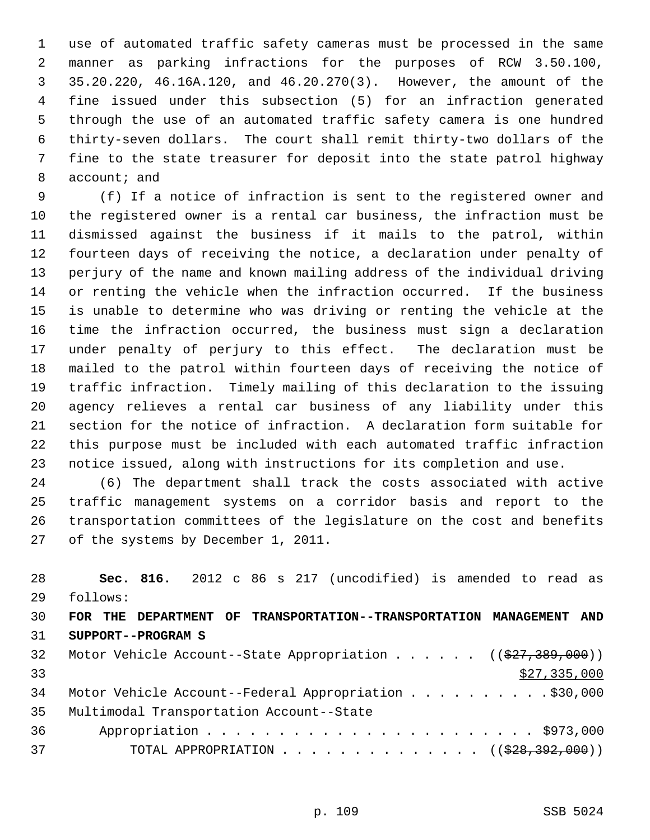1 use of automated traffic safety cameras must be processed in the same 2 manner as parking infractions for the purposes of RCW 3.50.100, 3 35.20.220, 46.16A.120, and 46.20.270(3). However, the amount of the 4 fine issued under this subsection (5) for an infraction generated 5 through the use of an automated traffic safety camera is one hundred 6 thirty-seven dollars. The court shall remit thirty-two dollars of the 7 fine to the state treasurer for deposit into the state patrol highway 8 account; and

 9 (f) If a notice of infraction is sent to the registered owner and 10 the registered owner is a rental car business, the infraction must be 11 dismissed against the business if it mails to the patrol, within 12 fourteen days of receiving the notice, a declaration under penalty of 13 perjury of the name and known mailing address of the individual driving 14 or renting the vehicle when the infraction occurred. If the business 15 is unable to determine who was driving or renting the vehicle at the 16 time the infraction occurred, the business must sign a declaration 17 under penalty of perjury to this effect. The declaration must be 18 mailed to the patrol within fourteen days of receiving the notice of 19 traffic infraction. Timely mailing of this declaration to the issuing 20 agency relieves a rental car business of any liability under this 21 section for the notice of infraction. A declaration form suitable for 22 this purpose must be included with each automated traffic infraction 23 notice issued, along with instructions for its completion and use.

24 (6) The department shall track the costs associated with active 25 traffic management systems on a corridor basis and report to the 26 transportation committees of the legislature on the cost and benefits 27 of the systems by December 1, 2011.

28 **Sec. 816.** 2012 c 86 s 217 (uncodified) is amended to read as 29 follows: 30 **FOR THE DEPARTMENT OF TRANSPORTATION--TRANSPORTATION MANAGEMENT AND** 31 **SUPPORT--PROGRAM S** 32 Motor Vehicle Account--State Appropriation . . . . . ((\$27,389,000))  $33$  \$27,335,000 34 Motor Vehicle Account--Federal Appropriation . . . . . . . . . . \$30,000 35 Multimodal Transportation Account--State 36 Appropriation . . . . . . . . . . . . . . . . . . . . . . . \$973,000 37 TOTAL APPROPRIATION . . . . . . . . . . . . . . ((\$28,392,000))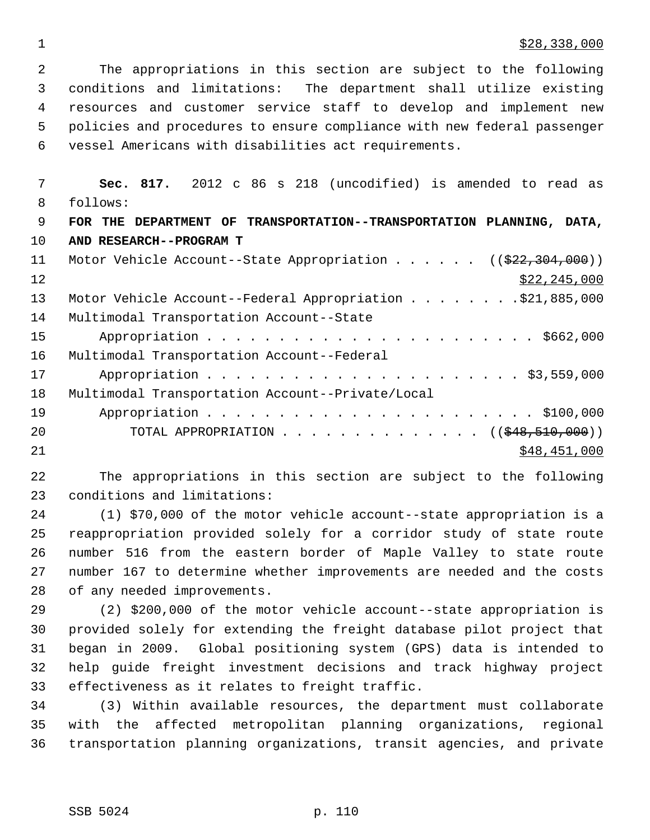$\frac{1}{28}$   $\frac{1}{28}$ , 338, 000

 2 The appropriations in this section are subject to the following 3 conditions and limitations: The department shall utilize existing 4 resources and customer service staff to develop and implement new 5 policies and procedures to ensure compliance with new federal passenger 6 vessel Americans with disabilities act requirements.

 7 **Sec. 817.** 2012 c 86 s 218 (uncodified) is amended to read as 8 follows: 9 **FOR THE DEPARTMENT OF TRANSPORTATION--TRANSPORTATION PLANNING, DATA,** 10 **AND RESEARCH--PROGRAM T** 11 Motor Vehicle Account--State Appropriation . . . . . ((\$22,304,000))  $\frac{$22,245,000}{ }$ 13 Motor Vehicle Account--Federal Appropriation . . . . . . . . \$21,885,000 14 Multimodal Transportation Account--State 15 Appropriation . . . . . . . . . . . . . . . . . . . . . . . \$662,000 16 Multimodal Transportation Account--Federal 17 Appropriation . . . . . . . . . . . . . . . . . . . . . . \$3,559,000 18 Multimodal Transportation Account--Private/Local 19 Appropriation . . . . . . . . . . . . . . . . . . . . . . . \$100,000 20 TOTAL APPROPRIATION . . . . . . . . . . . . . . ((\$48,510,000)) 21 \$48,451,000 \$48,451,000

22 The appropriations in this section are subject to the following 23 conditions and limitations:

24 (1) \$70,000 of the motor vehicle account--state appropriation is a 25 reappropriation provided solely for a corridor study of state route 26 number 516 from the eastern border of Maple Valley to state route 27 number 167 to determine whether improvements are needed and the costs 28 of any needed improvements.

29 (2) \$200,000 of the motor vehicle account--state appropriation is 30 provided solely for extending the freight database pilot project that 31 began in 2009. Global positioning system (GPS) data is intended to 32 help guide freight investment decisions and track highway project 33 effectiveness as it relates to freight traffic.

34 (3) Within available resources, the department must collaborate 35 with the affected metropolitan planning organizations, regional 36 transportation planning organizations, transit agencies, and private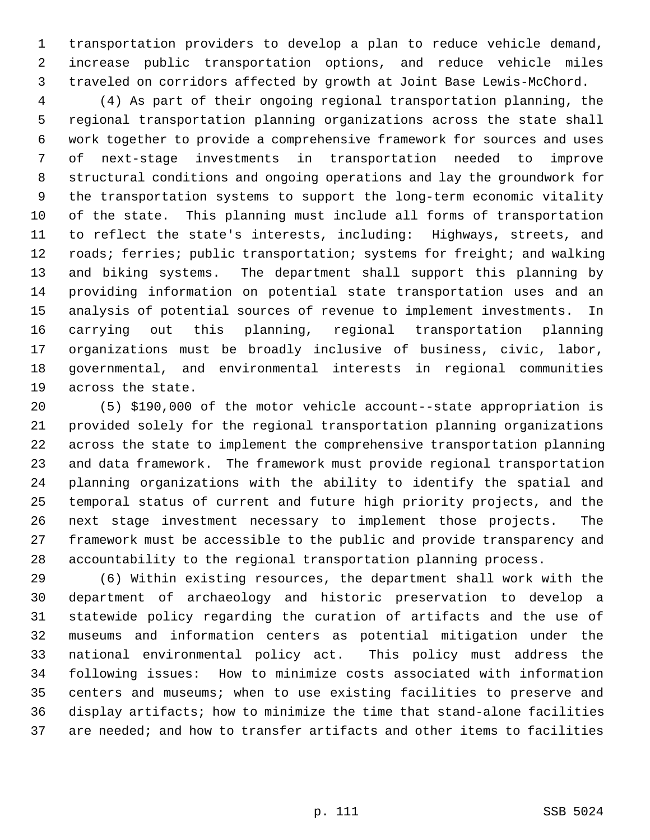1 transportation providers to develop a plan to reduce vehicle demand, 2 increase public transportation options, and reduce vehicle miles 3 traveled on corridors affected by growth at Joint Base Lewis-McChord.

 4 (4) As part of their ongoing regional transportation planning, the 5 regional transportation planning organizations across the state shall 6 work together to provide a comprehensive framework for sources and uses 7 of next-stage investments in transportation needed to improve 8 structural conditions and ongoing operations and lay the groundwork for 9 the transportation systems to support the long-term economic vitality 10 of the state. This planning must include all forms of transportation 11 to reflect the state's interests, including: Highways, streets, and 12 roads; ferries; public transportation; systems for freight; and walking 13 and biking systems. The department shall support this planning by 14 providing information on potential state transportation uses and an 15 analysis of potential sources of revenue to implement investments. In 16 carrying out this planning, regional transportation planning 17 organizations must be broadly inclusive of business, civic, labor, 18 governmental, and environmental interests in regional communities 19 across the state.

20 (5) \$190,000 of the motor vehicle account--state appropriation is 21 provided solely for the regional transportation planning organizations 22 across the state to implement the comprehensive transportation planning 23 and data framework. The framework must provide regional transportation 24 planning organizations with the ability to identify the spatial and 25 temporal status of current and future high priority projects, and the 26 next stage investment necessary to implement those projects. The 27 framework must be accessible to the public and provide transparency and 28 accountability to the regional transportation planning process.

29 (6) Within existing resources, the department shall work with the 30 department of archaeology and historic preservation to develop a 31 statewide policy regarding the curation of artifacts and the use of 32 museums and information centers as potential mitigation under the 33 national environmental policy act. This policy must address the 34 following issues: How to minimize costs associated with information 35 centers and museums; when to use existing facilities to preserve and 36 display artifacts; how to minimize the time that stand-alone facilities 37 are needed; and how to transfer artifacts and other items to facilities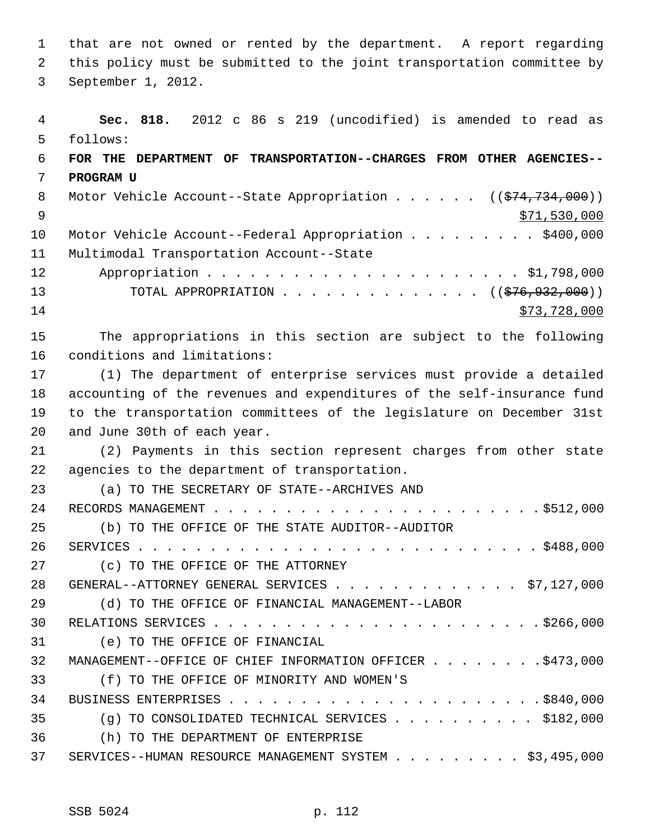1 that are not owned or rented by the department. A report regarding 2 this policy must be submitted to the joint transportation committee by 3 September 1, 2012.

```
 4 Sec. 818. 2012 c 86 s 219 (uncodified) is amended to read as
 5 follows:
 6 FOR THE DEPARTMENT OF TRANSPORTATION--CHARGES FROM OTHER AGENCIES--
 7 PROGRAM U
8 Motor Vehicle Account--State Appropriation . . . . . (($74,734,000))
\frac{$71,530,000}{ }10 Motor Vehicle Account--Federal Appropriation . . . . . . . . $400,000
11 Multimodal Transportation Account--State
12 Appropriation . . . . . . . . . . . . . . . . . . . . . . $1,798,000
13 TOTAL APPROPRIATION . . . . . . . . . . . . . ((<del>$76,932,000</del>))
14 $73,728,000
15 The appropriations in this section are subject to the following
16 conditions and limitations:
17 (1) The department of enterprise services must provide a detailed
18 accounting of the revenues and expenditures of the self-insurance fund
19 to the transportation committees of the legislature on December 31st
20 and June 30th of each year.
21 (2) Payments in this section represent charges from other state
22 agencies to the department of transportation.
23 (a) TO THE SECRETARY OF STATE--ARCHIVES AND
24 RECORDS MANAGEMENT . . . . . . . . . . . . . . . . . . . . . . . $512,000
25 (b) TO THE OFFICE OF THE STATE AUDITOR--AUDITOR
26 SERVICES . . . . . . . . . . . . . . . . . . . . . . . . . . . . $488,000
27 (c) TO THE OFFICE OF THE ATTORNEY
28 GENERAL--ATTORNEY GENERAL SERVICES . . . . . . . . . . . . . $7,127,000
29 (d) TO THE OFFICE OF FINANCIAL MANAGEMENT--LABOR
30 RELATIONS SERVICES . . . . . . . . . . . . . . . . . . . . . . . $266,000
31 (e) TO THE OFFICE OF FINANCIAL
32 MANAGEMENT--OFFICE OF CHIEF INFORMATION OFFICER . . . . . . . . $473,000
33 (f) TO THE OFFICE OF MINORITY AND WOMEN'S
34 BUSINESS ENTERPRISES . . . . . . . . . . . . . . . . . . . . . . $840,000
35 (g) TO CONSOLIDATED TECHNICAL SERVICES . . . . . . . . . . $182,000
36 (h) TO THE DEPARTMENT OF ENTERPRISE
37 SERVICES--HUMAN RESOURCE MANAGEMENT SYSTEM . . . . . . . . . $3,495,000
```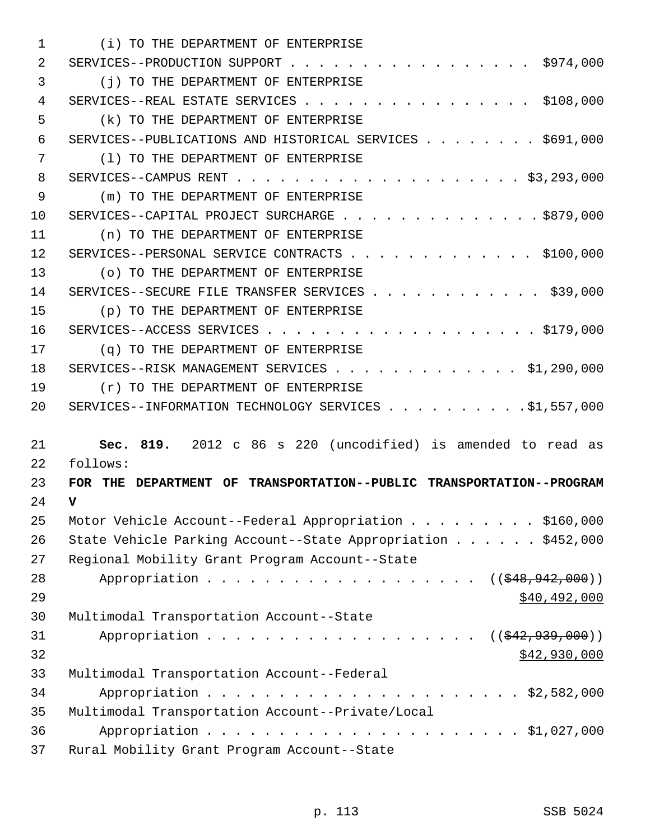| $\mathbf{1}$ | (i) TO THE DEPARTMENT OF ENTERPRISE                                  |
|--------------|----------------------------------------------------------------------|
| 2            | SERVICES--PRODUCTION SUPPORT $\ldots$ , \$974,000                    |
| 3            | (j) TO THE DEPARTMENT OF ENTERPRISE                                  |
| 4            | SERVICES--REAL ESTATE SERVICES \$108,000                             |
| 5            | (k) TO THE DEPARTMENT OF ENTERPRISE                                  |
| 6            | SERVICES--PUBLICATIONS AND HISTORICAL SERVICES \$691,000             |
| 7            | (1) TO THE DEPARTMENT OF ENTERPRISE                                  |
| 8            |                                                                      |
| 9            | (m) TO THE DEPARTMENT OF ENTERPRISE                                  |
| 10           | SERVICES--CAPITAL PROJECT SURCHARGE \$879,000                        |
| 11           | (n) TO THE DEPARTMENT OF ENTERPRISE                                  |
| 12           | SERVICES--PERSONAL SERVICE CONTRACTS \$100,000                       |
| 13           | (o) TO THE DEPARTMENT OF ENTERPRISE                                  |
| 14           | SERVICES--SECURE FILE TRANSFER SERVICES \$39,000                     |
| 15           | (p) TO THE DEPARTMENT OF ENTERPRISE                                  |
| 16           |                                                                      |
| 17           | (q) TO THE DEPARTMENT OF ENTERPRISE                                  |
| 18           | SERVICES--RISK MANAGEMENT SERVICES \$1,290,000                       |
| 19           | $(r)$ TO THE DEPARTMENT OF ENTERPRISE                                |
| 20           | SERVICES--INFORMATION TECHNOLOGY SERVICES \$1,557,000                |
|              |                                                                      |
| 21           | Sec. 819. 2012 c 86 s 220 (uncodified) is amended to read as         |
| 22           | follows:                                                             |
| 23           | FOR THE DEPARTMENT OF TRANSPORTATION--PUBLIC TRANSPORTATION--PROGRAM |
| 24           | $\mathbf v$                                                          |
| 25           | Motor Vehicle Account--Federal Appropriation \$160,000               |
| 26           | State Vehicle Parking Account--State Appropriation \$452,000         |
| 27           | Regional Mobility Grant Program Account--State                       |
| 28           | Appropriation ( $(\frac{248}{948}, \frac{942}{900})$ )               |
| 29           | \$40,492,000                                                         |
| 30           | Multimodal Transportation Account--State                             |
| 31           | $((\frac{1542}{7939},000))$                                          |
| 32           | \$42,930,000                                                         |
| 33           | Multimodal Transportation Account--Federal                           |
| 34           |                                                                      |
| 35           | Multimodal Transportation Account--Private/Local                     |
| 36           |                                                                      |
| 37           | Rural Mobility Grant Program Account--State                          |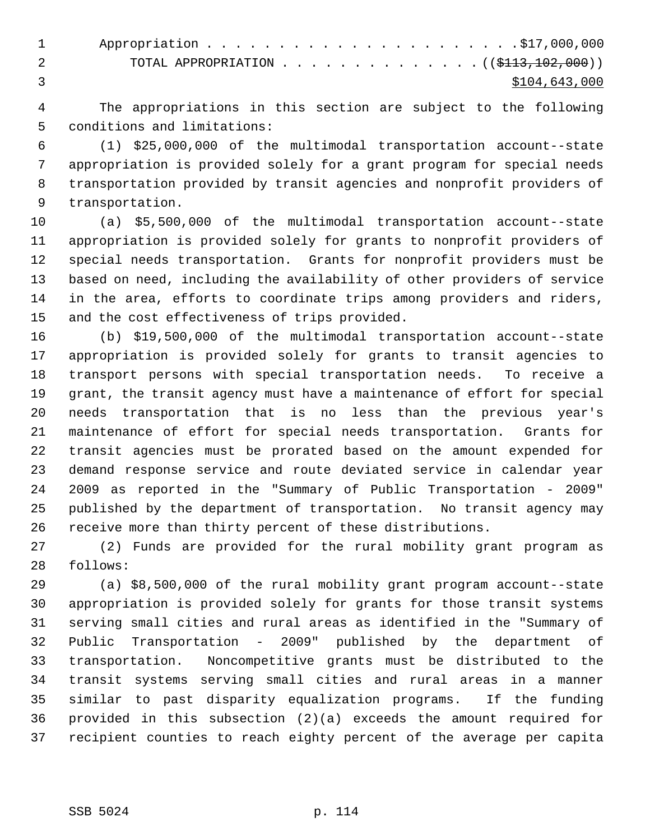1 Appropriation . . . . . . . . . . . . . . . . . . . . . .\$17,000,000 2 TOTAL APPROPRIATION . . . . . . . . . . . . . ((<del>\$113,102,000</del>)) 3 \$104,643,000

 4 The appropriations in this section are subject to the following 5 conditions and limitations:

 6 (1) \$25,000,000 of the multimodal transportation account--state 7 appropriation is provided solely for a grant program for special needs 8 transportation provided by transit agencies and nonprofit providers of 9 transportation.

10 (a) \$5,500,000 of the multimodal transportation account--state 11 appropriation is provided solely for grants to nonprofit providers of 12 special needs transportation. Grants for nonprofit providers must be 13 based on need, including the availability of other providers of service 14 in the area, efforts to coordinate trips among providers and riders, 15 and the cost effectiveness of trips provided.

16 (b) \$19,500,000 of the multimodal transportation account--state 17 appropriation is provided solely for grants to transit agencies to 18 transport persons with special transportation needs. To receive a 19 grant, the transit agency must have a maintenance of effort for special 20 needs transportation that is no less than the previous year's 21 maintenance of effort for special needs transportation. Grants for 22 transit agencies must be prorated based on the amount expended for 23 demand response service and route deviated service in calendar year 24 2009 as reported in the "Summary of Public Transportation - 2009" 25 published by the department of transportation. No transit agency may 26 receive more than thirty percent of these distributions.

27 (2) Funds are provided for the rural mobility grant program as 28 follows:

29 (a) \$8,500,000 of the rural mobility grant program account--state 30 appropriation is provided solely for grants for those transit systems 31 serving small cities and rural areas as identified in the "Summary of 32 Public Transportation - 2009" published by the department of 33 transportation. Noncompetitive grants must be distributed to the 34 transit systems serving small cities and rural areas in a manner 35 similar to past disparity equalization programs. If the funding 36 provided in this subsection (2)(a) exceeds the amount required for 37 recipient counties to reach eighty percent of the average per capita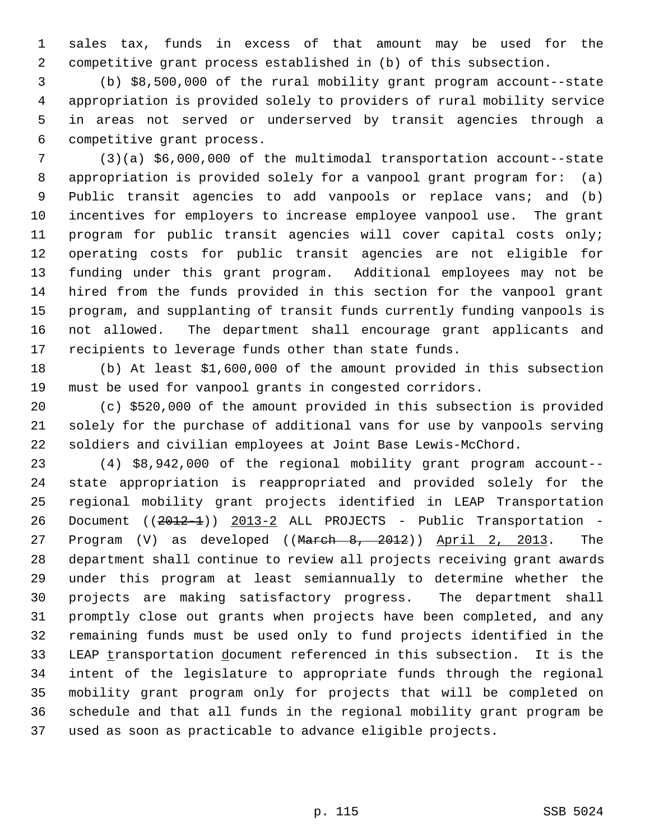1 sales tax, funds in excess of that amount may be used for the 2 competitive grant process established in (b) of this subsection.

 3 (b) \$8,500,000 of the rural mobility grant program account--state 4 appropriation is provided solely to providers of rural mobility service 5 in areas not served or underserved by transit agencies through a 6 competitive grant process.

 7 (3)(a) \$6,000,000 of the multimodal transportation account--state 8 appropriation is provided solely for a vanpool grant program for: (a) 9 Public transit agencies to add vanpools or replace vans; and (b) 10 incentives for employers to increase employee vanpool use. The grant 11 program for public transit agencies will cover capital costs only; 12 operating costs for public transit agencies are not eligible for 13 funding under this grant program. Additional employees may not be 14 hired from the funds provided in this section for the vanpool grant 15 program, and supplanting of transit funds currently funding vanpools is 16 not allowed. The department shall encourage grant applicants and 17 recipients to leverage funds other than state funds.

18 (b) At least \$1,600,000 of the amount provided in this subsection 19 must be used for vanpool grants in congested corridors.

20 (c) \$520,000 of the amount provided in this subsection is provided 21 solely for the purchase of additional vans for use by vanpools serving 22 soldiers and civilian employees at Joint Base Lewis-McChord.

23 (4) \$8,942,000 of the regional mobility grant program account-- 24 state appropriation is reappropriated and provided solely for the 25 regional mobility grant projects identified in LEAP Transportation 26 Document ((2012-1)) 2013-2 ALL PROJECTS - Public Transportation -27 Program (V) as developed ((March 8, 2012)) April 2, 2013. The 28 department shall continue to review all projects receiving grant awards 29 under this program at least semiannually to determine whether the 30 projects are making satisfactory progress. The department shall 31 promptly close out grants when projects have been completed, and any 32 remaining funds must be used only to fund projects identified in the 33 LEAP transportation document referenced in this subsection. It is the 34 intent of the legislature to appropriate funds through the regional 35 mobility grant program only for projects that will be completed on 36 schedule and that all funds in the regional mobility grant program be 37 used as soon as practicable to advance eligible projects.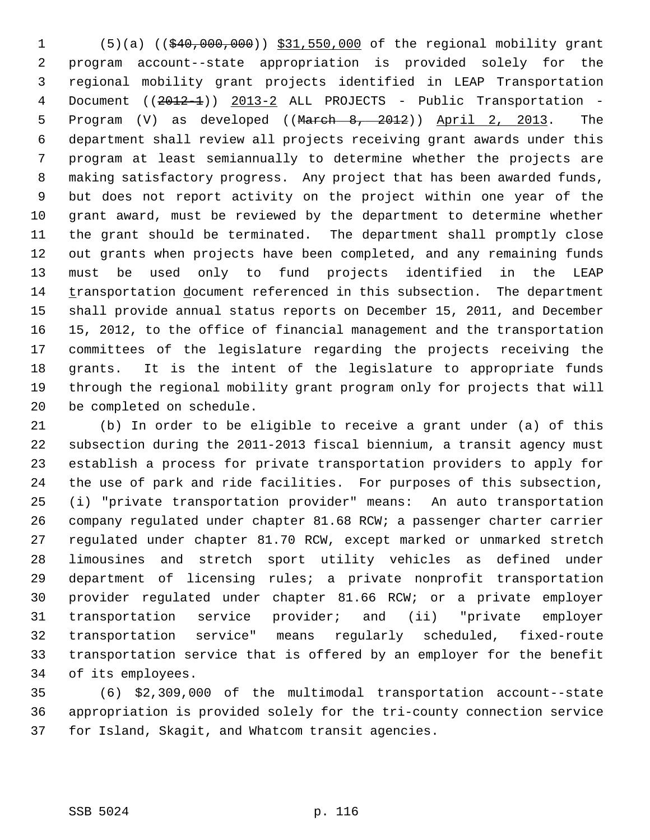1 (5)(a) ((\$40,000,000)) \$31,550,000 of the regional mobility grant 2 program account--state appropriation is provided solely for the 3 regional mobility grant projects identified in LEAP Transportation 4 Document ((2012-1)) 2013-2 ALL PROJECTS - Public Transportation -5 Program (V) as developed ((March 8, 2012)) April 2, 2013. The 6 department shall review all projects receiving grant awards under this 7 program at least semiannually to determine whether the projects are 8 making satisfactory progress. Any project that has been awarded funds, 9 but does not report activity on the project within one year of the 10 grant award, must be reviewed by the department to determine whether 11 the grant should be terminated. The department shall promptly close 12 out grants when projects have been completed, and any remaining funds 13 must be used only to fund projects identified in the LEAP 14 transportation document referenced in this subsection. The department 15 shall provide annual status reports on December 15, 2011, and December 16 15, 2012, to the office of financial management and the transportation 17 committees of the legislature regarding the projects receiving the 18 grants. It is the intent of the legislature to appropriate funds 19 through the regional mobility grant program only for projects that will 20 be completed on schedule.

21 (b) In order to be eligible to receive a grant under (a) of this 22 subsection during the 2011-2013 fiscal biennium, a transit agency must 23 establish a process for private transportation providers to apply for 24 the use of park and ride facilities. For purposes of this subsection, 25 (i) "private transportation provider" means: An auto transportation 26 company regulated under chapter 81.68 RCW; a passenger charter carrier 27 regulated under chapter 81.70 RCW, except marked or unmarked stretch 28 limousines and stretch sport utility vehicles as defined under 29 department of licensing rules; a private nonprofit transportation 30 provider regulated under chapter 81.66 RCW; or a private employer 31 transportation service provider; and (ii) "private employer 32 transportation service" means regularly scheduled, fixed-route 33 transportation service that is offered by an employer for the benefit 34 of its employees.

35 (6) \$2,309,000 of the multimodal transportation account--state 36 appropriation is provided solely for the tri-county connection service 37 for Island, Skagit, and Whatcom transit agencies.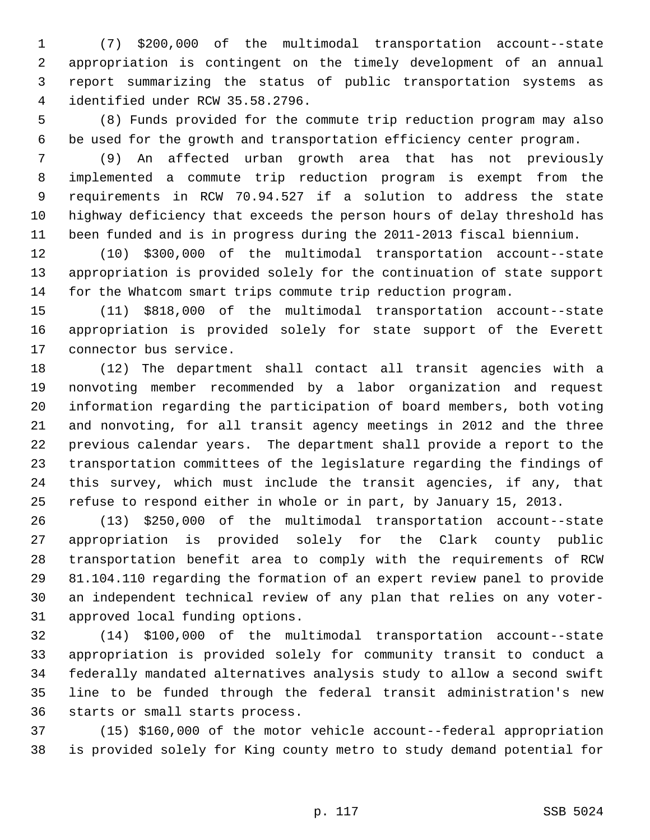1 (7) \$200,000 of the multimodal transportation account--state 2 appropriation is contingent on the timely development of an annual 3 report summarizing the status of public transportation systems as 4 identified under RCW 35.58.2796.

 5 (8) Funds provided for the commute trip reduction program may also 6 be used for the growth and transportation efficiency center program.

 7 (9) An affected urban growth area that has not previously 8 implemented a commute trip reduction program is exempt from the 9 requirements in RCW 70.94.527 if a solution to address the state 10 highway deficiency that exceeds the person hours of delay threshold has 11 been funded and is in progress during the 2011-2013 fiscal biennium.

12 (10) \$300,000 of the multimodal transportation account--state 13 appropriation is provided solely for the continuation of state support 14 for the Whatcom smart trips commute trip reduction program.

15 (11) \$818,000 of the multimodal transportation account--state 16 appropriation is provided solely for state support of the Everett 17 connector bus service.

18 (12) The department shall contact all transit agencies with a 19 nonvoting member recommended by a labor organization and request 20 information regarding the participation of board members, both voting 21 and nonvoting, for all transit agency meetings in 2012 and the three 22 previous calendar years. The department shall provide a report to the 23 transportation committees of the legislature regarding the findings of 24 this survey, which must include the transit agencies, if any, that 25 refuse to respond either in whole or in part, by January 15, 2013.

26 (13) \$250,000 of the multimodal transportation account--state 27 appropriation is provided solely for the Clark county public 28 transportation benefit area to comply with the requirements of RCW 29 81.104.110 regarding the formation of an expert review panel to provide 30 an independent technical review of any plan that relies on any voter-31 approved local funding options.

32 (14) \$100,000 of the multimodal transportation account--state 33 appropriation is provided solely for community transit to conduct a 34 federally mandated alternatives analysis study to allow a second swift 35 line to be funded through the federal transit administration's new 36 starts or small starts process.

37 (15) \$160,000 of the motor vehicle account--federal appropriation 38 is provided solely for King county metro to study demand potential for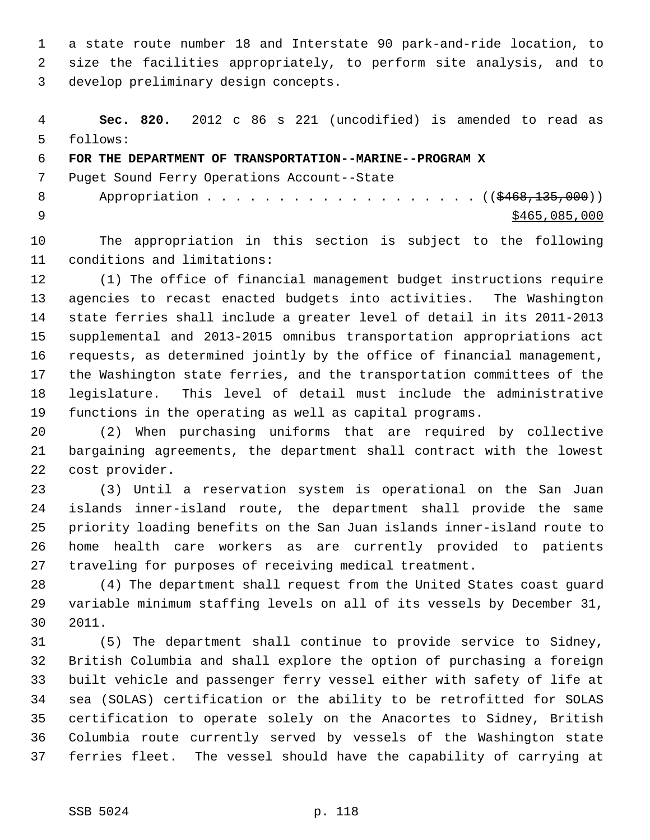1 a state route number 18 and Interstate 90 park-and-ride location, to 2 size the facilities appropriately, to perform site analysis, and to 3 develop preliminary design concepts.

 4 **Sec. 820.** 2012 c 86 s 221 (uncodified) is amended to read as 5 follows:

6 **FOR THE DEPARTMENT OF TRANSPORTATION--MARINE--PROGRAM X**

7 Puget Sound Ferry Operations Account--State

8 Appropriation . . . . . . . . . . . . . . . . . (  $(\frac{2468,135,000}{1})$  $\frac{1}{2}$   $\frac{1}{2}$   $\frac{1}{2}$   $\frac{1}{2}$   $\frac{1}{2}$   $\frac{1}{2}$   $\frac{1}{2}$   $\frac{1}{2}$   $\frac{1}{2}$   $\frac{1}{2}$   $\frac{1}{2}$   $\frac{1}{2}$   $\frac{1}{2}$   $\frac{1}{2}$   $\frac{1}{2}$   $\frac{1}{2}$   $\frac{1}{2}$   $\frac{1}{2}$   $\frac{1}{2}$   $\frac{1}{2}$   $\frac{1}{2}$   $\frac{1}{2}$ 

10 The appropriation in this section is subject to the following 11 conditions and limitations:

12 (1) The office of financial management budget instructions require 13 agencies to recast enacted budgets into activities. The Washington 14 state ferries shall include a greater level of detail in its 2011-2013 15 supplemental and 2013-2015 omnibus transportation appropriations act 16 requests, as determined jointly by the office of financial management, 17 the Washington state ferries, and the transportation committees of the 18 legislature. This level of detail must include the administrative 19 functions in the operating as well as capital programs.

20 (2) When purchasing uniforms that are required by collective 21 bargaining agreements, the department shall contract with the lowest 22 cost provider.

23 (3) Until a reservation system is operational on the San Juan 24 islands inner-island route, the department shall provide the same 25 priority loading benefits on the San Juan islands inner-island route to 26 home health care workers as are currently provided to patients 27 traveling for purposes of receiving medical treatment.

28 (4) The department shall request from the United States coast guard 29 variable minimum staffing levels on all of its vessels by December 31, 30 2011.

31 (5) The department shall continue to provide service to Sidney, 32 British Columbia and shall explore the option of purchasing a foreign 33 built vehicle and passenger ferry vessel either with safety of life at 34 sea (SOLAS) certification or the ability to be retrofitted for SOLAS 35 certification to operate solely on the Anacortes to Sidney, British 36 Columbia route currently served by vessels of the Washington state 37 ferries fleet. The vessel should have the capability of carrying at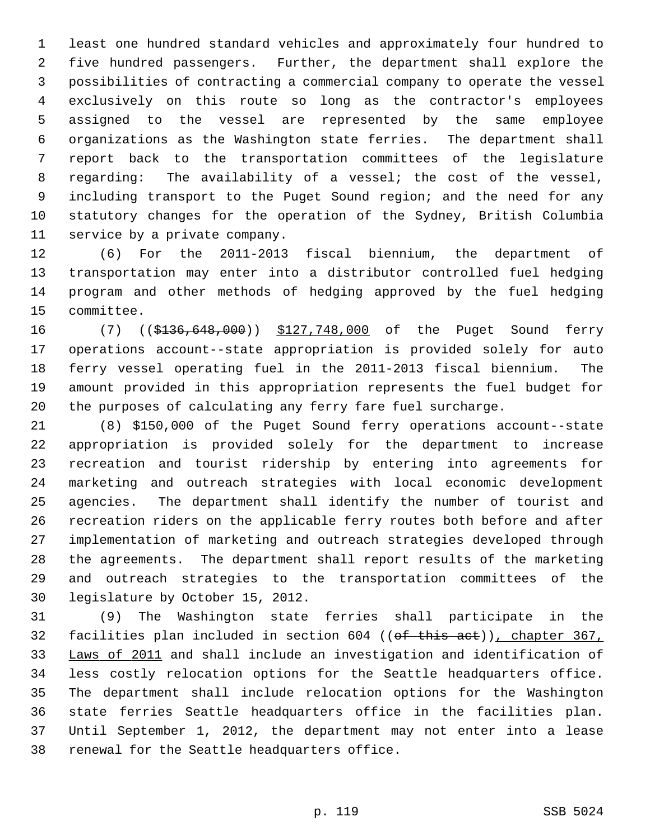1 least one hundred standard vehicles and approximately four hundred to 2 five hundred passengers. Further, the department shall explore the 3 possibilities of contracting a commercial company to operate the vessel 4 exclusively on this route so long as the contractor's employees 5 assigned to the vessel are represented by the same employee 6 organizations as the Washington state ferries. The department shall 7 report back to the transportation committees of the legislature 8 regarding: The availability of a vessel; the cost of the vessel, 9 including transport to the Puget Sound region; and the need for any 10 statutory changes for the operation of the Sydney, British Columbia 11 service by a private company.

12 (6) For the 2011-2013 fiscal biennium, the department of 13 transportation may enter into a distributor controlled fuel hedging 14 program and other methods of hedging approved by the fuel hedging 15 committee.

16 (7) ((\$136,648,000)) \$127,748,000 of the Puget Sound ferry 17 operations account--state appropriation is provided solely for auto 18 ferry vessel operating fuel in the 2011-2013 fiscal biennium. The 19 amount provided in this appropriation represents the fuel budget for 20 the purposes of calculating any ferry fare fuel surcharge.

21 (8) \$150,000 of the Puget Sound ferry operations account--state 22 appropriation is provided solely for the department to increase 23 recreation and tourist ridership by entering into agreements for 24 marketing and outreach strategies with local economic development 25 agencies. The department shall identify the number of tourist and 26 recreation riders on the applicable ferry routes both before and after 27 implementation of marketing and outreach strategies developed through 28 the agreements. The department shall report results of the marketing 29 and outreach strategies to the transportation committees of the 30 legislature by October 15, 2012.

31 (9) The Washington state ferries shall participate in the 32 facilities plan included in section 604 ((of this act)), chapter 367, 33 Laws of 2011 and shall include an investigation and identification of 34 less costly relocation options for the Seattle headquarters office. 35 The department shall include relocation options for the Washington 36 state ferries Seattle headquarters office in the facilities plan. 37 Until September 1, 2012, the department may not enter into a lease 38 renewal for the Seattle headquarters office.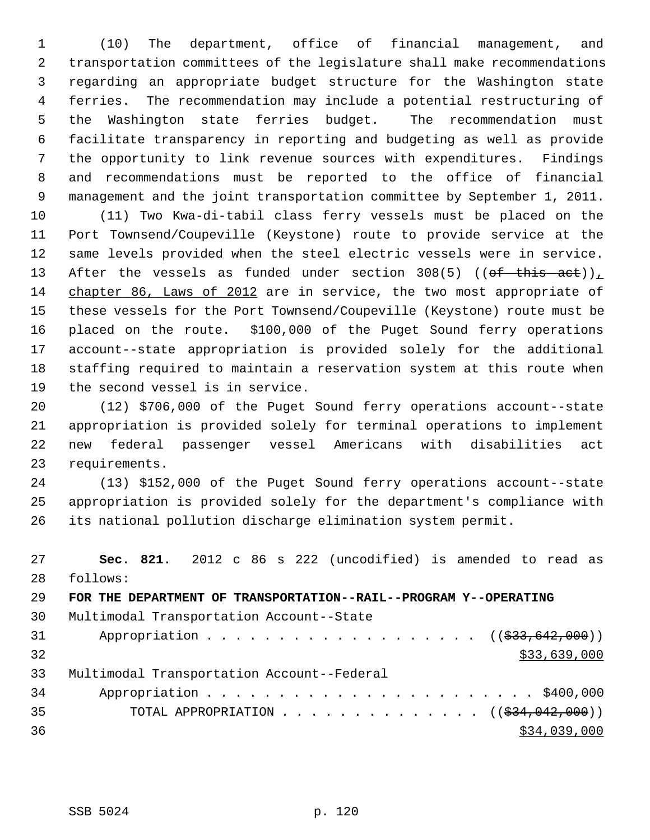1 (10) The department, office of financial management, and 2 transportation committees of the legislature shall make recommendations 3 regarding an appropriate budget structure for the Washington state 4 ferries. The recommendation may include a potential restructuring of 5 the Washington state ferries budget. The recommendation must 6 facilitate transparency in reporting and budgeting as well as provide 7 the opportunity to link revenue sources with expenditures. Findings 8 and recommendations must be reported to the office of financial 9 management and the joint transportation committee by September 1, 2011.

10 (11) Two Kwa-di-tabil class ferry vessels must be placed on the 11 Port Townsend/Coupeville (Keystone) route to provide service at the 12 same levels provided when the steel electric vessels were in service. 13 After the vessels as funded under section 308(5) (( $of$  this act)), 14 chapter 86, Laws of 2012 are in service, the two most appropriate of 15 these vessels for the Port Townsend/Coupeville (Keystone) route must be 16 placed on the route. \$100,000 of the Puget Sound ferry operations 17 account--state appropriation is provided solely for the additional 18 staffing required to maintain a reservation system at this route when 19 the second vessel is in service.

20 (12) \$706,000 of the Puget Sound ferry operations account--state 21 appropriation is provided solely for terminal operations to implement 22 new federal passenger vessel Americans with disabilities act 23 requirements.

24 (13) \$152,000 of the Puget Sound ferry operations account--state 25 appropriation is provided solely for the department's compliance with 26 its national pollution discharge elimination system permit.

27 **Sec. 821.** 2012 c 86 s 222 (uncodified) is amended to read as 28 follows: 29 **FOR THE DEPARTMENT OF TRANSPORTATION--RAIL--PROGRAM Y--OPERATING** 30 Multimodal Transportation Account--State 31 Appropriation . . . . . . . . . . . . . . . . . ((\$33,642,000))  $32$  \$33,639,000 33 Multimodal Transportation Account--Federal 34 Appropriation . . . . . . . . . . . . . . . . . . . . . . . \$400,000 35 TOTAL APPROPRIATION . . . . . . . . . . . . . . ((\$34,042,000))  $36$  \$34,039,000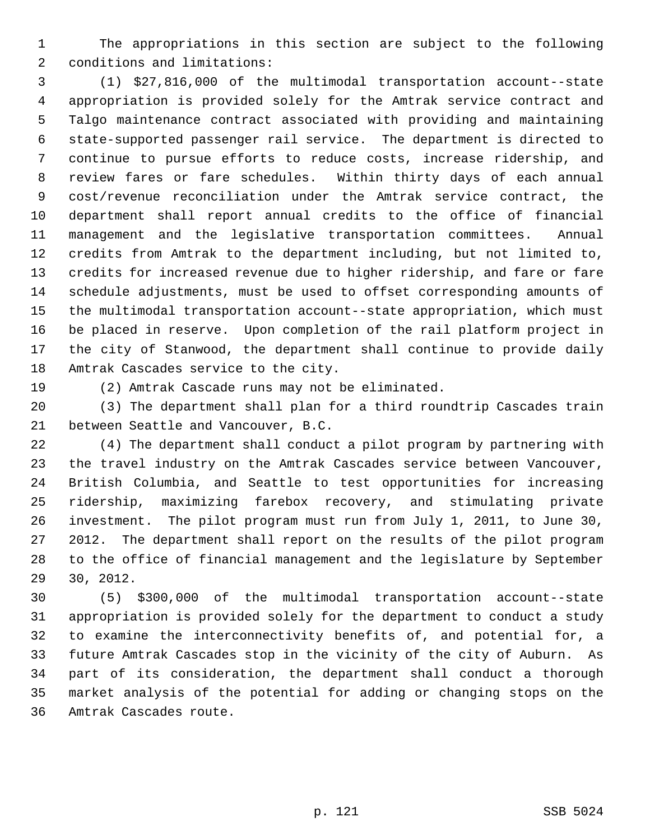1 The appropriations in this section are subject to the following 2 conditions and limitations:

 3 (1) \$27,816,000 of the multimodal transportation account--state 4 appropriation is provided solely for the Amtrak service contract and 5 Talgo maintenance contract associated with providing and maintaining 6 state-supported passenger rail service. The department is directed to 7 continue to pursue efforts to reduce costs, increase ridership, and 8 review fares or fare schedules. Within thirty days of each annual 9 cost/revenue reconciliation under the Amtrak service contract, the 10 department shall report annual credits to the office of financial 11 management and the legislative transportation committees. Annual 12 credits from Amtrak to the department including, but not limited to, 13 credits for increased revenue due to higher ridership, and fare or fare 14 schedule adjustments, must be used to offset corresponding amounts of 15 the multimodal transportation account--state appropriation, which must 16 be placed in reserve. Upon completion of the rail platform project in 17 the city of Stanwood, the department shall continue to provide daily 18 Amtrak Cascades service to the city.

19 (2) Amtrak Cascade runs may not be eliminated.

20 (3) The department shall plan for a third roundtrip Cascades train 21 between Seattle and Vancouver, B.C.

22 (4) The department shall conduct a pilot program by partnering with 23 the travel industry on the Amtrak Cascades service between Vancouver, 24 British Columbia, and Seattle to test opportunities for increasing 25 ridership, maximizing farebox recovery, and stimulating private 26 investment. The pilot program must run from July 1, 2011, to June 30, 27 2012. The department shall report on the results of the pilot program 28 to the office of financial management and the legislature by September 29 30, 2012.

30 (5) \$300,000 of the multimodal transportation account--state 31 appropriation is provided solely for the department to conduct a study 32 to examine the interconnectivity benefits of, and potential for, a 33 future Amtrak Cascades stop in the vicinity of the city of Auburn. As 34 part of its consideration, the department shall conduct a thorough 35 market analysis of the potential for adding or changing stops on the 36 Amtrak Cascades route.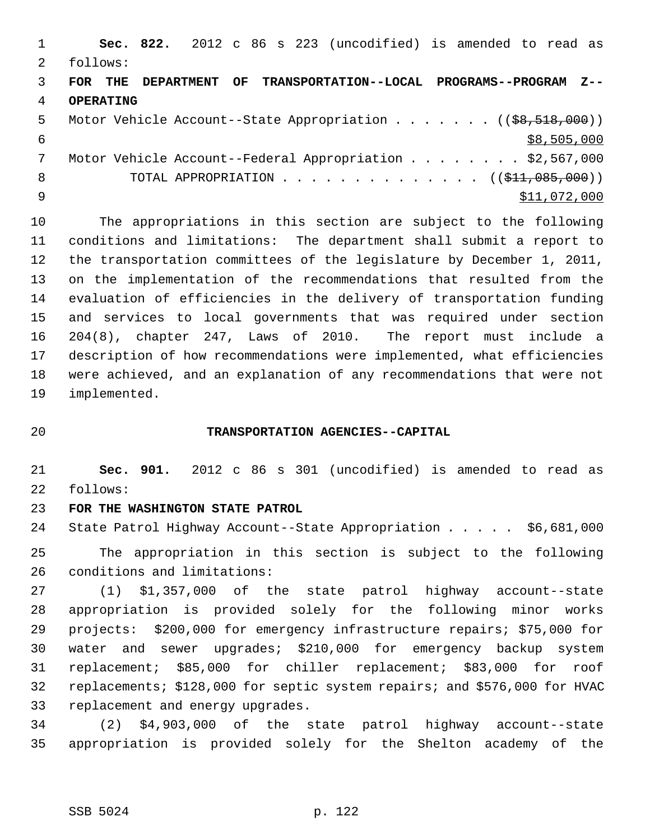1 **Sec. 822.** 2012 c 86 s 223 (uncodified) is amended to read as 2 follows: 3 **FOR THE DEPARTMENT OF TRANSPORTATION--LOCAL PROGRAMS--PROGRAM Z--** 4 **OPERATING** 5 Motor Vehicle Account--State Appropriation . . . . . . (  $(\frac{68,518,000}{2})$  $\frac{1}{58,505,000}$  7 Motor Vehicle Account--Federal Appropriation . . . . . . . . \$2,567,000 8 TOTAL APPROPRIATION . . . . . . . . . . . . . ((<del>\$11,085,000</del>))  $\text{511,072,000}$ 

10 The appropriations in this section are subject to the following 11 conditions and limitations: The department shall submit a report to 12 the transportation committees of the legislature by December 1, 2011, 13 on the implementation of the recommendations that resulted from the 14 evaluation of efficiencies in the delivery of transportation funding 15 and services to local governments that was required under section 16 204(8), chapter 247, Laws of 2010. The report must include a 17 description of how recommendations were implemented, what efficiencies 18 were achieved, and an explanation of any recommendations that were not 19 implemented.

## 20 **TRANSPORTATION AGENCIES--CAPITAL**

21 **Sec. 901.** 2012 c 86 s 301 (uncodified) is amended to read as 22 follows:

## 23 **FOR THE WASHINGTON STATE PATROL**

24 State Patrol Highway Account--State Appropriation . . . . . \$6,681,000

25 The appropriation in this section is subject to the following 26 conditions and limitations:

27 (1) \$1,357,000 of the state patrol highway account--state 28 appropriation is provided solely for the following minor works 29 projects: \$200,000 for emergency infrastructure repairs; \$75,000 for 30 water and sewer upgrades; \$210,000 for emergency backup system 31 replacement; \$85,000 for chiller replacement; \$83,000 for roof 32 replacements; \$128,000 for septic system repairs; and \$576,000 for HVAC 33 replacement and energy upgrades.

34 (2) \$4,903,000 of the state patrol highway account--state 35 appropriation is provided solely for the Shelton academy of the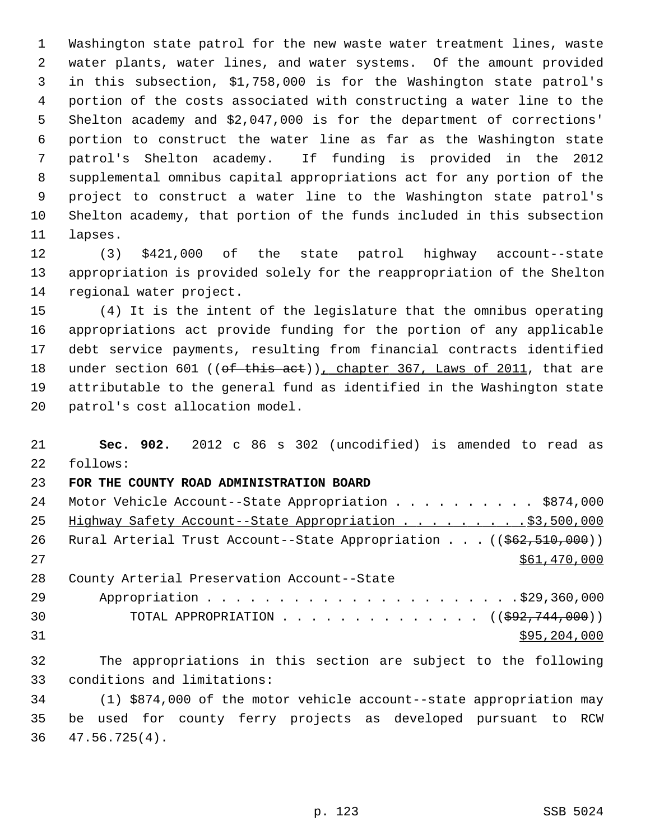1 Washington state patrol for the new waste water treatment lines, waste 2 water plants, water lines, and water systems. Of the amount provided 3 in this subsection, \$1,758,000 is for the Washington state patrol's 4 portion of the costs associated with constructing a water line to the 5 Shelton academy and \$2,047,000 is for the department of corrections' 6 portion to construct the water line as far as the Washington state 7 patrol's Shelton academy. If funding is provided in the 2012 8 supplemental omnibus capital appropriations act for any portion of the 9 project to construct a water line to the Washington state patrol's 10 Shelton academy, that portion of the funds included in this subsection 11 lapses.

12 (3) \$421,000 of the state patrol highway account--state 13 appropriation is provided solely for the reappropriation of the Shelton 14 regional water project.

15 (4) It is the intent of the legislature that the omnibus operating 16 appropriations act provide funding for the portion of any applicable 17 debt service payments, resulting from financial contracts identified 18 under section 601 ((of this act)), chapter 367, Laws of 2011, that are 19 attributable to the general fund as identified in the Washington state 20 patrol's cost allocation model.

21 **Sec. 902.** 2012 c 86 s 302 (uncodified) is amended to read as 22 follows: 23 **FOR THE COUNTY ROAD ADMINISTRATION BOARD** 24 Motor Vehicle Account--State Appropriation . . . . . . . . . \$874,000 25 Highway Safety Account--State Appropriation . . . . . . . . . \$3,500,000 26 Rural Arterial Trust Account--State Appropriation . . . ((\$62,510,000)) 27 \$61,470,000 28 County Arterial Preservation Account--State 29 Appropriation . . . . . . . . . . . . . . . . . . . . . .\$29,360,000 30 TOTAL APPROPRIATION  $\ldots$ , . . . . . . . . . . (( $\frac{292,744,000}{701000}$ )  $31$  \$95,204,000 32 The appropriations in this section are subject to the following 33 conditions and limitations: 34 (1) \$874,000 of the motor vehicle account--state appropriation may

35 be used for county ferry projects as developed pursuant to RCW 36 47.56.725(4).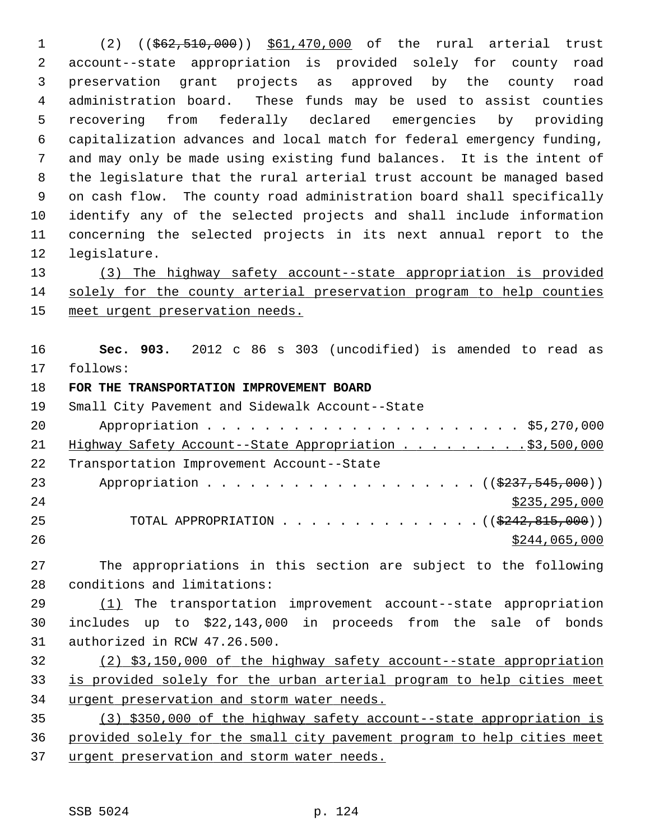1 (2) ((\$62,510,000)) \$61,470,000 of the rural arterial trust 2 account--state appropriation is provided solely for county road 3 preservation grant projects as approved by the county road 4 administration board. These funds may be used to assist counties 5 recovering from federally declared emergencies by providing 6 capitalization advances and local match for federal emergency funding, 7 and may only be made using existing fund balances. It is the intent of 8 the legislature that the rural arterial trust account be managed based 9 on cash flow. The county road administration board shall specifically 10 identify any of the selected projects and shall include information 11 concerning the selected projects in its next annual report to the 12 legislature.

13 (3) The highway safety account--state appropriation is provided 14 solely for the county arterial preservation program to help counties 15 meet urgent preservation needs.

16 **Sec. 903.** 2012 c 86 s 303 (uncodified) is amended to read as 17 follows:

## 18 **FOR THE TRANSPORTATION IMPROVEMENT BOARD**

19 Small City Pavement and Sidewalk Account--State 20 Appropriation . . . . . . . . . . . . . . . . . . . . . . \$5,270,000 21 Highway Safety Account--State Appropriation . . . . . . . . \$3,500,000 22 Transportation Improvement Account--State 23 Appropriation . . . . . . . . . . . . . . . . . ( $(\frac{2237,545,000}{2})$ ) 24 \$235,295,000 25 TOTAL APPROPRIATION . . . . . . . . . . . . . ((<del>\$242,815,000</del>)) 26 \$244,065,000

27 The appropriations in this section are subject to the following 28 conditions and limitations:

29 (1) The transportation improvement account--state appropriation 30 includes up to \$22,143,000 in proceeds from the sale of bonds 31 authorized in RCW 47.26.500.

32 (2) \$3,150,000 of the highway safety account--state appropriation 33 is provided solely for the urban arterial program to help cities meet 34 urgent preservation and storm water needs.

35 (3) \$350,000 of the highway safety account--state appropriation is 36 provided solely for the small city pavement program to help cities meet 37 urgent preservation and storm water needs.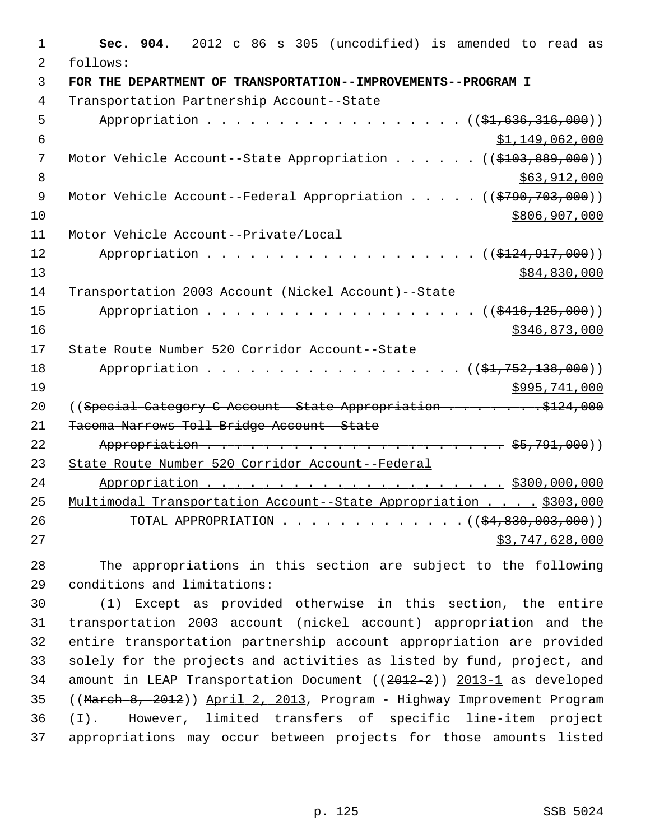| 1              | Sec. 904. 2012 c 86 s 305 (uncodified) is amended to read as       |
|----------------|--------------------------------------------------------------------|
| $\overline{2}$ | follows:                                                           |
| $\overline{3}$ | FOR THE DEPARTMENT OF TRANSPORTATION--IMPROVEMENTS--PROGRAM I      |
| $\overline{4}$ | Transportation Partnership Account--State                          |
| 5              | Appropriation ((\$1,636,316,000))                                  |
| 6              | \$1,149,062,000                                                    |
| 7              | Motor Vehicle Account--State Appropriation $($ $($ \$103,889,000)) |
| 8              | \$63,912,000                                                       |
| 9              | Motor Vehicle Account--Federal Appropriation ((\$790,703,000))     |
| 10             | \$806,907,000                                                      |
| 11             | Motor Vehicle Account--Private/Local                               |
| 12             | Appropriation $( ($124, 917, 000) )$                               |
| 13             | \$84,830,000                                                       |
| 14             | Transportation 2003 Account (Nickel Account)--State                |
| 15             | Appropriation $($ $($ $$416, 125, 000)$ $)$                        |
| 16             | \$346,873,000                                                      |
| 17             | State Route Number 520 Corridor Account--State                     |
| 18             | Appropriation ((\$1,752,138,000))                                  |
| 19             | \$995,741,000                                                      |
| 20             | ((Special Category C Account -- State Appropriation \$124,000)     |
| 21             | Tacoma Narrows Toll Bridge Account--State                          |
| 22             |                                                                    |
| 23             | State Route Number 520 Corridor Account--Federal                   |
| 24             |                                                                    |
| 25             | Multimodal Transportation Account--State Appropriation \$303,000   |
| 26             | TOTAL APPROPRIATION ( $(\frac{24}{830}, 003, 000)$ )               |
| 27             | \$3,747,628,000                                                    |

28 The appropriations in this section are subject to the following 29 conditions and limitations:

30 (1) Except as provided otherwise in this section, the entire 31 transportation 2003 account (nickel account) appropriation and the 32 entire transportation partnership account appropriation are provided 33 solely for the projects and activities as listed by fund, project, and 34 amount in LEAP Transportation Document ((2012-2)) 2013-1 as developed 35 ((March 8, 2012)) April 2, 2013, Program - Highway Improvement Program 36 (I). However, limited transfers of specific line-item project 37 appropriations may occur between projects for those amounts listed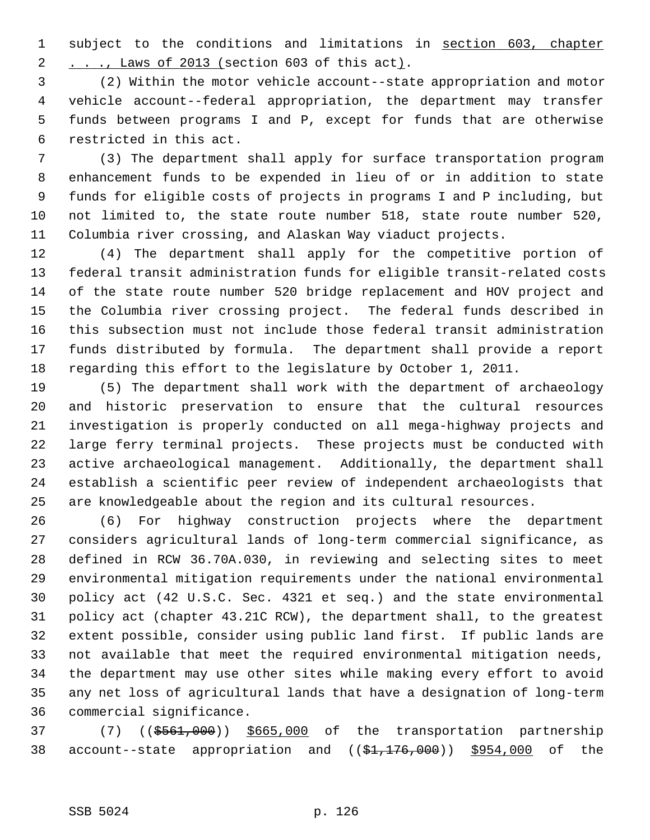1 subject to the conditions and limitations in section 603, chapter 2 . . ., Laws of 2013 (section 603 of this act).

 3 (2) Within the motor vehicle account--state appropriation and motor 4 vehicle account--federal appropriation, the department may transfer 5 funds between programs I and P, except for funds that are otherwise 6 restricted in this act.

 7 (3) The department shall apply for surface transportation program 8 enhancement funds to be expended in lieu of or in addition to state 9 funds for eligible costs of projects in programs I and P including, but 10 not limited to, the state route number 518, state route number 520, 11 Columbia river crossing, and Alaskan Way viaduct projects.

12 (4) The department shall apply for the competitive portion of 13 federal transit administration funds for eligible transit-related costs 14 of the state route number 520 bridge replacement and HOV project and 15 the Columbia river crossing project. The federal funds described in 16 this subsection must not include those federal transit administration 17 funds distributed by formula. The department shall provide a report 18 regarding this effort to the legislature by October 1, 2011.

19 (5) The department shall work with the department of archaeology 20 and historic preservation to ensure that the cultural resources 21 investigation is properly conducted on all mega-highway projects and 22 large ferry terminal projects. These projects must be conducted with 23 active archaeological management. Additionally, the department shall 24 establish a scientific peer review of independent archaeologists that 25 are knowledgeable about the region and its cultural resources.

26 (6) For highway construction projects where the department 27 considers agricultural lands of long-term commercial significance, as 28 defined in RCW 36.70A.030, in reviewing and selecting sites to meet 29 environmental mitigation requirements under the national environmental 30 policy act (42 U.S.C. Sec. 4321 et seq.) and the state environmental 31 policy act (chapter 43.21C RCW), the department shall, to the greatest 32 extent possible, consider using public land first. If public lands are 33 not available that meet the required environmental mitigation needs, 34 the department may use other sites while making every effort to avoid 35 any net loss of agricultural lands that have a designation of long-term 36 commercial significance.

37 (7) ((\$561,000)) \$665,000 of the transportation partnership 38 account--state appropriation and ((\$1,176,000)) \$954,000 of the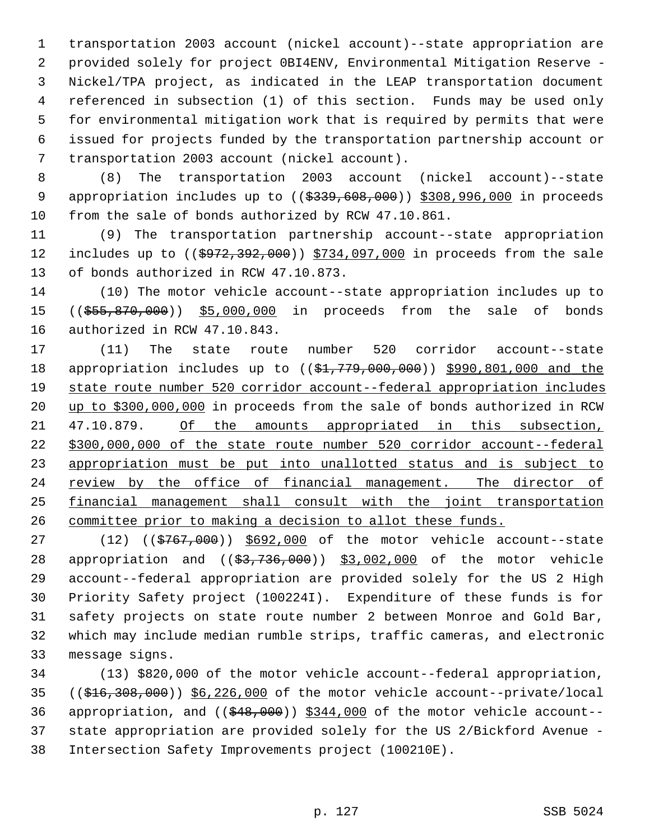1 transportation 2003 account (nickel account)--state appropriation are 2 provided solely for project 0BI4ENV, Environmental Mitigation Reserve - 3 Nickel/TPA project, as indicated in the LEAP transportation document 4 referenced in subsection (1) of this section. Funds may be used only 5 for environmental mitigation work that is required by permits that were 6 issued for projects funded by the transportation partnership account or 7 transportation 2003 account (nickel account).

 8 (8) The transportation 2003 account (nickel account)--state 9 appropriation includes up to ((\$339,608,000)) \$308,996,000 in proceeds 10 from the sale of bonds authorized by RCW 47.10.861.

11 (9) The transportation partnership account--state appropriation 12 includes up to ((\$972,392,000)) \$734,097,000 in proceeds from the sale 13 of bonds authorized in RCW 47.10.873.

14 (10) The motor vehicle account--state appropriation includes up to 15 ((\$55,870,000)) \$5,000,000 in proceeds from the sale of bonds 16 authorized in RCW 47.10.843.

17 (11) The state route number 520 corridor account--state 18 appropriation includes up to ((\$1,779,000,000)) \$990,801,000 and the state route number 520 corridor account--federal appropriation includes up to \$300,000,000 in proceeds from the sale of bonds authorized in RCW 21 47.10.879. Of the amounts appropriated in this subsection, \$300,000,000 of the state route number 520 corridor account--federal appropriation must be put into unallotted status and is subject to review by the office of financial management. The director of financial management shall consult with the joint transportation committee prior to making a decision to allot these funds.

27 (12) ((\$767,000)) \$692,000 of the motor vehicle account--state 28 appropriation and ((\$3,736,000)) \$3,002,000 of the motor vehicle 29 account--federal appropriation are provided solely for the US 2 High 30 Priority Safety project (100224I). Expenditure of these funds is for 31 safety projects on state route number 2 between Monroe and Gold Bar, 32 which may include median rumble strips, traffic cameras, and electronic 33 message signs.

34 (13) \$820,000 of the motor vehicle account--federal appropriation, 35 ((\$16,308,000)) \$6,226,000 of the motor vehicle account--private/local 36 appropriation, and  $((\frac{248}{900}))$  \$344,000 of the motor vehicle account--37 state appropriation are provided solely for the US 2/Bickford Avenue - 38 Intersection Safety Improvements project (100210E).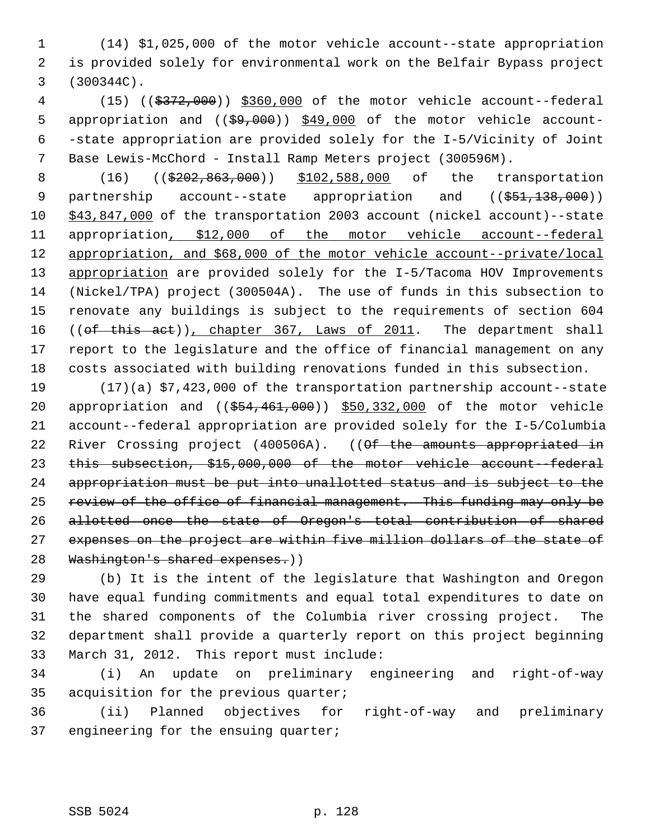1 (14) \$1,025,000 of the motor vehicle account--state appropriation 2 is provided solely for environmental work on the Belfair Bypass project 3 (300344C).

 4 (15) ((\$372,000)) \$360,000 of the motor vehicle account--federal 5 appropriation and  $((\frac{29}{100})$   $\frac{249}{100}$  of the motor vehicle account- 6 -state appropriation are provided solely for the I-5/Vicinity of Joint 7 Base Lewis-McChord - Install Ramp Meters project (300596M).

8 (16) ((\$202,863,000)) \$102,588,000 of the transportation 9 partnership account--state appropriation and ((\$51,138,000)) 10 \$43,847,000 of the transportation 2003 account (nickel account)--state 11 appropriation, \$12,000 of the motor vehicle account--federal 12 appropriation, and \$68,000 of the motor vehicle account--private/local 13 appropriation are provided solely for the I-5/Tacoma HOV Improvements 14 (Nickel/TPA) project (300504A). The use of funds in this subsection to 15 renovate any buildings is subject to the requirements of section 604 16 ((of this act)), chapter 367, Laws of 2011. The department shall 17 report to the legislature and the office of financial management on any 18 costs associated with building renovations funded in this subsection.

19 (17)(a) \$7,423,000 of the transportation partnership account--state 20 appropriation and ((\$54,461,000)) \$50,332,000 of the motor vehicle 21 account--federal appropriation are provided solely for the I-5/Columbia 22 River Crossing project (400506A). ((<del>Of the amounts appropriated in</del> 23 this subsection, \$15,000,000 of the motor vehicle account--federal 24 appropriation must be put into unallotted status and is subject to the 25 review of the office of financial management. This funding may only be 26 allotted once the state of Oregon's total contribution of shared 27 expenses on the project are within five million dollars of the state of 28 Washington's shared expenses.))

29 (b) It is the intent of the legislature that Washington and Oregon 30 have equal funding commitments and equal total expenditures to date on 31 the shared components of the Columbia river crossing project. The 32 department shall provide a quarterly report on this project beginning 33 March 31, 2012. This report must include:

34 (i) An update on preliminary engineering and right-of-way 35 acquisition for the previous quarter;

36 (ii) Planned objectives for right-of-way and preliminary 37 engineering for the ensuing quarter;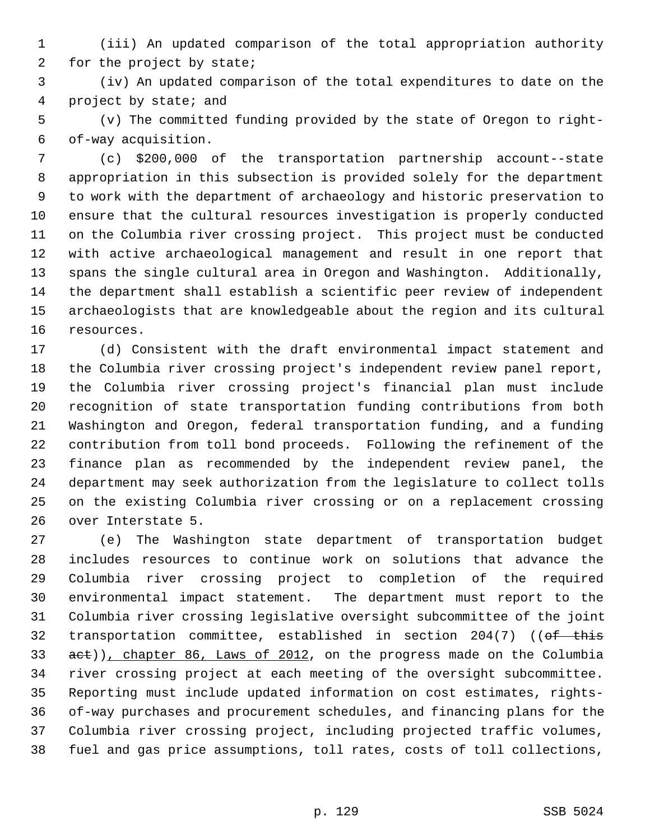- 1 (iii) An updated comparison of the total appropriation authority 2 for the project by state;
- 3 (iv) An updated comparison of the total expenditures to date on the 4 project by state; and
- 5 (v) The committed funding provided by the state of Oregon to right- 6 of-way acquisition.
- 7 (c) \$200,000 of the transportation partnership account--state 8 appropriation in this subsection is provided solely for the department 9 to work with the department of archaeology and historic preservation to 10 ensure that the cultural resources investigation is properly conducted 11 on the Columbia river crossing project. This project must be conducted 12 with active archaeological management and result in one report that 13 spans the single cultural area in Oregon and Washington. Additionally, 14 the department shall establish a scientific peer review of independent 15 archaeologists that are knowledgeable about the region and its cultural 16 resources.
- 17 (d) Consistent with the draft environmental impact statement and 18 the Columbia river crossing project's independent review panel report, 19 the Columbia river crossing project's financial plan must include 20 recognition of state transportation funding contributions from both 21 Washington and Oregon, federal transportation funding, and a funding 22 contribution from toll bond proceeds. Following the refinement of the 23 finance plan as recommended by the independent review panel, the 24 department may seek authorization from the legislature to collect tolls 25 on the existing Columbia river crossing or on a replacement crossing 26 over Interstate 5.
- 27 (e) The Washington state department of transportation budget 28 includes resources to continue work on solutions that advance the 29 Columbia river crossing project to completion of the required 30 environmental impact statement. The department must report to the 31 Columbia river crossing legislative oversight subcommittee of the joint 32 transportation committee, established in section 204(7) ((of this 33 act)), chapter 86, Laws of 2012, on the progress made on the Columbia 34 river crossing project at each meeting of the oversight subcommittee. 35 Reporting must include updated information on cost estimates, rights-36 of-way purchases and procurement schedules, and financing plans for the 37 Columbia river crossing project, including projected traffic volumes, 38 fuel and gas price assumptions, toll rates, costs of toll collections,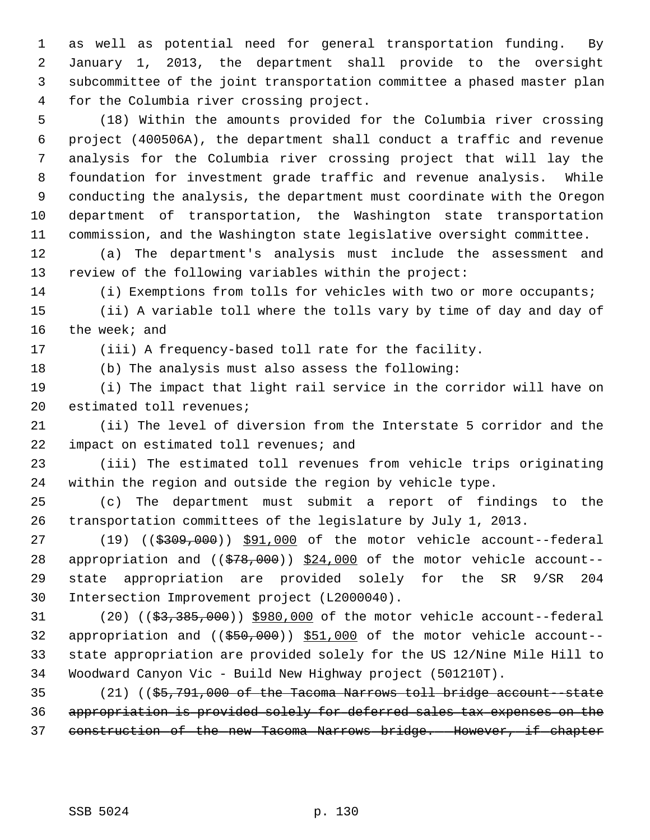1 as well as potential need for general transportation funding. By 2 January 1, 2013, the department shall provide to the oversight 3 subcommittee of the joint transportation committee a phased master plan 4 for the Columbia river crossing project.

 5 (18) Within the amounts provided for the Columbia river crossing 6 project (400506A), the department shall conduct a traffic and revenue 7 analysis for the Columbia river crossing project that will lay the 8 foundation for investment grade traffic and revenue analysis. While 9 conducting the analysis, the department must coordinate with the Oregon 10 department of transportation, the Washington state transportation 11 commission, and the Washington state legislative oversight committee.

12 (a) The department's analysis must include the assessment and 13 review of the following variables within the project:

14 (i) Exemptions from tolls for vehicles with two or more occupants;

15 (ii) A variable toll where the tolls vary by time of day and day of 16 the week; and

17 (iii) A frequency-based toll rate for the facility.

18 (b) The analysis must also assess the following:

19 (i) The impact that light rail service in the corridor will have on 20 estimated toll revenues;

21 (ii) The level of diversion from the Interstate 5 corridor and the 22 impact on estimated toll revenues; and

23 (iii) The estimated toll revenues from vehicle trips originating 24 within the region and outside the region by vehicle type.

25 (c) The department must submit a report of findings to the 26 transportation committees of the legislature by July 1, 2013.

27 (19) ((\$309,000)) \$91,000 of the motor vehicle account--federal 28 appropriation and  $((\frac{278}{100})$ ,  $\frac{24,000}{100}$  of the motor vehicle account--29 state appropriation are provided solely for the SR 9/SR 204 30 Intersection Improvement project (L2000040).

31 (20) ((\$3,385,000)) \$980,000 of the motor vehicle account--federal 32 appropriation and  $((\$50,000))$  \$51,000 of the motor vehicle account--33 state appropriation are provided solely for the US 12/Nine Mile Hill to 34 Woodward Canyon Vic - Build New Highway project (501210T).

35 (21) ((\$5,791,000 of the Tacoma Narrows toll bridge account--state 36 appropriation is provided solely for deferred sales tax expenses on the 37 construction of the new Tacoma Narrows bridge. However, if chapter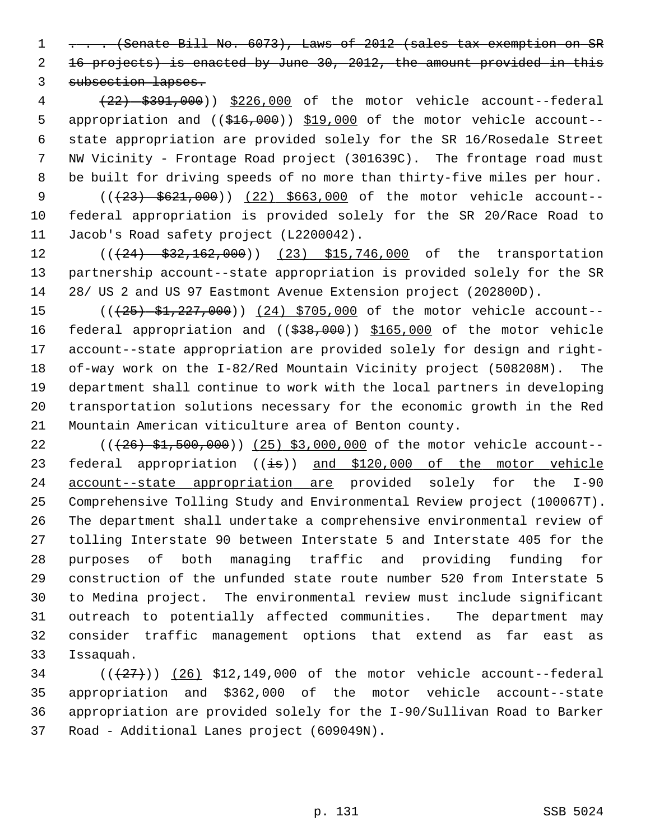1 . . . (Senate Bill No. 6073), Laws of 2012 (sales tax exemption on SR 2 16 projects) is enacted by June 30, 2012, the amount provided in this 3 subsection lapses.

 4 (22) \$391,000)) \$226,000 of the motor vehicle account--federal 5 appropriation and ((\$16,000)) \$19,000 of the motor vehicle account-- 6 state appropriation are provided solely for the SR 16/Rosedale Street 7 NW Vicinity - Frontage Road project (301639C). The frontage road must 8 be built for driving speeds of no more than thirty-five miles per hour.

9 (( $(23)$  \$621,000)) (22) \$663,000 of the motor vehicle account--10 federal appropriation is provided solely for the SR 20/Race Road to 11 Jacob's Road safety project (L2200042).

12 (((24) \$32,162,000)) (23) \$15,746,000 of the transportation 13 partnership account--state appropriation is provided solely for the SR 14 28/ US 2 and US 97 Eastmont Avenue Extension project (202800D).

15 (( $\left(\frac{25}{25}, \frac{227}{200}\right)$ ) (24) \$705,000 of the motor vehicle account--16 federal appropriation and ((\$38,000)) \$165,000 of the motor vehicle 17 account--state appropriation are provided solely for design and right-18 of-way work on the I-82/Red Mountain Vicinity project (508208M). The 19 department shall continue to work with the local partners in developing 20 transportation solutions necessary for the economic growth in the Red 21 Mountain American viticulture area of Benton county.

22 (( $(26)$  \$1,500,000)) (25) \$3,000,000 of the motor vehicle account--23 federal appropriation  $((\frac{1}{15}))$  and \$120,000 of the motor vehicle 24 account--state appropriation are provided solely for the I-90 25 Comprehensive Tolling Study and Environmental Review project (100067T). 26 The department shall undertake a comprehensive environmental review of 27 tolling Interstate 90 between Interstate 5 and Interstate 405 for the 28 purposes of both managing traffic and providing funding for 29 construction of the unfunded state route number 520 from Interstate 5 30 to Medina project. The environmental review must include significant 31 outreach to potentially affected communities. The department may 32 consider traffic management options that extend as far east as 33 Issaquah.

 $(1+27)$  ( $(26)$  \$12,149,000 of the motor vehicle account--federal 35 appropriation and \$362,000 of the motor vehicle account--state 36 appropriation are provided solely for the I-90/Sullivan Road to Barker 37 Road - Additional Lanes project (609049N).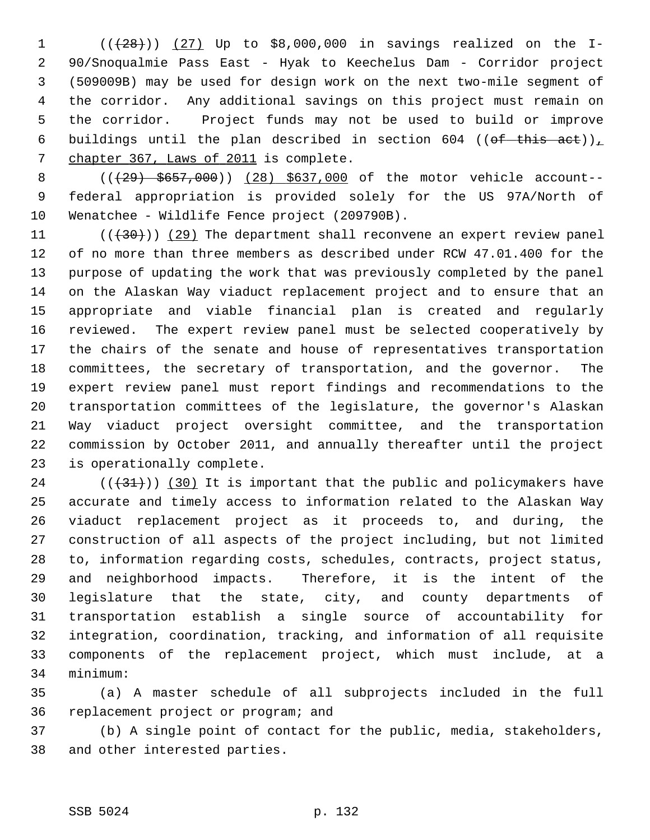1  $((+28))$   $(27)$  Up to \$8,000,000 in savings realized on the I- 2 90/Snoqualmie Pass East - Hyak to Keechelus Dam - Corridor project 3 (509009B) may be used for design work on the next two-mile segment of 4 the corridor. Any additional savings on this project must remain on 5 the corridor. Project funds may not be used to build or improve 6 buildings until the plan described in section 604 (( $of$  this act)), 7 chapter 367, Laws of 2011 is complete.

8 (( $\left(\frac{29}{5657},000\right)$ ) (28) \$637,000 of the motor vehicle account-- 9 federal appropriation is provided solely for the US 97A/North of 10 Wenatchee - Wildlife Fence project (209790B).

11  $((+30))$  (29) The department shall reconvene an expert review panel 12 of no more than three members as described under RCW 47.01.400 for the 13 purpose of updating the work that was previously completed by the panel 14 on the Alaskan Way viaduct replacement project and to ensure that an 15 appropriate and viable financial plan is created and regularly 16 reviewed. The expert review panel must be selected cooperatively by 17 the chairs of the senate and house of representatives transportation 18 committees, the secretary of transportation, and the governor. The 19 expert review panel must report findings and recommendations to the 20 transportation committees of the legislature, the governor's Alaskan 21 Way viaduct project oversight committee, and the transportation 22 commission by October 2011, and annually thereafter until the project 23 is operationally complete.

24  $((+31))$  (30) It is important that the public and policymakers have 25 accurate and timely access to information related to the Alaskan Way 26 viaduct replacement project as it proceeds to, and during, the 27 construction of all aspects of the project including, but not limited 28 to, information regarding costs, schedules, contracts, project status, 29 and neighborhood impacts. Therefore, it is the intent of the 30 legislature that the state, city, and county departments of 31 transportation establish a single source of accountability for 32 integration, coordination, tracking, and information of all requisite 33 components of the replacement project, which must include, at a 34 minimum:

35 (a) A master schedule of all subprojects included in the full 36 replacement project or program; and

37 (b) A single point of contact for the public, media, stakeholders, 38 and other interested parties.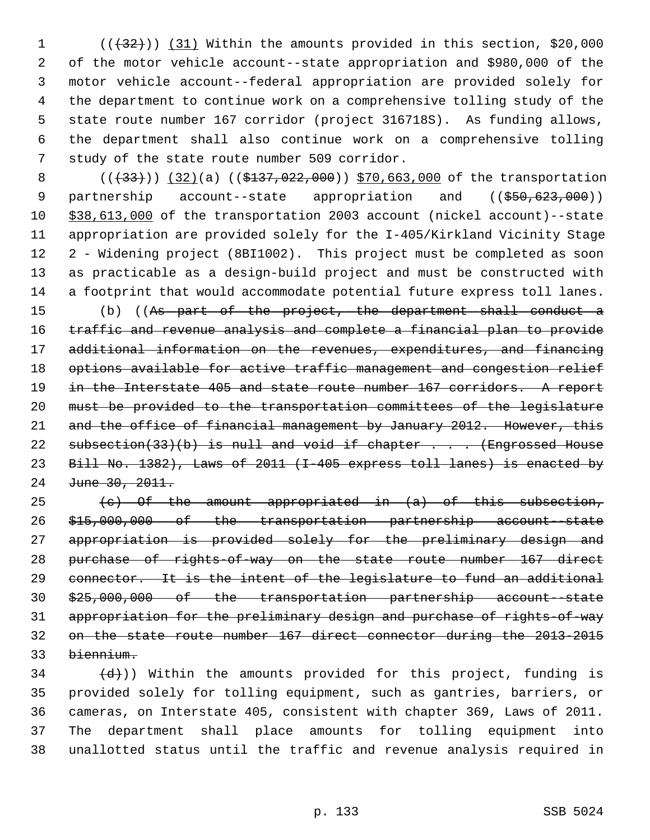1  $((+32))$   $(31)$  Within the amounts provided in this section, \$20,000 2 of the motor vehicle account--state appropriation and \$980,000 of the 3 motor vehicle account--federal appropriation are provided solely for 4 the department to continue work on a comprehensive tolling study of the 5 state route number 167 corridor (project 316718S). As funding allows, 6 the department shall also continue work on a comprehensive tolling 7 study of the state route number 509 corridor.

8 (( $(33)$ )) (32)(a) (( $$137,022,000$ )) \$70,663,000 of the transportation 9 partnership account--state appropriation and ((\$50,623,000)) 10 \$38,613,000 of the transportation 2003 account (nickel account)--state 11 appropriation are provided solely for the I-405/Kirkland Vicinity Stage 12 2 - Widening project (8BI1002). This project must be completed as soon 13 as practicable as a design-build project and must be constructed with 14 a footprint that would accommodate potential future express toll lanes.

15 (b) ((As part of the project, the department shall conduct a 16 traffic and revenue analysis and complete a financial plan to provide 17 additional information on the revenues, expenditures, and financing 18 options available for active traffic management and congestion relief 19 in the Interstate 405 and state route number 167 corridors. A report 20 must be provided to the transportation committees of the legislature 21 and the office of financial management by January 2012. However, this 22 subsection(33)(b) is null and void if chapter . . . (Engrossed House 23 Bill No. 1382), Laws of 2011 (I-405 express toll lanes) is enacted by 24 June 30, 2011.

 $(e)$  Of the amount appropriated in  $(a)$  of this subsection, \$15,000,000 of the transportation partnership account--state appropriation is provided solely for the preliminary design and purchase of rights-of-way on the state route number 167 direct connector. It is the intent of the legislature to fund an additional \$25,000,000 of the transportation partnership account--state appropriation for the preliminary design and purchase of rights-of-way on the state route number 167 direct connector during the 2013-2015 biennium.

 $\left(\frac{d}{dt}\right)$ ) Within the amounts provided for this project, funding is 35 provided solely for tolling equipment, such as gantries, barriers, or 36 cameras, on Interstate 405, consistent with chapter 369, Laws of 2011. 37 The department shall place amounts for tolling equipment into 38 unallotted status until the traffic and revenue analysis required in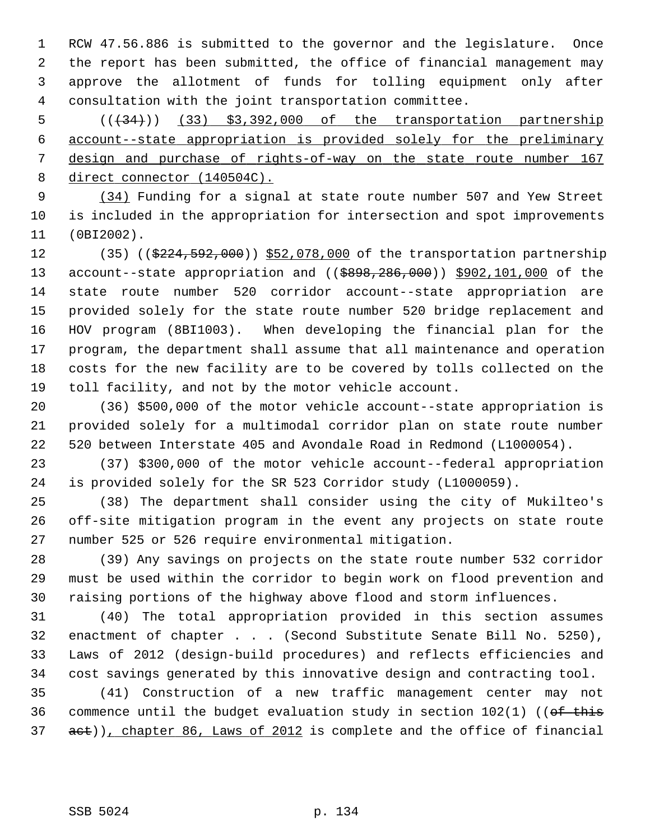1 RCW 47.56.886 is submitted to the governor and the legislature. Once 2 the report has been submitted, the office of financial management may 3 approve the allotment of funds for tolling equipment only after 4 consultation with the joint transportation committee.

 $(1, 34)$  (133) \$3,392,000 of the transportation partnership account--state appropriation is provided solely for the preliminary design and purchase of rights-of-way on the state route number 167 direct connector (140504C).

 9 (34) Funding for a signal at state route number 507 and Yew Street 10 is included in the appropriation for intersection and spot improvements 11 (0BI2002).

12 (35) ((\$224,592,000)) \$52,078,000 of the transportation partnership 13 account--state appropriation and ((\$898,286,000)) \$902,101,000 of the 14 state route number 520 corridor account--state appropriation are 15 provided solely for the state route number 520 bridge replacement and 16 HOV program (8BI1003). When developing the financial plan for the 17 program, the department shall assume that all maintenance and operation 18 costs for the new facility are to be covered by tolls collected on the 19 toll facility, and not by the motor vehicle account.

20 (36) \$500,000 of the motor vehicle account--state appropriation is 21 provided solely for a multimodal corridor plan on state route number 22 520 between Interstate 405 and Avondale Road in Redmond (L1000054).

23 (37) \$300,000 of the motor vehicle account--federal appropriation 24 is provided solely for the SR 523 Corridor study (L1000059).

25 (38) The department shall consider using the city of Mukilteo's 26 off-site mitigation program in the event any projects on state route 27 number 525 or 526 require environmental mitigation.

28 (39) Any savings on projects on the state route number 532 corridor 29 must be used within the corridor to begin work on flood prevention and 30 raising portions of the highway above flood and storm influences.

31 (40) The total appropriation provided in this section assumes 32 enactment of chapter . . . (Second Substitute Senate Bill No. 5250), 33 Laws of 2012 (design-build procedures) and reflects efficiencies and 34 cost savings generated by this innovative design and contracting tool.

35 (41) Construction of a new traffic management center may not 36 commence until the budget evaluation study in section  $102(1)$  ((of this 37 act)), chapter 86, Laws of 2012 is complete and the office of financial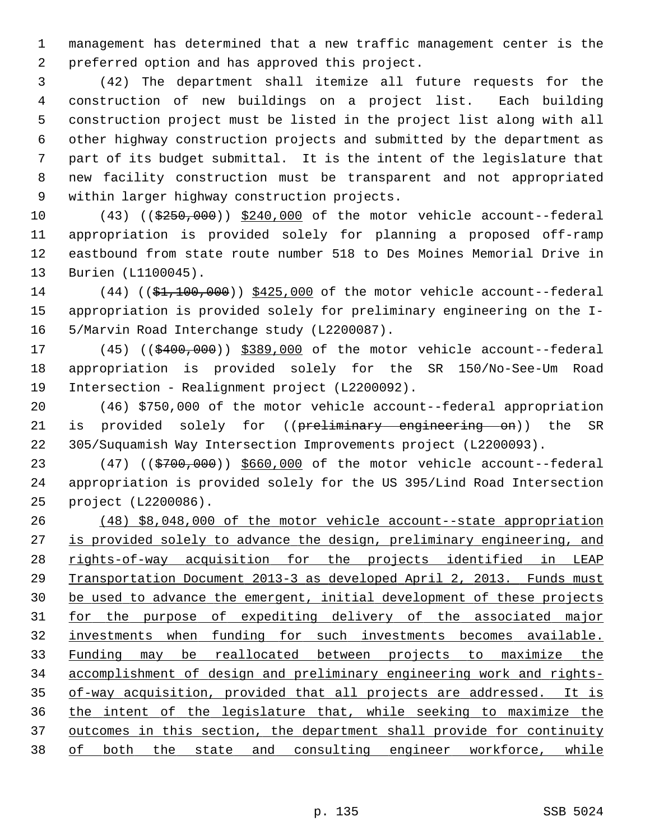1 management has determined that a new traffic management center is the 2 preferred option and has approved this project.

 3 (42) The department shall itemize all future requests for the 4 construction of new buildings on a project list. Each building 5 construction project must be listed in the project list along with all 6 other highway construction projects and submitted by the department as 7 part of its budget submittal. It is the intent of the legislature that 8 new facility construction must be transparent and not appropriated 9 within larger highway construction projects.

10 (43) ((\$250,000)) \$240,000 of the motor vehicle account--federal 11 appropriation is provided solely for planning a proposed off-ramp 12 eastbound from state route number 518 to Des Moines Memorial Drive in 13 Burien (L1100045).

14 (44) ((\$1,100,000)) \$425,000 of the motor vehicle account--federal 15 appropriation is provided solely for preliminary engineering on the I-16 5/Marvin Road Interchange study (L2200087).

17 (45) ((\$400,000)) \$389,000 of the motor vehicle account--federal 18 appropriation is provided solely for the SR 150/No-See-Um Road 19 Intersection - Realignment project (L2200092).

20 (46) \$750,000 of the motor vehicle account--federal appropriation 21 is provided solely for ((preliminary engineering on)) the SR 22 305/Suquamish Way Intersection Improvements project (L2200093).

23 (47) ((\$700,000)) \$660,000 of the motor vehicle account--federal 24 appropriation is provided solely for the US 395/Lind Road Intersection 25 project (L2200086).

 (48) \$8,048,000 of the motor vehicle account--state appropriation is provided solely to advance the design, preliminary engineering, and rights-of-way acquisition for the projects identified in LEAP Transportation Document 2013-3 as developed April 2, 2013. Funds must be used to advance the emergent, initial development of these projects for the purpose of expediting delivery of the associated major investments when funding for such investments becomes available. Funding may be reallocated between projects to maximize the accomplishment of design and preliminary engineering work and rights- of-way acquisition, provided that all projects are addressed. It is the intent of the legislature that, while seeking to maximize the outcomes in this section, the department shall provide for continuity of both the state and consulting engineer workforce, while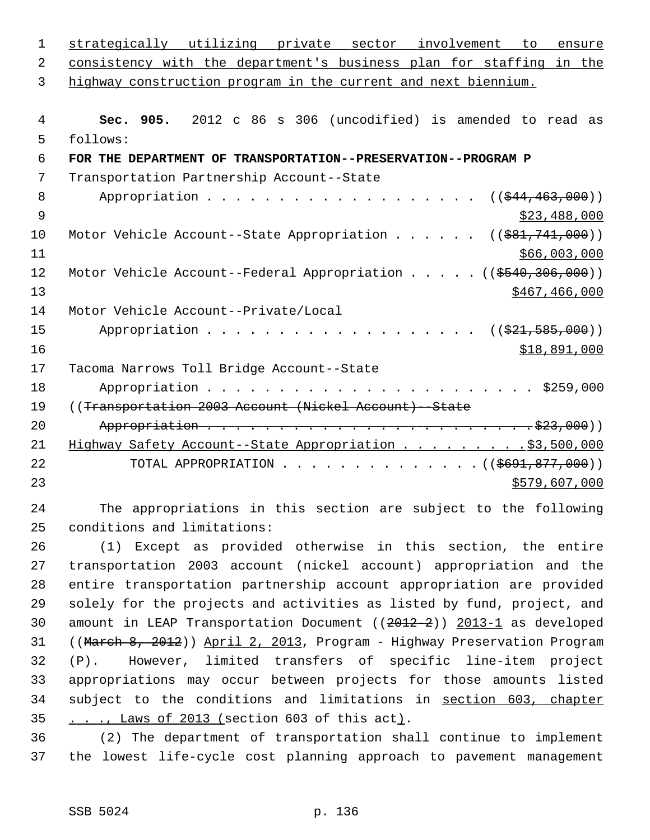| $\mathbf 1$ | strategically utilizing private sector involvement to<br>ensure                |
|-------------|--------------------------------------------------------------------------------|
| 2           | consistency with the department's business plan for staffing in the            |
| 3           | highway construction program in the current and next biennium.                 |
|             |                                                                                |
| 4           | Sec. 905. 2012 c 86 s 306 (uncodified) is amended to read as                   |
| 5           | follows:                                                                       |
| 6           | FOR THE DEPARTMENT OF TRANSPORTATION--PRESERVATION--PROGRAM P                  |
| 7           | Transportation Partnership Account--State                                      |
| 8           | $((\frac{1544}{1463}, 000))$                                                   |
| 9           | \$23,488,000                                                                   |
| 10          | Motor Vehicle Account--State Appropriation ( $(\frac{281}{741},000)$ )         |
| 11          | \$66,003,000                                                                   |
| 12          | Motor Vehicle Account--Federal Appropriation ((\$540,306,000))                 |
| 13          | \$467, 466, 000                                                                |
| 14          | Motor Vehicle Account--Private/Local                                           |
| 15          | $((\$21,585,000))$                                                             |
| 16          | \$18,891,000                                                                   |
| 17          | Tacoma Narrows Toll Bridge Account--State                                      |
| 18          |                                                                                |
| 19          | ((Transportation 2003 Account (Nickel Account) -- State                        |
| 20          |                                                                                |
| 21          | Highway Safety Account--State Appropriation \$3,500,000                        |
| 22          | TOTAL APPROPRIATION $\ldots$ , ( $(\frac{\text{6691}, 877, 000}{\text{6691}})$ |
| 23          | \$579,607,000                                                                  |
| 24          | The appropriations in this section are subject to the following                |
| 25          | conditions and limitations:                                                    |
| 26          | (1) Except as provided otherwise in this section, the entire                   |
| 27          | transportation 2003 account (nickel account) appropriation and the             |
| 28          | entire transportation partnership account appropriation are provided           |
| つQ          | solaly for the projects and activities as listed by fund project and           |

29 solely for the projects and activities as listed by fund, project, and 30 amount in LEAP Transportation Document ((2012-2)) 2013-1 as developed 31 ((March 8, 2012)) April 2, 2013, Program - Highway Preservation Program 32 (P). However, limited transfers of specific line-item project 33 appropriations may occur between projects for those amounts listed 34 subject to the conditions and limitations in section 603, chapter 35 . . ., Laws of 2013 (section 603 of this act).

36 (2) The department of transportation shall continue to implement 37 the lowest life-cycle cost planning approach to pavement management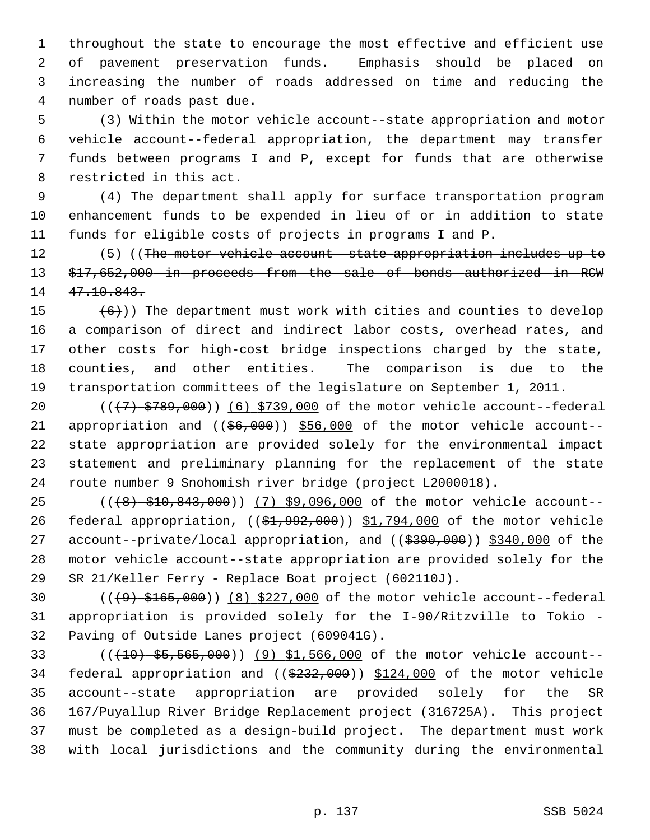1 throughout the state to encourage the most effective and efficient use 2 of pavement preservation funds. Emphasis should be placed on 3 increasing the number of roads addressed on time and reducing the 4 number of roads past due.

 5 (3) Within the motor vehicle account--state appropriation and motor 6 vehicle account--federal appropriation, the department may transfer 7 funds between programs I and P, except for funds that are otherwise 8 restricted in this act.

 9 (4) The department shall apply for surface transportation program 10 enhancement funds to be expended in lieu of or in addition to state 11 funds for eligible costs of projects in programs I and P.

12 (5) ((The motor vehicle account-state appropriation includes up to 13 \$17,652,000 in proceeds from the sale of bonds authorized in RCW 14 47.10.843.

15  $(6)$ )) The department must work with cities and counties to develop 16 a comparison of direct and indirect labor costs, overhead rates, and 17 other costs for high-cost bridge inspections charged by the state, 18 counties, and other entities. The comparison is due to the 19 transportation committees of the legislature on September 1, 2011.

20  $((+7)$   $$789,000)$   $(6)$   $$739,000$  of the motor vehicle account--federal 21 appropriation and  $((\frac{66}{600}))$  \$56,000 of the motor vehicle account--22 state appropriation are provided solely for the environmental impact 23 statement and preliminary planning for the replacement of the state 24 route number 9 Snohomish river bridge (project L2000018).

25 (((8) \$10,843,000)) (7) \$9,096,000 of the motor vehicle account--26 federal appropriation, ((\$1,992,000)) \$1,794,000 of the motor vehicle 27 account--private/local appropriation, and ((\$390,000)) \$340,000 of the 28 motor vehicle account--state appropriation are provided solely for the 29 SR 21/Keller Ferry - Replace Boat project (602110J).

30  $((49) + 165,000)$   $(8)$  \$227,000 of the motor vehicle account--federal 31 appropriation is provided solely for the I-90/Ritzville to Tokio - 32 Paving of Outside Lanes project (609041G).

33 (((10) \$5,565,000)) (9) \$1,566,000 of the motor vehicle account-- 34 federal appropriation and ((\$232,000)) \$124,000 of the motor vehicle 35 account--state appropriation are provided solely for the SR 36 167/Puyallup River Bridge Replacement project (316725A). This project 37 must be completed as a design-build project. The department must work 38 with local jurisdictions and the community during the environmental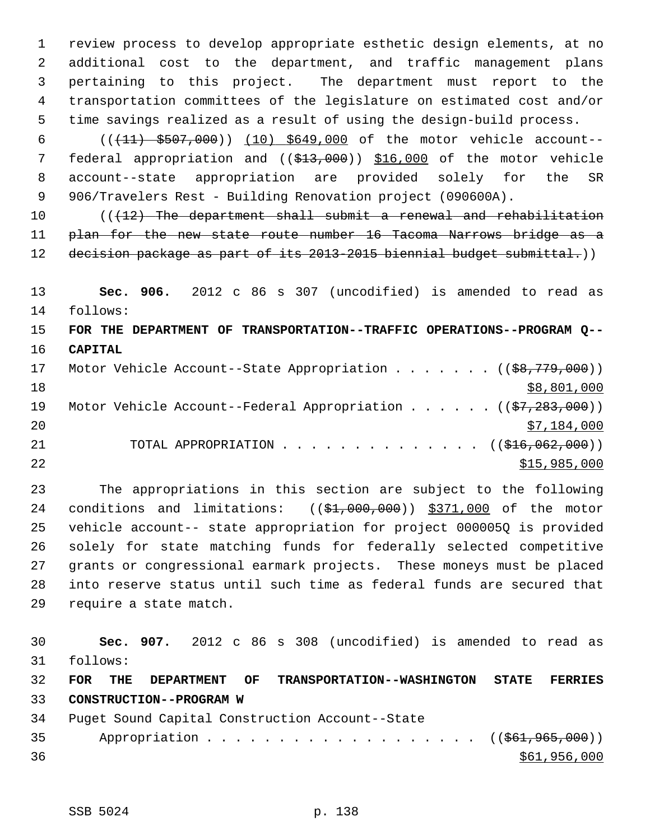1 review process to develop appropriate esthetic design elements, at no 2 additional cost to the department, and traffic management plans 3 pertaining to this project. The department must report to the 4 transportation committees of the legislature on estimated cost and/or 5 time savings realized as a result of using the design-build process.

 6 (((11) \$507,000)) (10) \$649,000 of the motor vehicle account-- 7 federal appropriation and ((\$13,000)) \$16,000 of the motor vehicle 8 account--state appropriation are provided solely for the SR 9 906/Travelers Rest - Building Renovation project (090600A).

10 (( $\sqrt{12}$ ) The department shall submit a renewal and rehabilitation 11 plan for the new state route number 16 Tacoma Narrows bridge as a 12 decision package as part of its 2013-2015 biennial budget submittal.))

13 **Sec. 906.** 2012 c 86 s 307 (uncodified) is amended to read as 14 follows:

15 **FOR THE DEPARTMENT OF TRANSPORTATION--TRAFFIC OPERATIONS--PROGRAM Q--** 16 **CAPITAL**

| 17 |  | Motor Vehicle Account--State Appropriation ( $(\frac{28}{779}, 000)$ ) |  |  |              |
|----|--|------------------------------------------------------------------------|--|--|--------------|
| 18 |  |                                                                        |  |  | \$8,801,000  |
| 19 |  | Motor Vehicle Account--Federal Appropriation $($ $($ \$7,283,000))     |  |  |              |
| 20 |  |                                                                        |  |  | \$7,184,000  |
| 21 |  | TOTAL APPROPRIATION $\ldots$ , ( $(\frac{1}{216}, 062, 000)$ )         |  |  |              |
| 22 |  |                                                                        |  |  | \$15,985,000 |

23 The appropriations in this section are subject to the following 24 conditions and limitations:  $((\text{ }61,000,000))$  \$371,000 of the motor 25 vehicle account-- state appropriation for project 000005Q is provided 26 solely for state matching funds for federally selected competitive 27 grants or congressional earmark projects. These moneys must be placed 28 into reserve status until such time as federal funds are secured that 29 require a state match.

30 **Sec. 907.** 2012 c 86 s 308 (uncodified) is amended to read as 31 follows: 32 **FOR THE DEPARTMENT OF TRANSPORTATION--WASHINGTON STATE FERRIES** 33 **CONSTRUCTION--PROGRAM W** 34 Puget Sound Capital Construction Account--State 35 Appropriation . . . . . . . . . . . . . . . . . ((\$61,965,000))  $36$   $$61,956,000$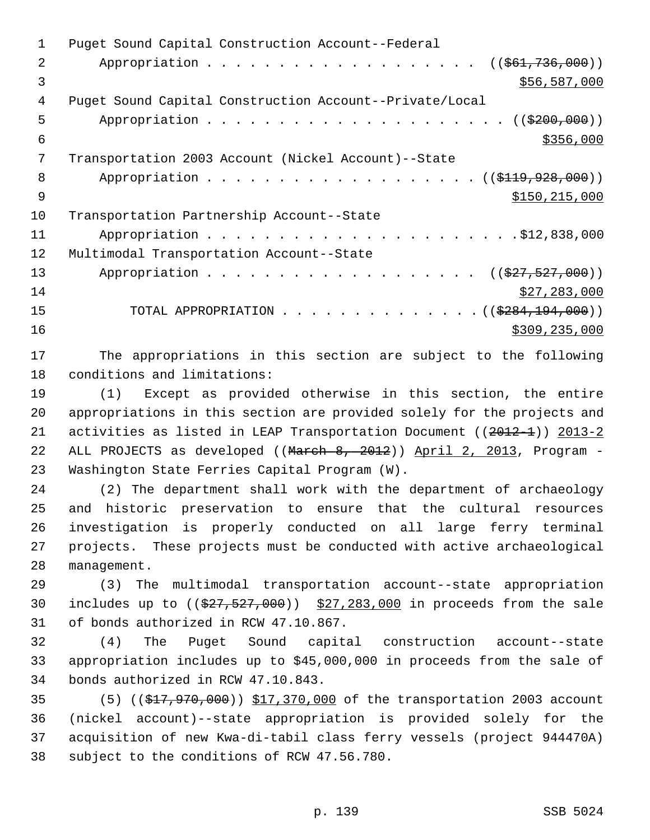1 Puget Sound Capital Construction Account--Federal 2 Appropriation . . . . . . . . . . . . . . . . . ( $(\frac{261,736,000}{1})$  $\frac{1}{2}$  \$56,587,000 4 Puget Sound Capital Construction Account--Private/Local 5 Appropriation . . . . . . . . . . . . . . . . . . . . . ((\$200,000))  $\frac{$356,000}{ }$  7 Transportation 2003 Account (Nickel Account)--State 8 Appropriation . . . . . . . . . . . . . . . . . (  $(\frac{119}{7928}, 000)$  )  $\frac{$150,215,000}{5}$ 10 Transportation Partnership Account--State 11 Appropriation . . . . . . . . . . . . . . . . . . . . . .\$12,838,000 12 Multimodal Transportation Account--State 13 Appropriation . . . . . . . . . . . . . . . . . ((\$27,527,000)) 14 \$27,283,000 15 TOTAL APPROPRIATION . . . . . . . . . . . . . ((\$284,194,000))  $16$  \$309,235,000

17 The appropriations in this section are subject to the following 18 conditions and limitations:

19 (1) Except as provided otherwise in this section, the entire 20 appropriations in this section are provided solely for the projects and 21 activities as listed in LEAP Transportation Document ( $(2012-1)$ ) 2013-2 22 ALL PROJECTS as developed ((March 8, 2012)) April 2, 2013, Program - 23 Washington State Ferries Capital Program (W).

24 (2) The department shall work with the department of archaeology 25 and historic preservation to ensure that the cultural resources 26 investigation is properly conducted on all large ferry terminal 27 projects. These projects must be conducted with active archaeological 28 management.

29 (3) The multimodal transportation account--state appropriation 30 includes up to  $((\$27, \$27,000))$   $\$27,283,000$  in proceeds from the sale 31 of bonds authorized in RCW 47.10.867.

32 (4) The Puget Sound capital construction account--state 33 appropriation includes up to \$45,000,000 in proceeds from the sale of 34 bonds authorized in RCW 47.10.843.

35 (5) ((\$17,970,000)) \$17,370,000 of the transportation 2003 account 36 (nickel account)--state appropriation is provided solely for the 37 acquisition of new Kwa-di-tabil class ferry vessels (project 944470A) 38 subject to the conditions of RCW 47.56.780.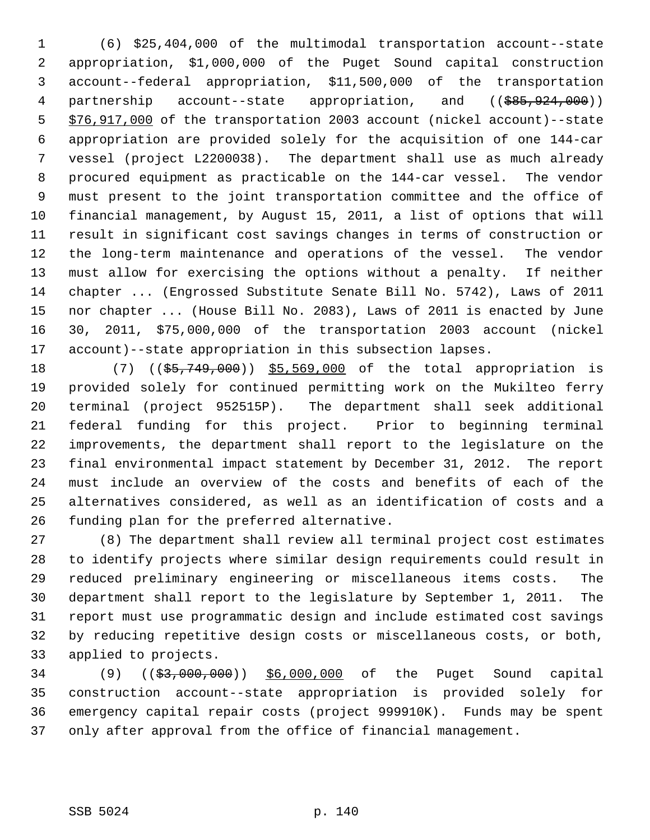1 (6) \$25,404,000 of the multimodal transportation account--state 2 appropriation, \$1,000,000 of the Puget Sound capital construction 3 account--federal appropriation, \$11,500,000 of the transportation 4 partnership account--state appropriation, and ((\$85,924,000)) 5 \$76,917,000 of the transportation 2003 account (nickel account)--state 6 appropriation are provided solely for the acquisition of one 144-car 7 vessel (project L2200038). The department shall use as much already 8 procured equipment as practicable on the 144-car vessel. The vendor 9 must present to the joint transportation committee and the office of 10 financial management, by August 15, 2011, a list of options that will 11 result in significant cost savings changes in terms of construction or 12 the long-term maintenance and operations of the vessel. The vendor 13 must allow for exercising the options without a penalty. If neither 14 chapter ... (Engrossed Substitute Senate Bill No. 5742), Laws of 2011 15 nor chapter ... (House Bill No. 2083), Laws of 2011 is enacted by June 16 30, 2011, \$75,000,000 of the transportation 2003 account (nickel 17 account)--state appropriation in this subsection lapses.

18 (7) ((\$5,749,000)) \$5,569,000 of the total appropriation is 19 provided solely for continued permitting work on the Mukilteo ferry 20 terminal (project 952515P). The department shall seek additional 21 federal funding for this project. Prior to beginning terminal 22 improvements, the department shall report to the legislature on the 23 final environmental impact statement by December 31, 2012. The report 24 must include an overview of the costs and benefits of each of the 25 alternatives considered, as well as an identification of costs and a 26 funding plan for the preferred alternative.

27 (8) The department shall review all terminal project cost estimates 28 to identify projects where similar design requirements could result in 29 reduced preliminary engineering or miscellaneous items costs. The 30 department shall report to the legislature by September 1, 2011. The 31 report must use programmatic design and include estimated cost savings 32 by reducing repetitive design costs or miscellaneous costs, or both, 33 applied to projects.

34 (9) ((\$3,000,000)) \$6,000,000 of the Puget Sound capital 35 construction account--state appropriation is provided solely for 36 emergency capital repair costs (project 999910K). Funds may be spent 37 only after approval from the office of financial management.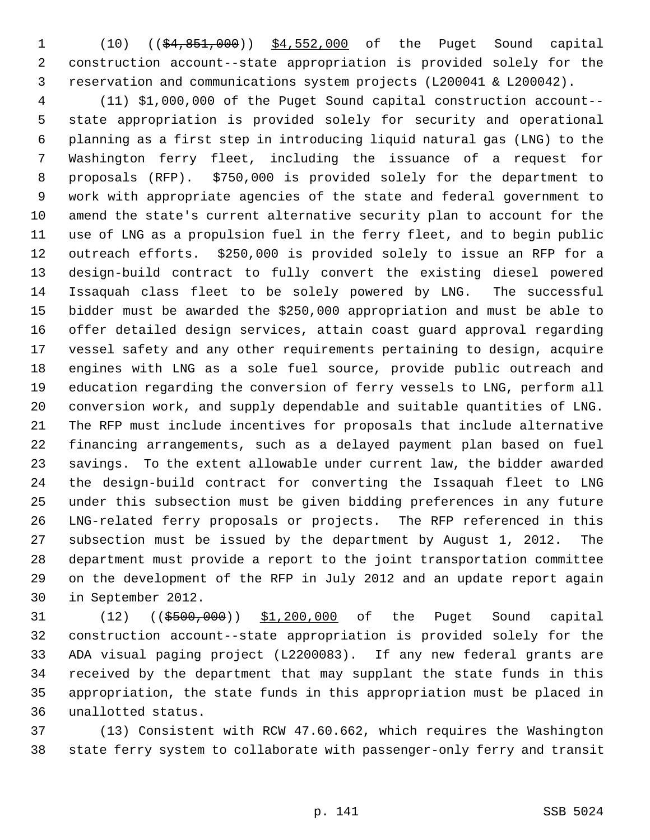1 (10) ((\$4,851,000)) \$4,552,000 of the Puget Sound capital 2 construction account--state appropriation is provided solely for the 3 reservation and communications system projects (L200041 & L200042).

 4 (11) \$1,000,000 of the Puget Sound capital construction account-- 5 state appropriation is provided solely for security and operational 6 planning as a first step in introducing liquid natural gas (LNG) to the 7 Washington ferry fleet, including the issuance of a request for 8 proposals (RFP). \$750,000 is provided solely for the department to 9 work with appropriate agencies of the state and federal government to 10 amend the state's current alternative security plan to account for the 11 use of LNG as a propulsion fuel in the ferry fleet, and to begin public 12 outreach efforts. \$250,000 is provided solely to issue an RFP for a 13 design-build contract to fully convert the existing diesel powered 14 Issaquah class fleet to be solely powered by LNG. The successful 15 bidder must be awarded the \$250,000 appropriation and must be able to 16 offer detailed design services, attain coast guard approval regarding 17 vessel safety and any other requirements pertaining to design, acquire 18 engines with LNG as a sole fuel source, provide public outreach and 19 education regarding the conversion of ferry vessels to LNG, perform all 20 conversion work, and supply dependable and suitable quantities of LNG. 21 The RFP must include incentives for proposals that include alternative 22 financing arrangements, such as a delayed payment plan based on fuel 23 savings. To the extent allowable under current law, the bidder awarded 24 the design-build contract for converting the Issaquah fleet to LNG 25 under this subsection must be given bidding preferences in any future 26 LNG-related ferry proposals or projects. The RFP referenced in this 27 subsection must be issued by the department by August 1, 2012. The 28 department must provide a report to the joint transportation committee 29 on the development of the RFP in July 2012 and an update report again 30 in September 2012.

31 (12) ((\$500,000)) \$1,200,000 of the Puget Sound capital 32 construction account--state appropriation is provided solely for the 33 ADA visual paging project (L2200083). If any new federal grants are 34 received by the department that may supplant the state funds in this 35 appropriation, the state funds in this appropriation must be placed in 36 unallotted status.

37 (13) Consistent with RCW 47.60.662, which requires the Washington 38 state ferry system to collaborate with passenger-only ferry and transit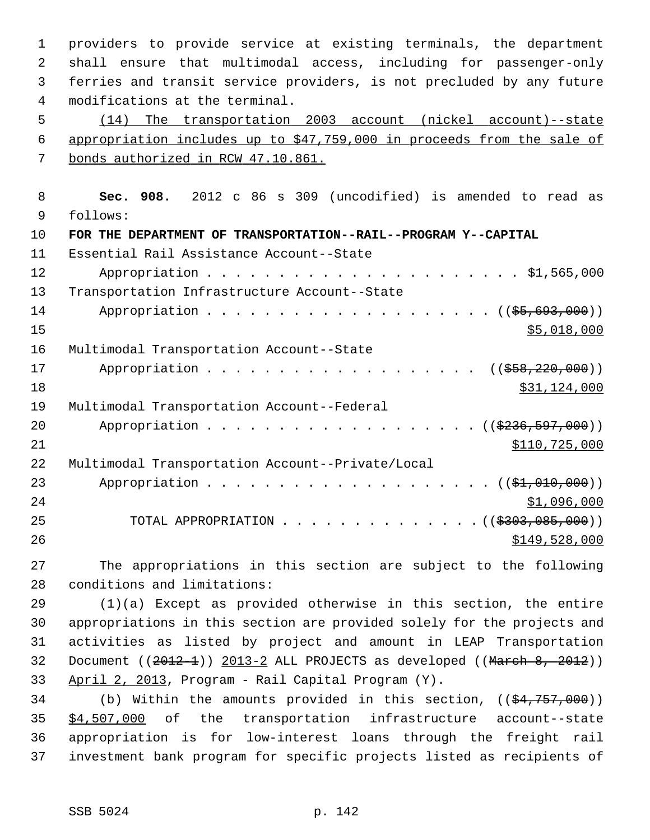1 providers to provide service at existing terminals, the department 2 shall ensure that multimodal access, including for passenger-only 3 ferries and transit service providers, is not precluded by any future 4 modifications at the terminal.

 5 (14) The transportation 2003 account (nickel account)--state 6 appropriation includes up to \$47,759,000 in proceeds from the sale of 7 bonds authorized in RCW 47.10.861.

 8 **Sec. 908.** 2012 c 86 s 309 (uncodified) is amended to read as 9 follows: 10 **FOR THE DEPARTMENT OF TRANSPORTATION--RAIL--PROGRAM Y--CAPITAL** 11 Essential Rail Assistance Account--State 12 Appropriation . . . . . . . . . . . . . . . . . . . . . . \$1,565,000 13 Transportation Infrastructure Account--State 14 Appropriation . . . . . . . . . . . . . . . . . . ((\$5,693,000))  $\frac{15}{5,018,000}$ 16 Multimodal Transportation Account--State 17 Appropriation . . . . . . . . . . . . . . . . . ((\$58,220,000)) 18 \$31,124,000 19 Multimodal Transportation Account--Federal 20 Appropriation . . . . . . . . . . . . . . . . . (  $(\frac{2236,597,000}{2})$ 21 \$110,725,000 22 Multimodal Transportation Account--Private/Local 23 Appropriation . . . . . . . . . . . . . . . . . . (  $(\frac{21}{101}, 010, 000)$  ) 24 \$1,096,000 25 TOTAL APPROPRIATION . . . . . . . . . . . . . ((<del>\$303,085,000</del>)) 26 \$149,528,000

27 The appropriations in this section are subject to the following 28 conditions and limitations:

29 (1)(a) Except as provided otherwise in this section, the entire 30 appropriations in this section are provided solely for the projects and 31 activities as listed by project and amount in LEAP Transportation 32 Document  $((2012-1))$  2013-2 ALL PROJECTS as developed  $((March 8, 2012))$ 33 April 2, 2013, Program - Rail Capital Program (Y).

34 (b) Within the amounts provided in this section, ((\$4,757,000)) 35 \$4,507,000 of the transportation infrastructure account--state 36 appropriation is for low-interest loans through the freight rail 37 investment bank program for specific projects listed as recipients of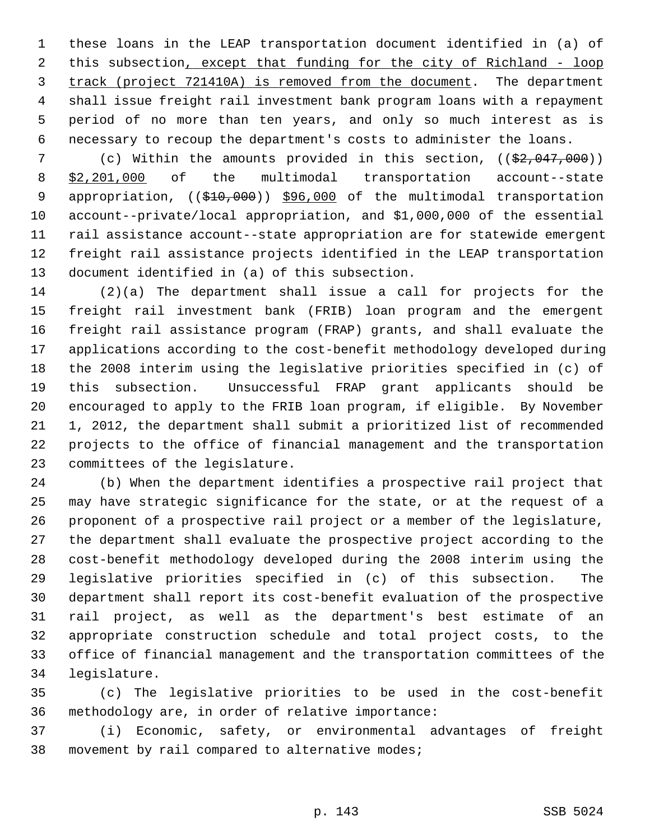1 these loans in the LEAP transportation document identified in (a) of 2 this subsection, except that funding for the city of Richland - loop 3 track (project 721410A) is removed from the document. The department 4 shall issue freight rail investment bank program loans with a repayment 5 period of no more than ten years, and only so much interest as is 6 necessary to recoup the department's costs to administer the loans.

7 (c) Within the amounts provided in this section, ((\$2,047,000)) 8 \$2,201,000 of the multimodal transportation account--state 9 appropriation, ((\$10,000)) \$96,000 of the multimodal transportation 10 account--private/local appropriation, and \$1,000,000 of the essential 11 rail assistance account--state appropriation are for statewide emergent 12 freight rail assistance projects identified in the LEAP transportation 13 document identified in (a) of this subsection.

14 (2)(a) The department shall issue a call for projects for the 15 freight rail investment bank (FRIB) loan program and the emergent 16 freight rail assistance program (FRAP) grants, and shall evaluate the 17 applications according to the cost-benefit methodology developed during 18 the 2008 interim using the legislative priorities specified in (c) of 19 this subsection. Unsuccessful FRAP grant applicants should be 20 encouraged to apply to the FRIB loan program, if eligible. By November 21 1, 2012, the department shall submit a prioritized list of recommended 22 projects to the office of financial management and the transportation 23 committees of the legislature.

24 (b) When the department identifies a prospective rail project that 25 may have strategic significance for the state, or at the request of a 26 proponent of a prospective rail project or a member of the legislature, 27 the department shall evaluate the prospective project according to the 28 cost-benefit methodology developed during the 2008 interim using the 29 legislative priorities specified in (c) of this subsection. The 30 department shall report its cost-benefit evaluation of the prospective 31 rail project, as well as the department's best estimate of an 32 appropriate construction schedule and total project costs, to the 33 office of financial management and the transportation committees of the 34 legislature.

35 (c) The legislative priorities to be used in the cost-benefit 36 methodology are, in order of relative importance:

37 (i) Economic, safety, or environmental advantages of freight 38 movement by rail compared to alternative modes;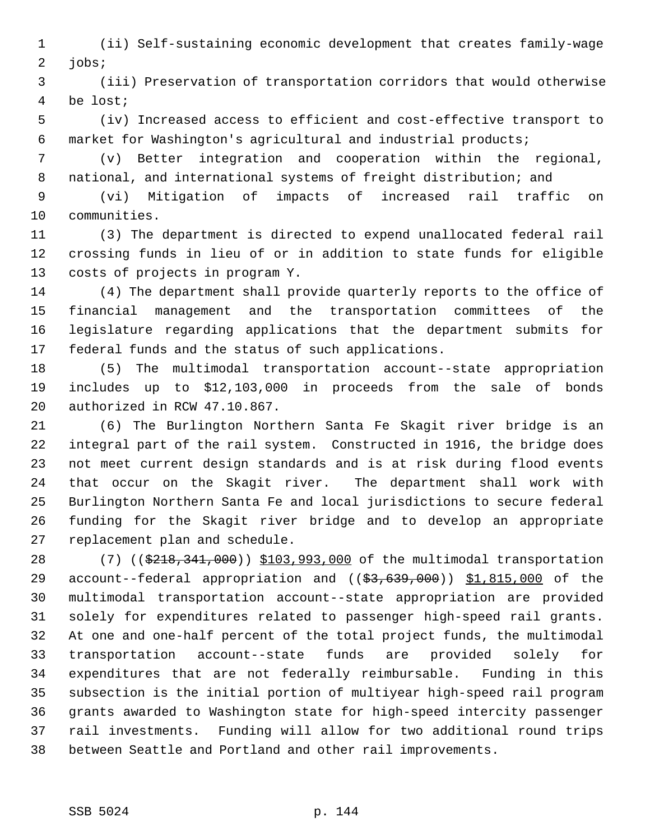1 (ii) Self-sustaining economic development that creates family-wage 2 jobs;

 3 (iii) Preservation of transportation corridors that would otherwise 4 be lost;

 5 (iv) Increased access to efficient and cost-effective transport to 6 market for Washington's agricultural and industrial products;

 7 (v) Better integration and cooperation within the regional, 8 national, and international systems of freight distribution; and

 9 (vi) Mitigation of impacts of increased rail traffic on 10 communities.

11 (3) The department is directed to expend unallocated federal rail 12 crossing funds in lieu of or in addition to state funds for eligible 13 costs of projects in program Y.

14 (4) The department shall provide quarterly reports to the office of 15 financial management and the transportation committees of the 16 legislature regarding applications that the department submits for 17 federal funds and the status of such applications.

18 (5) The multimodal transportation account--state appropriation 19 includes up to \$12,103,000 in proceeds from the sale of bonds 20 authorized in RCW 47.10.867.

21 (6) The Burlington Northern Santa Fe Skagit river bridge is an 22 integral part of the rail system. Constructed in 1916, the bridge does 23 not meet current design standards and is at risk during flood events 24 that occur on the Skagit river. The department shall work with 25 Burlington Northern Santa Fe and local jurisdictions to secure federal 26 funding for the Skagit river bridge and to develop an appropriate 27 replacement plan and schedule.

28 (7) ((\$218,341,000)) \$103,993,000 of the multimodal transportation 29 account--federal appropriation and ((\$3,639,000)) \$1,815,000 of the 30 multimodal transportation account--state appropriation are provided 31 solely for expenditures related to passenger high-speed rail grants. 32 At one and one-half percent of the total project funds, the multimodal 33 transportation account--state funds are provided solely for 34 expenditures that are not federally reimbursable. Funding in this 35 subsection is the initial portion of multiyear high-speed rail program 36 grants awarded to Washington state for high-speed intercity passenger 37 rail investments. Funding will allow for two additional round trips 38 between Seattle and Portland and other rail improvements.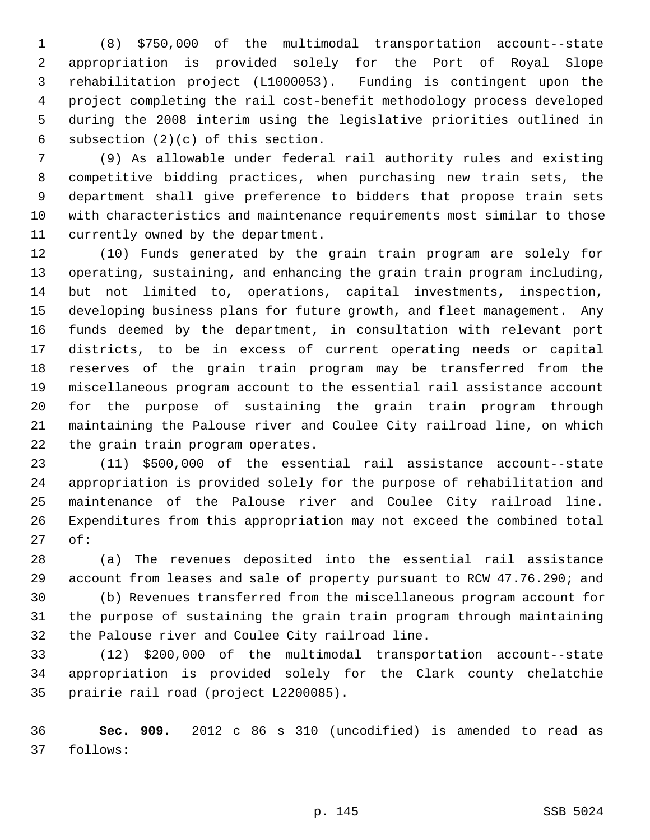1 (8) \$750,000 of the multimodal transportation account--state 2 appropriation is provided solely for the Port of Royal Slope 3 rehabilitation project (L1000053). Funding is contingent upon the 4 project completing the rail cost-benefit methodology process developed 5 during the 2008 interim using the legislative priorities outlined in 6 subsection (2)(c) of this section.

 7 (9) As allowable under federal rail authority rules and existing 8 competitive bidding practices, when purchasing new train sets, the 9 department shall give preference to bidders that propose train sets 10 with characteristics and maintenance requirements most similar to those 11 currently owned by the department.

12 (10) Funds generated by the grain train program are solely for 13 operating, sustaining, and enhancing the grain train program including, 14 but not limited to, operations, capital investments, inspection, 15 developing business plans for future growth, and fleet management. Any 16 funds deemed by the department, in consultation with relevant port 17 districts, to be in excess of current operating needs or capital 18 reserves of the grain train program may be transferred from the 19 miscellaneous program account to the essential rail assistance account 20 for the purpose of sustaining the grain train program through 21 maintaining the Palouse river and Coulee City railroad line, on which 22 the grain train program operates.

23 (11) \$500,000 of the essential rail assistance account--state 24 appropriation is provided solely for the purpose of rehabilitation and 25 maintenance of the Palouse river and Coulee City railroad line. 26 Expenditures from this appropriation may not exceed the combined total 27 of:

28 (a) The revenues deposited into the essential rail assistance 29 account from leases and sale of property pursuant to RCW 47.76.290; and

30 (b) Revenues transferred from the miscellaneous program account for 31 the purpose of sustaining the grain train program through maintaining 32 the Palouse river and Coulee City railroad line.

33 (12) \$200,000 of the multimodal transportation account--state 34 appropriation is provided solely for the Clark county chelatchie 35 prairie rail road (project L2200085).

36 **Sec. 909.** 2012 c 86 s 310 (uncodified) is amended to read as 37 follows: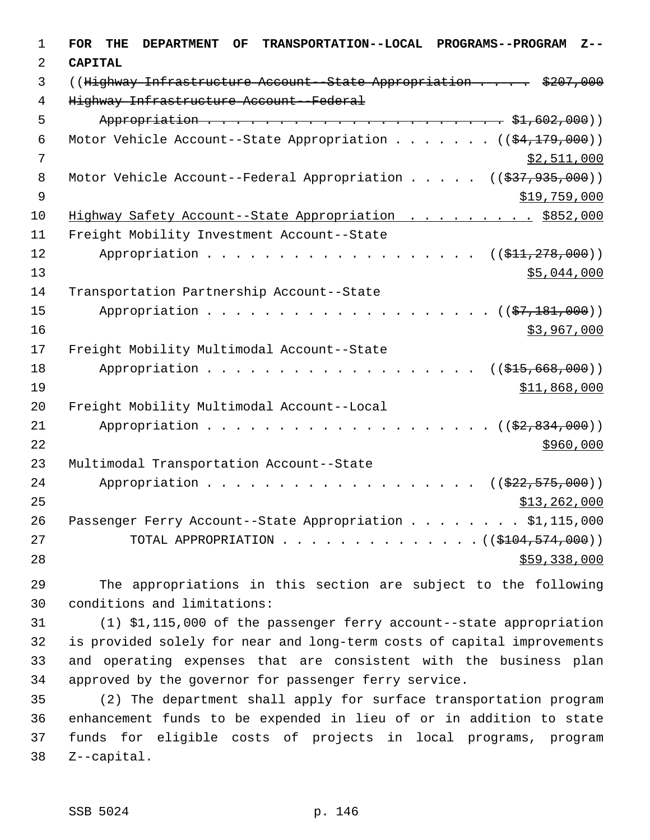| 1              | <b>FOR</b><br><b>TRANSPORTATION--LOCAL</b><br><b>PROGRAMS--PROGRAM</b><br>THE<br><b>DEPARTMENT</b><br><b>OF</b><br>$Z - -$ |
|----------------|----------------------------------------------------------------------------------------------------------------------------|
| 2              | <b>CAPITAL</b>                                                                                                             |
| 3              | ((Highway Infrastructure Account--State Appropriation \$207,000                                                            |
| $\overline{4}$ | Highway Infrastructure Account--Federal                                                                                    |
| 5              |                                                                                                                            |
| 6              | Motor Vehicle Account--State Appropriation ( $(\frac{24,179,000}{2})$ )                                                    |
| 7              | \$2,511,000                                                                                                                |
| 8              | Motor Vehicle Account--Federal Appropriation $($ $($ \$37,935,000))                                                        |
| 9              | \$19,759,000                                                                                                               |
| 10             | Highway Safety Account--State Appropriation \$852,000                                                                      |
| 11             | Freight Mobility Investment Account--State                                                                                 |
| 12             | $((\frac{11}{71}, \frac{278}{100})$                                                                                        |
| 13             | \$5,044,000                                                                                                                |
| 14             | Transportation Partnership Account--State                                                                                  |
| 15             | Appropriation<br>$((\frac{27}{7}, \frac{181}{900}))$                                                                       |
| 16             | \$3,967,000                                                                                                                |
| 17             | Freight Mobility Multimodal Account--State                                                                                 |
| 18             | Appropriation<br>$((\$15,668,000))$                                                                                        |
| 19             | \$11,868,000                                                                                                               |
| 20             | Freight Mobility Multimodal Account--Local                                                                                 |
| 21             | Appropriation<br>$((\$2,834,000))$                                                                                         |
| 22             | \$960,000                                                                                                                  |
| 23             | Multimodal Transportation Account--State                                                                                   |
| 24             | Appropriation<br>$((\frac{222}{7575},000))$<br>$\sim$ $\sim$ $\sim$ $\sim$ $\sim$                                          |
| 25             | \$13, 262, 000                                                                                                             |
| 26             | Passenger Ferry Account--State Appropriation \$1,115,000                                                                   |
| 27             | $\ldots$ $($ (\$104,574,000))<br>TOTAL APPROPRIATION                                                                       |
| 28             | \$59,338,000                                                                                                               |

29 The appropriations in this section are subject to the following 30 conditions and limitations:

31 (1) \$1,115,000 of the passenger ferry account--state appropriation 32 is provided solely for near and long-term costs of capital improvements 33 and operating expenses that are consistent with the business plan 34 approved by the governor for passenger ferry service.

35 (2) The department shall apply for surface transportation program 36 enhancement funds to be expended in lieu of or in addition to state 37 funds for eligible costs of projects in local programs, program 38 Z--capital.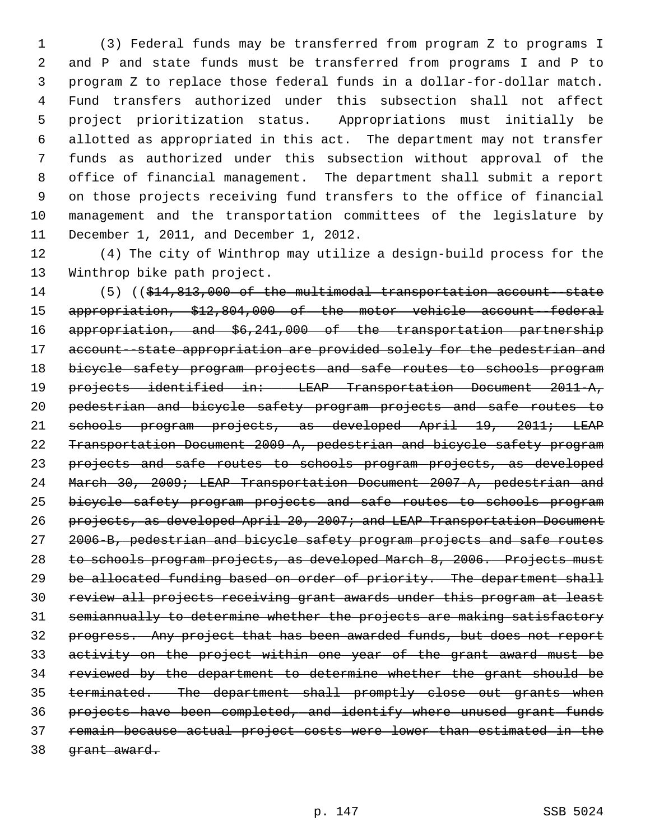1 (3) Federal funds may be transferred from program Z to programs I 2 and P and state funds must be transferred from programs I and P to 3 program Z to replace those federal funds in a dollar-for-dollar match. 4 Fund transfers authorized under this subsection shall not affect 5 project prioritization status. Appropriations must initially be 6 allotted as appropriated in this act. The department may not transfer 7 funds as authorized under this subsection without approval of the 8 office of financial management. The department shall submit a report 9 on those projects receiving fund transfers to the office of financial 10 management and the transportation committees of the legislature by 11 December 1, 2011, and December 1, 2012.

12 (4) The city of Winthrop may utilize a design-build process for the 13 Winthrop bike path project.

14 (5) ((\$14,813,000 of the multimodal transportation account--state appropriation, \$12,804,000 of the motor vehicle account--federal appropriation, and \$6,241,000 of the transportation partnership 17 account--state appropriation are provided solely for the pedestrian and 18 bicycle safety program projects and safe routes to schools program projects identified in: LEAP Transportation Document 2011-A, pedestrian and bicycle safety program projects and safe routes to schools program projects, as developed April 19, 2011; LEAP Transportation Document 2009-A, pedestrian and bicycle safety program 23 projects and safe routes to schools program projects, as developed March 30, 2009; LEAP Transportation Document 2007-A, pedestrian and bicycle safety program projects and safe routes to schools program projects, as developed April 20, 2007; and LEAP Transportation Document 2006-B, pedestrian and bicycle safety program projects and safe routes to schools program projects, as developed March 8, 2006. Projects must be allocated funding based on order of priority. The department shall review all projects receiving grant awards under this program at least semiannually to determine whether the projects are making satisfactory progress. Any project that has been awarded funds, but does not report activity on the project within one year of the grant award must be reviewed by the department to determine whether the grant should be terminated. The department shall promptly close out grants when projects have been completed, and identify where unused grant funds remain because actual project costs were lower than estimated in the 38 <del>grant award.</del>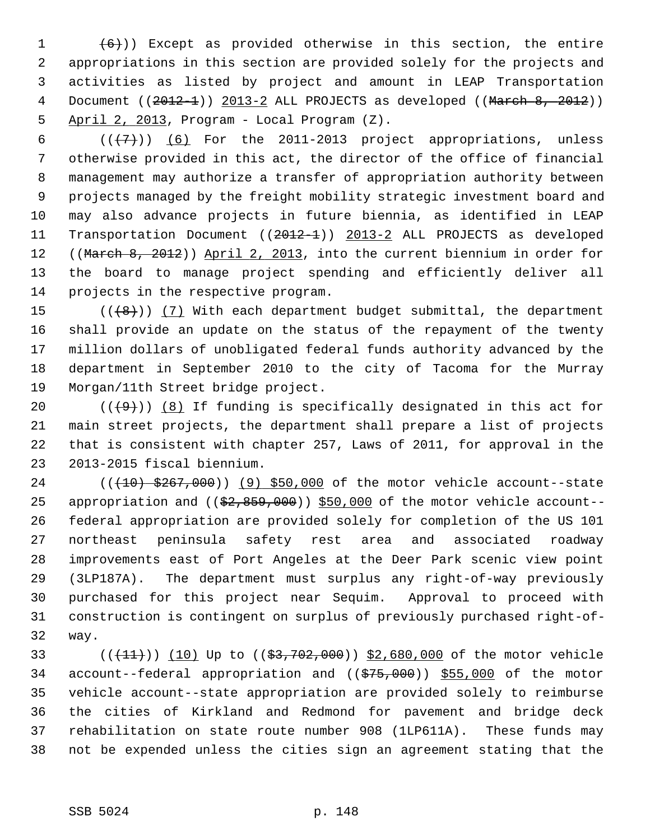1  $(6)$ )) Except as provided otherwise in this section, the entire 2 appropriations in this section are provided solely for the projects and 3 activities as listed by project and amount in LEAP Transportation 4 Document ((2012-1)) 2013-2 ALL PROJECTS as developed ((March 8, 2012)) 5 April 2, 2013, Program - Local Program (Z).

6  $((+7))$  (6) For the 2011-2013 project appropriations, unless 7 otherwise provided in this act, the director of the office of financial 8 management may authorize a transfer of appropriation authority between 9 projects managed by the freight mobility strategic investment board and 10 may also advance projects in future biennia, as identified in LEAP 11 Transportation Document ((2012-1)) 2013-2 ALL PROJECTS as developed 12 ((March 8, 2012)) April 2, 2013, into the current biennium in order for 13 the board to manage project spending and efficiently deliver all 14 projects in the respective program.

15  $((\lbrace 8 \rbrace))$  (7) With each department budget submittal, the department 16 shall provide an update on the status of the repayment of the twenty 17 million dollars of unobligated federal funds authority advanced by the 18 department in September 2010 to the city of Tacoma for the Murray 19 Morgan/11th Street bridge project.

20  $((+9))$  (8) If funding is specifically designated in this act for 21 main street projects, the department shall prepare a list of projects 22 that is consistent with chapter 257, Laws of 2011, for approval in the 23 2013-2015 fiscal biennium.

24 (( $(10)$  \$267,000)) (9) \$50,000 of the motor vehicle account--state 25 appropriation and  $($   $(*2, 859, 000)$   $$50,000$  of the motor vehicle account--26 federal appropriation are provided solely for completion of the US 101 27 northeast peninsula safety rest area and associated roadway 28 improvements east of Port Angeles at the Deer Park scenic view point 29 (3LP187A). The department must surplus any right-of-way previously 30 purchased for this project near Sequim. Approval to proceed with 31 construction is contingent on surplus of previously purchased right-of-32 way.

33 (( $(11)$ )) (10) Up to (( $$3,702,000$ )) \$2,680,000 of the motor vehicle 34 account--federal appropriation and ((\$75,000)) \$55,000 of the motor 35 vehicle account--state appropriation are provided solely to reimburse 36 the cities of Kirkland and Redmond for pavement and bridge deck 37 rehabilitation on state route number 908 (1LP611A). These funds may 38 not be expended unless the cities sign an agreement stating that the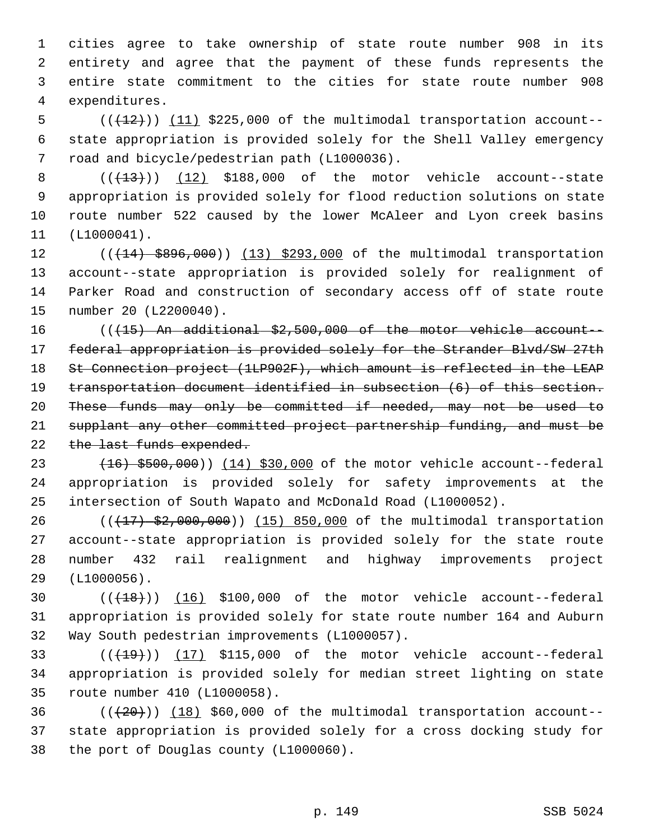1 cities agree to take ownership of state route number 908 in its 2 entirety and agree that the payment of these funds represents the 3 entire state commitment to the cities for state route number 908 4 expenditures.

 $5$  ( $(\frac{12}{12})$ ) (11) \$225,000 of the multimodal transportation account-- 6 state appropriation is provided solely for the Shell Valley emergency 7 road and bicycle/pedestrian path (L1000036).

 $8$  ( $(\frac{13}{13})$ ) (12) \$188,000 of the motor vehicle account--state 9 appropriation is provided solely for flood reduction solutions on state 10 route number 522 caused by the lower McAleer and Lyon creek basins 11 (L1000041).

12 (( $\left(\frac{14}{14}\right)$  \$896,000)) (13) \$293,000 of the multimodal transportation 13 account--state appropriation is provided solely for realignment of 14 Parker Road and construction of secondary access off of state route 15 number 20 (L2200040).

16 (((15) An additional \$2,500,000 of the motor vehicle account-- federal appropriation is provided solely for the Strander Blvd/SW 27th St Connection project (1LP902F), which amount is reflected in the LEAP transportation document identified in subsection (6) of this section. These funds may only be committed if needed, may not be used to supplant any other committed project partnership funding, and must be 22 the last funds expended.

23 (16) \$500,000)) (14) \$30,000 of the motor vehicle account--federal 24 appropriation is provided solely for safety improvements at the 25 intersection of South Wapato and McDonald Road (L1000052).

26 (( $\left(\frac{17}{52}, \frac{200}{15}, \frac{115}{15}\right)$  (15) 850,000 of the multimodal transportation 27 account--state appropriation is provided solely for the state route 28 number 432 rail realignment and highway improvements project 29 (L1000056).

30  $((+18))$   $(16)$  \$100,000 of the motor vehicle account--federal 31 appropriation is provided solely for state route number 164 and Auburn 32 Way South pedestrian improvements (L1000057).

33  $((+19))$   $(17)$  \$115,000 of the motor vehicle account--federal 34 appropriation is provided solely for median street lighting on state 35 route number 410 (L1000058).

 $36$  ( $(\overline{20})$ ) (18) \$60,000 of the multimodal transportation account--37 state appropriation is provided solely for a cross docking study for 38 the port of Douglas county (L1000060).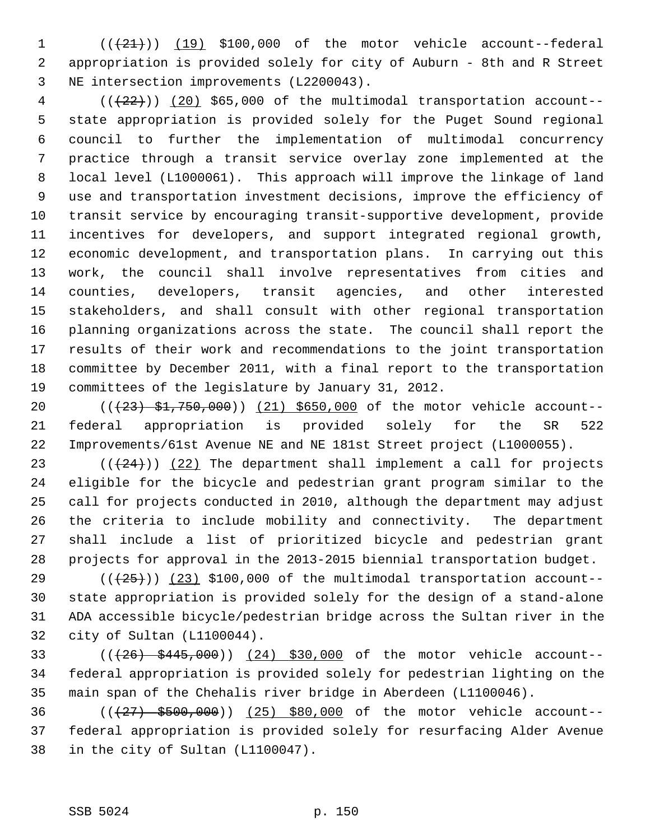$1$   $((+21))$   $(19)$  \$100,000 of the motor vehicle account--federal 2 appropriation is provided solely for city of Auburn - 8th and R Street 3 NE intersection improvements (L2200043).

 $4$  ( $(\frac{22}{12})$ ) (20) \$65,000 of the multimodal transportation account-- 5 state appropriation is provided solely for the Puget Sound regional 6 council to further the implementation of multimodal concurrency 7 practice through a transit service overlay zone implemented at the 8 local level (L1000061). This approach will improve the linkage of land 9 use and transportation investment decisions, improve the efficiency of 10 transit service by encouraging transit-supportive development, provide 11 incentives for developers, and support integrated regional growth, 12 economic development, and transportation plans. In carrying out this 13 work, the council shall involve representatives from cities and 14 counties, developers, transit agencies, and other interested 15 stakeholders, and shall consult with other regional transportation 16 planning organizations across the state. The council shall report the 17 results of their work and recommendations to the joint transportation 18 committee by December 2011, with a final report to the transportation 19 committees of the legislature by January 31, 2012.

20 (( $\left(\frac{23}{51},\frac{51}{750},000\right)$ ) (21) \$650,000 of the motor vehicle account--21 federal appropriation is provided solely for the SR 522 22 Improvements/61st Avenue NE and NE 181st Street project (L1000055).

23  $((+24))$   $(22)$  The department shall implement a call for projects 24 eligible for the bicycle and pedestrian grant program similar to the 25 call for projects conducted in 2010, although the department may adjust 26 the criteria to include mobility and connectivity. The department 27 shall include a list of prioritized bicycle and pedestrian grant 28 projects for approval in the 2013-2015 biennial transportation budget.

29  $((+25+))$  (23) \$100,000 of the multimodal transportation account--30 state appropriation is provided solely for the design of a stand-alone 31 ADA accessible bicycle/pedestrian bridge across the Sultan river in the 32 city of Sultan (L1100044).

33 (((26) \$445,000)) (24) \$30,000 of the motor vehicle account-- 34 federal appropriation is provided solely for pedestrian lighting on the 35 main span of the Chehalis river bridge in Aberdeen (L1100046).

36 (( $\left(427\right)$  \$500,000)) (25) \$80,000 of the motor vehicle account--37 federal appropriation is provided solely for resurfacing Alder Avenue 38 in the city of Sultan (L1100047).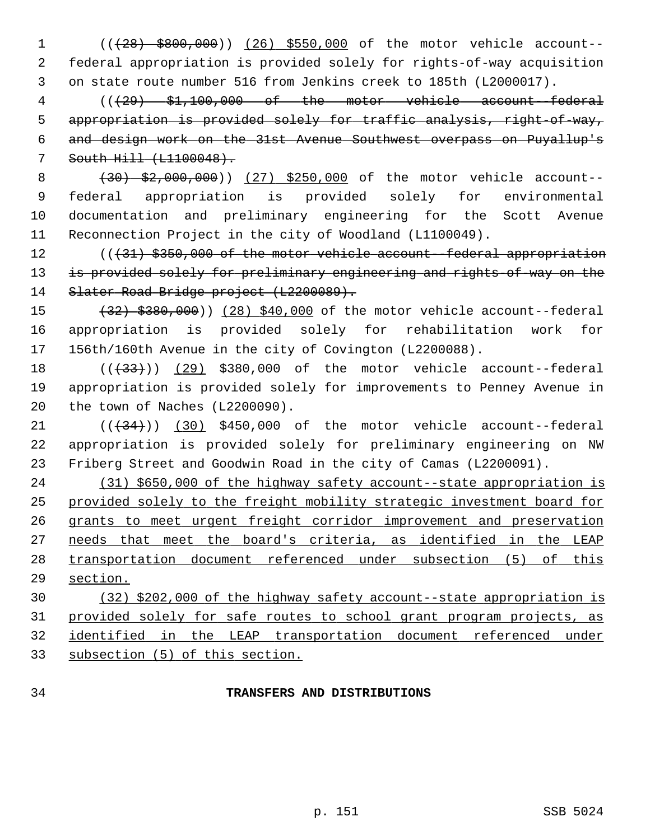1 (((28) \$800,000)) (26) \$550,000 of the motor vehicle account-- 2 federal appropriation is provided solely for rights-of-way acquisition 3 on state route number 516 from Jenkins creek to 185th (L2000017).

 4 (((29) \$1,100,000 of the motor vehicle account--federal appropriation is provided solely for traffic analysis, right-of-way, and design work on the 31st Avenue Southwest overpass on Puyallup's South Hill (L1100048).

8 (30) \$2,000,000)) (27) \$250,000 of the motor vehicle account-- 9 federal appropriation is provided solely for environmental 10 documentation and preliminary engineering for the Scott Avenue 11 Reconnection Project in the city of Woodland (L1100049).

12 (( $\{31\}$  \$350,000 of the motor vehicle account--federal appropriation 13 is provided solely for preliminary engineering and rights-of-way on the 14 Slater Road Bridge project (L2200089).

15 (32) \$380,000)) (28) \$40,000 of the motor vehicle account--federal 16 appropriation is provided solely for rehabilitation work for 17 156th/160th Avenue in the city of Covington (L2200088).

18 (( $(33)$ ) (29) \$380,000 of the motor vehicle account--federal 19 appropriation is provided solely for improvements to Penney Avenue in 20 the town of Naches (L2200090).

21  $((+34))$   $(30)$  \$450,000 of the motor vehicle account--federal 22 appropriation is provided solely for preliminary engineering on NW 23 Friberg Street and Goodwin Road in the city of Camas (L2200091).

 (31) \$650,000 of the highway safety account--state appropriation is provided solely to the freight mobility strategic investment board for grants to meet urgent freight corridor improvement and preservation needs that meet the board's criteria, as identified in the LEAP transportation document referenced under subsection (5) of this 29 section.

 (32) \$202,000 of the highway safety account--state appropriation is provided solely for safe routes to school grant program projects, as identified in the LEAP transportation document referenced under subsection (5) of this section.

## 34 **TRANSFERS AND DISTRIBUTIONS**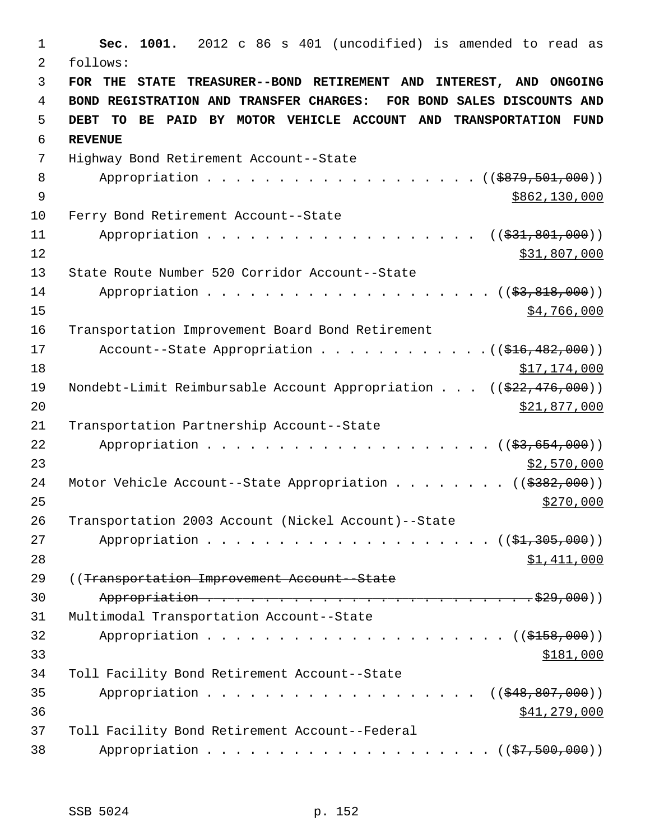1 **Sec. 1001.** 2012 c 86 s 401 (uncodified) is amended to read as 2 follows: 3 **FOR THE STATE TREASURER--BOND RETIREMENT AND INTEREST, AND ONGOING** 4 **BOND REGISTRATION AND TRANSFER CHARGES: FOR BOND SALES DISCOUNTS AND** 5 **DEBT TO BE PAID BY MOTOR VEHICLE ACCOUNT AND TRANSPORTATION FUND** 6 **REVENUE** 7 Highway Bond Retirement Account--State 8 Appropriation . . . . . . . . . . . . . . . . . (  $(\frac{2879,501,000}{1,000})$ 9 \$862,130,000 \$9862,130,000 \$9862,130,000 \$9862,130,000 \$9862,130,000 \$9862,130,000 \$9862,130,000 \$9862,130,000 \$9862,130,000 \$9862,130,000 \$9862,130,000 \$9862,130,000 \$9862,130,000 \$9862,130,000 \$9862,130,000 \$9862,130,0 10 Ferry Bond Retirement Account--State 11 Appropriation . . . . . . . . . . . . . . . . . ((\$31,801,000)) 12 \$31,807,000 13 State Route Number 520 Corridor Account--State 14 Appropriation . . . . . . . . . . . . . . . . . . (  $(\frac{23}{83}, \frac{818}{100})$  )  $15$  \$4,766,000 16 Transportation Improvement Board Bond Retirement 17 Account--State Appropriation . . . . . . . . . . . . ((\$16,482,000)) 18 \$17,174,000 19 Nondebt-Limit Reimbursable Account Appropriation . . . ((\$22,476,000)) 20 \$21,877,000 21 Transportation Partnership Account--State 22 Appropriation . . . . . . . . . . . . . . . . .  $(33,654,000)$ 23 \$2,570,000 24 Motor Vehicle Account--State Appropriation . . . . . . . ((\$382,000))  $25$ 26 Transportation 2003 Account (Nickel Account)--State 27 Appropriation . . . . . . . . . . . . . . . . . . (  $(\frac{21}{21}, \frac{305}{100})$  ) 28 \$1,411,000 29 ((Transportation Improvement Account--State 30 Appropriation . . . . . . . . . . . . . . . . . . . . . . . \$29,000)) 31 Multimodal Transportation Account--State 32 Appropriation . . . . . . . . . . . . . . . . . . . . . ((\$158,000))  $33$   $$181,000$ 34 Toll Facility Bond Retirement Account--State 35 Appropriation . . . . . . . . . . . . . . . . . ((\$48,807,000)) 36 \$41,279,000 37 Toll Facility Bond Retirement Account--Federal 38 Appropriation . . . . . . . . . . . . . . . . . . (  $(\frac{27}{500},000)$  )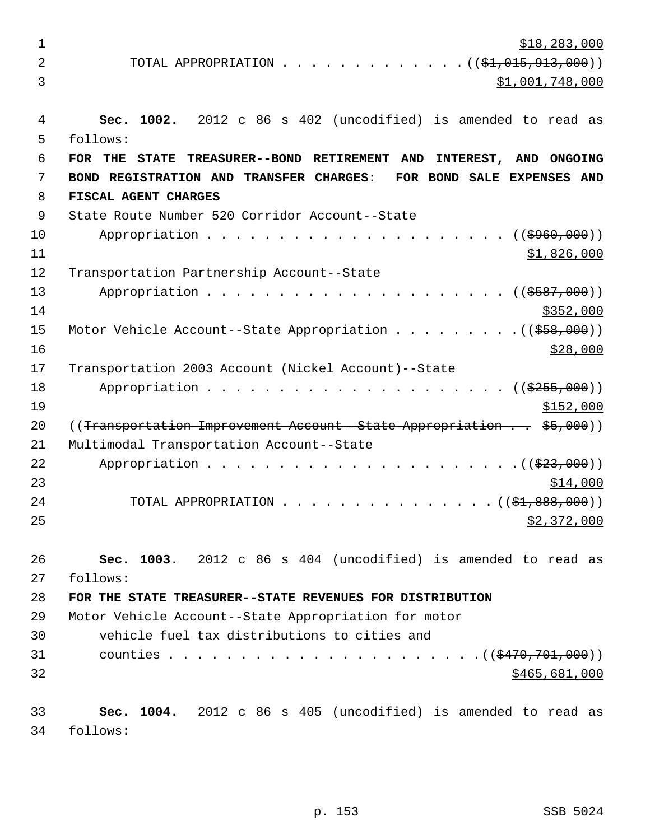$\frac{$18,283,000}{ }$ 2 TOTAL APPROPRIATION . . . . . . . . . . . . . ( $(\frac{1}{2}, 015, 913, 000)$ ) 3 \$1,001,748,000 4 **Sec. 1002.** 2012 c 86 s 402 (uncodified) is amended to read as 5 follows: 6 **FOR THE STATE TREASURER--BOND RETIREMENT AND INTEREST, AND ONGOING** 7 **BOND REGISTRATION AND TRANSFER CHARGES: FOR BOND SALE EXPENSES AND** 8 **FISCAL AGENT CHARGES**  9 State Route Number 520 Corridor Account--State 10 Appropriation . . . . . . . . . . . . . . . . . . ((\$960,000))  $11$  \$1,826,000 12 Transportation Partnership Account--State 13 Appropriation . . . . . . . . . . . . . . . . . . . . . ((\$587,000))  $14$  \$352,000 15 Motor Vehicle Account--State Appropriation . . . . . . . . . ((\$58,000))  $16$  \$28,000 17 Transportation 2003 Account (Nickel Account)--State 18 Appropriation . . . . . . . . . . . . . . . . . . ((\$255,000))  $19$  \$152,000 20 ((Transportation Improvement Account--State Appropriation . . \$5,000)) 21 Multimodal Transportation Account--State 22 Appropriation . . . . . . . . . . . . . . . . . . . . . .((\$23,000))  $23$   $\frac{$14,000}{}$ 24 TOTAL APPROPRIATION . . . . . . . . . . . . . . ((<del>\$1,888,000</del>))  $25$   $$2,372,000$ 26 **Sec. 1003.** 2012 c 86 s 404 (uncodified) is amended to read as 27 follows: 28 **FOR THE STATE TREASURER--STATE REVENUES FOR DISTRIBUTION** 29 Motor Vehicle Account--State Appropriation for motor 30 vehicle fuel tax distributions to cities and 31 counties . . . . . . . . . . . . . . . . . . . . . .((\$470,701,000))  $32$  \$465,681,000 33 **Sec. 1004.** 2012 c 86 s 405 (uncodified) is amended to read as 34 follows: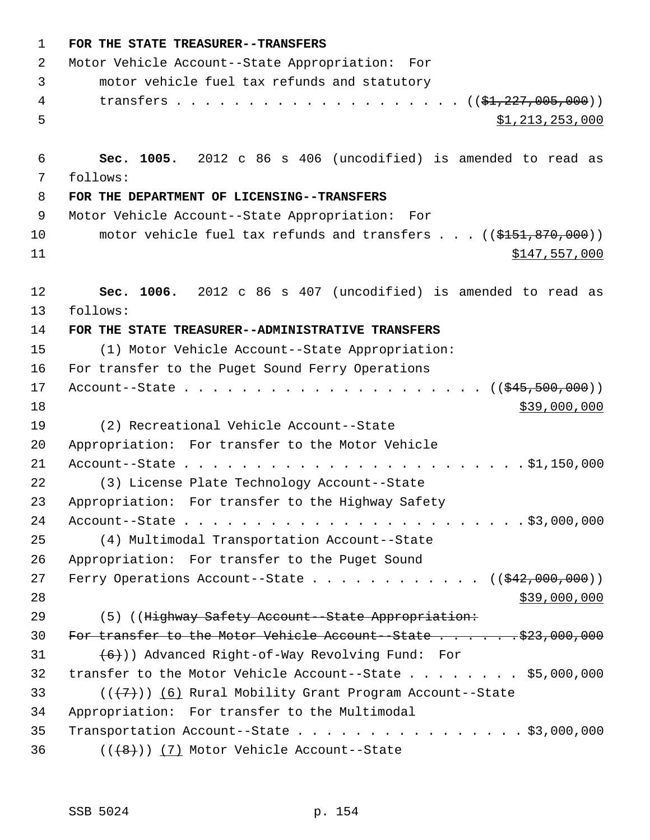| 1  | FOR THE STATE TREASURER--TRANSFERS                                      |
|----|-------------------------------------------------------------------------|
| 2  | Motor Vehicle Account--State Appropriation: For                         |
| 3  | motor vehicle fuel tax refunds and statutory                            |
| 4  |                                                                         |
| 5  | \$1,213,253,000                                                         |
|    |                                                                         |
| 6  | Sec. 1005. 2012 c 86 s 406 (uncodified) is amended to read as           |
| 7  | follows:                                                                |
| 8  | FOR THE DEPARTMENT OF LICENSING--TRANSFERS                              |
| 9  | Motor Vehicle Account--State Appropriation: For                         |
| 10 | motor vehicle fuel tax refunds and transfers $\ldots$ ((\$151,870,000)) |
| 11 | \$147,557,000                                                           |
|    |                                                                         |
| 12 | Sec. 1006. 2012 c 86 s 407 (uncodified) is amended to read as           |
| 13 | follows:                                                                |
| 14 | FOR THE STATE TREASURER--ADMINISTRATIVE TRANSFERS                       |
| 15 | (1) Motor Vehicle Account--State Appropriation:                         |
| 16 | For transfer to the Puget Sound Ferry Operations                        |
| 17 |                                                                         |
| 18 | \$39,000,000                                                            |
| 19 | (2) Recreational Vehicle Account--State                                 |
| 20 | Appropriation: For transfer to the Motor Vehicle                        |
| 21 |                                                                         |
| 22 | (3) License Plate Technology Account--State                             |
| 23 | Appropriation: For transfer to the Highway Safety                       |
| 24 |                                                                         |
| 25 | (4) Multimodal Transportation Account--State                            |
| 26 | Appropriation: For transfer to the Puget Sound                          |
| 27 | Ferry Operations Account--State ( $(\frac{242,000,000}{1})$             |
| 28 | \$39,000,000                                                            |
| 29 | (5) ((Highway Safety Account--State Appropriation:                      |
| 30 |                                                                         |
| 31 | $(6+)$ ) Advanced Right-of-Way Revolving Fund: For                      |
| 32 | transfer to the Motor Vehicle Account--State $\ldots$ \$5,000,000       |
| 33 | $((+7+))$ (6) Rural Mobility Grant Program Account--State               |
| 34 | Appropriation: For transfer to the Multimodal                           |
| 35 | Transportation Account--State $\ldots$ \$3,000,000                      |
| 36 | $((+8))$ (7) Motor Vehicle Account--State                               |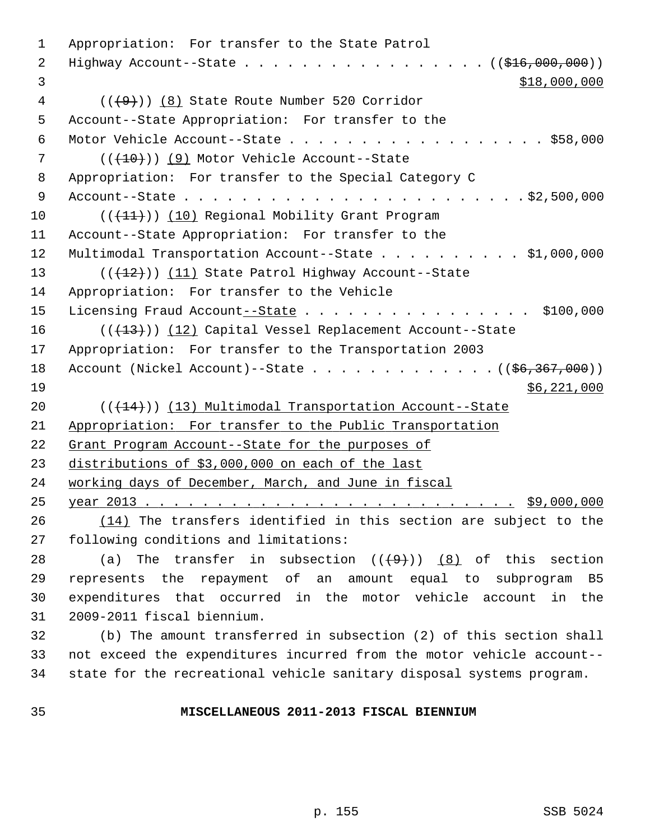1 Appropriation: For transfer to the State Patrol 2 Highway Account--State . . . . . . . . . . . . . . . . . (  $(\frac{1616}{1600000})$  $$18,000,000$  4 (((9))) (8) State Route Number 520 Corridor 5 Account--State Appropriation: For transfer to the 6 Motor Vehicle Account--State . . . . . . . . . . . . . . . . . . \$58,000 7 (( $(410)$ ) (9) Motor Vehicle Account--State 8 Appropriation: For transfer to the Special Category C 9 Account--State . . . . . . . . . . . . . . . . . . . . . . . . \$2,500,000 10 (( $(11)$ )) (10) Regional Mobility Grant Program 11 Account--State Appropriation: For transfer to the 12 Multimodal Transportation Account--State . . . . . . . . . . \$1,000,000 13 (( $(12)$ )) (11) State Patrol Highway Account--State 14 Appropriation: For transfer to the Vehicle 15 Licensing Fraud Account--State . . . . . . . . . . . . . . . \$100,000 16 (( $(13)$ ) (12) Capital Vessel Replacement Account--State 17 Appropriation: For transfer to the Transportation 2003 18 Account (Nickel Account)--State  $\ldots$  . . . . . . . . . . ( $(\frac{66}{367}, \frac{367}{100})$ )  $19$  \$6,221,000 20 (( $(14)$ )) (13) Multimodal Transportation Account--State 21 Appropriation: For transfer to the Public Transportation 22 Grant Program Account--State for the purposes of 23 distributions of \$3,000,000 on each of the last 24 working days of December, March, and June in fiscal 25 year 2013 . . . . . . . . . . . . . . . . . . . . . . . . . . \$9,000,000 26 (14) The transfers identified in this section are subject to the 27 following conditions and limitations: 28 (a) The transfer in subsection  $((+9))$  (8) of this section 29 represents the repayment of an amount equal to subprogram B5 30 expenditures that occurred in the motor vehicle account in the 31 2009-2011 fiscal biennium. 32 (b) The amount transferred in subsection (2) of this section shall 33 not exceed the expenditures incurred from the motor vehicle account-- 34 state for the recreational vehicle sanitary disposal systems program.

## 35 **MISCELLANEOUS 2011-2013 FISCAL BIENNIUM**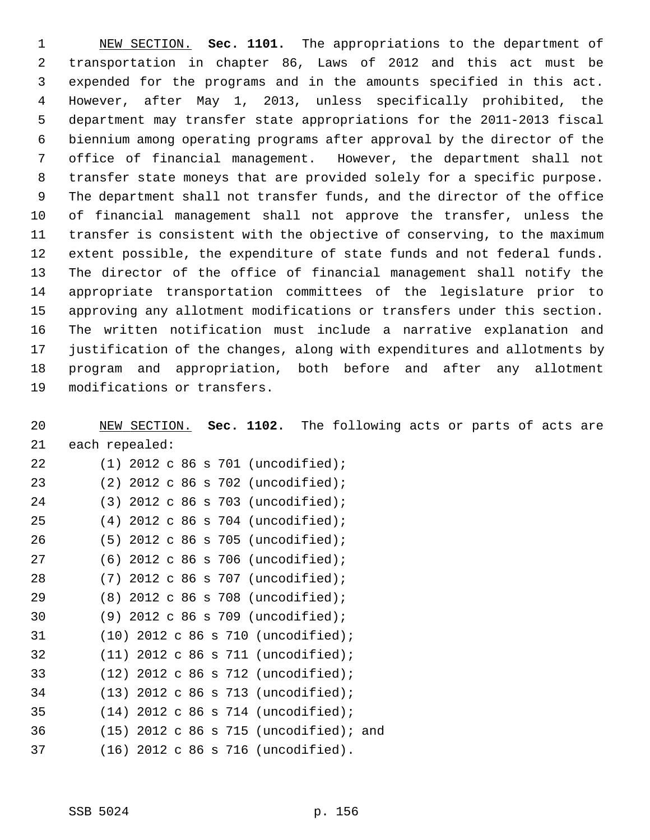1 NEW SECTION. **Sec. 1101.** The appropriations to the department of 2 transportation in chapter 86, Laws of 2012 and this act must be 3 expended for the programs and in the amounts specified in this act. 4 However, after May 1, 2013, unless specifically prohibited, the 5 department may transfer state appropriations for the 2011-2013 fiscal 6 biennium among operating programs after approval by the director of the 7 office of financial management. However, the department shall not 8 transfer state moneys that are provided solely for a specific purpose. 9 The department shall not transfer funds, and the director of the office 10 of financial management shall not approve the transfer, unless the 11 transfer is consistent with the objective of conserving, to the maximum 12 extent possible, the expenditure of state funds and not federal funds. 13 The director of the office of financial management shall notify the 14 appropriate transportation committees of the legislature prior to 15 approving any allotment modifications or transfers under this section. 16 The written notification must include a narrative explanation and 17 justification of the changes, along with expenditures and allotments by 18 program and appropriation, both before and after any allotment 19 modifications or transfers.

20 NEW SECTION. **Sec. 1102.** The following acts or parts of acts are 21 each repealed:

| 22 | $(1)$ 2012 c 86 s 701 (uncodified);      |
|----|------------------------------------------|
| 23 | $(2)$ 2012 c 86 s 702 (uncodified);      |
| 24 | $(3)$ 2012 c 86 s 703 (uncodified);      |
| 25 | 2012 c 86 s 704 (uncodified);<br>(4)     |
| 26 | $(5)$ 2012 c 86 s 705 (uncodified);      |
| 27 | $(6)$ 2012 c 86 s 706 (uncodified);      |
| 28 | $2012$ c 86 s 707 (uncodified);<br>(7)   |
| 29 | $(8)$ 2012 c 86 s 708 (uncodified);      |
| 30 | $(9)$ 2012 c 86 s 709 (uncodified);      |
| 31 | $(10)$ 2012 c 86 s 710 (uncodified);     |
| 32 | $(11)$ 2012 c 86 s 711 (uncodified);     |
| 33 | $(12)$ 2012 c 86 s 712 (uncodified);     |
| 34 | $(13)$ 2012 c 86 s 713 (uncodified);     |
| 35 | $(14)$ 2012 c 86 s 714 (uncodified);     |
| 36 | $(15)$ 2012 c 86 s 715 (uncodified); and |
| 37 | (16) 2012 c 86 s 716 (uncodified).       |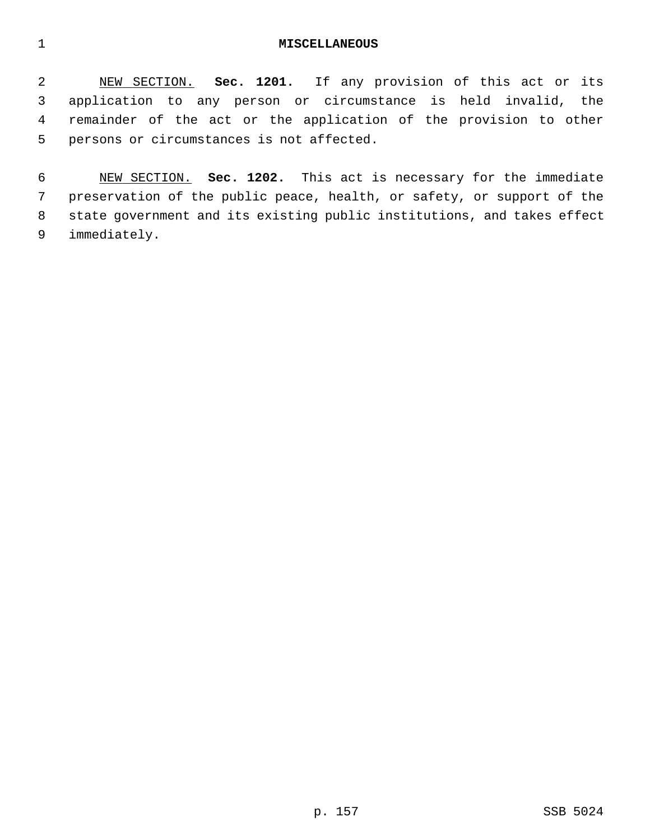## 1 **MISCELLANEOUS**

 2 NEW SECTION. **Sec. 1201.** If any provision of this act or its 3 application to any person or circumstance is held invalid, the 4 remainder of the act or the application of the provision to other 5 persons or circumstances is not affected.

 6 NEW SECTION. **Sec. 1202.** This act is necessary for the immediate 7 preservation of the public peace, health, or safety, or support of the 8 state government and its existing public institutions, and takes effect 9 immediately.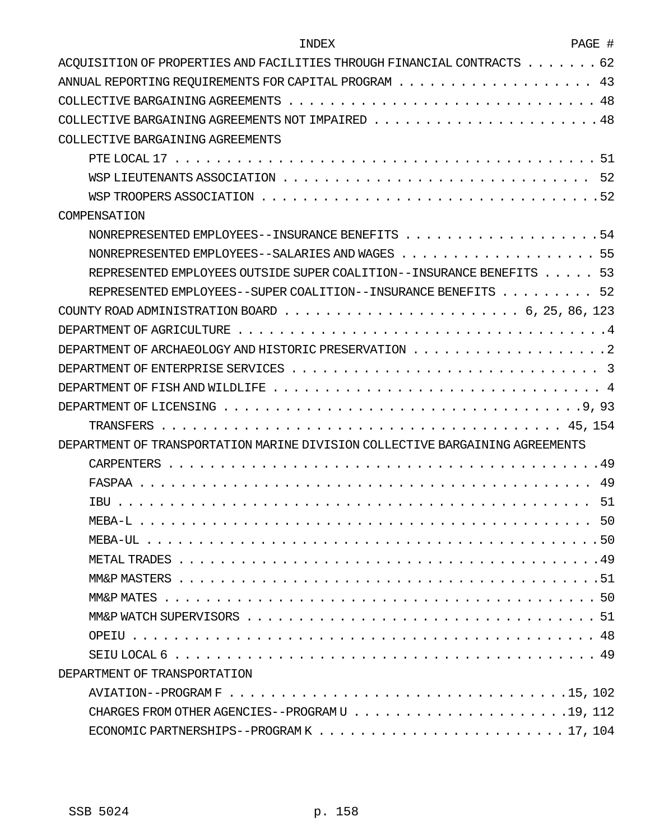| INDEX                                                                                                | PAGE # |
|------------------------------------------------------------------------------------------------------|--------|
| ACOUISITION OF PROPERTIES AND FACILITIES THROUGH FINANCIAL CONTRACTS $\dots \dots$                   | 62     |
| ANNUAL REPORTING REQUIREMENTS FOR CAPITAL PROGRAM $\ldots \ldots \ldots \ldots \ldots \ldots \ldots$ | 43     |
|                                                                                                      |        |
|                                                                                                      |        |
| COLLECTIVE BARGAINING AGREEMENTS                                                                     |        |
|                                                                                                      |        |
|                                                                                                      | -52    |
|                                                                                                      |        |
| COMPENSATION                                                                                         |        |
|                                                                                                      |        |
| NONREPRESENTED EMPLOYEES--SALARIES AND WAGES 55                                                      |        |
| REPRESENTED EMPLOYEES OUTSIDE SUPER COALITION--INSURANCE BENEFITS 53                                 |        |
| REPRESENTED EMPLOYEES--SUPER COALITION--INSURANCE BENEFITS 52                                        |        |
|                                                                                                      |        |
|                                                                                                      |        |
|                                                                                                      |        |
|                                                                                                      | -3     |
|                                                                                                      |        |
|                                                                                                      |        |
|                                                                                                      |        |
| DEPARTMENT OF TRANSPORTATION MARINE DIVISION COLLECTIVE BARGAINING AGREEMENTS                        |        |
|                                                                                                      |        |
|                                                                                                      | 49     |
| <b>TBU</b>                                                                                           | 51     |
|                                                                                                      |        |
|                                                                                                      |        |
|                                                                                                      |        |
|                                                                                                      |        |
|                                                                                                      |        |
|                                                                                                      |        |
|                                                                                                      |        |
|                                                                                                      |        |
| DEPARTMENT OF TRANSPORTATION                                                                         |        |
|                                                                                                      |        |
|                                                                                                      |        |
|                                                                                                      |        |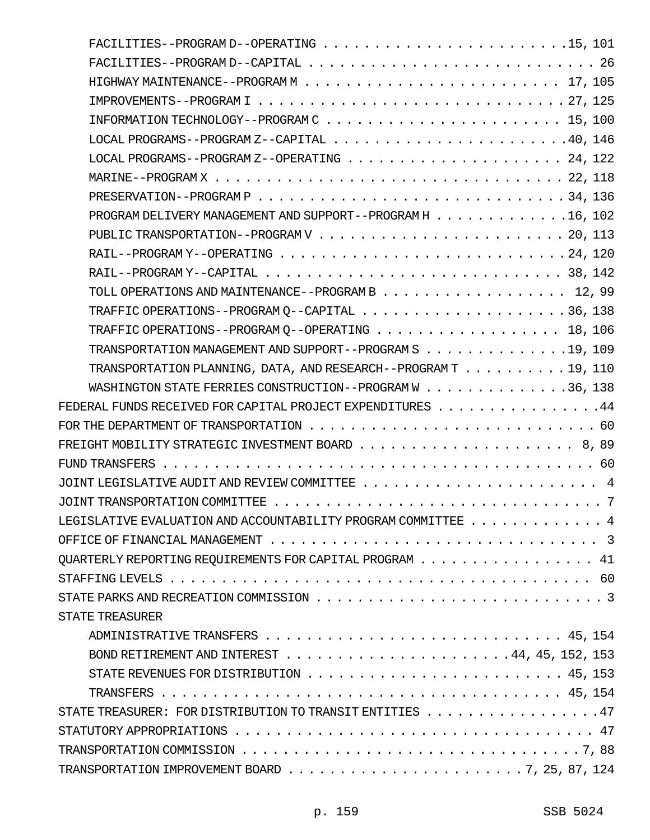| LOCAL PROGRAMS -- PROGRAM Z--CAPITAL $\ldots$ , 40, 146                                                                      |  |
|------------------------------------------------------------------------------------------------------------------------------|--|
|                                                                                                                              |  |
|                                                                                                                              |  |
|                                                                                                                              |  |
| PROGRAM DELIVERY MANAGEMENT AND SUPPORT--PROGRAM H 16, 102                                                                   |  |
|                                                                                                                              |  |
|                                                                                                                              |  |
|                                                                                                                              |  |
| TOLL OPERATIONS AND MAINTENANCE--PROGRAM B 12, 99                                                                            |  |
|                                                                                                                              |  |
| TRAFFIC OPERATIONS--PROGRAM Q--OPERATING 18, 106                                                                             |  |
| TRANSPORTATION MANAGEMENT AND SUPPORT--PROGRAM S 19, 109                                                                     |  |
| TRANSPORTATION PLANNING, DATA, AND RESEARCH--PROGRAM T 19, 110                                                               |  |
| WASHINGTON STATE FERRIES CONSTRUCTION--PROGRAM W 36, 138                                                                     |  |
| FEDERAL FUNDS RECEIVED FOR CAPITAL PROJECT EXPENDITURES $\ldots \ldots \ldots \ldots$                                        |  |
|                                                                                                                              |  |
| FREIGHT MOBILITY STRATEGIC INVESTMENT BOARD $\ldots \ldots \ldots \ldots \ldots \ldots \ldots \ldots \ldots \; 8 \, , \; 89$ |  |
|                                                                                                                              |  |
|                                                                                                                              |  |
| JOINT TRANSPORTATION COMMITTEE $\ldots \ldots \ldots \ldots \ldots \ldots \ldots \ldots \ldots \ldots \ldots \ldots \ldots$  |  |
| LEGISLATIVE EVALUATION AND ACCOUNTABILITY PROGRAM COMMITTEE $\dots\dots\dots\dots\dots\dots4$                                |  |
| OFFICE OF FINANCIAL MANAGEMENT $\ldots \ldots \ldots \ldots \ldots \ldots \ldots \ldots \ldots \ldots \ldots$                |  |
| QUARTERLY REPORTING REQUIREMENTS FOR CAPITAL PROGRAM $\ldots \ldots \ldots \ldots \ldots$                                    |  |
|                                                                                                                              |  |
|                                                                                                                              |  |
| STATE TREASURER                                                                                                              |  |
|                                                                                                                              |  |
| BOND RETIREMENT AND INTEREST $\ldots$ , 44, 45, 152, 153                                                                     |  |
| STATE REVENUES FOR DISTRIBUTION $\ldots \ldots \ldots \ldots \ldots \ldots \ldots \ldots \ldots$ 45, 153                     |  |
|                                                                                                                              |  |
| STATE TREASURER: FOR DISTRIBUTION TO TRANSIT ENTITIES 47                                                                     |  |
| STATUTORY APPROPRIATIONS $\ldots \ldots \ldots \ldots \ldots \ldots \ldots \ldots \ldots \ldots \ldots \ldots \ldots$        |  |
| TRANSPORTATION COMMISSION $\ldots \ldots \ldots \ldots \ldots \ldots \ldots \ldots \ldots \ldots \ldots \ldots \ldots$       |  |
| TRANSPORTATION IMPROVEMENT BOARD $\ldots \ldots \ldots \ldots \ldots \ldots \ldots \ldots \ldots 7$ , 25, 87, 124            |  |